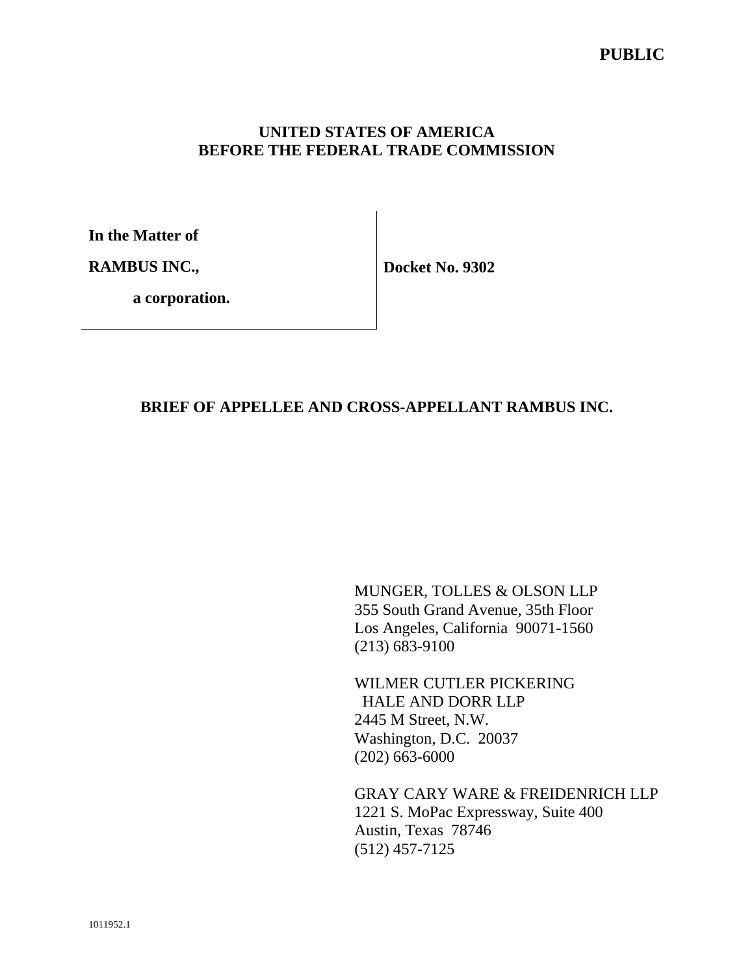#### **UNITED STATES OF AMERICA BEFORE THE FEDERAL TRADE COMMISSION**

**In the Matter of** 

**RAMBUS INC.,** 

**Docket No. 9302** 

 **a corporation.**

#### **BRIEF OF APPELLEE AND CROSS-APPELLANT RAMBUS INC.**

MUNGER, TOLLES & OLSON LLP 355 South Grand Avenue, 35th Floor Los Angeles, California 90071-1560 (213) 683-9100

WILMER CUTLER PICKERING HALE AND DORR LLP 2445 M Street, N.W. Washington, D.C. 20037 (202) 663-6000

GRAY CARY WARE & FREIDENRICH LLP 1221 S. MoPac Expressway, Suite 400 Austin, Texas 78746 (512) 457-7125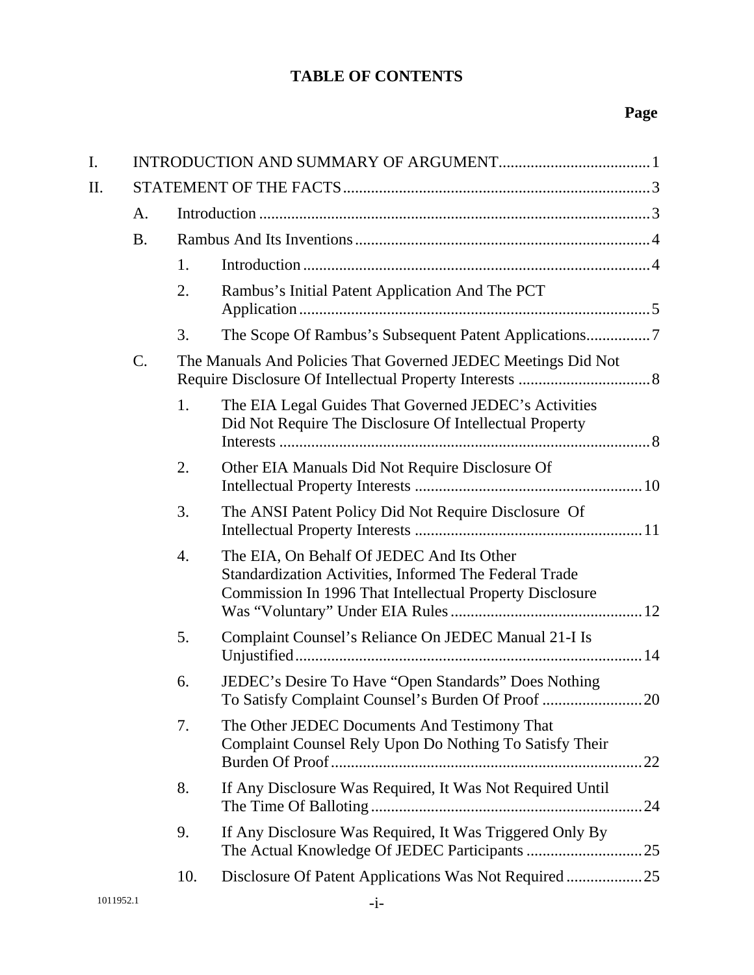## **Page**

| I.        |           |     |                                                                                                                                                                 |     |  |  |  |  |
|-----------|-----------|-----|-----------------------------------------------------------------------------------------------------------------------------------------------------------------|-----|--|--|--|--|
| II.       |           |     |                                                                                                                                                                 |     |  |  |  |  |
|           | A.        |     |                                                                                                                                                                 |     |  |  |  |  |
|           | <b>B.</b> |     |                                                                                                                                                                 |     |  |  |  |  |
|           |           | 1.  |                                                                                                                                                                 |     |  |  |  |  |
|           |           | 2.  | Rambus's Initial Patent Application And The PCT                                                                                                                 |     |  |  |  |  |
|           |           | 3.  |                                                                                                                                                                 |     |  |  |  |  |
|           | C.        |     | The Manuals And Policies That Governed JEDEC Meetings Did Not                                                                                                   |     |  |  |  |  |
|           |           | 1.  | The EIA Legal Guides That Governed JEDEC's Activities<br>Did Not Require The Disclosure Of Intellectual Property                                                |     |  |  |  |  |
|           |           | 2.  | Other EIA Manuals Did Not Require Disclosure Of                                                                                                                 |     |  |  |  |  |
|           |           | 3.  | The ANSI Patent Policy Did Not Require Disclosure Of                                                                                                            |     |  |  |  |  |
|           |           | 4.  | The EIA, On Behalf Of JEDEC And Its Other<br>Standardization Activities, Informed The Federal Trade<br>Commission In 1996 That Intellectual Property Disclosure |     |  |  |  |  |
|           |           | 5.  | Complaint Counsel's Reliance On JEDEC Manual 21-I Is                                                                                                            |     |  |  |  |  |
|           |           | 6.  | JEDEC's Desire To Have "Open Standards" Does Nothing<br>To Satisfy Complaint Counsel's Burden Of Proof 20                                                       |     |  |  |  |  |
|           |           | 7.  | The Other JEDEC Documents And Testimony That<br>Complaint Counsel Rely Upon Do Nothing To Satisfy Their                                                         | 22  |  |  |  |  |
|           |           | 8.  | If Any Disclosure Was Required, It Was Not Required Until                                                                                                       | .24 |  |  |  |  |
|           |           | 9.  | If Any Disclosure Was Required, It Was Triggered Only By                                                                                                        |     |  |  |  |  |
|           |           | 10. |                                                                                                                                                                 |     |  |  |  |  |
| 1011952.1 |           |     | $-i-$                                                                                                                                                           |     |  |  |  |  |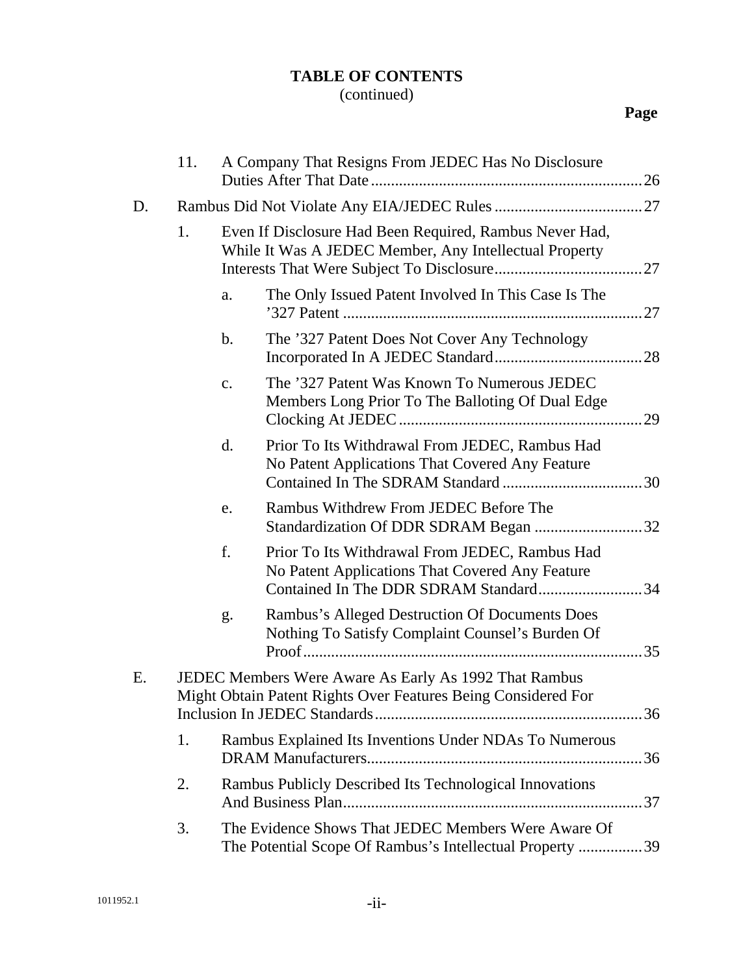### (continued)

## **Page**

|    | 11. |                | A Company That Resigns From JEDEC Has No Disclosure                                                                                        |  |
|----|-----|----------------|--------------------------------------------------------------------------------------------------------------------------------------------|--|
| D. |     |                |                                                                                                                                            |  |
|    | 1.  |                | Even If Disclosure Had Been Required, Rambus Never Had,<br>While It Was A JEDEC Member, Any Intellectual Property                          |  |
|    |     | a.             | The Only Issued Patent Involved In This Case Is The                                                                                        |  |
|    |     | $\mathbf b$ .  | The '327 Patent Does Not Cover Any Technology                                                                                              |  |
|    |     | $\mathbf{c}$ . | The '327 Patent Was Known To Numerous JEDEC<br>Members Long Prior To The Balloting Of Dual Edge                                            |  |
|    |     | d.             | Prior To Its Withdrawal From JEDEC, Rambus Had<br>No Patent Applications That Covered Any Feature                                          |  |
|    |     | e.             | Rambus Withdrew From JEDEC Before The<br>Standardization Of DDR SDRAM Began 32                                                             |  |
|    |     | f.             | Prior To Its Withdrawal From JEDEC, Rambus Had<br>No Patent Applications That Covered Any Feature<br>Contained In The DDR SDRAM Standard34 |  |
|    |     | g.             | Rambus's Alleged Destruction Of Documents Does<br>Nothing To Satisfy Complaint Counsel's Burden Of                                         |  |
| Ε. |     |                | JEDEC Members Were Aware As Early As 1992 That Rambus<br>Might Obtain Patent Rights Over Features Being Considered For                     |  |
|    | 1.  |                | Rambus Explained Its Inventions Under NDAs To Numerous                                                                                     |  |
|    | 2.  |                | Rambus Publicly Described Its Technological Innovations                                                                                    |  |
|    | 3.  |                | The Evidence Shows That JEDEC Members Were Aware Of<br>The Potential Scope Of Rambus's Intellectual Property 39                            |  |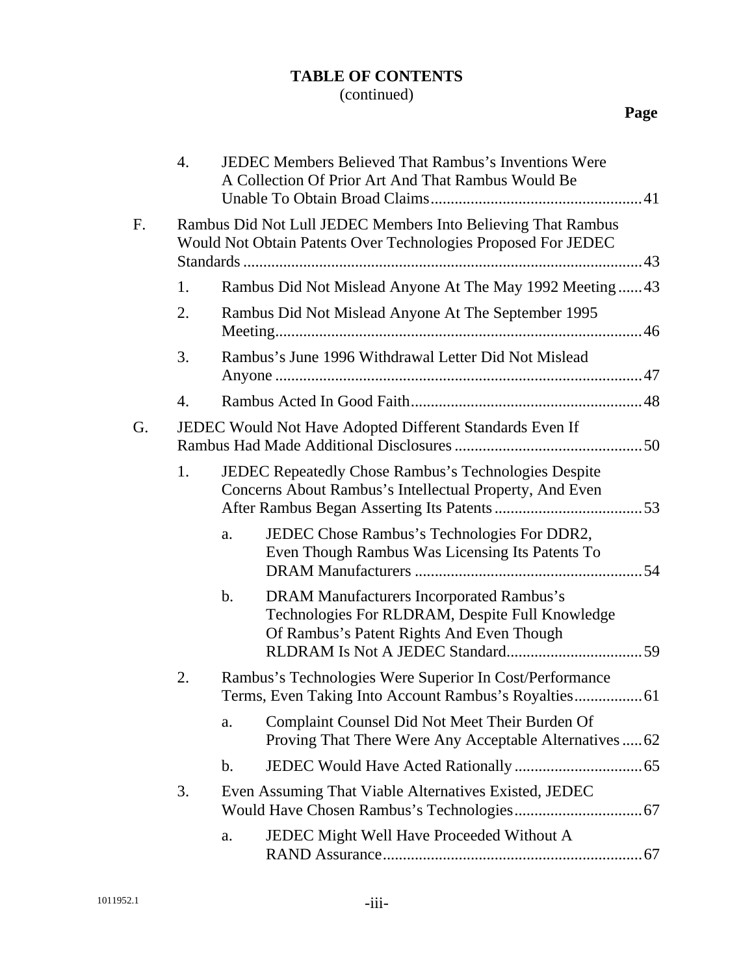### (continued)

|    | $\overline{4}$ . |               | <b>JEDEC Members Believed That Rambus's Inventions Were</b><br>A Collection Of Prior Art And That Rambus Would Be                        |  |  |  |  |
|----|------------------|---------------|------------------------------------------------------------------------------------------------------------------------------------------|--|--|--|--|
| F. |                  |               | Rambus Did Not Lull JEDEC Members Into Believing That Rambus<br>Would Not Obtain Patents Over Technologies Proposed For JEDEC            |  |  |  |  |
|    | 1.               |               | Rambus Did Not Mislead Anyone At The May 1992 Meeting43                                                                                  |  |  |  |  |
|    | 2.               |               | Rambus Did Not Mislead Anyone At The September 1995                                                                                      |  |  |  |  |
|    | 3.               |               | Rambus's June 1996 Withdrawal Letter Did Not Mislead                                                                                     |  |  |  |  |
|    | 4.               |               |                                                                                                                                          |  |  |  |  |
| G. |                  |               | JEDEC Would Not Have Adopted Different Standards Even If                                                                                 |  |  |  |  |
|    | 1.               |               | JEDEC Repeatedly Chose Rambus's Technologies Despite<br>Concerns About Rambus's Intellectual Property, And Even                          |  |  |  |  |
|    |                  | a.            | JEDEC Chose Rambus's Technologies For DDR2,<br>Even Though Rambus Was Licensing Its Patents To                                           |  |  |  |  |
|    |                  | b.            | DRAM Manufacturers Incorporated Rambus's<br>Technologies For RLDRAM, Despite Full Knowledge<br>Of Rambus's Patent Rights And Even Though |  |  |  |  |
|    | 2.               |               | Rambus's Technologies Were Superior In Cost/Performance                                                                                  |  |  |  |  |
|    |                  | a.            | Complaint Counsel Did Not Meet Their Burden Of<br>Proving That There Were Any Acceptable Alternatives  62                                |  |  |  |  |
|    |                  | $\mathbf b$ . |                                                                                                                                          |  |  |  |  |
|    | 3.               |               | Even Assuming That Viable Alternatives Existed, JEDEC                                                                                    |  |  |  |  |
|    |                  | a.            | JEDEC Might Well Have Proceeded Without A                                                                                                |  |  |  |  |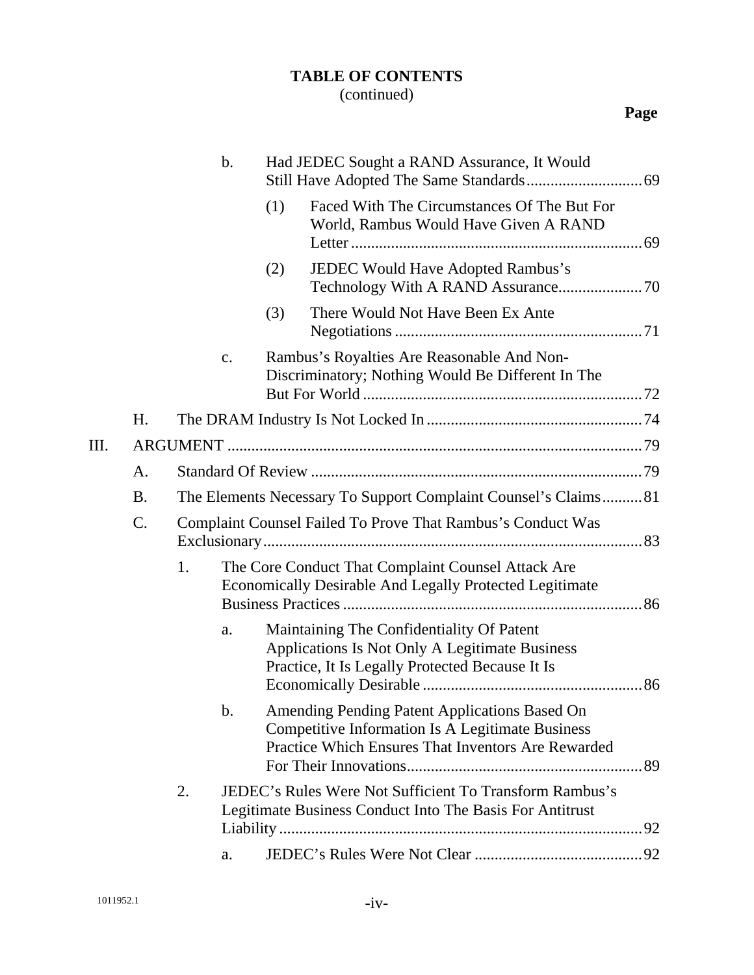### (continued)

## **Page**

|      |           |                                                                | $\mathbf b$ . |     | Had JEDEC Sought a RAND Assurance, It Would                                                                                                                    |  |
|------|-----------|----------------------------------------------------------------|---------------|-----|----------------------------------------------------------------------------------------------------------------------------------------------------------------|--|
|      |           |                                                                |               | (1) | Faced With The Circumstances Of The But For<br>World, Rambus Would Have Given A RAND                                                                           |  |
|      |           |                                                                |               | (2) | JEDEC Would Have Adopted Rambus's                                                                                                                              |  |
|      |           |                                                                |               | (3) | There Would Not Have Been Ex Ante                                                                                                                              |  |
|      |           |                                                                | c.            |     | Rambus's Royalties Are Reasonable And Non-<br>Discriminatory; Nothing Would Be Different In The                                                                |  |
|      | Η.        |                                                                |               |     |                                                                                                                                                                |  |
| III. |           |                                                                |               |     |                                                                                                                                                                |  |
|      | A.        |                                                                |               |     |                                                                                                                                                                |  |
|      | <b>B.</b> | The Elements Necessary To Support Complaint Counsel's Claims81 |               |     |                                                                                                                                                                |  |
|      | C.        |                                                                |               |     | Complaint Counsel Failed To Prove That Rambus's Conduct Was                                                                                                    |  |
|      |           | 1.                                                             |               |     | The Core Conduct That Complaint Counsel Attack Are<br>Economically Desirable And Legally Protected Legitimate                                                  |  |
|      |           |                                                                | a.            |     | Maintaining The Confidentiality Of Patent<br>Applications Is Not Only A Legitimate Business<br>Practice, It Is Legally Protected Because It Is                 |  |
|      |           |                                                                | b.            |     | Amending Pending Patent Applications Based On<br><b>Competitive Information Is A Legitimate Business</b><br>Practice Which Ensures That Inventors Are Rewarded |  |
|      |           | 2.                                                             |               |     | <b>JEDEC's Rules Were Not Sufficient To Transform Rambus's</b><br>Legitimate Business Conduct Into The Basis For Antitrust                                     |  |
|      |           |                                                                | a.            |     |                                                                                                                                                                |  |
|      |           |                                                                |               |     |                                                                                                                                                                |  |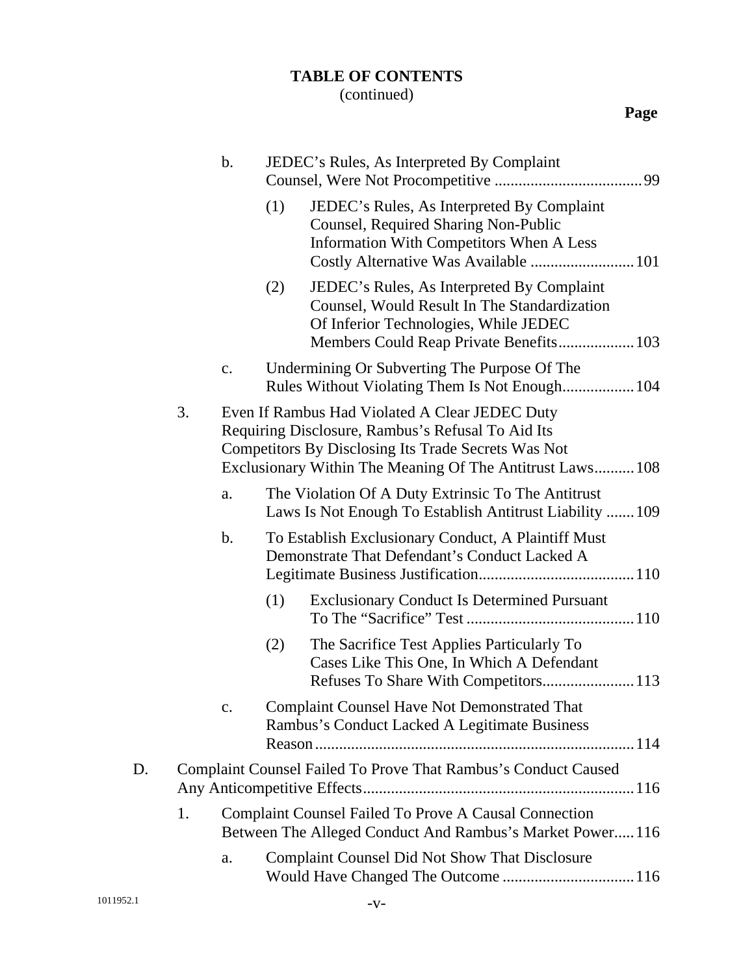### (continued)

|           |    | $\mathbf b$ . |     | JEDEC's Rules, As Interpreted By Complaint                                                                                                                                                                              |
|-----------|----|---------------|-----|-------------------------------------------------------------------------------------------------------------------------------------------------------------------------------------------------------------------------|
|           |    |               | (1) | JEDEC's Rules, As Interpreted By Complaint<br>Counsel, Required Sharing Non-Public<br><b>Information With Competitors When A Less</b><br>Costly Alternative Was Available  101                                          |
|           |    |               | (2) | JEDEC's Rules, As Interpreted By Complaint<br>Counsel, Would Result In The Standardization<br>Of Inferior Technologies, While JEDEC                                                                                     |
|           |    | c.            |     | Undermining Or Subverting The Purpose Of The<br>Rules Without Violating Them Is Not Enough 104                                                                                                                          |
|           | 3. |               |     | Even If Rambus Had Violated A Clear JEDEC Duty<br>Requiring Disclosure, Rambus's Refusal To Aid Its<br>Competitors By Disclosing Its Trade Secrets Was Not<br>Exclusionary Within The Meaning Of The Antitrust Laws 108 |
|           |    | a.            |     | The Violation Of A Duty Extrinsic To The Antitrust<br>Laws Is Not Enough To Establish Antitrust Liability  109                                                                                                          |
|           |    | b.            |     | To Establish Exclusionary Conduct, A Plaintiff Must<br>Demonstrate That Defendant's Conduct Lacked A                                                                                                                    |
|           |    |               | (1) | <b>Exclusionary Conduct Is Determined Pursuant</b>                                                                                                                                                                      |
|           |    |               | (2) | The Sacrifice Test Applies Particularly To<br>Cases Like This One, In Which A Defendant<br>Refuses To Share With Competitors 113                                                                                        |
|           |    |               |     | <b>Complaint Counsel Have Not Demonstrated That</b><br>Rambus's Conduct Lacked A Legitimate Business                                                                                                                    |
| D.        |    |               |     | Complaint Counsel Failed To Prove That Rambus's Conduct Caused                                                                                                                                                          |
|           | 1. |               |     | <b>Complaint Counsel Failed To Prove A Causal Connection</b><br>Between The Alleged Conduct And Rambus's Market Power116                                                                                                |
|           |    | a.            |     | <b>Complaint Counsel Did Not Show That Disclosure</b>                                                                                                                                                                   |
| 1011952.1 |    |               |     | $-V-$                                                                                                                                                                                                                   |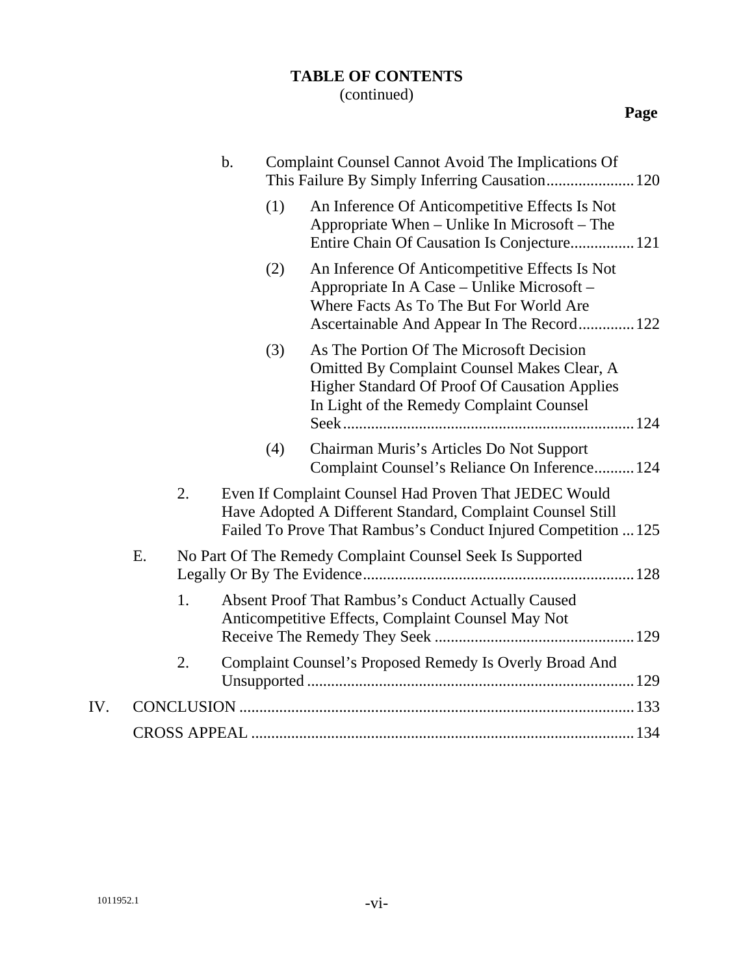### (continued)

|     |    |    | $\mathbf b$ . |     | Complaint Counsel Cannot Avoid The Implications Of                                                                                                                                          |  |
|-----|----|----|---------------|-----|---------------------------------------------------------------------------------------------------------------------------------------------------------------------------------------------|--|
|     |    |    |               | (1) | An Inference Of Anticompetitive Effects Is Not<br>Appropriate When – Unlike In Microsoft – The<br>Entire Chain Of Causation Is Conjecture 121                                               |  |
|     |    |    |               | (2) | An Inference Of Anticompetitive Effects Is Not<br>Appropriate In A Case - Unlike Microsoft -<br>Where Facts As To The But For World Are<br>Ascertainable And Appear In The Record 122       |  |
|     |    |    |               | (3) | As The Portion Of The Microsoft Decision<br>Omitted By Complaint Counsel Makes Clear, A<br><b>Higher Standard Of Proof Of Causation Applies</b><br>In Light of the Remedy Complaint Counsel |  |
|     |    |    |               | (4) | Chairman Muris's Articles Do Not Support<br>Complaint Counsel's Reliance On Inference 124                                                                                                   |  |
|     |    | 2. |               |     | Even If Complaint Counsel Had Proven That JEDEC Would<br>Have Adopted A Different Standard, Complaint Counsel Still<br>Failed To Prove That Rambus's Conduct Injured Competition  125       |  |
|     | Ε. |    |               |     | No Part Of The Remedy Complaint Counsel Seek Is Supported                                                                                                                                   |  |
|     |    | 1. |               |     | Absent Proof That Rambus's Conduct Actually Caused<br>Anticompetitive Effects, Complaint Counsel May Not                                                                                    |  |
|     |    | 2. |               |     | Complaint Counsel's Proposed Remedy Is Overly Broad And                                                                                                                                     |  |
| IV. |    |    |               |     |                                                                                                                                                                                             |  |
|     |    |    |               |     |                                                                                                                                                                                             |  |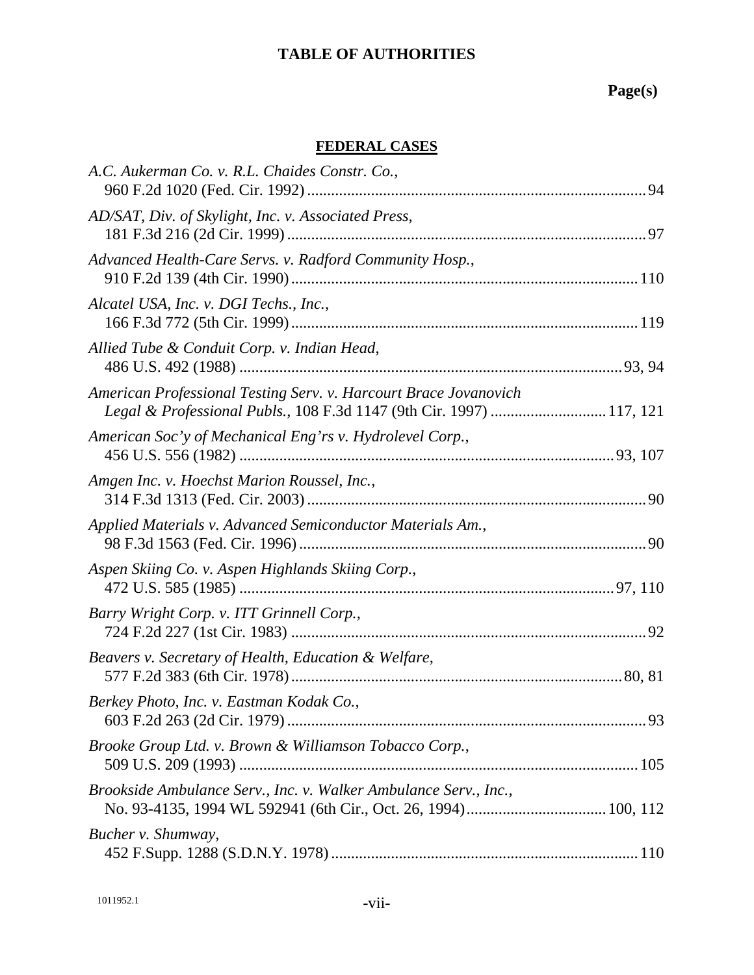### **FEDERAL CASES**

| A.C. Aukerman Co. v. R.L. Chaides Constr. Co.,                                                                                           |  |
|------------------------------------------------------------------------------------------------------------------------------------------|--|
| AD/SAT, Div. of Skylight, Inc. v. Associated Press,                                                                                      |  |
| Advanced Health-Care Servs. v. Radford Community Hosp.,                                                                                  |  |
| Alcatel USA, Inc. v. DGI Techs., Inc.,                                                                                                   |  |
| Allied Tube & Conduit Corp. v. Indian Head,                                                                                              |  |
| American Professional Testing Serv. v. Harcourt Brace Jovanovich<br>Legal & Professional Publs., 108 F.3d 1147 (9th Cir. 1997)  117, 121 |  |
| American Soc'y of Mechanical Eng'rs v. Hydrolevel Corp.,                                                                                 |  |
| Amgen Inc. v. Hoechst Marion Roussel, Inc.,                                                                                              |  |
| Applied Materials v. Advanced Semiconductor Materials Am.,                                                                               |  |
| Aspen Skiing Co. v. Aspen Highlands Skiing Corp.,                                                                                        |  |
| Barry Wright Corp. v. ITT Grinnell Corp.,                                                                                                |  |
| Beavers v. Secretary of Health, Education & Welfare,                                                                                     |  |
| Berkey Photo, Inc. v. Eastman Kodak Co.,                                                                                                 |  |
| Brooke Group Ltd. v. Brown & Williamson Tobacco Corp.,                                                                                   |  |
| Brookside Ambulance Serv., Inc. v. Walker Ambulance Serv., Inc.,                                                                         |  |
| Bucher v. Shumway,                                                                                                                       |  |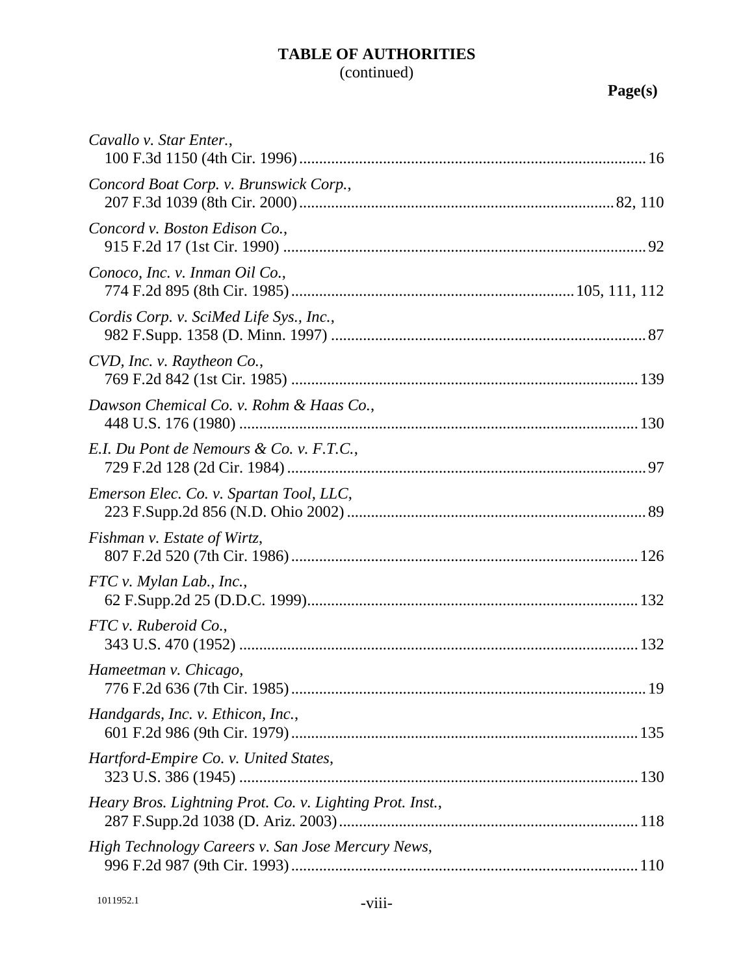## (continued)

| Cavallo v. Star Enter.,                                  |  |
|----------------------------------------------------------|--|
| Concord Boat Corp. v. Brunswick Corp.,                   |  |
| Concord v. Boston Edison Co.,                            |  |
| Conoco, Inc. v. Inman Oil Co.,                           |  |
| Cordis Corp. v. SciMed Life Sys., Inc.,                  |  |
| CVD, Inc. v. Raytheon Co.,                               |  |
| Dawson Chemical Co. v. Rohm & Haas Co.,                  |  |
| E.I. Du Pont de Nemours & Co. v. F.T.C.,                 |  |
| Emerson Elec. Co. v. Spartan Tool, LLC,                  |  |
| Fishman v. Estate of Wirtz,                              |  |
| $FTC$ v. Mylan Lab., Inc.,                               |  |
| FTC v. Ruberoid Co.,                                     |  |
| Hameetman v. Chicago,                                    |  |
| Handgards, Inc. v. Ethicon, Inc.,                        |  |
| Hartford-Empire Co. v. United States,                    |  |
| Heary Bros. Lightning Prot. Co. v. Lighting Prot. Inst., |  |
| High Technology Careers v. San Jose Mercury News,        |  |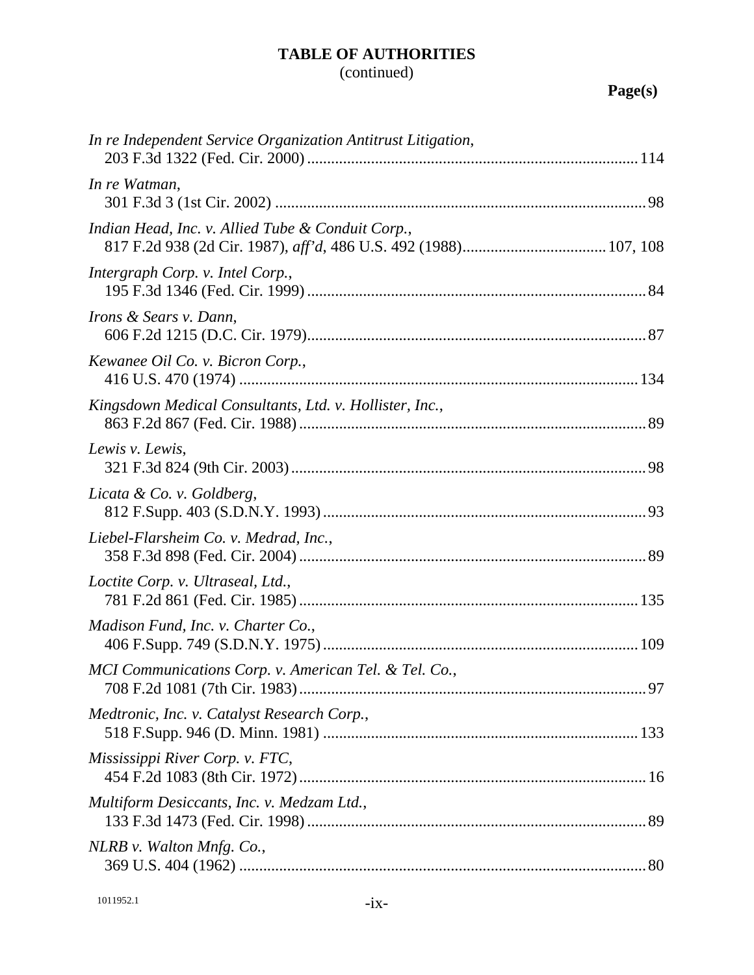## (continued)

| In re Independent Service Organization Antitrust Litigation, |  |
|--------------------------------------------------------------|--|
| In re Watman,                                                |  |
| Indian Head, Inc. v. Allied Tube & Conduit Corp.,            |  |
| Intergraph Corp. v. Intel Corp.,                             |  |
| <i>Irons &amp; Sears v. Dann,</i>                            |  |
| Kewanee Oil Co. v. Bicron Corp.,                             |  |
| Kingsdown Medical Consultants, Ltd. v. Hollister, Inc.,      |  |
| Lewis v. Lewis,                                              |  |
| Licata & Co. v. Goldberg,                                    |  |
| Liebel-Flarsheim Co. v. Medrad, Inc.,                        |  |
| Loctite Corp. v. Ultraseal, Ltd.,                            |  |
| Madison Fund, Inc. v. Charter Co.,                           |  |
| MCI Communications Corp. v. American Tel. & Tel. Co.,        |  |
| Medtronic, Inc. v. Catalyst Research Corp.,                  |  |
| Mississippi River Corp. v. FTC,                              |  |
| Multiform Desiccants, Inc. v. Medzam Ltd.,                   |  |
| NLRB v. Walton Mnfg. Co.,                                    |  |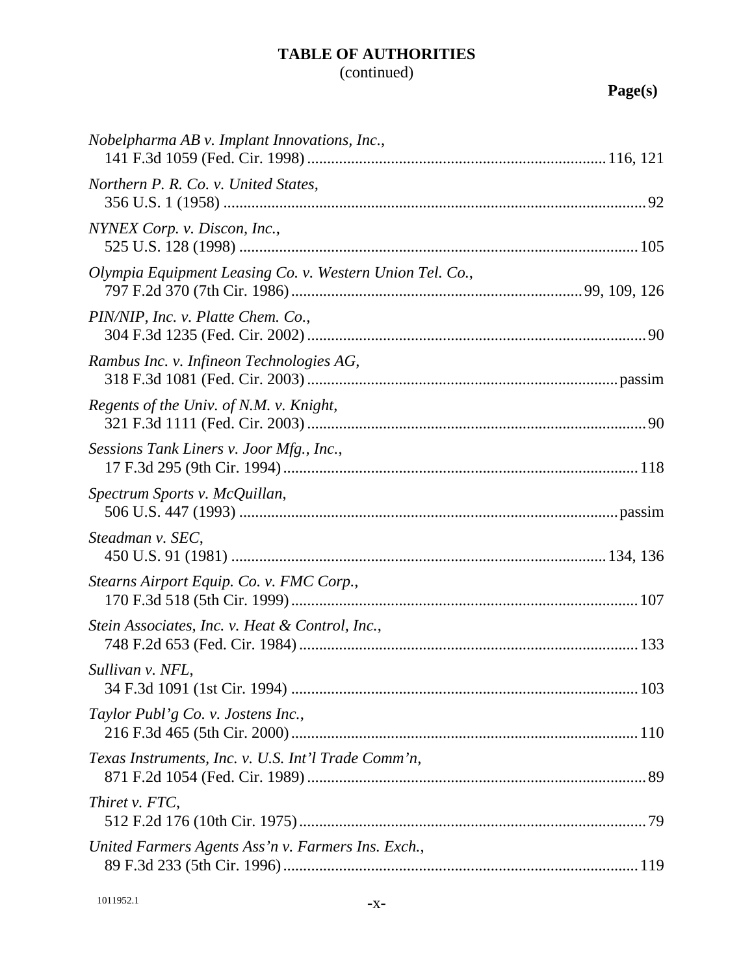## (continued)

| <i>Nobelpharma AB v. Implant Innovations, Inc.,</i>      |  |
|----------------------------------------------------------|--|
| Northern P. R. Co. v. United States,                     |  |
| NYNEX Corp. v. Discon, Inc.,                             |  |
| Olympia Equipment Leasing Co. v. Western Union Tel. Co., |  |
| PIN/NIP, Inc. v. Platte Chem. Co.,                       |  |
| Rambus Inc. v. Infineon Technologies AG,                 |  |
| Regents of the Univ. of N.M. v. Knight,                  |  |
| Sessions Tank Liners v. Joor Mfg., Inc.,                 |  |
| Spectrum Sports v. McQuillan,                            |  |
| Steadman v. SEC,                                         |  |
| Stearns Airport Equip. Co. v. FMC Corp.,                 |  |
| Stein Associates, Inc. v. Heat & Control, Inc.,          |  |
| Sullivan v. NFL,                                         |  |
| Taylor Publ'g Co. v. Jostens Inc.,                       |  |
| Texas Instruments, Inc. v. U.S. Int'l Trade Comm'n,      |  |
| Thiret v. FTC,                                           |  |
| United Farmers Agents Ass'n v. Farmers Ins. Exch.,       |  |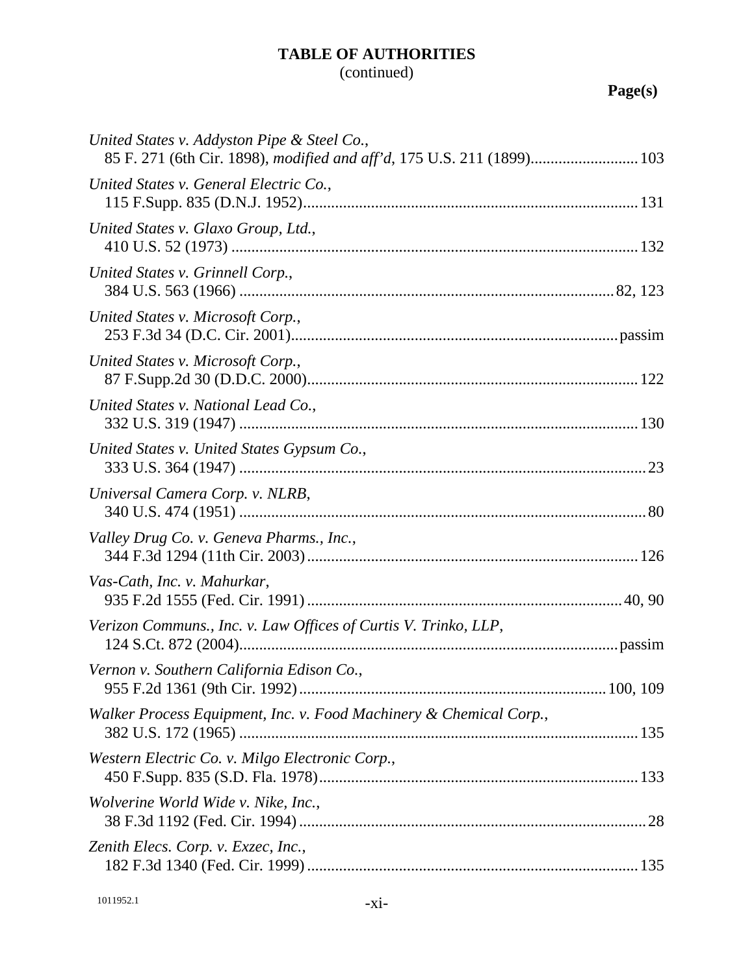## (continued)

| United States v. Addyston Pipe & Steel Co.,<br>85 F. 271 (6th Cir. 1898), modified and aff'd, 175 U.S. 211 (1899) 103 |  |
|-----------------------------------------------------------------------------------------------------------------------|--|
| United States v. General Electric Co.,                                                                                |  |
| United States v. Glaxo Group, Ltd.,                                                                                   |  |
| United States v. Grinnell Corp.,                                                                                      |  |
| United States v. Microsoft Corp.,                                                                                     |  |
| United States v. Microsoft Corp.,                                                                                     |  |
| United States v. National Lead Co.,                                                                                   |  |
| United States v. United States Gypsum Co.,                                                                            |  |
| Universal Camera Corp. v. NLRB,                                                                                       |  |
| Valley Drug Co. v. Geneva Pharms., Inc.,                                                                              |  |
| Vas-Cath, Inc. v. Mahurkar,                                                                                           |  |
| Verizon Communs., Inc. v. Law Offices of Curtis V. Trinko, LLP,                                                       |  |
| Vernon v. Southern California Edison Co.,                                                                             |  |
| Walker Process Equipment, Inc. v. Food Machinery & Chemical Corp.,                                                    |  |
| Western Electric Co. v. Milgo Electronic Corp.,                                                                       |  |
| Wolverine World Wide v. Nike, Inc.,                                                                                   |  |
| Zenith Elecs. Corp. v. Exzec, Inc.,                                                                                   |  |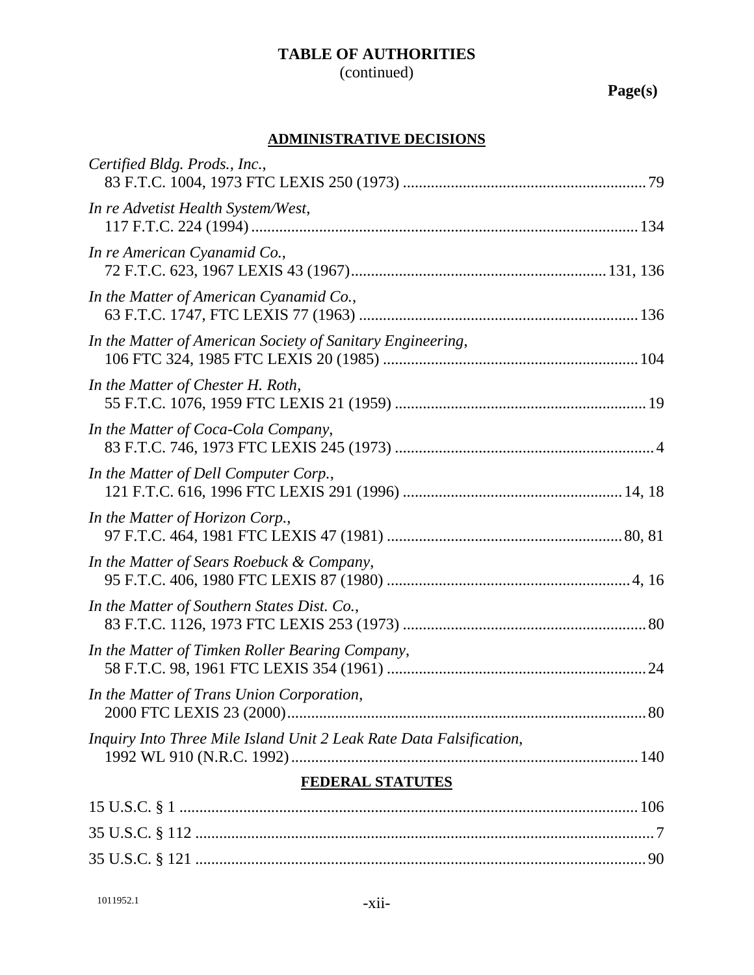## (continued)

**Page(s)**

### **ADMINISTRATIVE DECISIONS**

| Certified Bldg. Prods., Inc.,                                       |  |
|---------------------------------------------------------------------|--|
| In re Advetist Health System/West,                                  |  |
| In re American Cyanamid Co.,                                        |  |
| In the Matter of American Cyanamid Co.,                             |  |
| In the Matter of American Society of Sanitary Engineering,          |  |
| In the Matter of Chester H. Roth,                                   |  |
| In the Matter of Coca-Cola Company,                                 |  |
| In the Matter of Dell Computer Corp.,                               |  |
| In the Matter of Horizon Corp.,                                     |  |
| In the Matter of Sears Roebuck & Company,                           |  |
| In the Matter of Southern States Dist. Co.,                         |  |
| In the Matter of Timken Roller Bearing Company,                     |  |
| In the Matter of Trans Union Corporation,                           |  |
| Inquiry Into Three Mile Island Unit 2 Leak Rate Data Falsification, |  |
| FEDERAL STATUTES                                                    |  |
|                                                                     |  |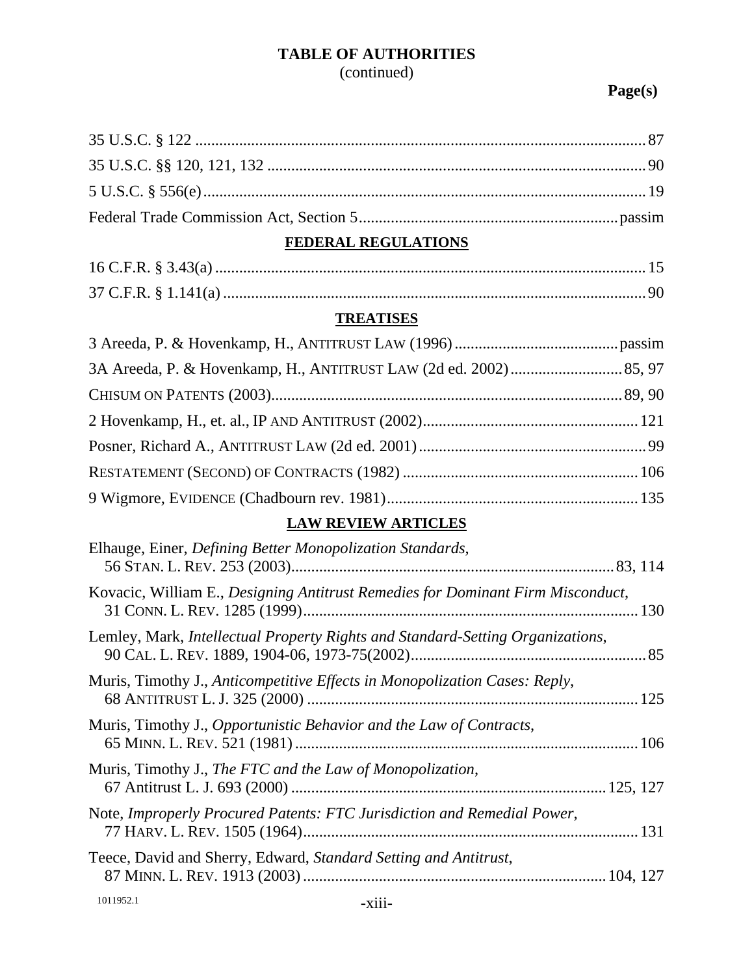(continued)

| FEDERAL REGULATIONS                                                             |  |
|---------------------------------------------------------------------------------|--|
|                                                                                 |  |
|                                                                                 |  |
| <b>TREATISES</b>                                                                |  |
|                                                                                 |  |
|                                                                                 |  |
|                                                                                 |  |
|                                                                                 |  |
|                                                                                 |  |
|                                                                                 |  |
|                                                                                 |  |
| <b>LAW REVIEW ARTICLES</b>                                                      |  |
| Elhauge, Einer, Defining Better Monopolization Standards,                       |  |
| Kovacic, William E., Designing Antitrust Remedies for Dominant Firm Misconduct, |  |
| Lemley, Mark, Intellectual Property Rights and Standard-Setting Organizations,  |  |
| Muris, Timothy J., Anticompetitive Effects in Monopolization Cases: Reply,      |  |
| Muris, Timothy J., Opportunistic Behavior and the Law of Contracts,             |  |
| Muris, Timothy J., The FTC and the Law of Monopolization,                       |  |
| Note, Improperly Procured Patents: FTC Jurisdiction and Remedial Power,         |  |
| Teece, David and Sherry, Edward, Standard Setting and Antitrust,                |  |
|                                                                                 |  |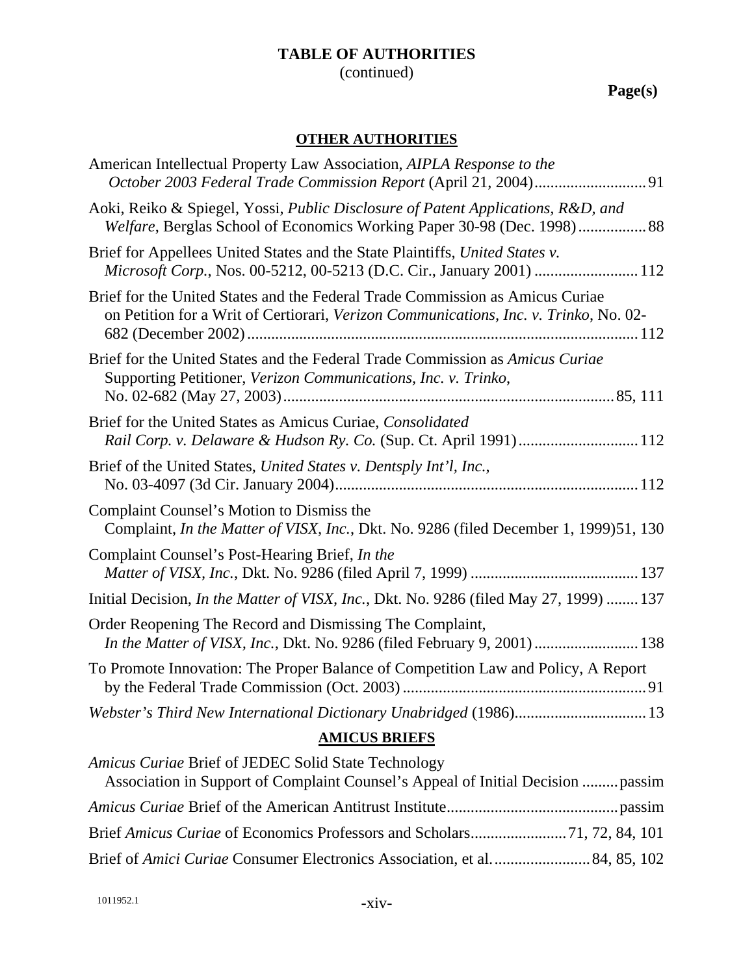(continued)

**Page(s)**

### **OTHER AUTHORITIES**

| American Intellectual Property Law Association, AIPLA Response to the                                                                                                  |
|------------------------------------------------------------------------------------------------------------------------------------------------------------------------|
| Aoki, Reiko & Spiegel, Yossi, Public Disclosure of Patent Applications, R&D, and<br>Welfare, Berglas School of Economics Working Paper 30-98 (Dec. 1998) 88            |
| Brief for Appellees United States and the State Plaintiffs, United States v.<br>Microsoft Corp., Nos. 00-5212, 00-5213 (D.C. Cir., January 2001)  112                  |
| Brief for the United States and the Federal Trade Commission as Amicus Curiae<br>on Petition for a Writ of Certiorari, Verizon Communications, Inc. v. Trinko, No. 02- |
| Brief for the United States and the Federal Trade Commission as Amicus Curiae<br>Supporting Petitioner, Verizon Communications, Inc. v. Trinko,                        |
| Brief for the United States as Amicus Curiae, Consolidated<br>Rail Corp. v. Delaware & Hudson Ry. Co. (Sup. Ct. April 1991) 112                                        |
| Brief of the United States, United States v. Dentsply Int'l, Inc.,                                                                                                     |
| Complaint Counsel's Motion to Dismiss the<br>Complaint, <i>In the Matter of VISX, Inc.</i> , Dkt. No. 9286 (filed December 1, 1999)51, 130                             |
| Complaint Counsel's Post-Hearing Brief, In the                                                                                                                         |
| Initial Decision, In the Matter of VISX, Inc., Dkt. No. 9286 (filed May 27, 1999)  137                                                                                 |
| Order Reopening The Record and Dismissing The Complaint,<br>In the Matter of VISX, Inc., Dkt. No. 9286 (filed February 9, 2001)  138                                   |
| To Promote Innovation: The Proper Balance of Competition Law and Policy, A Report                                                                                      |
| Webster's Third New International Dictionary Unabridged (1986) 13                                                                                                      |
| $\overline{M}$                                                                                                                                                         |

#### **AMICUS BRIEFS**

| Amicus Curiae Brief of JEDEC Solid State Technology                       |  |
|---------------------------------------------------------------------------|--|
|                                                                           |  |
|                                                                           |  |
|                                                                           |  |
| Brief of Amici Curiae Consumer Electronics Association, et al 84, 85, 102 |  |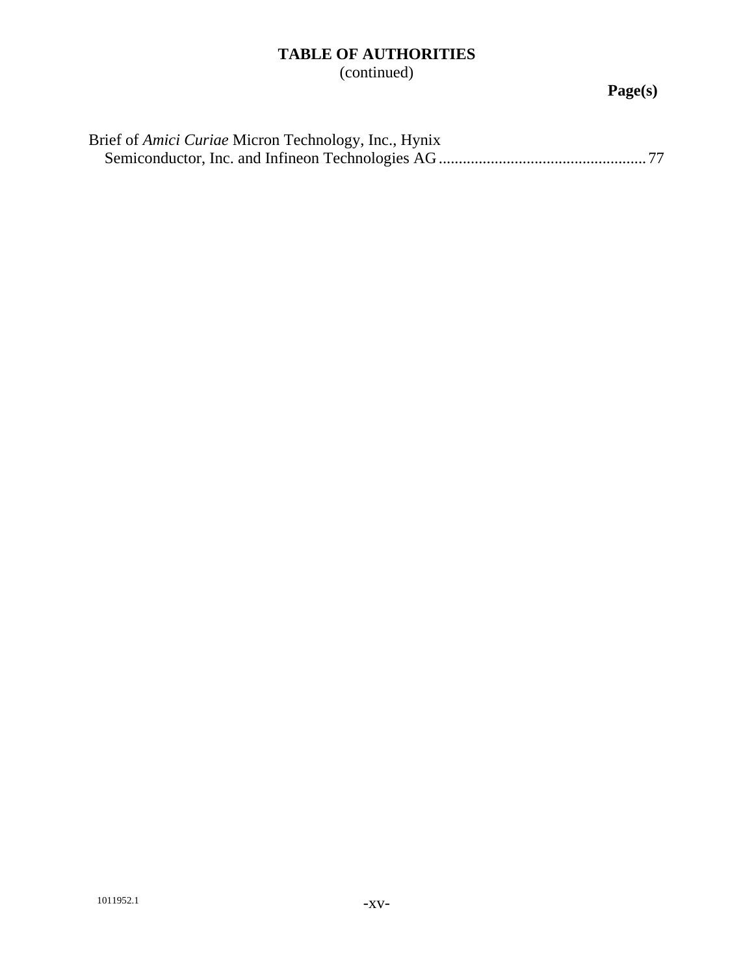(continued)

| Brief of <i>Amici Curiae</i> Micron Technology, Inc., Hynix |
|-------------------------------------------------------------|
|                                                             |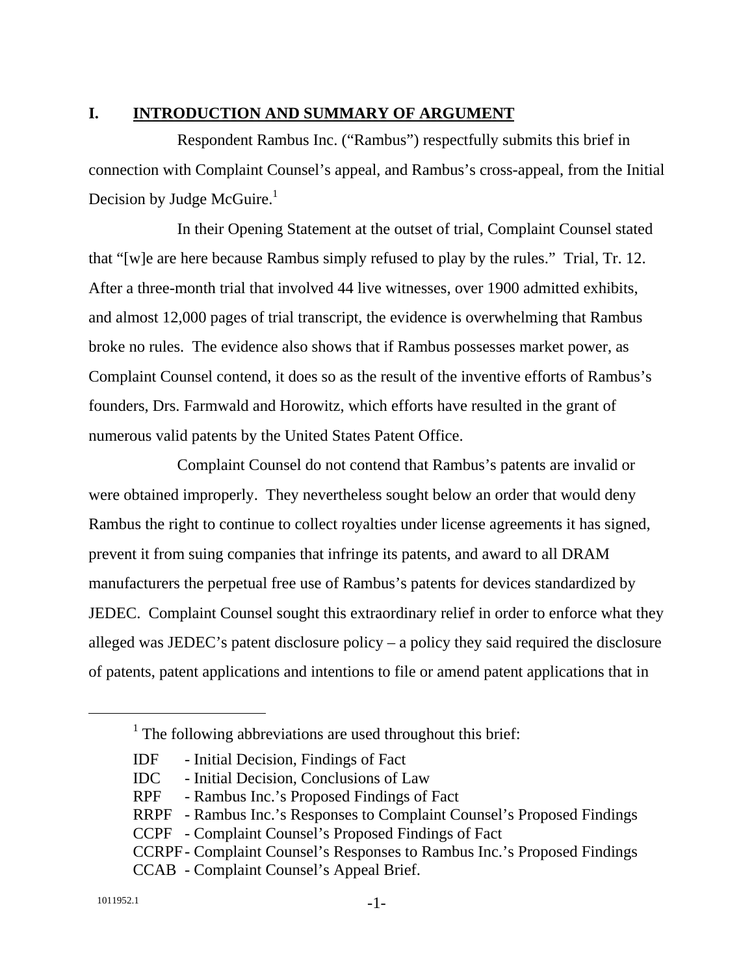#### **I. INTRODUCTION AND SUMMARY OF ARGUMENT**

Respondent Rambus Inc. ("Rambus") respectfully submits this brief in connection with Complaint Counsel's appeal, and Rambus's cross-appeal, from the Initial Decision by Judge McGuire. $<sup>1</sup>$ </sup>

In their Opening Statement at the outset of trial, Complaint Counsel stated that "[w]e are here because Rambus simply refused to play by the rules." Trial, Tr. 12. After a three-month trial that involved 44 live witnesses, over 1900 admitted exhibits, and almost 12,000 pages of trial transcript, the evidence is overwhelming that Rambus broke no rules. The evidence also shows that if Rambus possesses market power, as Complaint Counsel contend, it does so as the result of the inventive efforts of Rambus's founders, Drs. Farmwald and Horowitz, which efforts have resulted in the grant of numerous valid patents by the United States Patent Office.

Complaint Counsel do not contend that Rambus's patents are invalid or were obtained improperly. They nevertheless sought below an order that would deny Rambus the right to continue to collect royalties under license agreements it has signed, prevent it from suing companies that infringe its patents, and award to all DRAM manufacturers the perpetual free use of Rambus's patents for devices standardized by JEDEC. Complaint Counsel sought this extraordinary relief in order to enforce what they alleged was JEDEC's patent disclosure policy – a policy they said required the disclosure of patents, patent applications and intentions to file or amend patent applications that in

<sup>&</sup>lt;u>1</u>  $1$  The following abbreviations are used throughout this brief:

IDF - Initial Decision, Findings of Fact

IDC - Initial Decision, Conclusions of Law

RPF - Rambus Inc.'s Proposed Findings of Fact

RRPF - Rambus Inc.'s Responses to Complaint Counsel's Proposed Findings

CCPF - Complaint Counsel's Proposed Findings of Fact

CCRPF - Complaint Counsel's Responses to Rambus Inc.'s Proposed Findings

CCAB - Complaint Counsel's Appeal Brief.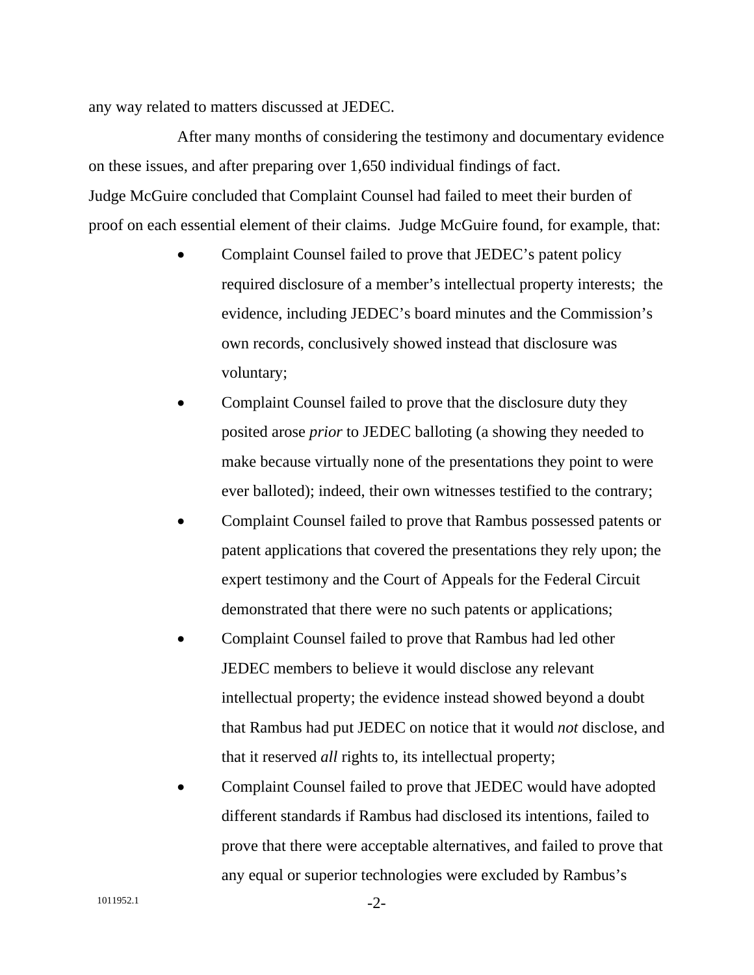any way related to matters discussed at JEDEC.

After many months of considering the testimony and documentary evidence on these issues, and after preparing over 1,650 individual findings of fact. Judge McGuire concluded that Complaint Counsel had failed to meet their burden of proof on each essential element of their claims. Judge McGuire found, for example, that:

- Complaint Counsel failed to prove that JEDEC's patent policy required disclosure of a member's intellectual property interests; the evidence, including JEDEC's board minutes and the Commission's own records, conclusively showed instead that disclosure was voluntary;
- Complaint Counsel failed to prove that the disclosure duty they posited arose *prior* to JEDEC balloting (a showing they needed to make because virtually none of the presentations they point to were ever balloted); indeed, their own witnesses testified to the contrary;
- Complaint Counsel failed to prove that Rambus possessed patents or patent applications that covered the presentations they rely upon; the expert testimony and the Court of Appeals for the Federal Circuit demonstrated that there were no such patents or applications;
- Complaint Counsel failed to prove that Rambus had led other JEDEC members to believe it would disclose any relevant intellectual property; the evidence instead showed beyond a doubt that Rambus had put JEDEC on notice that it would *not* disclose, and that it reserved *all* rights to, its intellectual property;
- Complaint Counsel failed to prove that JEDEC would have adopted different standards if Rambus had disclosed its intentions, failed to prove that there were acceptable alternatives, and failed to prove that any equal or superior technologies were excluded by Rambus's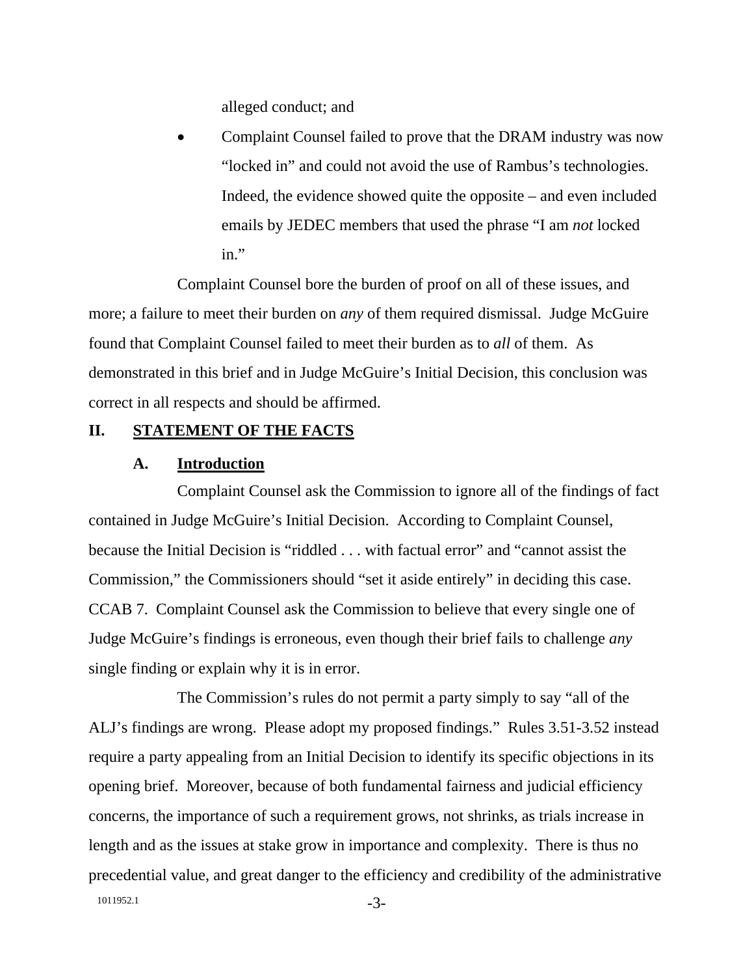alleged conduct; and

• Complaint Counsel failed to prove that the DRAM industry was now "locked in" and could not avoid the use of Rambus's technologies. Indeed, the evidence showed quite the opposite – and even included emails by JEDEC members that used the phrase "I am *not* locked in."

Complaint Counsel bore the burden of proof on all of these issues, and more; a failure to meet their burden on *any* of them required dismissal. Judge McGuire found that Complaint Counsel failed to meet their burden as to *all* of them. As demonstrated in this brief and in Judge McGuire's Initial Decision, this conclusion was correct in all respects and should be affirmed.

#### **II. STATEMENT OF THE FACTS**

#### **A. Introduction**

Complaint Counsel ask the Commission to ignore all of the findings of fact contained in Judge McGuire's Initial Decision. According to Complaint Counsel, because the Initial Decision is "riddled . . . with factual error" and "cannot assist the Commission," the Commissioners should "set it aside entirely" in deciding this case. CCAB 7. Complaint Counsel ask the Commission to believe that every single one of Judge McGuire's findings is erroneous, even though their brief fails to challenge *any* single finding or explain why it is in error.

1011952.1 -3-The Commission's rules do not permit a party simply to say "all of the ALJ's findings are wrong. Please adopt my proposed findings." Rules 3.51-3.52 instead require a party appealing from an Initial Decision to identify its specific objections in its opening brief. Moreover, because of both fundamental fairness and judicial efficiency concerns, the importance of such a requirement grows, not shrinks, as trials increase in length and as the issues at stake grow in importance and complexity. There is thus no precedential value, and great danger to the efficiency and credibility of the administrative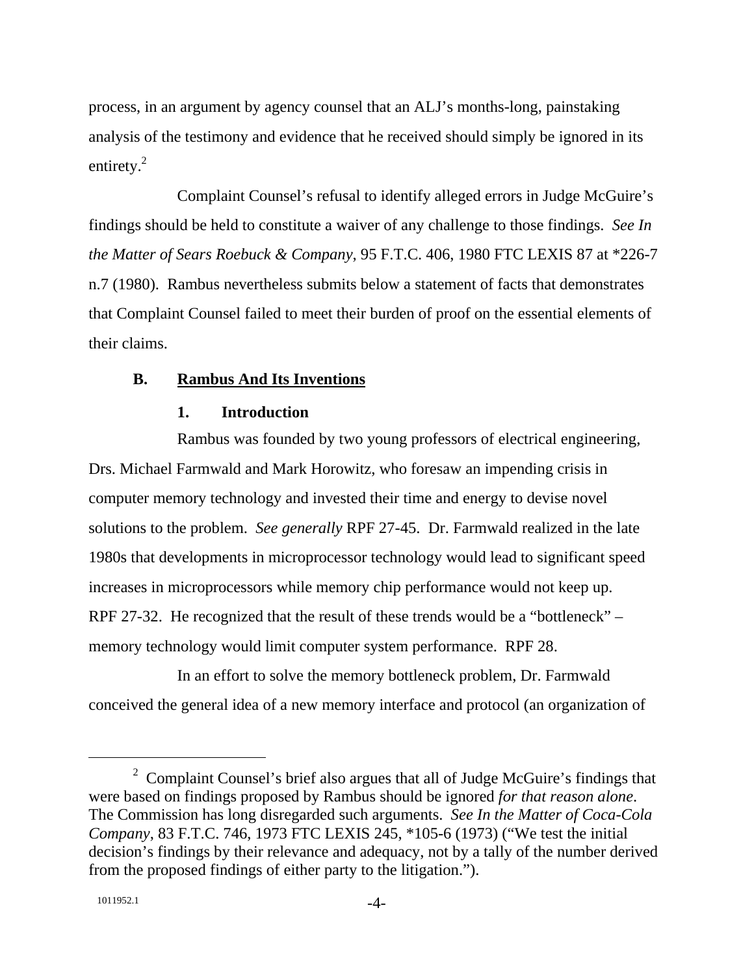process, in an argument by agency counsel that an ALJ's months-long, painstaking analysis of the testimony and evidence that he received should simply be ignored in its entirety.<sup>2</sup>

Complaint Counsel's refusal to identify alleged errors in Judge McGuire's findings should be held to constitute a waiver of any challenge to those findings. *See In the Matter of Sears Roebuck & Company*, 95 F.T.C. 406, 1980 FTC LEXIS 87 at \*226-7 n.7 (1980). Rambus nevertheless submits below a statement of facts that demonstrates that Complaint Counsel failed to meet their burden of proof on the essential elements of their claims.

#### **B. Rambus And Its Inventions**

#### **1. Introduction**

Rambus was founded by two young professors of electrical engineering, Drs. Michael Farmwald and Mark Horowitz, who foresaw an impending crisis in computer memory technology and invested their time and energy to devise novel solutions to the problem. *See generally* RPF 27-45. Dr. Farmwald realized in the late 1980s that developments in microprocessor technology would lead to significant speed increases in microprocessors while memory chip performance would not keep up. RPF 27-32. He recognized that the result of these trends would be a "bottleneck" – memory technology would limit computer system performance. RPF 28.

In an effort to solve the memory bottleneck problem, Dr. Farmwald conceived the general idea of a new memory interface and protocol (an organization of

 $\overline{\phantom{22}}$  $2$  Complaint Counsel's brief also argues that all of Judge McGuire's findings that were based on findings proposed by Rambus should be ignored *for that reason alone*. The Commission has long disregarded such arguments. *See In the Matter of Coca-Cola Company*, 83 F.T.C. 746, 1973 FTC LEXIS 245, \*105-6 (1973) ("We test the initial decision's findings by their relevance and adequacy, not by a tally of the number derived from the proposed findings of either party to the litigation.").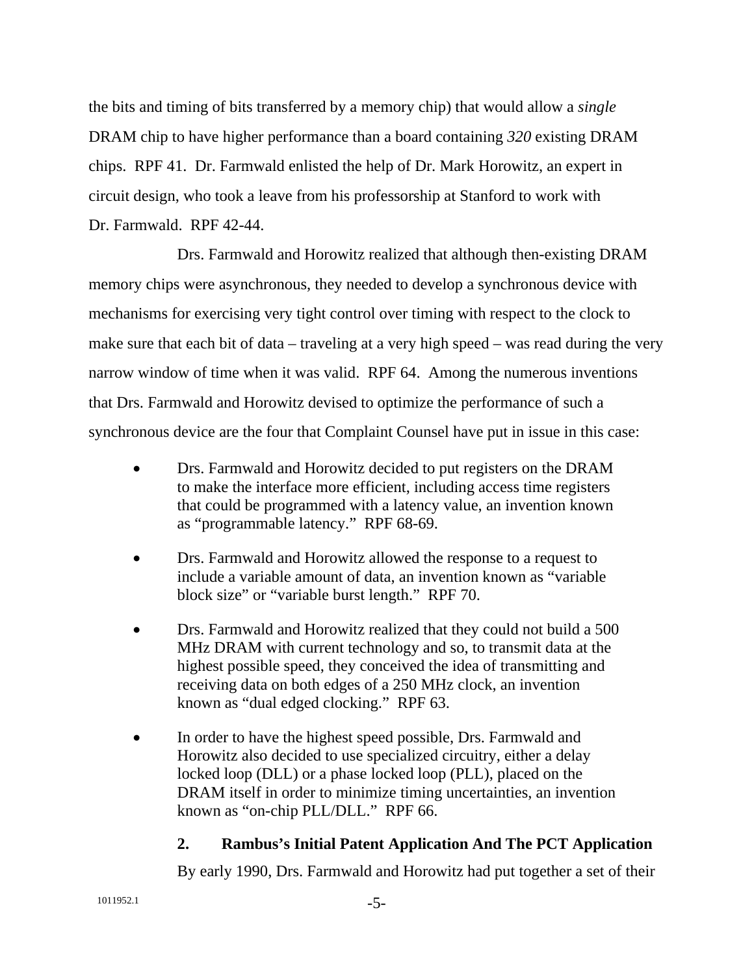the bits and timing of bits transferred by a memory chip) that would allow a *single* DRAM chip to have higher performance than a board containing *320* existing DRAM chips. RPF 41. Dr. Farmwald enlisted the help of Dr. Mark Horowitz, an expert in circuit design, who took a leave from his professorship at Stanford to work with Dr. Farmwald. RPF 42-44.

Drs. Farmwald and Horowitz realized that although then-existing DRAM memory chips were asynchronous, they needed to develop a synchronous device with mechanisms for exercising very tight control over timing with respect to the clock to make sure that each bit of data – traveling at a very high speed – was read during the very narrow window of time when it was valid. RPF 64. Among the numerous inventions that Drs. Farmwald and Horowitz devised to optimize the performance of such a synchronous device are the four that Complaint Counsel have put in issue in this case:

- Drs. Farmwald and Horowitz decided to put registers on the DRAM to make the interface more efficient, including access time registers that could be programmed with a latency value, an invention known as "programmable latency." RPF 68-69.
- Drs. Farmwald and Horowitz allowed the response to a request to include a variable amount of data, an invention known as "variable block size" or "variable burst length." RPF 70.
- Drs. Farmwald and Horowitz realized that they could not build a 500 MHz DRAM with current technology and so, to transmit data at the highest possible speed, they conceived the idea of transmitting and receiving data on both edges of a 250 MHz clock, an invention known as "dual edged clocking." RPF 63.
- In order to have the highest speed possible, Drs. Farmwald and Horowitz also decided to use specialized circuitry, either a delay locked loop (DLL) or a phase locked loop (PLL), placed on the DRAM itself in order to minimize timing uncertainties, an invention known as "on-chip PLL/DLL." RPF 66.

#### **2. Rambus's Initial Patent Application And The PCT Application**

By early 1990, Drs. Farmwald and Horowitz had put together a set of their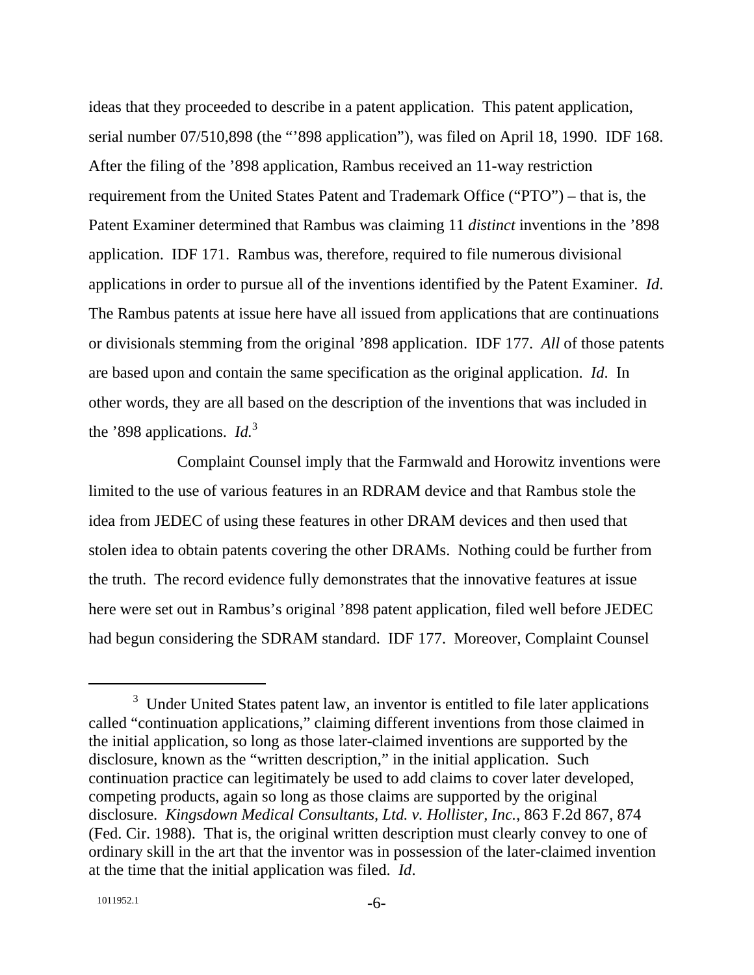ideas that they proceeded to describe in a patent application. This patent application, serial number 07/510,898 (the "'898 application"), was filed on April 18, 1990. IDF 168. After the filing of the '898 application, Rambus received an 11-way restriction requirement from the United States Patent and Trademark Office ("PTO") – that is, the Patent Examiner determined that Rambus was claiming 11 *distinct* inventions in the '898 application. IDF 171. Rambus was, therefore, required to file numerous divisional applications in order to pursue all of the inventions identified by the Patent Examiner. *Id*. The Rambus patents at issue here have all issued from applications that are continuations or divisionals stemming from the original '898 application. IDF 177. *All* of those patents are based upon and contain the same specification as the original application. *Id*. In other words, they are all based on the description of the inventions that was included in the '898 applications. *Id.*<sup>3</sup>

Complaint Counsel imply that the Farmwald and Horowitz inventions were limited to the use of various features in an RDRAM device and that Rambus stole the idea from JEDEC of using these features in other DRAM devices and then used that stolen idea to obtain patents covering the other DRAMs. Nothing could be further from the truth. The record evidence fully demonstrates that the innovative features at issue here were set out in Rambus's original '898 patent application, filed well before JEDEC had begun considering the SDRAM standard. IDF 177. Moreover, Complaint Counsel

 <sup>3</sup> <sup>3</sup> Under United States patent law, an inventor is entitled to file later applications called "continuation applications," claiming different inventions from those claimed in the initial application, so long as those later-claimed inventions are supported by the disclosure, known as the "written description," in the initial application. Such continuation practice can legitimately be used to add claims to cover later developed, competing products, again so long as those claims are supported by the original disclosure. *Kingsdown Medical Consultants, Ltd. v. Hollister, Inc.*, 863 F.2d 867, 874 (Fed. Cir. 1988). That is, the original written description must clearly convey to one of ordinary skill in the art that the inventor was in possession of the later-claimed invention at the time that the initial application was filed. *Id*.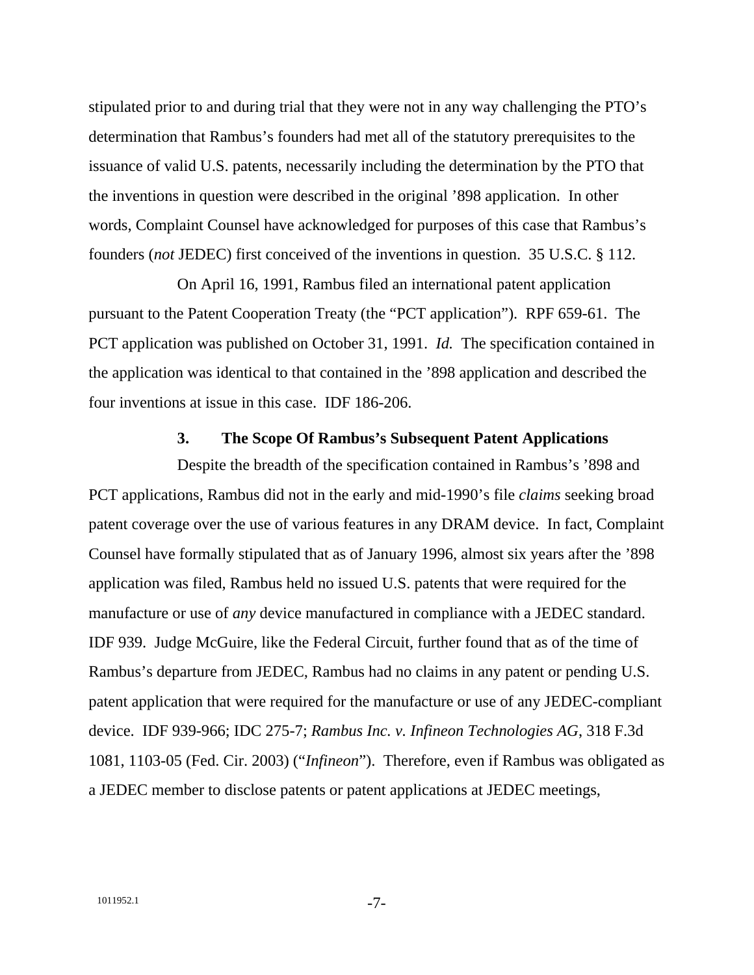stipulated prior to and during trial that they were not in any way challenging the PTO's determination that Rambus's founders had met all of the statutory prerequisites to the issuance of valid U.S. patents, necessarily including the determination by the PTO that the inventions in question were described in the original '898 application. In other words, Complaint Counsel have acknowledged for purposes of this case that Rambus's founders (*not* JEDEC) first conceived of the inventions in question. 35 U.S.C. § 112.

On April 16, 1991, Rambus filed an international patent application pursuant to the Patent Cooperation Treaty (the "PCT application"). RPF 659-61. The PCT application was published on October 31, 1991. *Id.* The specification contained in the application was identical to that contained in the '898 application and described the four inventions at issue in this case. IDF 186-206.

#### **3. The Scope Of Rambus's Subsequent Patent Applications**

Despite the breadth of the specification contained in Rambus's '898 and PCT applications, Rambus did not in the early and mid-1990's file *claims* seeking broad patent coverage over the use of various features in any DRAM device. In fact, Complaint Counsel have formally stipulated that as of January 1996, almost six years after the '898 application was filed, Rambus held no issued U.S. patents that were required for the manufacture or use of *any* device manufactured in compliance with a JEDEC standard. IDF 939. Judge McGuire, like the Federal Circuit, further found that as of the time of Rambus's departure from JEDEC, Rambus had no claims in any patent or pending U.S. patent application that were required for the manufacture or use of any JEDEC-compliant device. IDF 939-966; IDC 275-7; *Rambus Inc. v. Infineon Technologies AG*, 318 F.3d 1081, 1103-05 (Fed. Cir. 2003) ("*Infineon*"). Therefore, even if Rambus was obligated as a JEDEC member to disclose patents or patent applications at JEDEC meetings,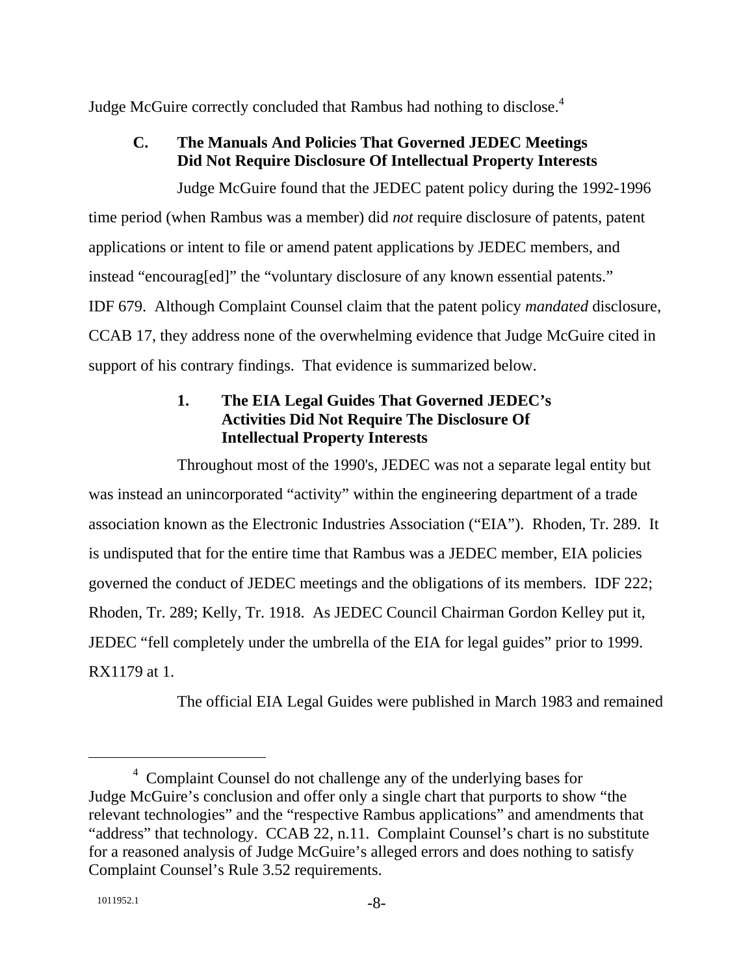Judge McGuire correctly concluded that Rambus had nothing to disclose.<sup>4</sup>

### **C. The Manuals And Policies That Governed JEDEC Meetings Did Not Require Disclosure Of Intellectual Property Interests**

Judge McGuire found that the JEDEC patent policy during the 1992-1996 time period (when Rambus was a member) did *not* require disclosure of patents, patent applications or intent to file or amend patent applications by JEDEC members, and instead "encourag[ed]" the "voluntary disclosure of any known essential patents." IDF 679. Although Complaint Counsel claim that the patent policy *mandated* disclosure, CCAB 17, they address none of the overwhelming evidence that Judge McGuire cited in support of his contrary findings. That evidence is summarized below.

#### **1. The EIA Legal Guides That Governed JEDEC's Activities Did Not Require The Disclosure Of Intellectual Property Interests**

Throughout most of the 1990's, JEDEC was not a separate legal entity but was instead an unincorporated "activity" within the engineering department of a trade association known as the Electronic Industries Association ("EIA"). Rhoden, Tr. 289. It is undisputed that for the entire time that Rambus was a JEDEC member, EIA policies governed the conduct of JEDEC meetings and the obligations of its members. IDF 222; Rhoden, Tr. 289; Kelly, Tr. 1918. As JEDEC Council Chairman Gordon Kelley put it, JEDEC "fell completely under the umbrella of the EIA for legal guides" prior to 1999. RX1179 at 1.

The official EIA Legal Guides were published in March 1983 and remained

 <sup>4</sup> <sup>4</sup> Complaint Counsel do not challenge any of the underlying bases for Judge McGuire's conclusion and offer only a single chart that purports to show "the relevant technologies" and the "respective Rambus applications" and amendments that "address" that technology. CCAB 22, n.11. Complaint Counsel's chart is no substitute for a reasoned analysis of Judge McGuire's alleged errors and does nothing to satisfy Complaint Counsel's Rule 3.52 requirements.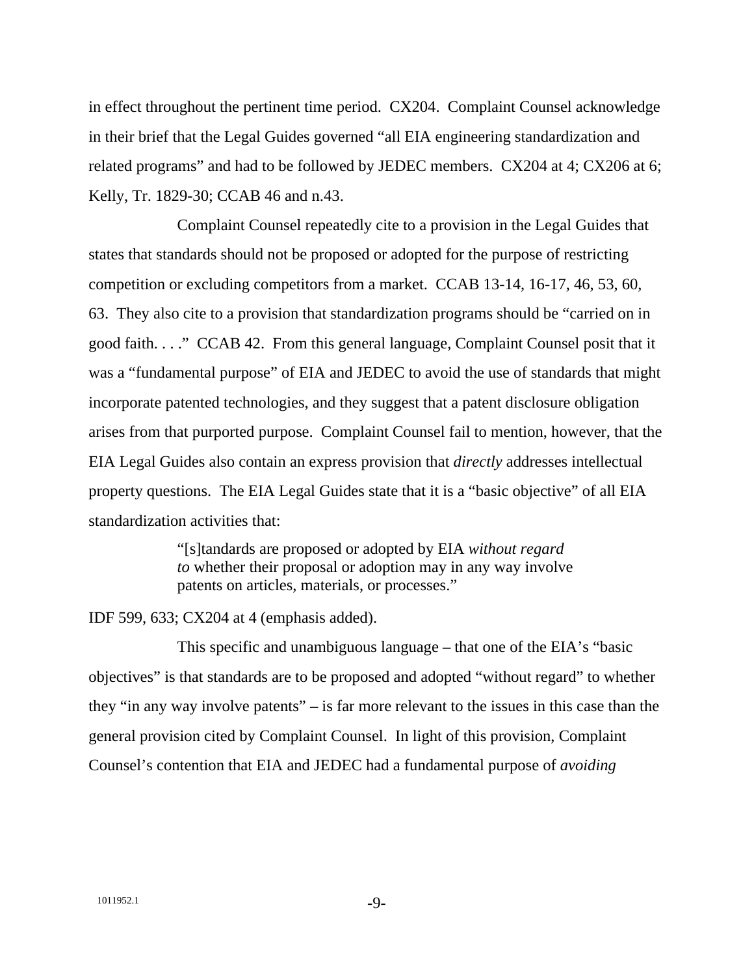in effect throughout the pertinent time period. CX204. Complaint Counsel acknowledge in their brief that the Legal Guides governed "all EIA engineering standardization and related programs" and had to be followed by JEDEC members. CX204 at 4; CX206 at 6; Kelly, Tr. 1829-30; CCAB 46 and n.43.

Complaint Counsel repeatedly cite to a provision in the Legal Guides that states that standards should not be proposed or adopted for the purpose of restricting competition or excluding competitors from a market. CCAB 13-14, 16-17, 46, 53, 60, 63. They also cite to a provision that standardization programs should be "carried on in good faith. . . ." CCAB 42. From this general language, Complaint Counsel posit that it was a "fundamental purpose" of EIA and JEDEC to avoid the use of standards that might incorporate patented technologies, and they suggest that a patent disclosure obligation arises from that purported purpose. Complaint Counsel fail to mention, however, that the EIA Legal Guides also contain an express provision that *directly* addresses intellectual property questions. The EIA Legal Guides state that it is a "basic objective" of all EIA standardization activities that:

> "[s]tandards are proposed or adopted by EIA *without regard to* whether their proposal or adoption may in any way involve patents on articles, materials, or processes."

IDF 599, 633; CX204 at 4 (emphasis added).

This specific and unambiguous language – that one of the EIA's "basic objectives" is that standards are to be proposed and adopted "without regard" to whether they "in any way involve patents" – is far more relevant to the issues in this case than the general provision cited by Complaint Counsel. In light of this provision, Complaint Counsel's contention that EIA and JEDEC had a fundamental purpose of *avoiding*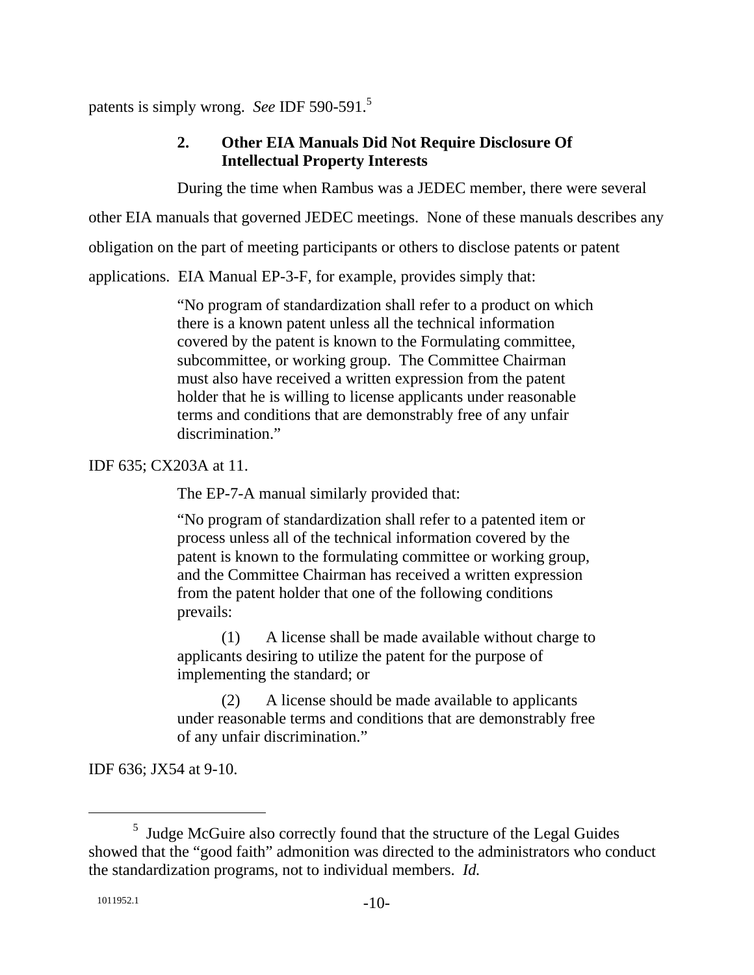patents is simply wrong. *See* IDF 590-591.5

#### **2. Other EIA Manuals Did Not Require Disclosure Of Intellectual Property Interests**

During the time when Rambus was a JEDEC member, there were several

other EIA manuals that governed JEDEC meetings. None of these manuals describes any

obligation on the part of meeting participants or others to disclose patents or patent

applications. EIA Manual EP-3-F, for example, provides simply that:

"No program of standardization shall refer to a product on which there is a known patent unless all the technical information covered by the patent is known to the Formulating committee, subcommittee, or working group. The Committee Chairman must also have received a written expression from the patent holder that he is willing to license applicants under reasonable terms and conditions that are demonstrably free of any unfair discrimination."

IDF 635; CX203A at 11.

The EP-7-A manual similarly provided that:

"No program of standardization shall refer to a patented item or process unless all of the technical information covered by the patent is known to the formulating committee or working group, and the Committee Chairman has received a written expression from the patent holder that one of the following conditions prevails:

 (1) A license shall be made available without charge to applicants desiring to utilize the patent for the purpose of implementing the standard; or

 (2) A license should be made available to applicants under reasonable terms and conditions that are demonstrably free of any unfair discrimination."

IDF 636; JX54 at 9-10.

 $rac{1}{5}$  $<sup>5</sup>$  Judge McGuire also correctly found that the structure of the Legal Guides</sup> showed that the "good faith" admonition was directed to the administrators who conduct the standardization programs, not to individual members. *Id.*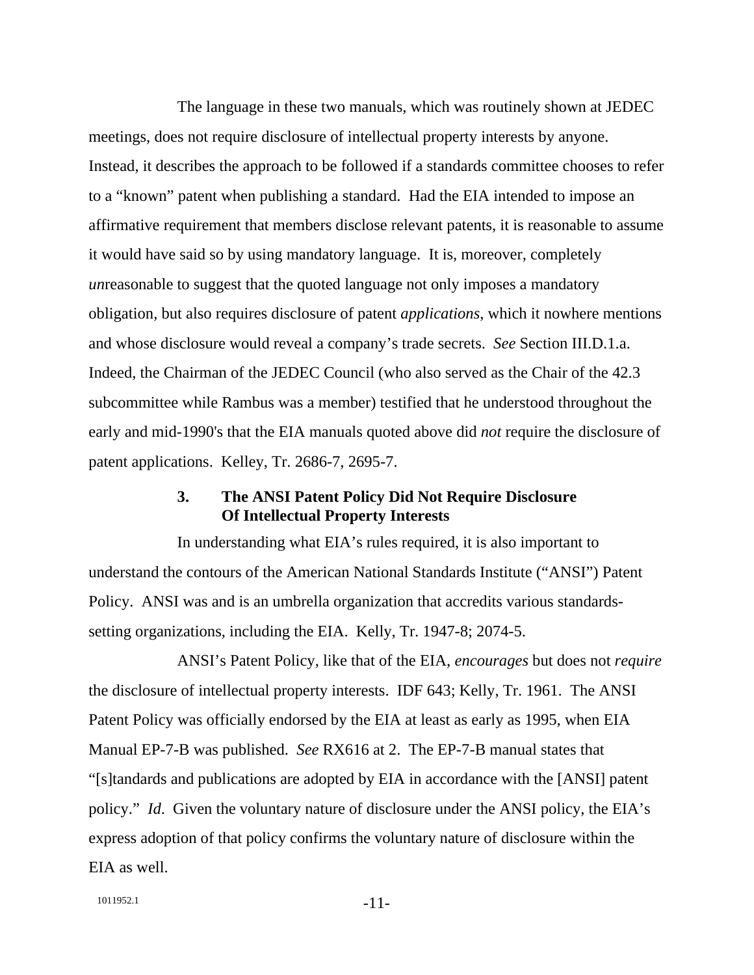The language in these two manuals, which was routinely shown at JEDEC meetings, does not require disclosure of intellectual property interests by anyone. Instead, it describes the approach to be followed if a standards committee chooses to refer to a "known" patent when publishing a standard. Had the EIA intended to impose an affirmative requirement that members disclose relevant patents, it is reasonable to assume it would have said so by using mandatory language. It is, moreover, completely *un*reasonable to suggest that the quoted language not only imposes a mandatory obligation, but also requires disclosure of patent *applications*, which it nowhere mentions and whose disclosure would reveal a company's trade secrets. *See* Section III.D.1.a. Indeed, the Chairman of the JEDEC Council (who also served as the Chair of the 42.3 subcommittee while Rambus was a member) testified that he understood throughout the early and mid-1990's that the EIA manuals quoted above did *not* require the disclosure of patent applications. Kelley, Tr. 2686-7, 2695-7.

#### **3. The ANSI Patent Policy Did Not Require Disclosure Of Intellectual Property Interests**

In understanding what EIA's rules required, it is also important to understand the contours of the American National Standards Institute ("ANSI") Patent Policy. ANSI was and is an umbrella organization that accredits various standardssetting organizations, including the EIA. Kelly, Tr. 1947-8; 2074-5.

ANSI's Patent Policy, like that of the EIA, *encourages* but does not *require* the disclosure of intellectual property interests. IDF 643; Kelly, Tr. 1961. The ANSI Patent Policy was officially endorsed by the EIA at least as early as 1995, when EIA Manual EP-7-B was published. *See* RX616 at 2. The EP-7-B manual states that "[s]tandards and publications are adopted by EIA in accordance with the [ANSI] patent policy." *Id*. Given the voluntary nature of disclosure under the ANSI policy, the EIA's express adoption of that policy confirms the voluntary nature of disclosure within the EIA as well.

```
1011952.1 -11-
```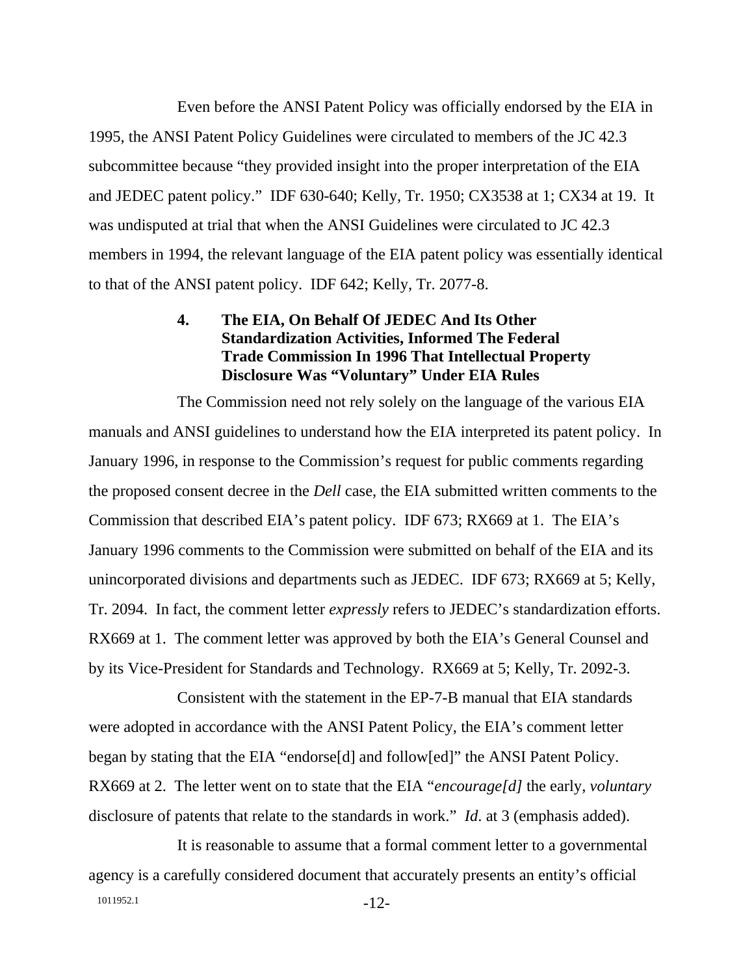Even before the ANSI Patent Policy was officially endorsed by the EIA in 1995, the ANSI Patent Policy Guidelines were circulated to members of the JC 42.3 subcommittee because "they provided insight into the proper interpretation of the EIA and JEDEC patent policy." IDF 630-640; Kelly, Tr. 1950; CX3538 at 1; CX34 at 19. It was undisputed at trial that when the ANSI Guidelines were circulated to JC 42.3 members in 1994, the relevant language of the EIA patent policy was essentially identical to that of the ANSI patent policy. IDF 642; Kelly, Tr. 2077-8.

#### **4. The EIA, On Behalf Of JEDEC And Its Other Standardization Activities, Informed The Federal Trade Commission In 1996 That Intellectual Property Disclosure Was "Voluntary" Under EIA Rules**

The Commission need not rely solely on the language of the various EIA manuals and ANSI guidelines to understand how the EIA interpreted its patent policy. In January 1996, in response to the Commission's request for public comments regarding the proposed consent decree in the *Dell* case, the EIA submitted written comments to the Commission that described EIA's patent policy. IDF 673; RX669 at 1. The EIA's January 1996 comments to the Commission were submitted on behalf of the EIA and its unincorporated divisions and departments such as JEDEC. IDF 673; RX669 at 5; Kelly, Tr. 2094. In fact, the comment letter *expressly* refers to JEDEC's standardization efforts. RX669 at 1. The comment letter was approved by both the EIA's General Counsel and by its Vice-President for Standards and Technology. RX669 at 5; Kelly, Tr. 2092-3.

Consistent with the statement in the EP-7-B manual that EIA standards were adopted in accordance with the ANSI Patent Policy, the EIA's comment letter began by stating that the EIA "endorse[d] and follow[ed]" the ANSI Patent Policy. RX669 at 2. The letter went on to state that the EIA "*encourage[d]* the early, *voluntary* disclosure of patents that relate to the standards in work." *Id*. at 3 (emphasis added).

1011952.1 -12-It is reasonable to assume that a formal comment letter to a governmental agency is a carefully considered document that accurately presents an entity's official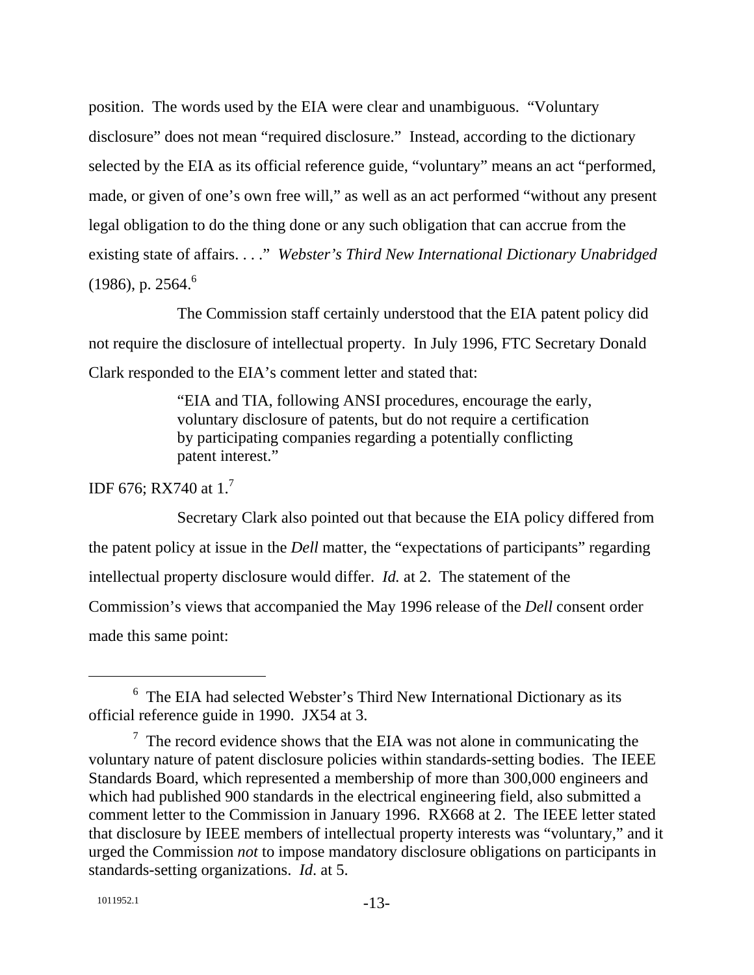position. The words used by the EIA were clear and unambiguous. "Voluntary disclosure" does not mean "required disclosure." Instead, according to the dictionary selected by the EIA as its official reference guide, "voluntary" means an act "performed, made, or given of one's own free will," as well as an act performed "without any present legal obligation to do the thing done or any such obligation that can accrue from the existing state of affairs. . . ." *Webster's Third New International Dictionary Unabridged*  $(1986)$ , p. 2564.<sup>6</sup>

The Commission staff certainly understood that the EIA patent policy did not require the disclosure of intellectual property. In July 1996, FTC Secretary Donald Clark responded to the EIA's comment letter and stated that:

> "EIA and TIA, following ANSI procedures, encourage the early, voluntary disclosure of patents, but do not require a certification by participating companies regarding a potentially conflicting patent interest."

IDF 676; RX740 at  $1.<sup>7</sup>$ 

Secretary Clark also pointed out that because the EIA policy differed from the patent policy at issue in the *Dell* matter, the "expectations of participants" regarding intellectual property disclosure would differ. *Id.* at 2. The statement of the Commission's views that accompanied the May 1996 release of the *Dell* consent order made this same point:

 <sup>6</sup>  $6$  The EIA had selected Webster's Third New International Dictionary as its official reference guide in 1990. JX54 at 3.

 $7$  The record evidence shows that the EIA was not alone in communicating the voluntary nature of patent disclosure policies within standards-setting bodies. The IEEE Standards Board, which represented a membership of more than 300,000 engineers and which had published 900 standards in the electrical engineering field, also submitted a comment letter to the Commission in January 1996. RX668 at 2. The IEEE letter stated that disclosure by IEEE members of intellectual property interests was "voluntary," and it urged the Commission *not* to impose mandatory disclosure obligations on participants in standards-setting organizations. *Id*. at 5.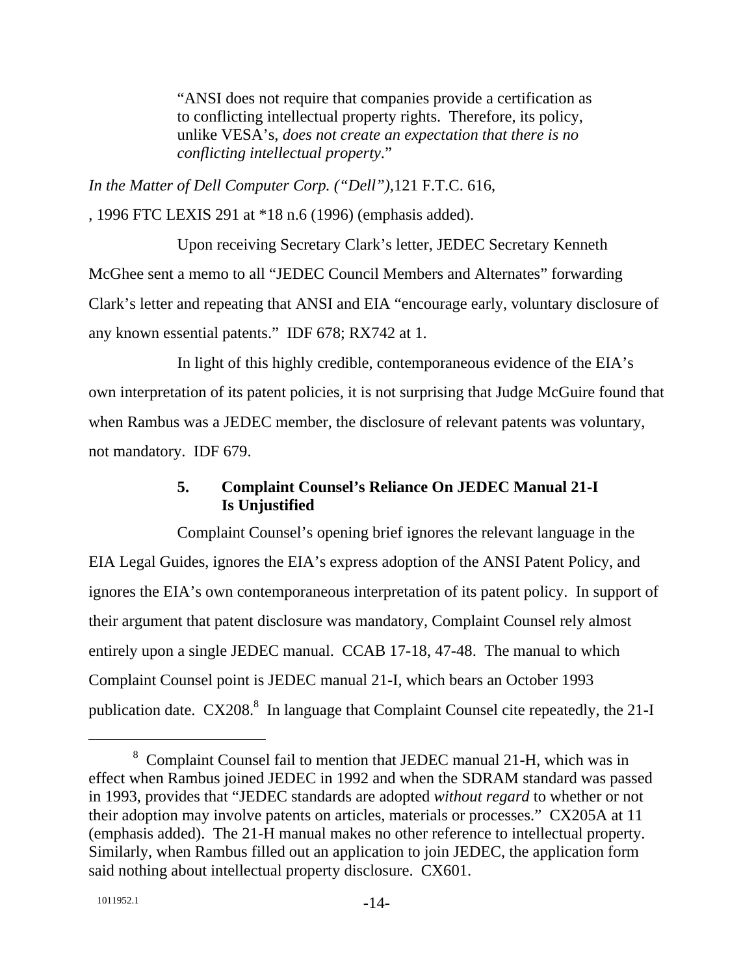"ANSI does not require that companies provide a certification as to conflicting intellectual property rights. Therefore, its policy, unlike VESA's, *does not create an expectation that there is no conflicting intellectual property*."

*In the Matter of Dell Computer Corp. ("Dell"),*121 F.T.C. 616,

, 1996 FTC LEXIS 291 at \*18 n.6 (1996) (emphasis added).

Upon receiving Secretary Clark's letter, JEDEC Secretary Kenneth McGhee sent a memo to all "JEDEC Council Members and Alternates" forwarding Clark's letter and repeating that ANSI and EIA "encourage early, voluntary disclosure of any known essential patents." IDF 678; RX742 at 1.

In light of this highly credible, contemporaneous evidence of the EIA's own interpretation of its patent policies, it is not surprising that Judge McGuire found that when Rambus was a JEDEC member, the disclosure of relevant patents was voluntary, not mandatory. IDF 679.

#### **5. Complaint Counsel's Reliance On JEDEC Manual 21-I Is Unjustified**

Complaint Counsel's opening brief ignores the relevant language in the EIA Legal Guides, ignores the EIA's express adoption of the ANSI Patent Policy, and ignores the EIA's own contemporaneous interpretation of its patent policy. In support of their argument that patent disclosure was mandatory, Complaint Counsel rely almost entirely upon a single JEDEC manual. CCAB 17-18, 47-48. The manual to which Complaint Counsel point is JEDEC manual 21-I, which bears an October 1993 publication date.  $CX208$ <sup>8</sup> In language that Complaint Counsel cite repeatedly, the 21-I

 <sup>8</sup> Complaint Counsel fail to mention that JEDEC manual 21-H, which was in effect when Rambus joined JEDEC in 1992 and when the SDRAM standard was passed in 1993, provides that "JEDEC standards are adopted *without regard* to whether or not their adoption may involve patents on articles, materials or processes." CX205A at 11 (emphasis added). The 21-H manual makes no other reference to intellectual property. Similarly, when Rambus filled out an application to join JEDEC, the application form said nothing about intellectual property disclosure. CX601.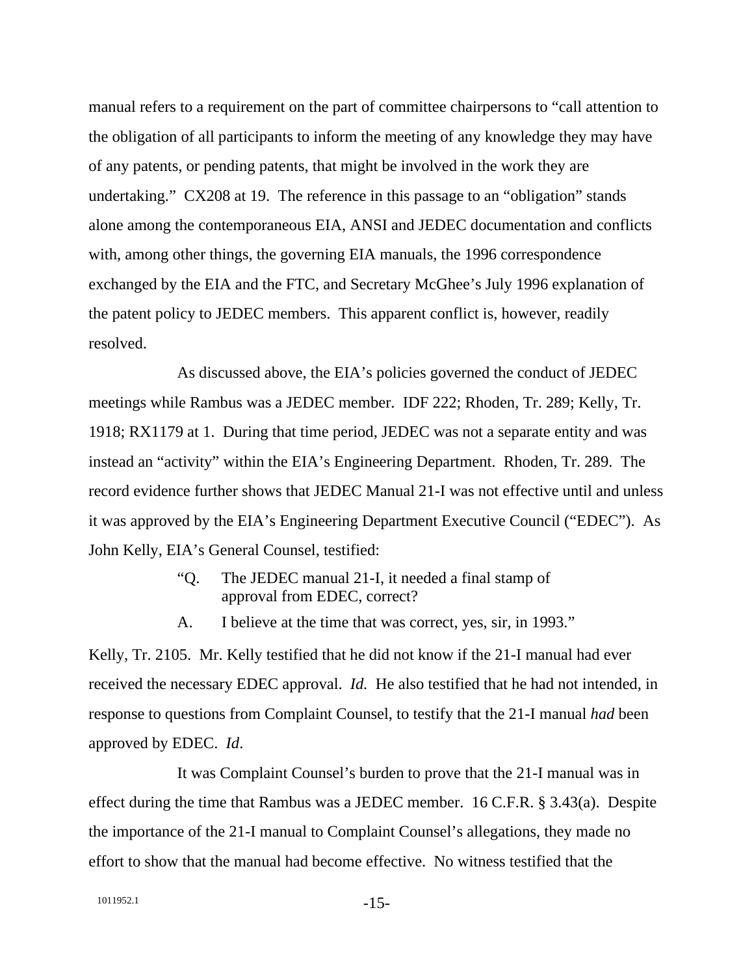manual refers to a requirement on the part of committee chairpersons to "call attention to the obligation of all participants to inform the meeting of any knowledge they may have of any patents, or pending patents, that might be involved in the work they are undertaking." CX208 at 19. The reference in this passage to an "obligation" stands alone among the contemporaneous EIA, ANSI and JEDEC documentation and conflicts with, among other things, the governing EIA manuals, the 1996 correspondence exchanged by the EIA and the FTC, and Secretary McGhee's July 1996 explanation of the patent policy to JEDEC members. This apparent conflict is, however, readily resolved.

As discussed above, the EIA's policies governed the conduct of JEDEC meetings while Rambus was a JEDEC member. IDF 222; Rhoden, Tr. 289; Kelly, Tr. 1918; RX1179 at 1. During that time period, JEDEC was not a separate entity and was instead an "activity" within the EIA's Engineering Department. Rhoden, Tr. 289. The record evidence further shows that JEDEC Manual 21-I was not effective until and unless it was approved by the EIA's Engineering Department Executive Council ("EDEC"). As John Kelly, EIA's General Counsel, testified:

- "Q. The JEDEC manual 21-I, it needed a final stamp of approval from EDEC, correct?
- A. I believe at the time that was correct, yes, sir, in 1993."

Kelly, Tr. 2105. Mr. Kelly testified that he did not know if the 21-I manual had ever received the necessary EDEC approval. *Id.* He also testified that he had not intended, in response to questions from Complaint Counsel, to testify that the 21-I manual *had* been approved by EDEC. *Id*.

It was Complaint Counsel's burden to prove that the 21-I manual was in effect during the time that Rambus was a JEDEC member. 16 C.F.R. § 3.43(a). Despite the importance of the 21-I manual to Complaint Counsel's allegations, they made no effort to show that the manual had become effective. No witness testified that the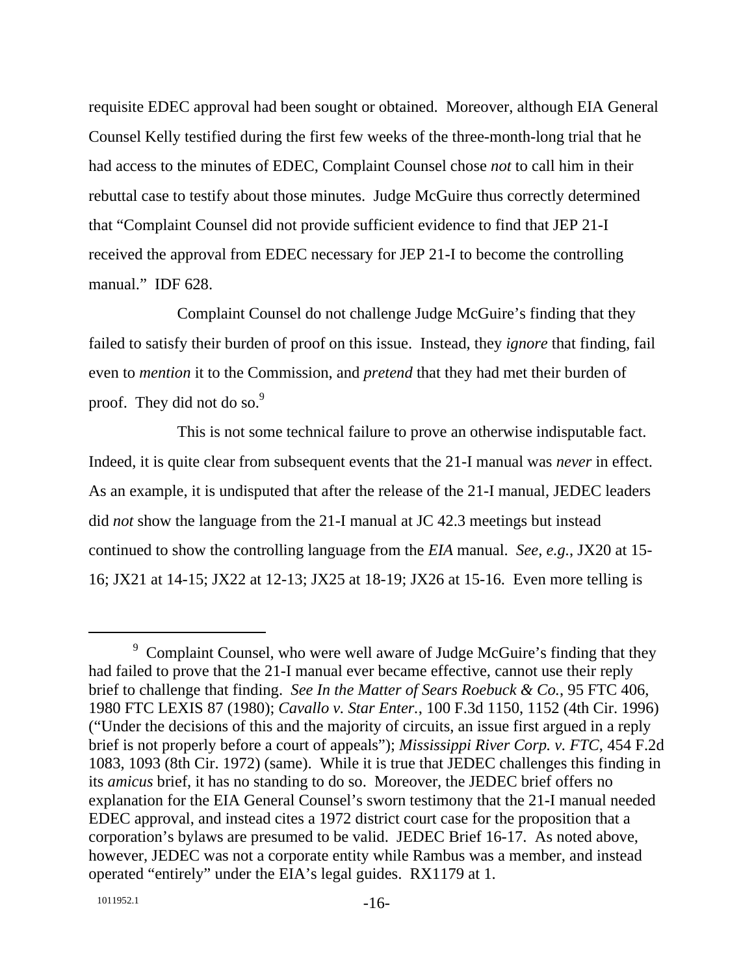requisite EDEC approval had been sought or obtained. Moreover, although EIA General Counsel Kelly testified during the first few weeks of the three-month-long trial that he had access to the minutes of EDEC, Complaint Counsel chose *not* to call him in their rebuttal case to testify about those minutes. Judge McGuire thus correctly determined that "Complaint Counsel did not provide sufficient evidence to find that JEP 21-I received the approval from EDEC necessary for JEP 21-I to become the controlling manual." IDF 628.

Complaint Counsel do not challenge Judge McGuire's finding that they failed to satisfy their burden of proof on this issue. Instead, they *ignore* that finding, fail even to *mention* it to the Commission, and *pretend* that they had met their burden of proof. They did not do so. $9$ 

This is not some technical failure to prove an otherwise indisputable fact. Indeed, it is quite clear from subsequent events that the 21-I manual was *never* in effect. As an example, it is undisputed that after the release of the 21-I manual, JEDEC leaders did *not* show the language from the 21-I manual at JC 42.3 meetings but instead continued to show the controlling language from the *EIA* manual. *See, e.g.*, JX20 at 15- 16; JX21 at 14-15; JX22 at 12-13; JX25 at 18-19; JX26 at 15-16. Even more telling is

 <sup>9</sup> <sup>9</sup> Complaint Counsel, who were well aware of Judge McGuire's finding that they had failed to prove that the 21-I manual ever became effective, cannot use their reply brief to challenge that finding. *See In the Matter of Sears Roebuck & Co.*, 95 FTC 406, 1980 FTC LEXIS 87 (1980); *Cavallo v. Star Enter.*, 100 F.3d 1150, 1152 (4th Cir. 1996) ("Under the decisions of this and the majority of circuits, an issue first argued in a reply brief is not properly before a court of appeals"); *Mississippi River Corp. v. FTC*, 454 F.2d 1083, 1093 (8th Cir. 1972) (same). While it is true that JEDEC challenges this finding in its *amicus* brief, it has no standing to do so. Moreover, the JEDEC brief offers no explanation for the EIA General Counsel's sworn testimony that the 21-I manual needed EDEC approval, and instead cites a 1972 district court case for the proposition that a corporation's bylaws are presumed to be valid. JEDEC Brief 16-17. As noted above, however, JEDEC was not a corporate entity while Rambus was a member, and instead operated "entirely" under the EIA's legal guides. RX1179 at 1.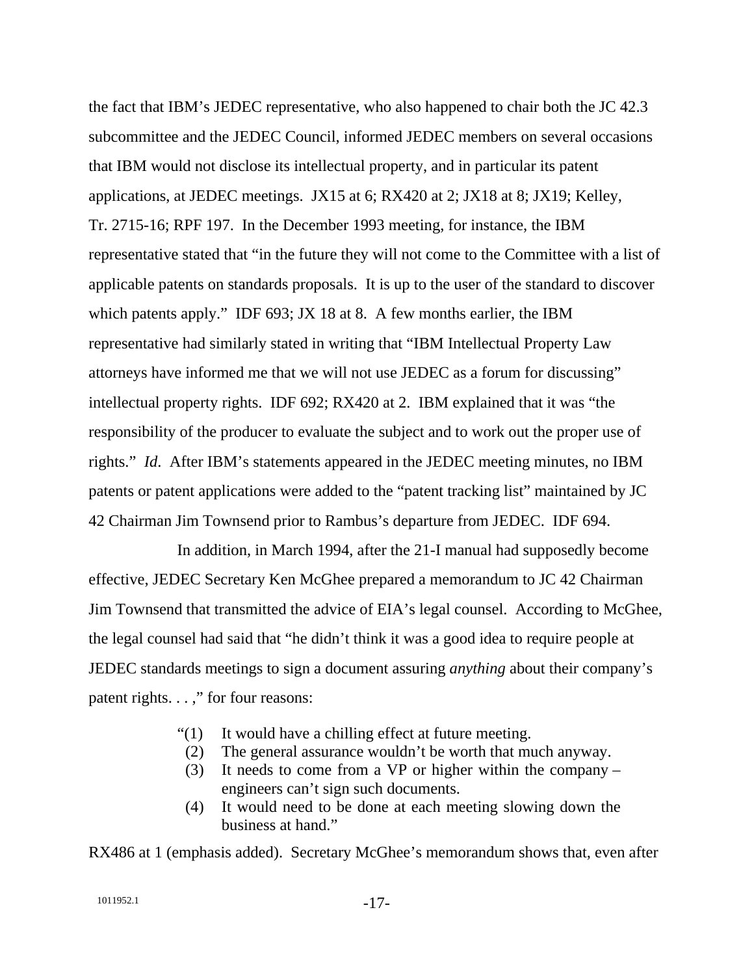the fact that IBM's JEDEC representative, who also happened to chair both the JC 42.3 subcommittee and the JEDEC Council, informed JEDEC members on several occasions that IBM would not disclose its intellectual property, and in particular its patent applications, at JEDEC meetings. JX15 at 6; RX420 at 2; JX18 at 8; JX19; Kelley, Tr. 2715-16; RPF 197. In the December 1993 meeting, for instance, the IBM representative stated that "in the future they will not come to the Committee with a list of applicable patents on standards proposals. It is up to the user of the standard to discover which patents apply." IDF 693; JX 18 at 8. A few months earlier, the IBM representative had similarly stated in writing that "IBM Intellectual Property Law attorneys have informed me that we will not use JEDEC as a forum for discussing" intellectual property rights. IDF 692; RX420 at 2. IBM explained that it was "the responsibility of the producer to evaluate the subject and to work out the proper use of rights." *Id*. After IBM's statements appeared in the JEDEC meeting minutes, no IBM patents or patent applications were added to the "patent tracking list" maintained by JC 42 Chairman Jim Townsend prior to Rambus's departure from JEDEC. IDF 694.

In addition, in March 1994, after the 21-I manual had supposedly become effective, JEDEC Secretary Ken McGhee prepared a memorandum to JC 42 Chairman Jim Townsend that transmitted the advice of EIA's legal counsel. According to McGhee, the legal counsel had said that "he didn't think it was a good idea to require people at JEDEC standards meetings to sign a document assuring *anything* about their company's patent rights. . . ," for four reasons:

- "(1) It would have a chilling effect at future meeting.
- (2) The general assurance wouldn't be worth that much anyway.
- (3) It needs to come from a VP or higher within the company engineers can't sign such documents.
- (4) It would need to be done at each meeting slowing down the business at hand."

RX486 at 1 (emphasis added). Secretary McGhee's memorandum shows that, even after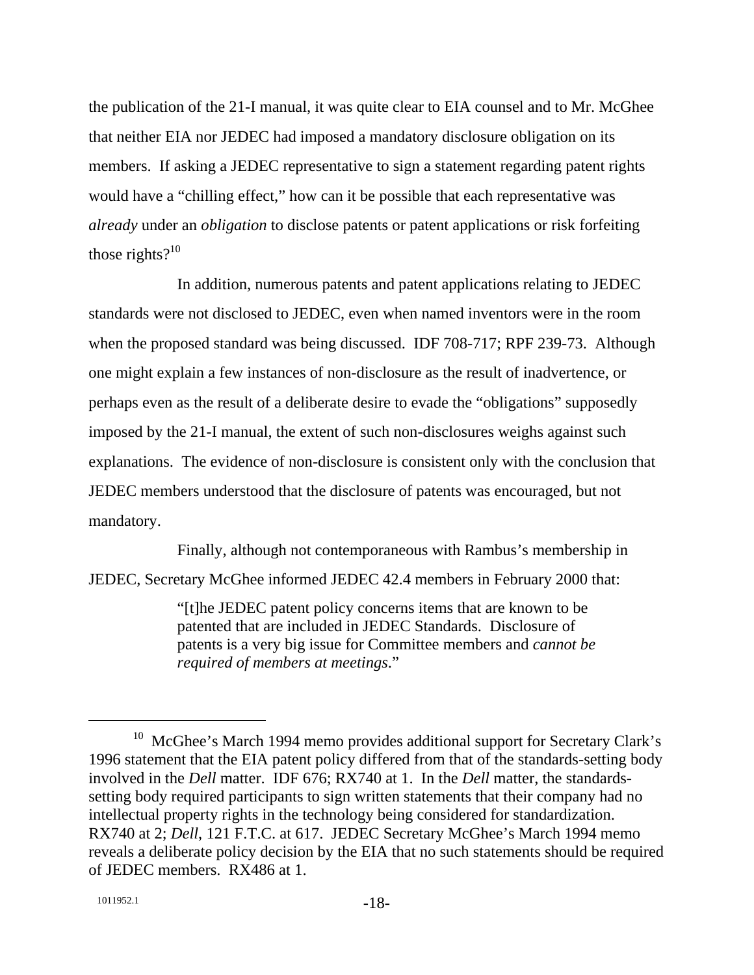the publication of the 21-I manual, it was quite clear to EIA counsel and to Mr. McGhee that neither EIA nor JEDEC had imposed a mandatory disclosure obligation on its members. If asking a JEDEC representative to sign a statement regarding patent rights would have a "chilling effect," how can it be possible that each representative was *already* under an *obligation* to disclose patents or patent applications or risk forfeiting those rights $?^{10}$ 

In addition, numerous patents and patent applications relating to JEDEC standards were not disclosed to JEDEC, even when named inventors were in the room when the proposed standard was being discussed. IDF 708-717; RPF 239-73. Although one might explain a few instances of non-disclosure as the result of inadvertence, or perhaps even as the result of a deliberate desire to evade the "obligations" supposedly imposed by the 21-I manual, the extent of such non-disclosures weighs against such explanations. The evidence of non-disclosure is consistent only with the conclusion that JEDEC members understood that the disclosure of patents was encouraged, but not mandatory.

Finally, although not contemporaneous with Rambus's membership in JEDEC, Secretary McGhee informed JEDEC 42.4 members in February 2000 that:

> "[t]he JEDEC patent policy concerns items that are known to be patented that are included in JEDEC Standards. Disclosure of patents is a very big issue for Committee members and *cannot be required of members at meetings*."

<sup>&</sup>lt;sup>10</sup> McGhee's March 1994 memo provides additional support for Secretary Clark's 1996 statement that the EIA patent policy differed from that of the standards-setting body involved in the *Dell* matter. IDF 676; RX740 at 1. In the *Dell* matter, the standardssetting body required participants to sign written statements that their company had no intellectual property rights in the technology being considered for standardization. RX740 at 2; *Dell*, 121 F.T.C. at 617. JEDEC Secretary McGhee's March 1994 memo reveals a deliberate policy decision by the EIA that no such statements should be required of JEDEC members. RX486 at 1.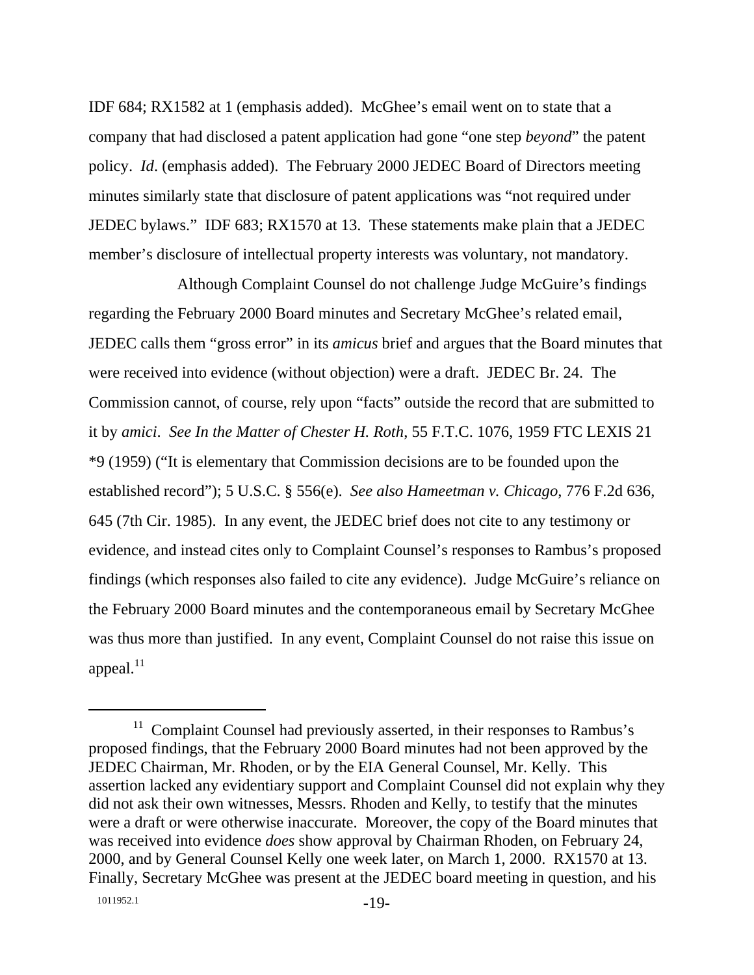IDF 684; RX1582 at 1 (emphasis added). McGhee's email went on to state that a company that had disclosed a patent application had gone "one step *beyond*" the patent policy. *Id*. (emphasis added). The February 2000 JEDEC Board of Directors meeting minutes similarly state that disclosure of patent applications was "not required under JEDEC bylaws." IDF 683; RX1570 at 13. These statements make plain that a JEDEC member's disclosure of intellectual property interests was voluntary, not mandatory.

Although Complaint Counsel do not challenge Judge McGuire's findings regarding the February 2000 Board minutes and Secretary McGhee's related email, JEDEC calls them "gross error" in its *amicus* brief and argues that the Board minutes that were received into evidence (without objection) were a draft. JEDEC Br. 24. The Commission cannot, of course, rely upon "facts" outside the record that are submitted to it by *amici*. *See In the Matter of Chester H. Roth*, 55 F.T.C. 1076, 1959 FTC LEXIS 21 \*9 (1959) ("It is elementary that Commission decisions are to be founded upon the established record"); 5 U.S.C. § 556(e). *See also Hameetman v. Chicago*, 776 F.2d 636, 645 (7th Cir. 1985). In any event, the JEDEC brief does not cite to any testimony or evidence, and instead cites only to Complaint Counsel's responses to Rambus's proposed findings (which responses also failed to cite any evidence). Judge McGuire's reliance on the February 2000 Board minutes and the contemporaneous email by Secretary McGhee was thus more than justified. In any event, Complaint Counsel do not raise this issue on appeal. $^{11}$ 

<sup>&</sup>lt;sup>11</sup> Complaint Counsel had previously asserted, in their responses to Rambus's proposed findings, that the February 2000 Board minutes had not been approved by the JEDEC Chairman, Mr. Rhoden, or by the EIA General Counsel, Mr. Kelly. This assertion lacked any evidentiary support and Complaint Counsel did not explain why they did not ask their own witnesses, Messrs. Rhoden and Kelly, to testify that the minutes were a draft or were otherwise inaccurate. Moreover, the copy of the Board minutes that was received into evidence *does* show approval by Chairman Rhoden, on February 24, 2000, and by General Counsel Kelly one week later, on March 1, 2000. RX1570 at 13. Finally, Secretary McGhee was present at the JEDEC board meeting in question, and his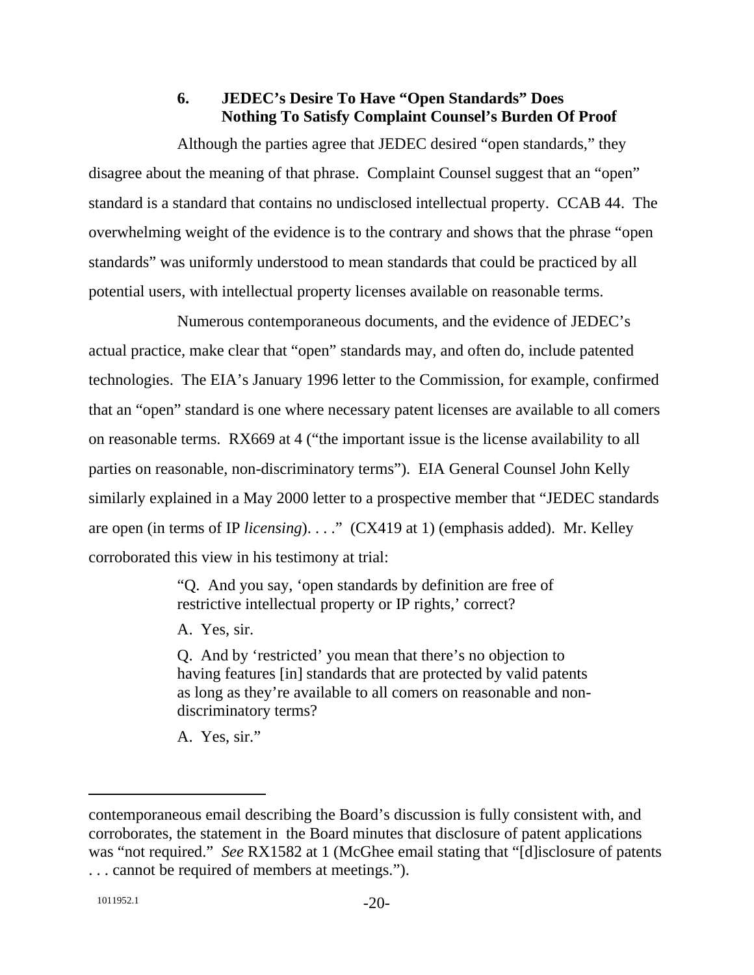#### **6. JEDEC's Desire To Have "Open Standards" Does Nothing To Satisfy Complaint Counsel's Burden Of Proof**

Although the parties agree that JEDEC desired "open standards," they disagree about the meaning of that phrase. Complaint Counsel suggest that an "open" standard is a standard that contains no undisclosed intellectual property. CCAB 44. The overwhelming weight of the evidence is to the contrary and shows that the phrase "open standards" was uniformly understood to mean standards that could be practiced by all potential users, with intellectual property licenses available on reasonable terms.

Numerous contemporaneous documents, and the evidence of JEDEC's actual practice, make clear that "open" standards may, and often do, include patented technologies. The EIA's January 1996 letter to the Commission, for example, confirmed that an "open" standard is one where necessary patent licenses are available to all comers on reasonable terms. RX669 at 4 ("the important issue is the license availability to all parties on reasonable, non-discriminatory terms"). EIA General Counsel John Kelly similarly explained in a May 2000 letter to a prospective member that "JEDEC standards are open (in terms of IP *licensing*). . . ." (CX419 at 1) (emphasis added). Mr. Kelley corroborated this view in his testimony at trial:

> "Q. And you say, 'open standards by definition are free of restrictive intellectual property or IP rights,' correct?

A. Yes, sir.

Q. And by 'restricted' you mean that there's no objection to having features [in] standards that are protected by valid patents as long as they're available to all comers on reasonable and nondiscriminatory terms?

A. Yes, sir."

 $\overline{a}$ 

contemporaneous email describing the Board's discussion is fully consistent with, and corroborates, the statement in the Board minutes that disclosure of patent applications was "not required." *See* RX1582 at 1 (McGhee email stating that "[d]isclosure of patents . . . cannot be required of members at meetings.").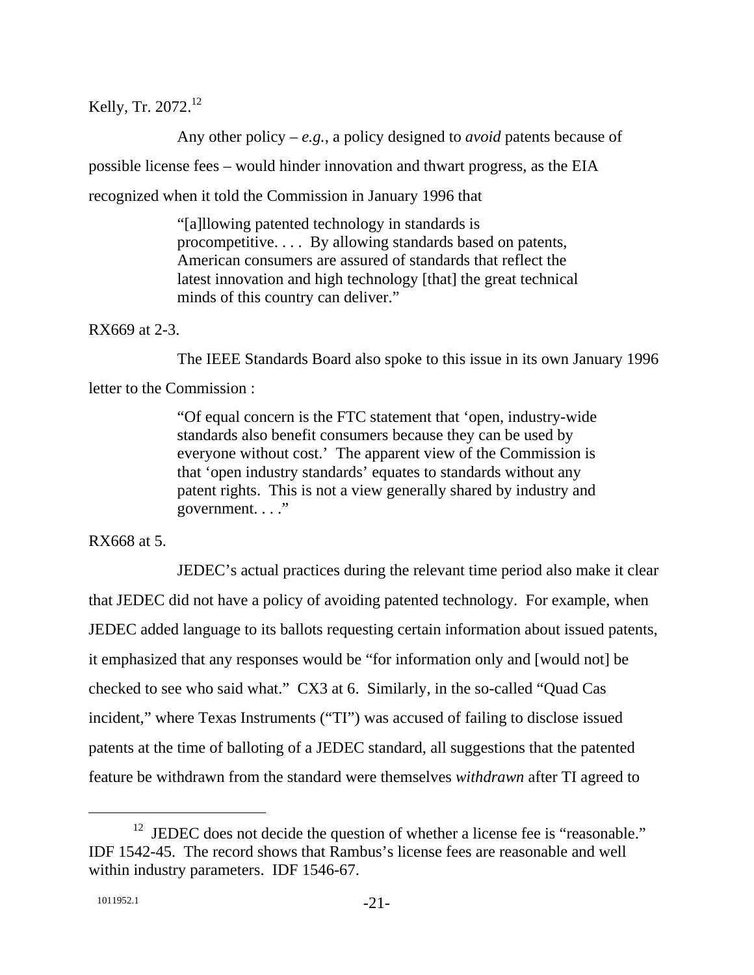Kelly, Tr. 2072.<sup>12</sup>

Any other policy – *e.g.*, a policy designed to *avoid* patents because of possible license fees – would hinder innovation and thwart progress, as the EIA recognized when it told the Commission in January 1996 that

> "[a]llowing patented technology in standards is procompetitive. . . . By allowing standards based on patents, American consumers are assured of standards that reflect the latest innovation and high technology [that] the great technical minds of this country can deliver."

RX669 at 2-3.

The IEEE Standards Board also spoke to this issue in its own January 1996

letter to the Commission :

"Of equal concern is the FTC statement that 'open, industry-wide standards also benefit consumers because they can be used by everyone without cost.' The apparent view of the Commission is that 'open industry standards' equates to standards without any patent rights. This is not a view generally shared by industry and government. . . ."

RX668 at 5.

JEDEC's actual practices during the relevant time period also make it clear that JEDEC did not have a policy of avoiding patented technology. For example, when JEDEC added language to its ballots requesting certain information about issued patents, it emphasized that any responses would be "for information only and [would not] be checked to see who said what." CX3 at 6. Similarly, in the so-called "Quad Cas incident," where Texas Instruments ("TI") was accused of failing to disclose issued patents at the time of balloting of a JEDEC standard, all suggestions that the patented feature be withdrawn from the standard were themselves *withdrawn* after TI agreed to

 $12$  JEDEC does not decide the question of whether a license fee is "reasonable." IDF 1542-45. The record shows that Rambus's license fees are reasonable and well within industry parameters. IDF 1546-67.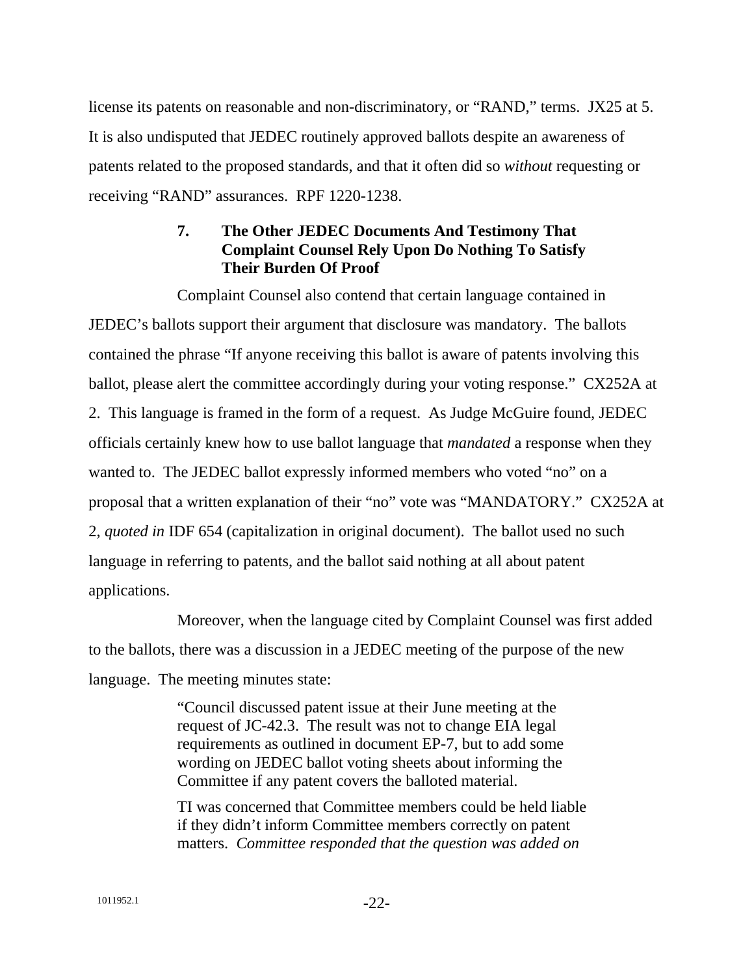license its patents on reasonable and non-discriminatory, or "RAND," terms. JX25 at 5. It is also undisputed that JEDEC routinely approved ballots despite an awareness of patents related to the proposed standards, and that it often did so *without* requesting or receiving "RAND" assurances. RPF 1220-1238.

# **7. The Other JEDEC Documents And Testimony That Complaint Counsel Rely Upon Do Nothing To Satisfy Their Burden Of Proof**

Complaint Counsel also contend that certain language contained in JEDEC's ballots support their argument that disclosure was mandatory. The ballots contained the phrase "If anyone receiving this ballot is aware of patents involving this ballot, please alert the committee accordingly during your voting response." CX252A at 2. This language is framed in the form of a request. As Judge McGuire found, JEDEC officials certainly knew how to use ballot language that *mandated* a response when they wanted to. The JEDEC ballot expressly informed members who voted "no" on a proposal that a written explanation of their "no" vote was "MANDATORY." CX252A at 2, *quoted in* IDF 654 (capitalization in original document). The ballot used no such language in referring to patents, and the ballot said nothing at all about patent applications.

Moreover, when the language cited by Complaint Counsel was first added to the ballots, there was a discussion in a JEDEC meeting of the purpose of the new language. The meeting minutes state:

> "Council discussed patent issue at their June meeting at the request of JC-42.3. The result was not to change EIA legal requirements as outlined in document EP-7, but to add some wording on JEDEC ballot voting sheets about informing the Committee if any patent covers the balloted material.

TI was concerned that Committee members could be held liable if they didn't inform Committee members correctly on patent matters. *Committee responded that the question was added on*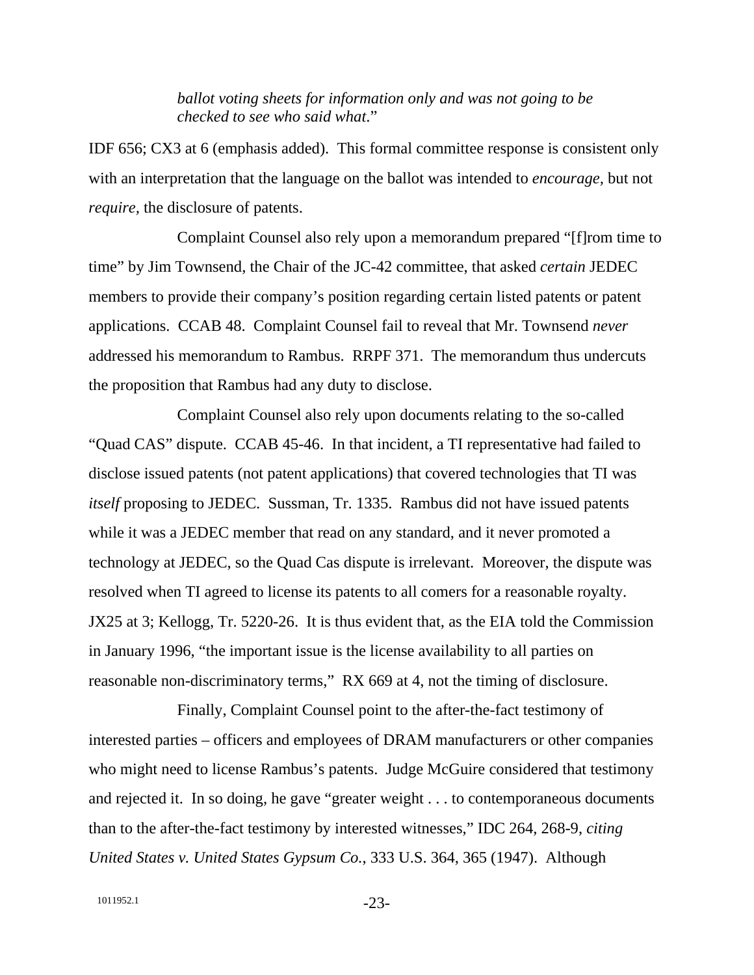*ballot voting sheets for information only and was not going to be checked to see who said what*."

IDF 656; CX3 at 6 (emphasis added). This formal committee response is consistent only with an interpretation that the language on the ballot was intended to *encourage,* but not *require,* the disclosure of patents.

Complaint Counsel also rely upon a memorandum prepared "[f]rom time to time" by Jim Townsend, the Chair of the JC-42 committee, that asked *certain* JEDEC members to provide their company's position regarding certain listed patents or patent applications. CCAB 48. Complaint Counsel fail to reveal that Mr. Townsend *never* addressed his memorandum to Rambus. RRPF 371. The memorandum thus undercuts the proposition that Rambus had any duty to disclose.

Complaint Counsel also rely upon documents relating to the so-called "Quad CAS" dispute. CCAB 45-46. In that incident, a TI representative had failed to disclose issued patents (not patent applications) that covered technologies that TI was *itself* proposing to JEDEC. Sussman, Tr. 1335. Rambus did not have issued patents while it was a JEDEC member that read on any standard, and it never promoted a technology at JEDEC, so the Quad Cas dispute is irrelevant. Moreover, the dispute was resolved when TI agreed to license its patents to all comers for a reasonable royalty. JX25 at 3; Kellogg, Tr. 5220-26. It is thus evident that, as the EIA told the Commission in January 1996, "the important issue is the license availability to all parties on reasonable non-discriminatory terms," RX 669 at 4, not the timing of disclosure.

Finally, Complaint Counsel point to the after-the-fact testimony of interested parties – officers and employees of DRAM manufacturers or other companies who might need to license Rambus's patents. Judge McGuire considered that testimony and rejected it. In so doing, he gave "greater weight . . . to contemporaneous documents than to the after-the-fact testimony by interested witnesses," IDC 264, 268-9, *citing United States v. United States Gypsum Co.*, 333 U.S. 364, 365 (1947). Although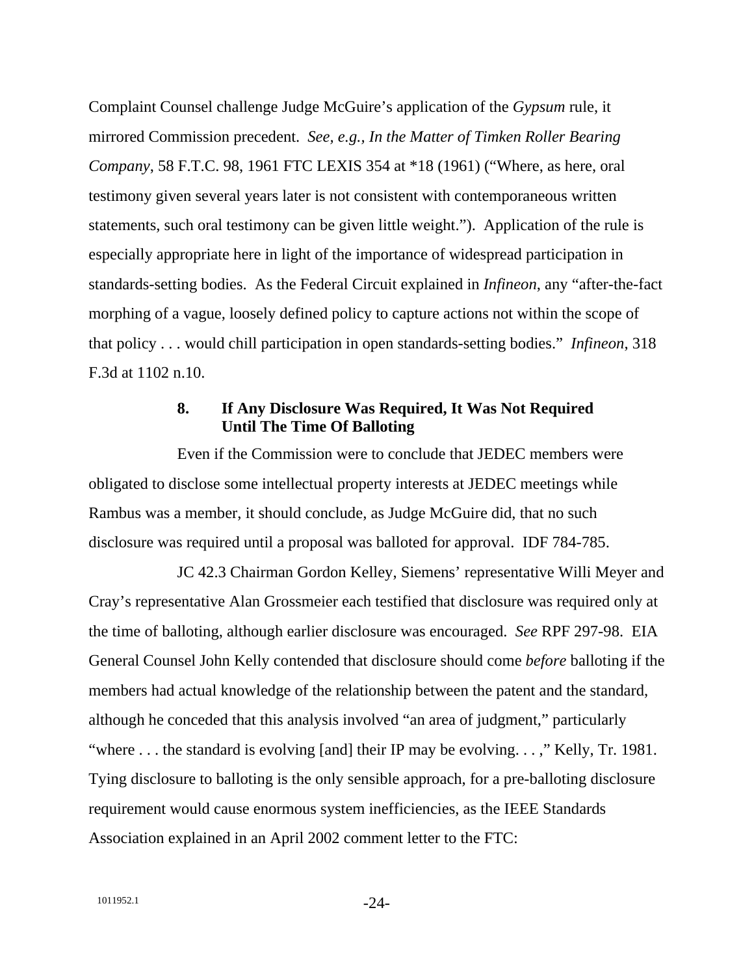Complaint Counsel challenge Judge McGuire's application of the *Gypsum* rule, it mirrored Commission precedent. *See, e.g., In the Matter of Timken Roller Bearing Company*, 58 F.T.C. 98, 1961 FTC LEXIS 354 at \*18 (1961) ("Where, as here, oral testimony given several years later is not consistent with contemporaneous written statements, such oral testimony can be given little weight."). Application of the rule is especially appropriate here in light of the importance of widespread participation in standards-setting bodies. As the Federal Circuit explained in *Infineon*, any "after-the-fact morphing of a vague, loosely defined policy to capture actions not within the scope of that policy . . . would chill participation in open standards-setting bodies." *Infineon*, 318 F.3d at 1102 n.10.

### **8. If Any Disclosure Was Required, It Was Not Required Until The Time Of Balloting**

Even if the Commission were to conclude that JEDEC members were obligated to disclose some intellectual property interests at JEDEC meetings while Rambus was a member, it should conclude, as Judge McGuire did, that no such disclosure was required until a proposal was balloted for approval. IDF 784-785.

JC 42.3 Chairman Gordon Kelley, Siemens' representative Willi Meyer and Cray's representative Alan Grossmeier each testified that disclosure was required only at the time of balloting, although earlier disclosure was encouraged. *See* RPF 297-98. EIA General Counsel John Kelly contended that disclosure should come *before* balloting if the members had actual knowledge of the relationship between the patent and the standard, although he conceded that this analysis involved "an area of judgment," particularly "where . . . the standard is evolving [and] their IP may be evolving. . . ," Kelly, Tr. 1981. Tying disclosure to balloting is the only sensible approach, for a pre-balloting disclosure requirement would cause enormous system inefficiencies, as the IEEE Standards Association explained in an April 2002 comment letter to the FTC: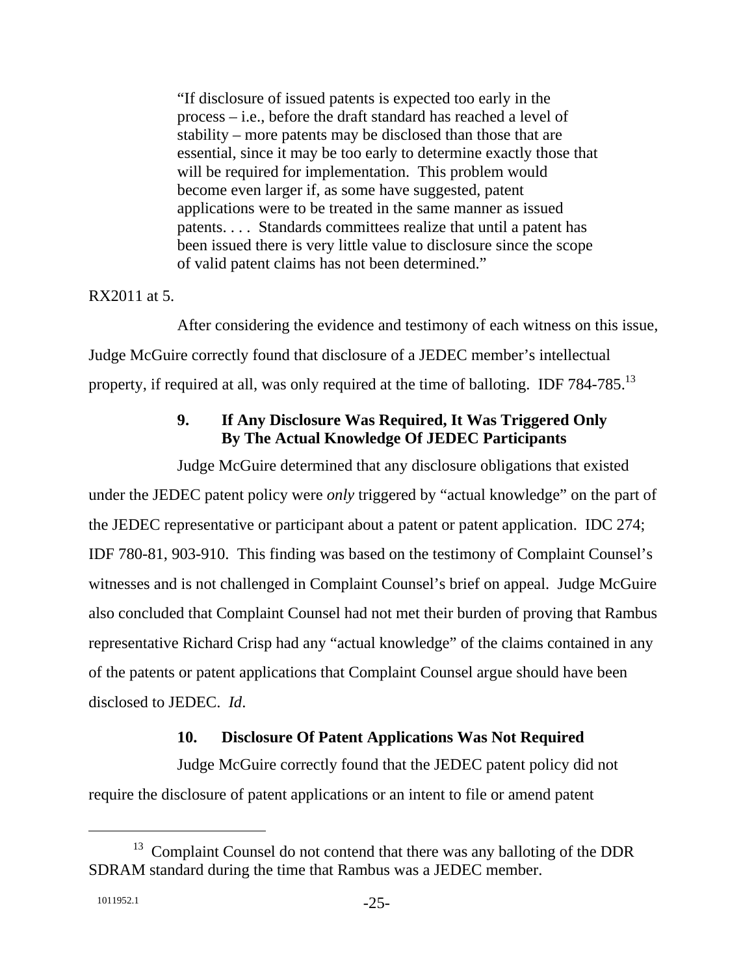"If disclosure of issued patents is expected too early in the process – i.e., before the draft standard has reached a level of stability – more patents may be disclosed than those that are essential, since it may be too early to determine exactly those that will be required for implementation. This problem would become even larger if, as some have suggested, patent applications were to be treated in the same manner as issued patents. . . . Standards committees realize that until a patent has been issued there is very little value to disclosure since the scope of valid patent claims has not been determined."

#### RX2011 at 5.

After considering the evidence and testimony of each witness on this issue, Judge McGuire correctly found that disclosure of a JEDEC member's intellectual property, if required at all, was only required at the time of balloting. IDF 784-785.<sup>13</sup>

# **9. If Any Disclosure Was Required, It Was Triggered Only By The Actual Knowledge Of JEDEC Participants**

Judge McGuire determined that any disclosure obligations that existed under the JEDEC patent policy were *only* triggered by "actual knowledge" on the part of the JEDEC representative or participant about a patent or patent application. IDC 274; IDF 780-81, 903-910. This finding was based on the testimony of Complaint Counsel's witnesses and is not challenged in Complaint Counsel's brief on appeal. Judge McGuire also concluded that Complaint Counsel had not met their burden of proving that Rambus representative Richard Crisp had any "actual knowledge" of the claims contained in any of the patents or patent applications that Complaint Counsel argue should have been disclosed to JEDEC. *Id*.

# **10. Disclosure Of Patent Applications Was Not Required**

Judge McGuire correctly found that the JEDEC patent policy did not require the disclosure of patent applications or an intent to file or amend patent

<sup>&</sup>lt;sup>13</sup> Complaint Counsel do not contend that there was any balloting of the DDR SDRAM standard during the time that Rambus was a JEDEC member.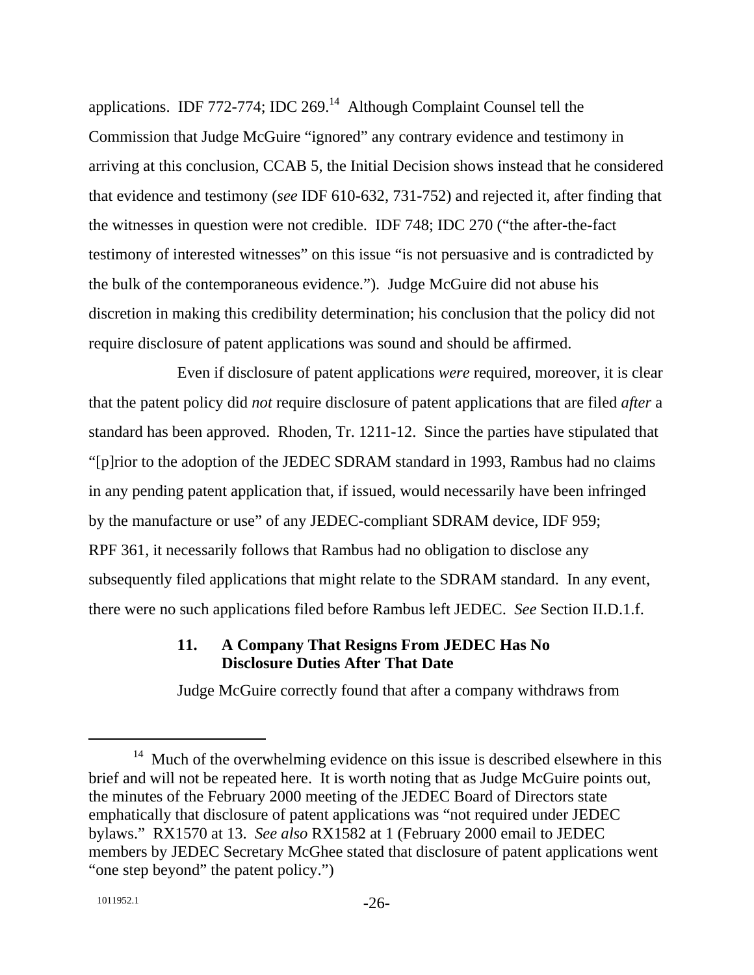applications. IDF 772-774; IDC 269.<sup>14</sup> Although Complaint Counsel tell the Commission that Judge McGuire "ignored" any contrary evidence and testimony in arriving at this conclusion, CCAB 5, the Initial Decision shows instead that he considered that evidence and testimony (*see* IDF 610-632, 731-752) and rejected it, after finding that the witnesses in question were not credible. IDF 748; IDC 270 ("the after-the-fact testimony of interested witnesses" on this issue "is not persuasive and is contradicted by the bulk of the contemporaneous evidence."). Judge McGuire did not abuse his discretion in making this credibility determination; his conclusion that the policy did not require disclosure of patent applications was sound and should be affirmed.

Even if disclosure of patent applications *were* required, moreover, it is clear that the patent policy did *not* require disclosure of patent applications that are filed *after* a standard has been approved. Rhoden, Tr. 1211-12. Since the parties have stipulated that "[p]rior to the adoption of the JEDEC SDRAM standard in 1993, Rambus had no claims in any pending patent application that, if issued, would necessarily have been infringed by the manufacture or use" of any JEDEC-compliant SDRAM device, IDF 959; RPF 361, it necessarily follows that Rambus had no obligation to disclose any subsequently filed applications that might relate to the SDRAM standard. In any event, there were no such applications filed before Rambus left JEDEC. *See* Section II.D.1.f.

# **11. A Company That Resigns From JEDEC Has No Disclosure Duties After That Date**

Judge McGuire correctly found that after a company withdraws from

 $14$  Much of the overwhelming evidence on this issue is described elsewhere in this brief and will not be repeated here. It is worth noting that as Judge McGuire points out, the minutes of the February 2000 meeting of the JEDEC Board of Directors state emphatically that disclosure of patent applications was "not required under JEDEC bylaws." RX1570 at 13. *See also* RX1582 at 1 (February 2000 email to JEDEC members by JEDEC Secretary McGhee stated that disclosure of patent applications went "one step beyond" the patent policy.")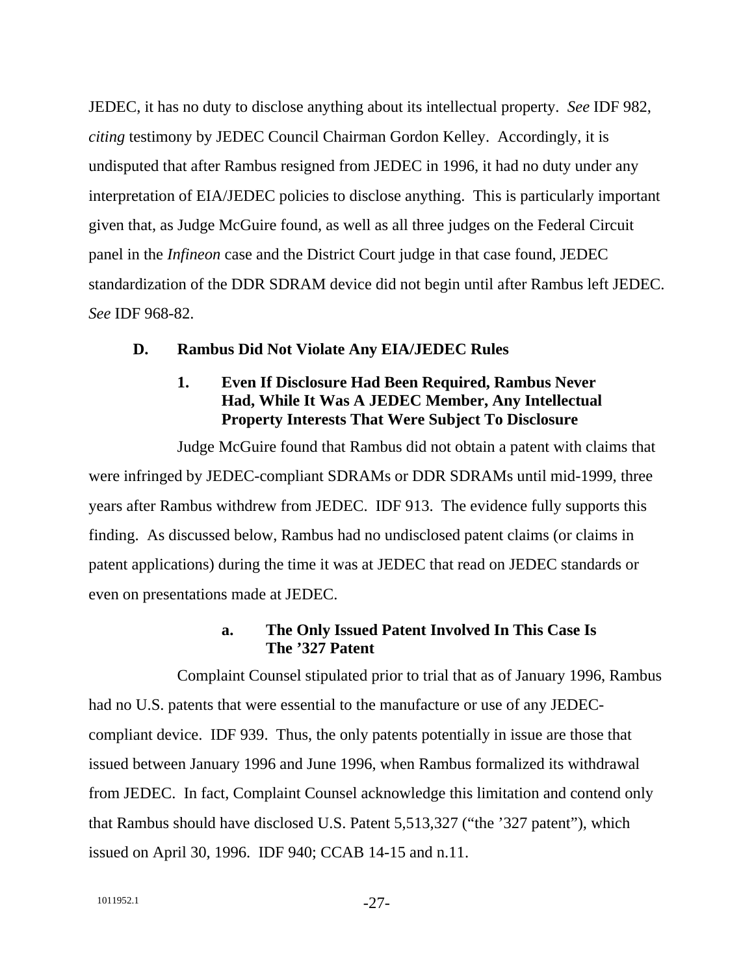JEDEC, it has no duty to disclose anything about its intellectual property. *See* IDF 982, *citing* testimony by JEDEC Council Chairman Gordon Kelley. Accordingly, it is undisputed that after Rambus resigned from JEDEC in 1996, it had no duty under any interpretation of EIA/JEDEC policies to disclose anything. This is particularly important given that, as Judge McGuire found, as well as all three judges on the Federal Circuit panel in the *Infineon* case and the District Court judge in that case found, JEDEC standardization of the DDR SDRAM device did not begin until after Rambus left JEDEC. *See* IDF 968-82.

### **D. Rambus Did Not Violate Any EIA/JEDEC Rules**

# **1. Even If Disclosure Had Been Required, Rambus Never Had, While It Was A JEDEC Member, Any Intellectual Property Interests That Were Subject To Disclosure**

Judge McGuire found that Rambus did not obtain a patent with claims that were infringed by JEDEC-compliant SDRAMs or DDR SDRAMs until mid-1999, three years after Rambus withdrew from JEDEC. IDF 913. The evidence fully supports this finding. As discussed below, Rambus had no undisclosed patent claims (or claims in patent applications) during the time it was at JEDEC that read on JEDEC standards or even on presentations made at JEDEC.

### **a. The Only Issued Patent Involved In This Case Is The '327 Patent**

Complaint Counsel stipulated prior to trial that as of January 1996, Rambus had no U.S. patents that were essential to the manufacture or use of any JEDECcompliant device. IDF 939. Thus, the only patents potentially in issue are those that issued between January 1996 and June 1996, when Rambus formalized its withdrawal from JEDEC. In fact, Complaint Counsel acknowledge this limitation and contend only that Rambus should have disclosed U.S. Patent 5,513,327 ("the '327 patent"), which issued on April 30, 1996. IDF 940; CCAB 14-15 and n.11.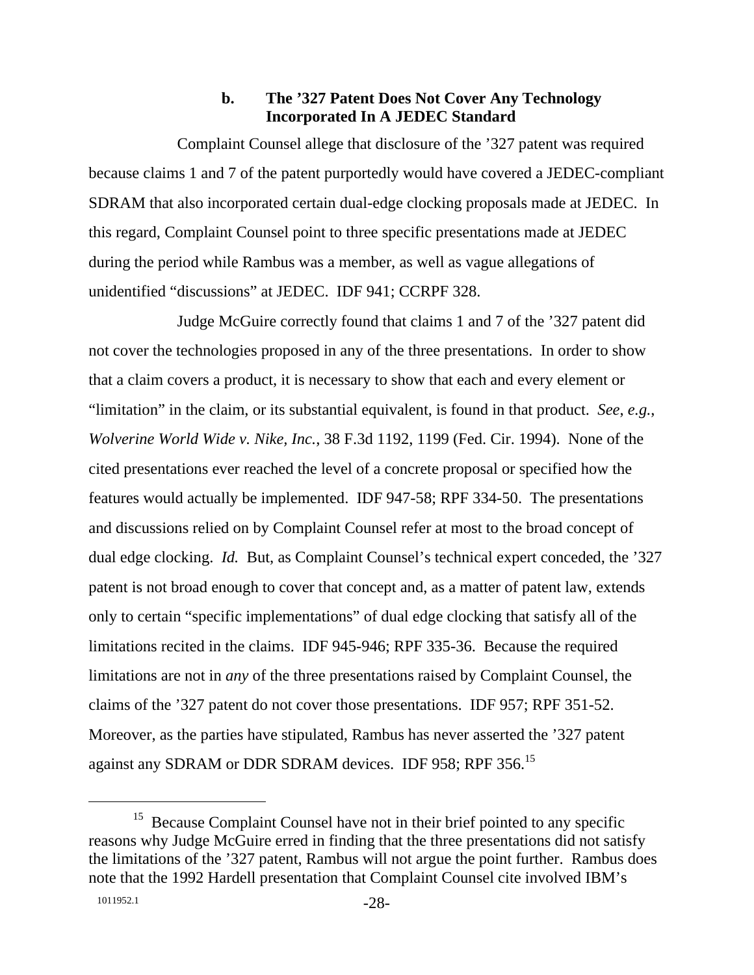### **b. The '327 Patent Does Not Cover Any Technology Incorporated In A JEDEC Standard**

Complaint Counsel allege that disclosure of the '327 patent was required because claims 1 and 7 of the patent purportedly would have covered a JEDEC-compliant SDRAM that also incorporated certain dual-edge clocking proposals made at JEDEC. In this regard, Complaint Counsel point to three specific presentations made at JEDEC during the period while Rambus was a member, as well as vague allegations of unidentified "discussions" at JEDEC. IDF 941; CCRPF 328.

Judge McGuire correctly found that claims 1 and 7 of the '327 patent did not cover the technologies proposed in any of the three presentations. In order to show that a claim covers a product, it is necessary to show that each and every element or "limitation" in the claim, or its substantial equivalent, is found in that product. *See*, *e.g.*, *Wolverine World Wide v. Nike, Inc.*, 38 F.3d 1192, 1199 (Fed. Cir. 1994). None of the cited presentations ever reached the level of a concrete proposal or specified how the features would actually be implemented. IDF 947-58; RPF 334-50. The presentations and discussions relied on by Complaint Counsel refer at most to the broad concept of dual edge clocking. *Id.* But, as Complaint Counsel's technical expert conceded, the '327 patent is not broad enough to cover that concept and, as a matter of patent law, extends only to certain "specific implementations" of dual edge clocking that satisfy all of the limitations recited in the claims. IDF 945-946; RPF 335-36. Because the required limitations are not in *any* of the three presentations raised by Complaint Counsel, the claims of the '327 patent do not cover those presentations. IDF 957; RPF 351-52. Moreover, as the parties have stipulated, Rambus has never asserted the '327 patent against any SDRAM or DDR SDRAM devices. IDF 958; RPF 356.<sup>15</sup>

<sup>&</sup>lt;sup>15</sup> Because Complaint Counsel have not in their brief pointed to any specific reasons why Judge McGuire erred in finding that the three presentations did not satisfy the limitations of the '327 patent, Rambus will not argue the point further. Rambus does note that the 1992 Hardell presentation that Complaint Counsel cite involved IBM's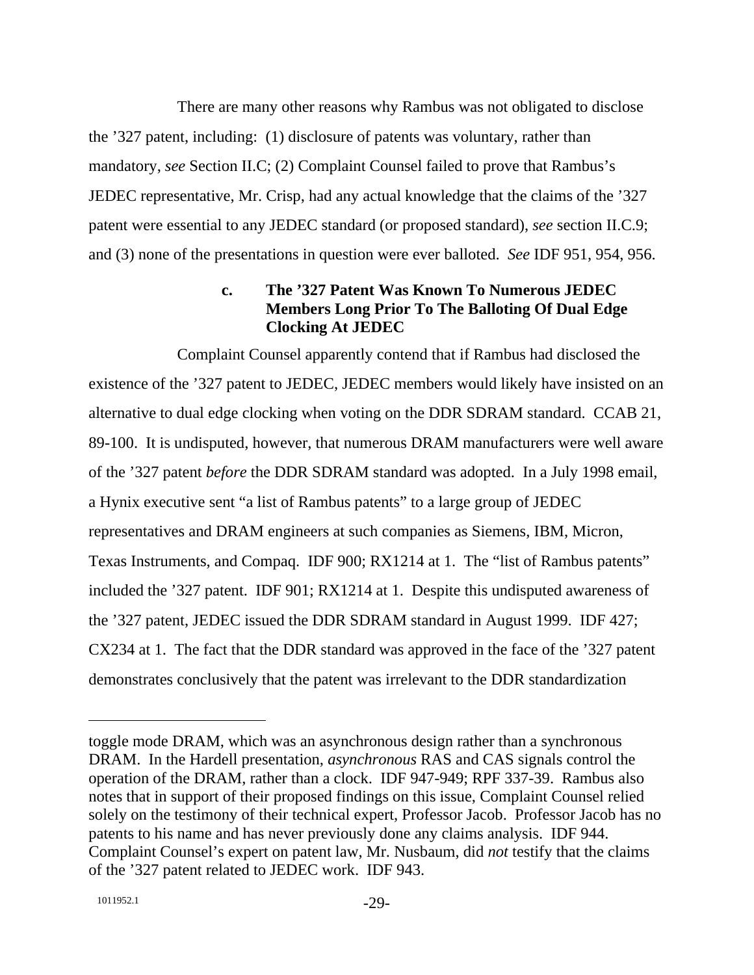There are many other reasons why Rambus was not obligated to disclose the '327 patent, including: (1) disclosure of patents was voluntary, rather than mandatory, *see* Section II.C; (2) Complaint Counsel failed to prove that Rambus's JEDEC representative, Mr. Crisp, had any actual knowledge that the claims of the '327 patent were essential to any JEDEC standard (or proposed standard), *see* section II.C.9; and (3) none of the presentations in question were ever balloted. *See* IDF 951, 954, 956.

# **c. The '327 Patent Was Known To Numerous JEDEC Members Long Prior To The Balloting Of Dual Edge Clocking At JEDEC**

Complaint Counsel apparently contend that if Rambus had disclosed the existence of the '327 patent to JEDEC, JEDEC members would likely have insisted on an alternative to dual edge clocking when voting on the DDR SDRAM standard. CCAB 21, 89-100. It is undisputed, however, that numerous DRAM manufacturers were well aware of the '327 patent *before* the DDR SDRAM standard was adopted. In a July 1998 email, a Hynix executive sent "a list of Rambus patents" to a large group of JEDEC representatives and DRAM engineers at such companies as Siemens, IBM, Micron, Texas Instruments, and Compaq. IDF 900; RX1214 at 1. The "list of Rambus patents" included the '327 patent. IDF 901; RX1214 at 1. Despite this undisputed awareness of the '327 patent, JEDEC issued the DDR SDRAM standard in August 1999. IDF 427; CX234 at 1. The fact that the DDR standard was approved in the face of the '327 patent demonstrates conclusively that the patent was irrelevant to the DDR standardization

toggle mode DRAM, which was an asynchronous design rather than a synchronous DRAM. In the Hardell presentation, *asynchronous* RAS and CAS signals control the operation of the DRAM, rather than a clock. IDF 947-949; RPF 337-39. Rambus also notes that in support of their proposed findings on this issue, Complaint Counsel relied solely on the testimony of their technical expert, Professor Jacob. Professor Jacob has no patents to his name and has never previously done any claims analysis. IDF 944. Complaint Counsel's expert on patent law, Mr. Nusbaum, did *not* testify that the claims of the '327 patent related to JEDEC work. IDF 943.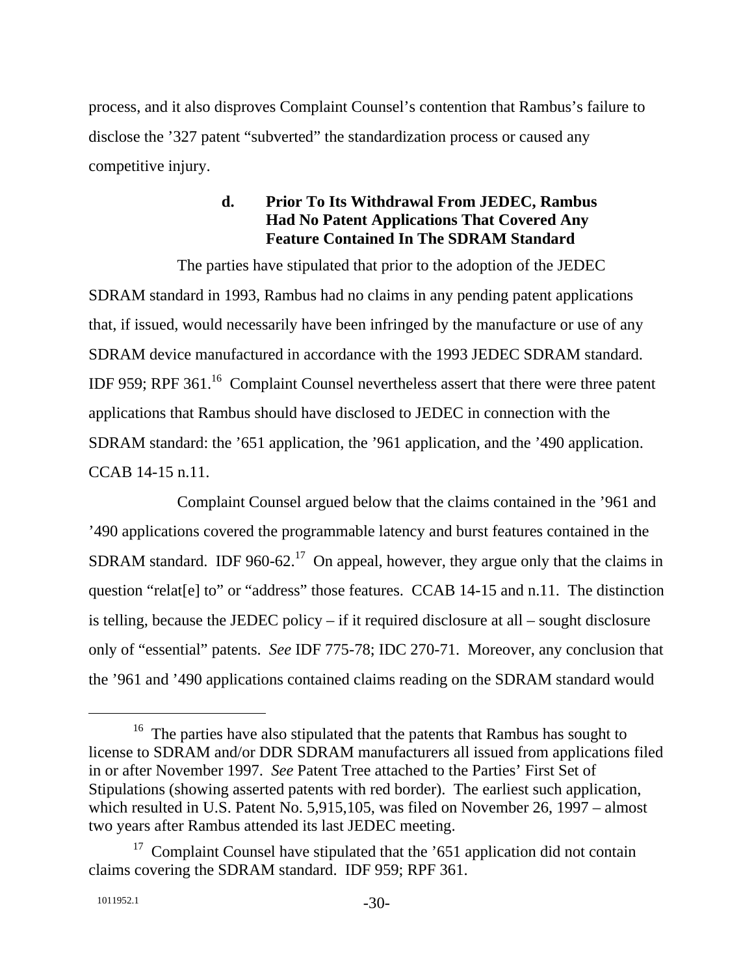process, and it also disproves Complaint Counsel's contention that Rambus's failure to disclose the '327 patent "subverted" the standardization process or caused any competitive injury.

# **d. Prior To Its Withdrawal From JEDEC, Rambus Had No Patent Applications That Covered Any Feature Contained In The SDRAM Standard**

The parties have stipulated that prior to the adoption of the JEDEC SDRAM standard in 1993, Rambus had no claims in any pending patent applications that, if issued, would necessarily have been infringed by the manufacture or use of any SDRAM device manufactured in accordance with the 1993 JEDEC SDRAM standard. IDF 959; RPF 361.16 Complaint Counsel nevertheless assert that there were three patent applications that Rambus should have disclosed to JEDEC in connection with the SDRAM standard: the '651 application, the '961 application, and the '490 application. CCAB 14-15 n.11.

Complaint Counsel argued below that the claims contained in the '961 and '490 applications covered the programmable latency and burst features contained in the SDRAM standard. IDF 960-62.<sup>17</sup> On appeal, however, they argue only that the claims in question "relat[e] to" or "address" those features. CCAB 14-15 and n.11. The distinction is telling, because the JEDEC policy – if it required disclosure at all – sought disclosure only of "essential" patents. *See* IDF 775-78; IDC 270-71. Moreover, any conclusion that the '961 and '490 applications contained claims reading on the SDRAM standard would

<sup>&</sup>lt;sup>16</sup> The parties have also stipulated that the patents that Rambus has sought to license to SDRAM and/or DDR SDRAM manufacturers all issued from applications filed in or after November 1997. *See* Patent Tree attached to the Parties' First Set of Stipulations (showing asserted patents with red border). The earliest such application, which resulted in U.S. Patent No. 5,915,105, was filed on November 26, 1997 – almost two years after Rambus attended its last JEDEC meeting.

 $17$  Complaint Counsel have stipulated that the '651 application did not contain claims covering the SDRAM standard. IDF 959; RPF 361.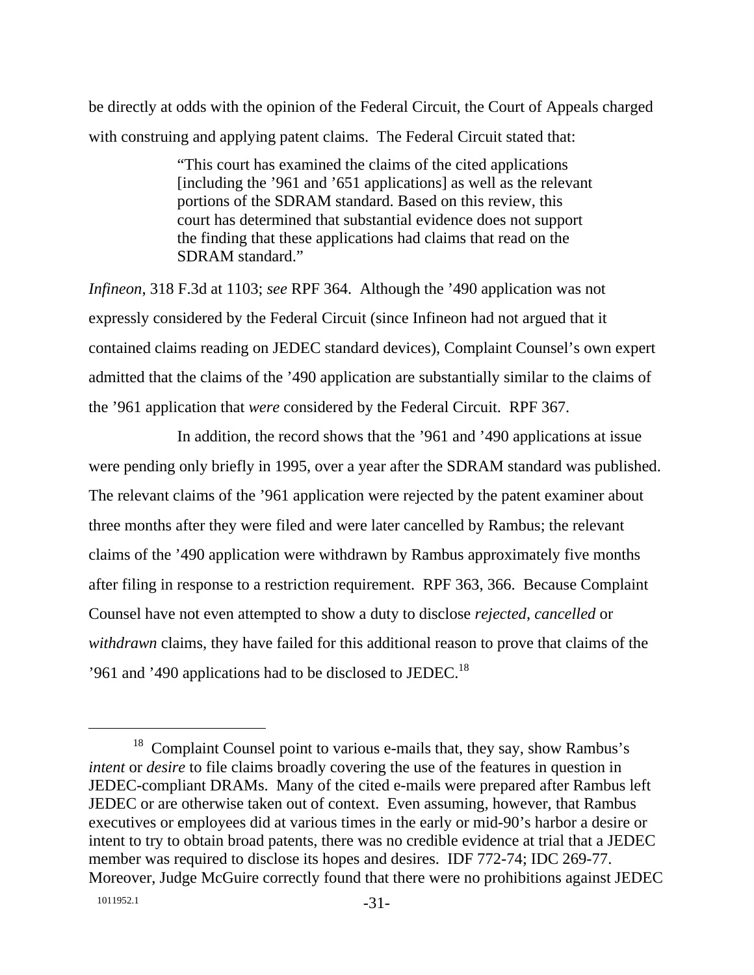be directly at odds with the opinion of the Federal Circuit, the Court of Appeals charged with construing and applying patent claims. The Federal Circuit stated that:

> "This court has examined the claims of the cited applications [including the '961 and '651 applications] as well as the relevant portions of the SDRAM standard. Based on this review, this court has determined that substantial evidence does not support the finding that these applications had claims that read on the SDRAM standard."

*Infineon*, 318 F.3d at 1103; *see* RPF 364. Although the '490 application was not expressly considered by the Federal Circuit (since Infineon had not argued that it contained claims reading on JEDEC standard devices), Complaint Counsel's own expert admitted that the claims of the '490 application are substantially similar to the claims of the '961 application that *were* considered by the Federal Circuit. RPF 367.

In addition, the record shows that the '961 and '490 applications at issue were pending only briefly in 1995, over a year after the SDRAM standard was published. The relevant claims of the '961 application were rejected by the patent examiner about three months after they were filed and were later cancelled by Rambus; the relevant claims of the '490 application were withdrawn by Rambus approximately five months after filing in response to a restriction requirement. RPF 363, 366. Because Complaint Counsel have not even attempted to show a duty to disclose *rejected*, *cancelled* or *withdrawn* claims, they have failed for this additional reason to prove that claims of the '961 and '490 applications had to be disclosed to JEDEC.<sup>18</sup>

<sup>&</sup>lt;sup>18</sup> Complaint Counsel point to various e-mails that, they say, show Rambus's *intent* or *desire* to file claims broadly covering the use of the features in question in JEDEC-compliant DRAMs. Many of the cited e-mails were prepared after Rambus left JEDEC or are otherwise taken out of context. Even assuming, however, that Rambus executives or employees did at various times in the early or mid-90's harbor a desire or intent to try to obtain broad patents, there was no credible evidence at trial that a JEDEC member was required to disclose its hopes and desires. IDF 772-74; IDC 269-77. Moreover, Judge McGuire correctly found that there were no prohibitions against JEDEC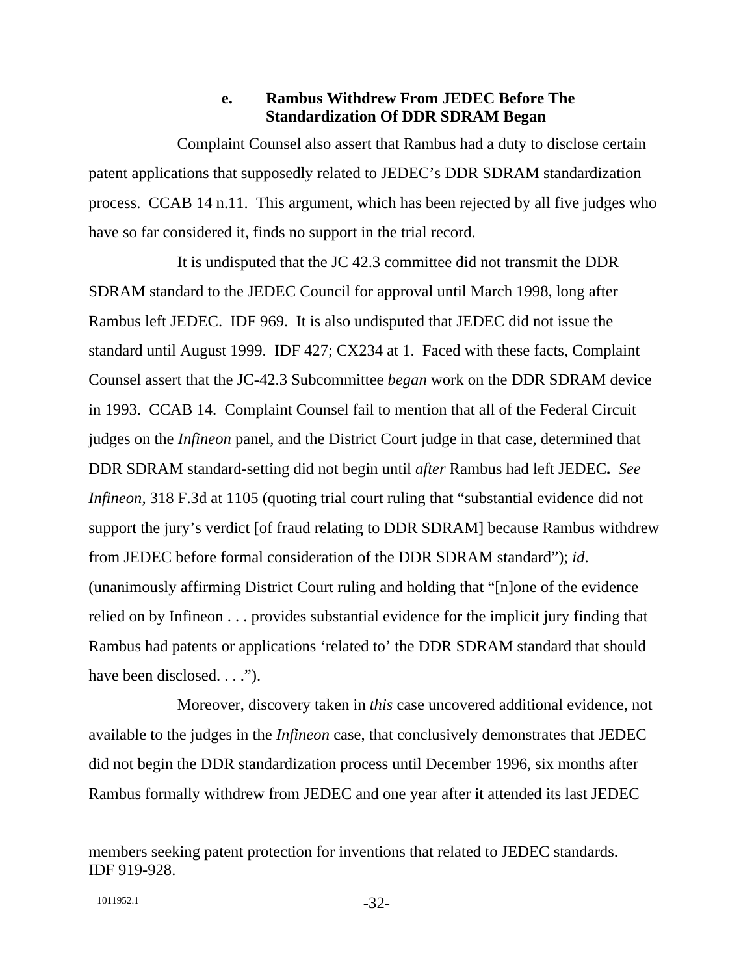#### **e. Rambus Withdrew From JEDEC Before The Standardization Of DDR SDRAM Began**

Complaint Counsel also assert that Rambus had a duty to disclose certain patent applications that supposedly related to JEDEC's DDR SDRAM standardization process. CCAB 14 n.11. This argument, which has been rejected by all five judges who have so far considered it, finds no support in the trial record.

It is undisputed that the JC 42.3 committee did not transmit the DDR SDRAM standard to the JEDEC Council for approval until March 1998, long after Rambus left JEDEC. IDF 969. It is also undisputed that JEDEC did not issue the standard until August 1999. IDF 427; CX234 at 1. Faced with these facts, Complaint Counsel assert that the JC-42.3 Subcommittee *began* work on the DDR SDRAM device in 1993. CCAB 14. Complaint Counsel fail to mention that all of the Federal Circuit judges on the *Infineon* panel, and the District Court judge in that case, determined that DDR SDRAM standard-setting did not begin until *after* Rambus had left JEDEC**.** *See Infineon*, 318 F.3d at 1105 (quoting trial court ruling that "substantial evidence did not support the jury's verdict [of fraud relating to DDR SDRAM] because Rambus withdrew from JEDEC before formal consideration of the DDR SDRAM standard"); *id*. (unanimously affirming District Court ruling and holding that "[n]one of the evidence relied on by Infineon . . . provides substantial evidence for the implicit jury finding that Rambus had patents or applications 'related to' the DDR SDRAM standard that should have been disclosed. . . .").

Moreover, discovery taken in *this* case uncovered additional evidence, not available to the judges in the *Infineon* case, that conclusively demonstrates that JEDEC did not begin the DDR standardization process until December 1996, six months after Rambus formally withdrew from JEDEC and one year after it attended its last JEDEC

members seeking patent protection for inventions that related to JEDEC standards. IDF 919-928.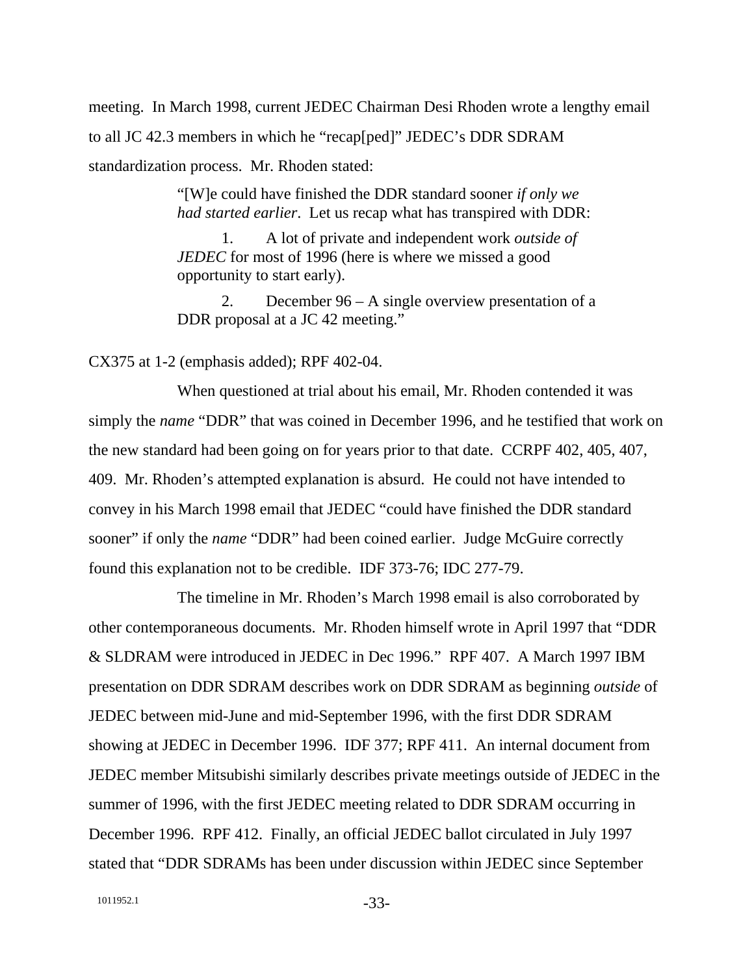meeting. In March 1998, current JEDEC Chairman Desi Rhoden wrote a lengthy email to all JC 42.3 members in which he "recap[ped]" JEDEC's DDR SDRAM standardization process. Mr. Rhoden stated:

> "[W]e could have finished the DDR standard sooner *if only we had started earlier*. Let us recap what has transpired with DDR:

 1. A lot of private and independent work *outside of JEDEC* for most of 1996 (here is where we missed a good opportunity to start early).

 2. December 96 – A single overview presentation of a DDR proposal at a JC 42 meeting."

CX375 at 1-2 (emphasis added); RPF 402-04.

When questioned at trial about his email, Mr. Rhoden contended it was simply the *name* "DDR" that was coined in December 1996, and he testified that work on the new standard had been going on for years prior to that date. CCRPF 402, 405, 407, 409. Mr. Rhoden's attempted explanation is absurd. He could not have intended to convey in his March 1998 email that JEDEC "could have finished the DDR standard sooner" if only the *name* "DDR" had been coined earlier. Judge McGuire correctly found this explanation not to be credible. IDF 373-76; IDC 277-79.

The timeline in Mr. Rhoden's March 1998 email is also corroborated by other contemporaneous documents. Mr. Rhoden himself wrote in April 1997 that "DDR & SLDRAM were introduced in JEDEC in Dec 1996." RPF 407.A March 1997 IBM presentation on DDR SDRAM describes work on DDR SDRAM as beginning *outside* of JEDEC between mid-June and mid-September 1996, with the first DDR SDRAM showing at JEDEC in December 1996. IDF 377; RPF 411. An internal document from JEDEC member Mitsubishi similarly describes private meetings outside of JEDEC in the summer of 1996, with the first JEDEC meeting related to DDR SDRAM occurring in December 1996. RPF 412. Finally, an official JEDEC ballot circulated in July 1997 stated that "DDR SDRAMs has been under discussion within JEDEC since September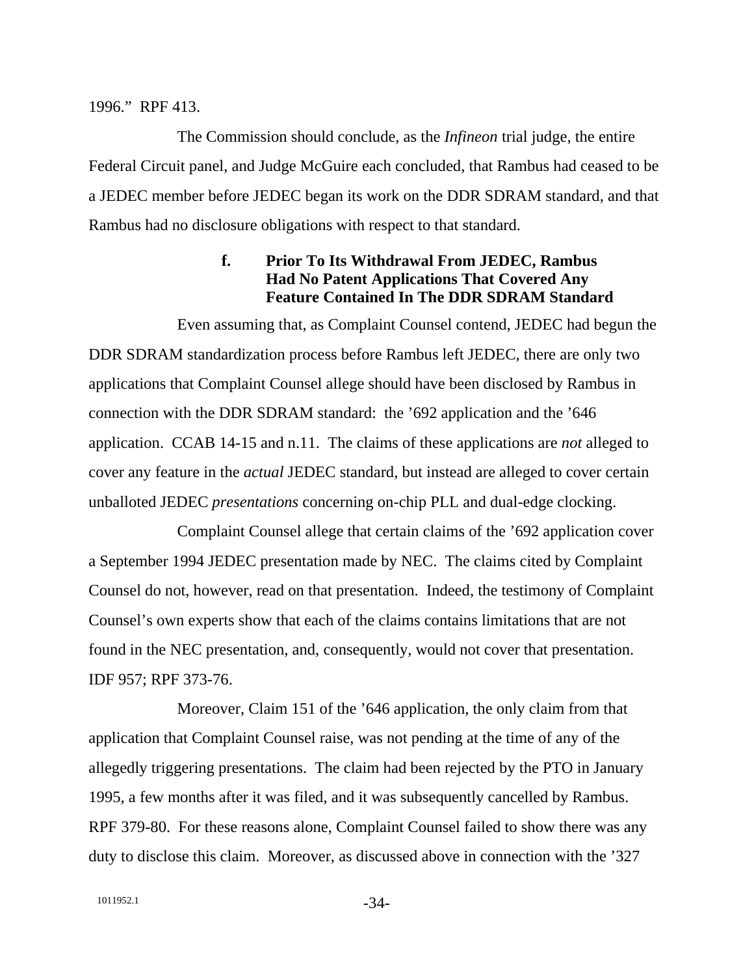#### 1996." RPF 413.

The Commission should conclude, as the *Infineon* trial judge, the entire Federal Circuit panel, and Judge McGuire each concluded, that Rambus had ceased to be a JEDEC member before JEDEC began its work on the DDR SDRAM standard, and that Rambus had no disclosure obligations with respect to that standard.

# **f. Prior To Its Withdrawal From JEDEC, Rambus Had No Patent Applications That Covered Any Feature Contained In The DDR SDRAM Standard**

Even assuming that, as Complaint Counsel contend, JEDEC had begun the DDR SDRAM standardization process before Rambus left JEDEC, there are only two applications that Complaint Counsel allege should have been disclosed by Rambus in connection with the DDR SDRAM standard: the '692 application and the '646 application. CCAB 14-15 and n.11. The claims of these applications are *not* alleged to cover any feature in the *actual* JEDEC standard, but instead are alleged to cover certain unballoted JEDEC *presentations* concerning on-chip PLL and dual-edge clocking.

Complaint Counsel allege that certain claims of the '692 application cover a September 1994 JEDEC presentation made by NEC. The claims cited by Complaint Counsel do not, however, read on that presentation. Indeed, the testimony of Complaint Counsel's own experts show that each of the claims contains limitations that are not found in the NEC presentation, and, consequently, would not cover that presentation. IDF 957; RPF 373-76.

Moreover, Claim 151 of the '646 application, the only claim from that application that Complaint Counsel raise, was not pending at the time of any of the allegedly triggering presentations. The claim had been rejected by the PTO in January 1995, a few months after it was filed, and it was subsequently cancelled by Rambus. RPF 379-80. For these reasons alone, Complaint Counsel failed to show there was any duty to disclose this claim. Moreover, as discussed above in connection with the '327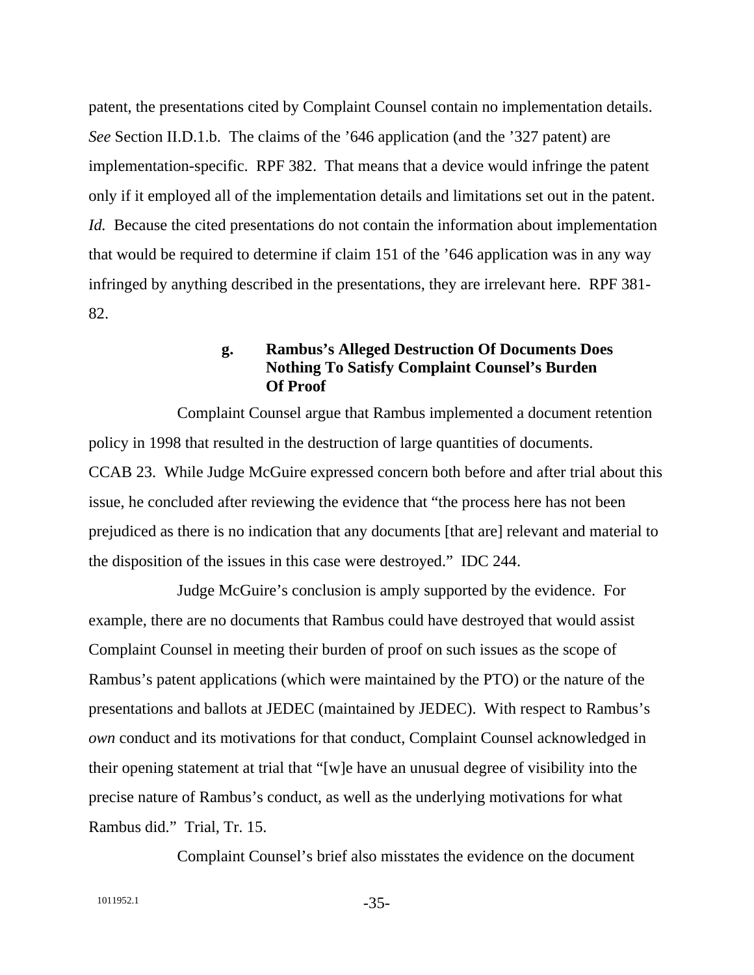patent, the presentations cited by Complaint Counsel contain no implementation details. *See* Section II.D.1.b. The claims of the '646 application (and the '327 patent) are implementation-specific. RPF 382. That means that a device would infringe the patent only if it employed all of the implementation details and limitations set out in the patent. *Id.* Because the cited presentations do not contain the information about implementation that would be required to determine if claim 151 of the '646 application was in any way infringed by anything described in the presentations, they are irrelevant here. RPF 381- 82.

### **g. Rambus's Alleged Destruction Of Documents Does Nothing To Satisfy Complaint Counsel's Burden Of Proof**

Complaint Counsel argue that Rambus implemented a document retention policy in 1998 that resulted in the destruction of large quantities of documents. CCAB 23. While Judge McGuire expressed concern both before and after trial about this issue, he concluded after reviewing the evidence that "the process here has not been prejudiced as there is no indication that any documents [that are] relevant and material to the disposition of the issues in this case were destroyed." IDC 244.

Judge McGuire's conclusion is amply supported by the evidence. For example, there are no documents that Rambus could have destroyed that would assist Complaint Counsel in meeting their burden of proof on such issues as the scope of Rambus's patent applications (which were maintained by the PTO) or the nature of the presentations and ballots at JEDEC (maintained by JEDEC). With respect to Rambus's *own* conduct and its motivations for that conduct, Complaint Counsel acknowledged in their opening statement at trial that "[w]e have an unusual degree of visibility into the precise nature of Rambus's conduct, as well as the underlying motivations for what Rambus did." Trial, Tr. 15.

Complaint Counsel's brief also misstates the evidence on the document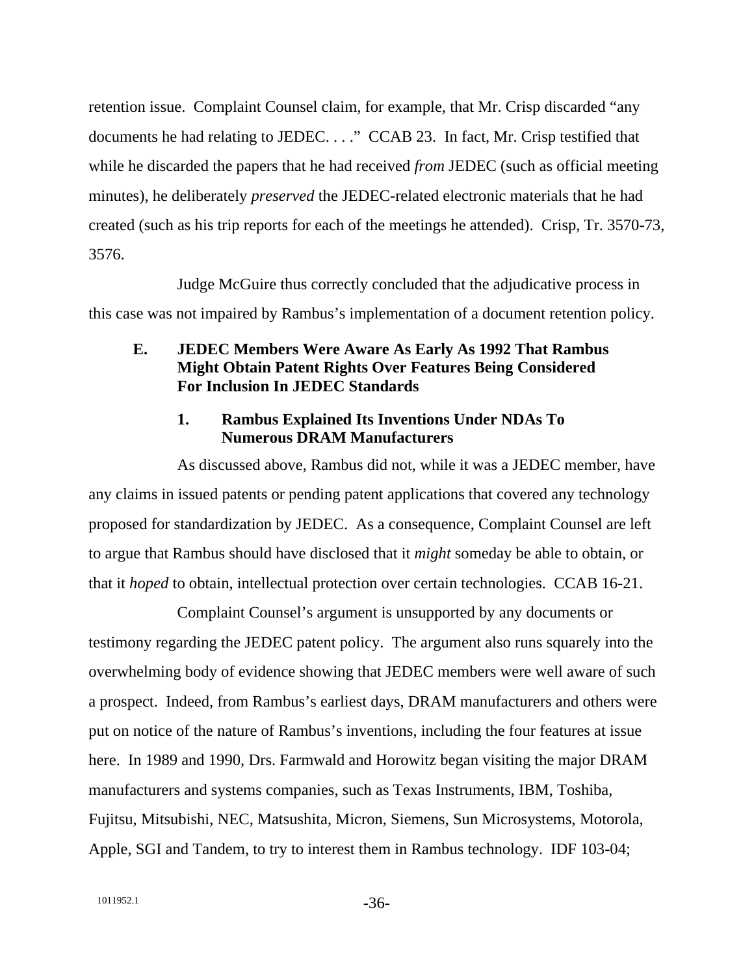retention issue. Complaint Counsel claim, for example, that Mr. Crisp discarded "any documents he had relating to JEDEC. . . ." CCAB 23. In fact, Mr. Crisp testified that while he discarded the papers that he had received *from* JEDEC (such as official meeting minutes), he deliberately *preserved* the JEDEC-related electronic materials that he had created (such as his trip reports for each of the meetings he attended). Crisp, Tr. 3570-73, 3576.

Judge McGuire thus correctly concluded that the adjudicative process in this case was not impaired by Rambus's implementation of a document retention policy.

# **E. JEDEC Members Were Aware As Early As 1992 That Rambus Might Obtain Patent Rights Over Features Being Considered For Inclusion In JEDEC Standards**

# **1. Rambus Explained Its Inventions Under NDAs To Numerous DRAM Manufacturers**

As discussed above, Rambus did not, while it was a JEDEC member, have any claims in issued patents or pending patent applications that covered any technology proposed for standardization by JEDEC. As a consequence, Complaint Counsel are left to argue that Rambus should have disclosed that it *might* someday be able to obtain, or that it *hoped* to obtain, intellectual protection over certain technologies. CCAB 16-21.

Complaint Counsel's argument is unsupported by any documents or testimony regarding the JEDEC patent policy. The argument also runs squarely into the overwhelming body of evidence showing that JEDEC members were well aware of such a prospect. Indeed, from Rambus's earliest days, DRAM manufacturers and others were put on notice of the nature of Rambus's inventions, including the four features at issue here. In 1989 and 1990, Drs. Farmwald and Horowitz began visiting the major DRAM manufacturers and systems companies, such as Texas Instruments, IBM, Toshiba, Fujitsu, Mitsubishi, NEC, Matsushita, Micron, Siemens, Sun Microsystems, Motorola, Apple, SGI and Tandem, to try to interest them in Rambus technology. IDF 103-04;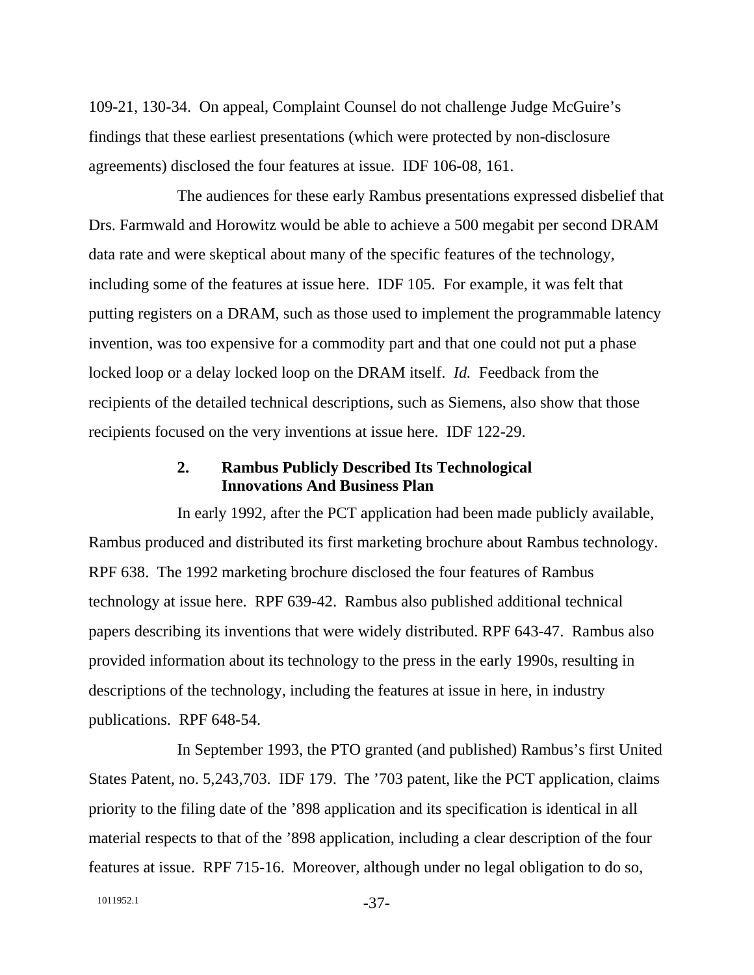109-21, 130-34. On appeal, Complaint Counsel do not challenge Judge McGuire's findings that these earliest presentations (which were protected by non-disclosure agreements) disclosed the four features at issue. IDF 106-08, 161.

The audiences for these early Rambus presentations expressed disbelief that Drs. Farmwald and Horowitz would be able to achieve a 500 megabit per second DRAM data rate and were skeptical about many of the specific features of the technology, including some of the features at issue here. IDF 105. For example, it was felt that putting registers on a DRAM, such as those used to implement the programmable latency invention, was too expensive for a commodity part and that one could not put a phase locked loop or a delay locked loop on the DRAM itself. *Id.* Feedback from the recipients of the detailed technical descriptions, such as Siemens, also show that those recipients focused on the very inventions at issue here. IDF 122-29.

## **2. Rambus Publicly Described Its Technological Innovations And Business Plan**

In early 1992, after the PCT application had been made publicly available, Rambus produced and distributed its first marketing brochure about Rambus technology. RPF 638. The 1992 marketing brochure disclosed the four features of Rambus technology at issue here. RPF 639-42. Rambus also published additional technical papers describing its inventions that were widely distributed. RPF 643-47. Rambus also provided information about its technology to the press in the early 1990s, resulting in descriptions of the technology, including the features at issue in here, in industry publications. RPF 648-54.

In September 1993, the PTO granted (and published) Rambus's first United States Patent, no. 5,243,703. IDF 179. The '703 patent, like the PCT application, claims priority to the filing date of the '898 application and its specification is identical in all material respects to that of the '898 application, including a clear description of the four features at issue. RPF 715-16. Moreover, although under no legal obligation to do so,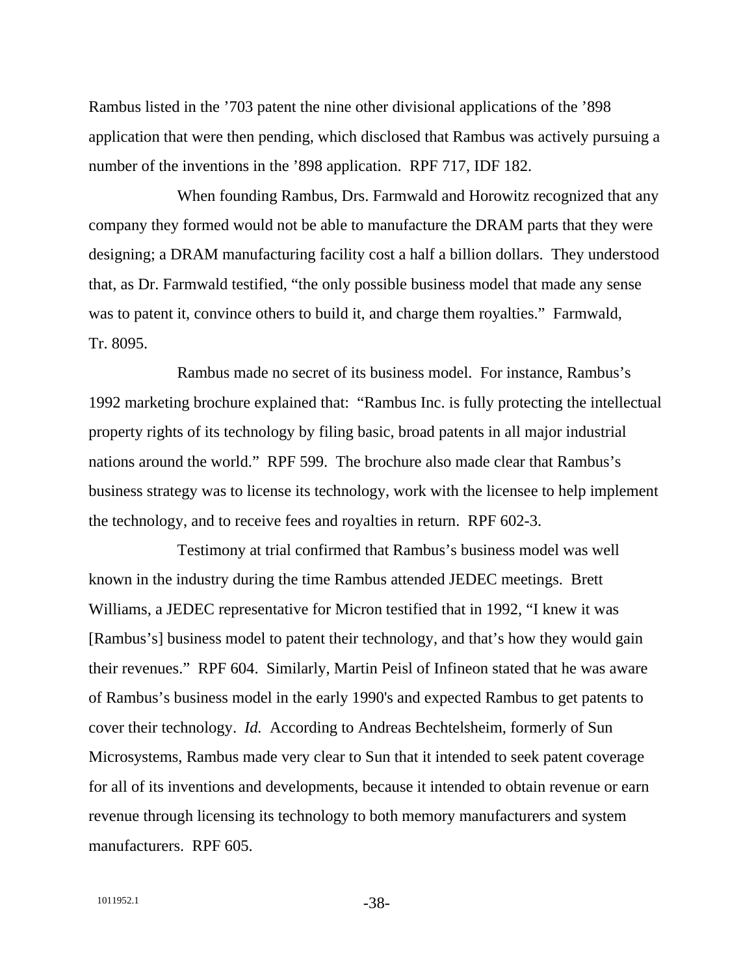Rambus listed in the '703 patent the nine other divisional applications of the '898 application that were then pending, which disclosed that Rambus was actively pursuing a number of the inventions in the '898 application. RPF 717, IDF 182.

When founding Rambus, Drs. Farmwald and Horowitz recognized that any company they formed would not be able to manufacture the DRAM parts that they were designing; a DRAM manufacturing facility cost a half a billion dollars. They understood that, as Dr. Farmwald testified, "the only possible business model that made any sense was to patent it, convince others to build it, and charge them royalties." Farmwald, Tr. 8095.

Rambus made no secret of its business model. For instance, Rambus's 1992 marketing brochure explained that: "Rambus Inc. is fully protecting the intellectual property rights of its technology by filing basic, broad patents in all major industrial nations around the world." RPF 599. The brochure also made clear that Rambus's business strategy was to license its technology, work with the licensee to help implement the technology, and to receive fees and royalties in return. RPF 602-3.

Testimony at trial confirmed that Rambus's business model was well known in the industry during the time Rambus attended JEDEC meetings. Brett Williams, a JEDEC representative for Micron testified that in 1992, "I knew it was [Rambus's] business model to patent their technology, and that's how they would gain their revenues." RPF 604. Similarly, Martin Peisl of Infineon stated that he was aware of Rambus's business model in the early 1990's and expected Rambus to get patents to cover their technology. *Id.* According to Andreas Bechtelsheim, formerly of Sun Microsystems, Rambus made very clear to Sun that it intended to seek patent coverage for all of its inventions and developments, because it intended to obtain revenue or earn revenue through licensing its technology to both memory manufacturers and system manufacturers. RPF 605.

1011952.1 -38-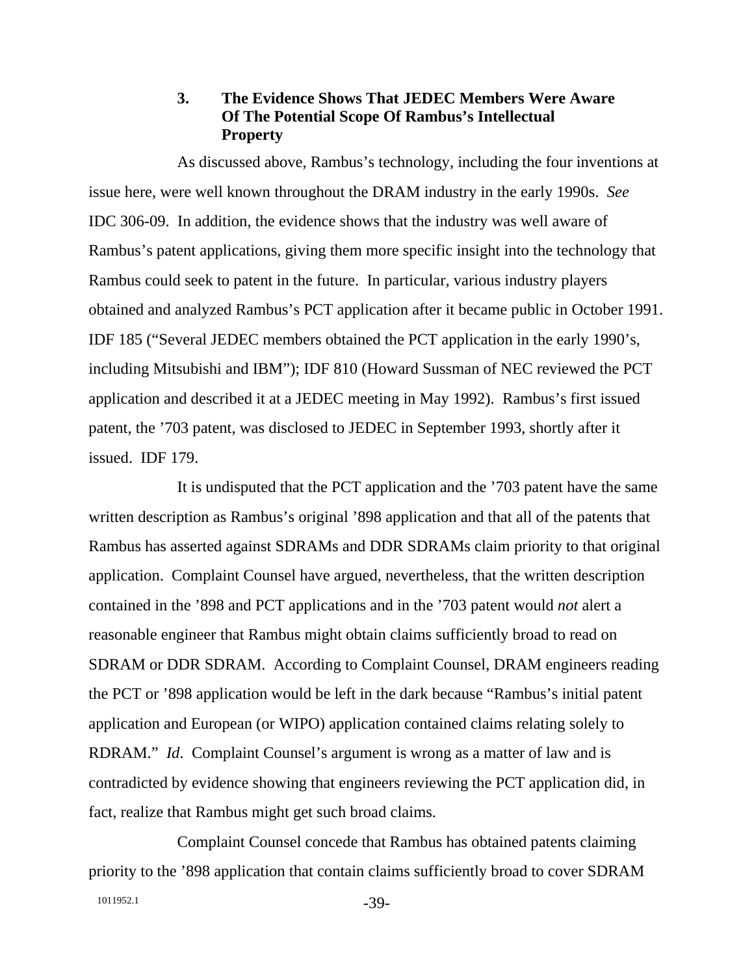#### **3. The Evidence Shows That JEDEC Members Were Aware Of The Potential Scope Of Rambus's Intellectual Property**

As discussed above, Rambus's technology, including the four inventions at issue here, were well known throughout the DRAM industry in the early 1990s. *See* IDC 306-09. In addition, the evidence shows that the industry was well aware of Rambus's patent applications, giving them more specific insight into the technology that Rambus could seek to patent in the future. In particular, various industry players obtained and analyzed Rambus's PCT application after it became public in October 1991. IDF 185 ("Several JEDEC members obtained the PCT application in the early 1990's, including Mitsubishi and IBM"); IDF 810 (Howard Sussman of NEC reviewed the PCT application and described it at a JEDEC meeting in May 1992). Rambus's first issued patent, the '703 patent, was disclosed to JEDEC in September 1993, shortly after it issued. IDF 179.

It is undisputed that the PCT application and the '703 patent have the same written description as Rambus's original '898 application and that all of the patents that Rambus has asserted against SDRAMs and DDR SDRAMs claim priority to that original application. Complaint Counsel have argued, nevertheless, that the written description contained in the '898 and PCT applications and in the '703 patent would *not* alert a reasonable engineer that Rambus might obtain claims sufficiently broad to read on SDRAM or DDR SDRAM. According to Complaint Counsel, DRAM engineers reading the PCT or '898 application would be left in the dark because "Rambus's initial patent application and European (or WIPO) application contained claims relating solely to RDRAM." *Id*. Complaint Counsel's argument is wrong as a matter of law and is contradicted by evidence showing that engineers reviewing the PCT application did, in fact, realize that Rambus might get such broad claims.

Complaint Counsel concede that Rambus has obtained patents claiming priority to the '898 application that contain claims sufficiently broad to cover SDRAM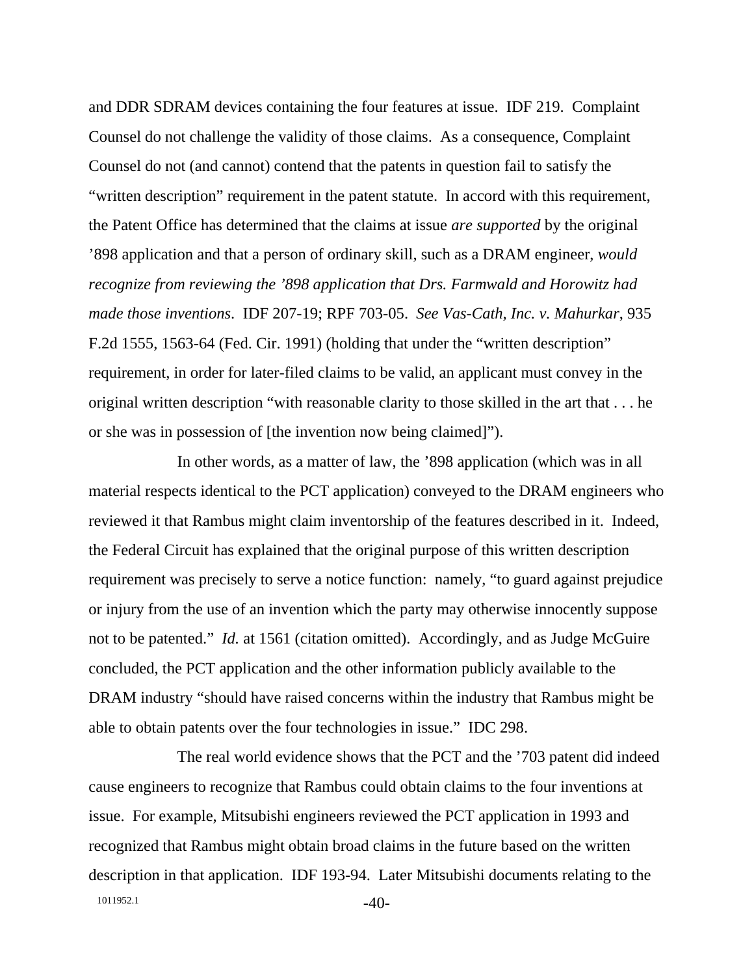and DDR SDRAM devices containing the four features at issue. IDF 219. Complaint Counsel do not challenge the validity of those claims. As a consequence, Complaint Counsel do not (and cannot) contend that the patents in question fail to satisfy the "written description" requirement in the patent statute. In accord with this requirement, the Patent Office has determined that the claims at issue *are supported* by the original '898 application and that a person of ordinary skill, such as a DRAM engineer, *would recognize from reviewing the '898 application that Drs. Farmwald and Horowitz had made those inventions*. IDF 207-19; RPF 703-05. *See Vas-Cath, Inc. v. Mahurkar*, 935 F.2d 1555, 1563-64 (Fed. Cir. 1991) (holding that under the "written description" requirement, in order for later-filed claims to be valid, an applicant must convey in the original written description "with reasonable clarity to those skilled in the art that . . . he or she was in possession of [the invention now being claimed]").

In other words, as a matter of law, the '898 application (which was in all material respects identical to the PCT application) conveyed to the DRAM engineers who reviewed it that Rambus might claim inventorship of the features described in it. Indeed, the Federal Circuit has explained that the original purpose of this written description requirement was precisely to serve a notice function: namely, "to guard against prejudice or injury from the use of an invention which the party may otherwise innocently suppose not to be patented." *Id.* at 1561 (citation omitted). Accordingly, and as Judge McGuire concluded, the PCT application and the other information publicly available to the DRAM industry "should have raised concerns within the industry that Rambus might be able to obtain patents over the four technologies in issue." IDC 298.

1011952.1 **-40-**The real world evidence shows that the PCT and the '703 patent did indeed cause engineers to recognize that Rambus could obtain claims to the four inventions at issue. For example, Mitsubishi engineers reviewed the PCT application in 1993 and recognized that Rambus might obtain broad claims in the future based on the written description in that application. IDF 193-94. Later Mitsubishi documents relating to the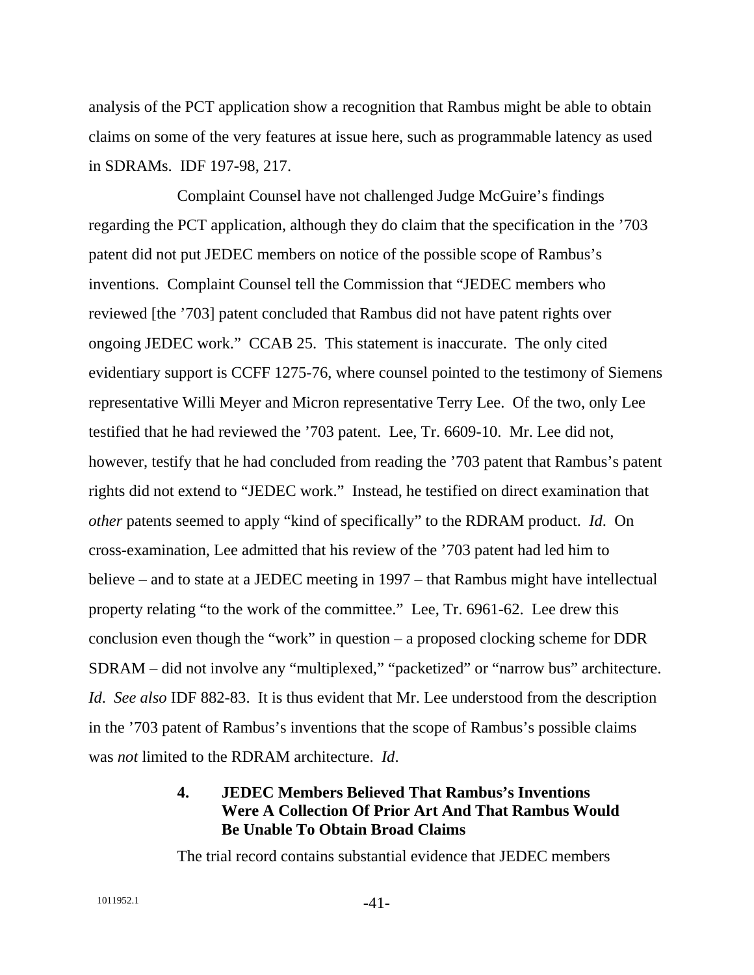analysis of the PCT application show a recognition that Rambus might be able to obtain claims on some of the very features at issue here, such as programmable latency as used in SDRAMs. IDF 197-98, 217.

Complaint Counsel have not challenged Judge McGuire's findings regarding the PCT application, although they do claim that the specification in the '703 patent did not put JEDEC members on notice of the possible scope of Rambus's inventions. Complaint Counsel tell the Commission that "JEDEC members who reviewed [the '703] patent concluded that Rambus did not have patent rights over ongoing JEDEC work." CCAB 25. This statement is inaccurate. The only cited evidentiary support is CCFF 1275-76, where counsel pointed to the testimony of Siemens representative Willi Meyer and Micron representative Terry Lee. Of the two, only Lee testified that he had reviewed the '703 patent. Lee, Tr. 6609-10. Mr. Lee did not, however, testify that he had concluded from reading the '703 patent that Rambus's patent rights did not extend to "JEDEC work." Instead, he testified on direct examination that *other* patents seemed to apply "kind of specifically" to the RDRAM product. *Id*. On cross-examination, Lee admitted that his review of the '703 patent had led him to believe – and to state at a JEDEC meeting in 1997 – that Rambus might have intellectual property relating "to the work of the committee." Lee, Tr. 6961-62. Lee drew this conclusion even though the "work" in question – a proposed clocking scheme for DDR SDRAM – did not involve any "multiplexed," "packetized" or "narrow bus" architecture. *Id*. *See also* IDF 882-83. It is thus evident that Mr. Lee understood from the description in the '703 patent of Rambus's inventions that the scope of Rambus's possible claims was *not* limited to the RDRAM architecture. *Id*.

# **4. JEDEC Members Believed That Rambus's Inventions Were A Collection Of Prior Art And That Rambus Would Be Unable To Obtain Broad Claims**

The trial record contains substantial evidence that JEDEC members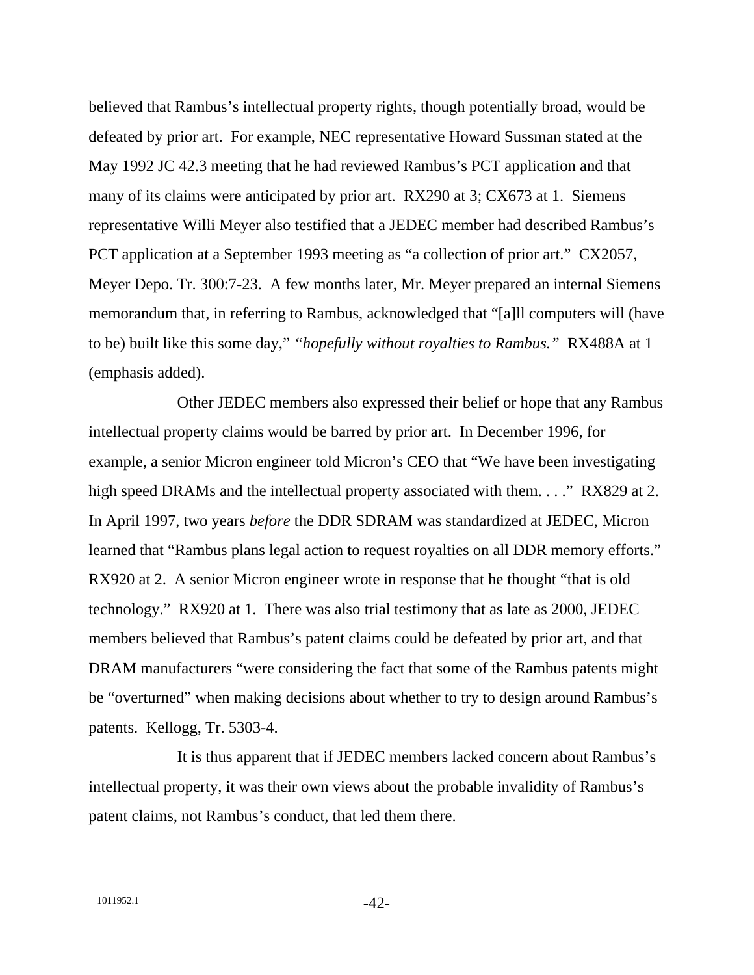believed that Rambus's intellectual property rights, though potentially broad, would be defeated by prior art. For example, NEC representative Howard Sussman stated at the May 1992 JC 42.3 meeting that he had reviewed Rambus's PCT application and that many of its claims were anticipated by prior art. RX290 at 3; CX673 at 1. Siemens representative Willi Meyer also testified that a JEDEC member had described Rambus's PCT application at a September 1993 meeting as "a collection of prior art." CX2057, Meyer Depo. Tr. 300:7-23. A few months later, Mr. Meyer prepared an internal Siemens memorandum that, in referring to Rambus, acknowledged that "[a]ll computers will (have to be) built like this some day," *"hopefully without royalties to Rambus."* RX488A at 1 (emphasis added).

Other JEDEC members also expressed their belief or hope that any Rambus intellectual property claims would be barred by prior art. In December 1996, for example, a senior Micron engineer told Micron's CEO that "We have been investigating high speed DRAMs and the intellectual property associated with them. . . ." RX829 at 2. In April 1997, two years *before* the DDR SDRAM was standardized at JEDEC, Micron learned that "Rambus plans legal action to request royalties on all DDR memory efforts." RX920 at 2. A senior Micron engineer wrote in response that he thought "that is old technology." RX920 at 1. There was also trial testimony that as late as 2000, JEDEC members believed that Rambus's patent claims could be defeated by prior art, and that DRAM manufacturers "were considering the fact that some of the Rambus patents might be "overturned" when making decisions about whether to try to design around Rambus's patents.Kellogg, Tr. 5303-4.

It is thus apparent that if JEDEC members lacked concern about Rambus's intellectual property, it was their own views about the probable invalidity of Rambus's patent claims, not Rambus's conduct, that led them there.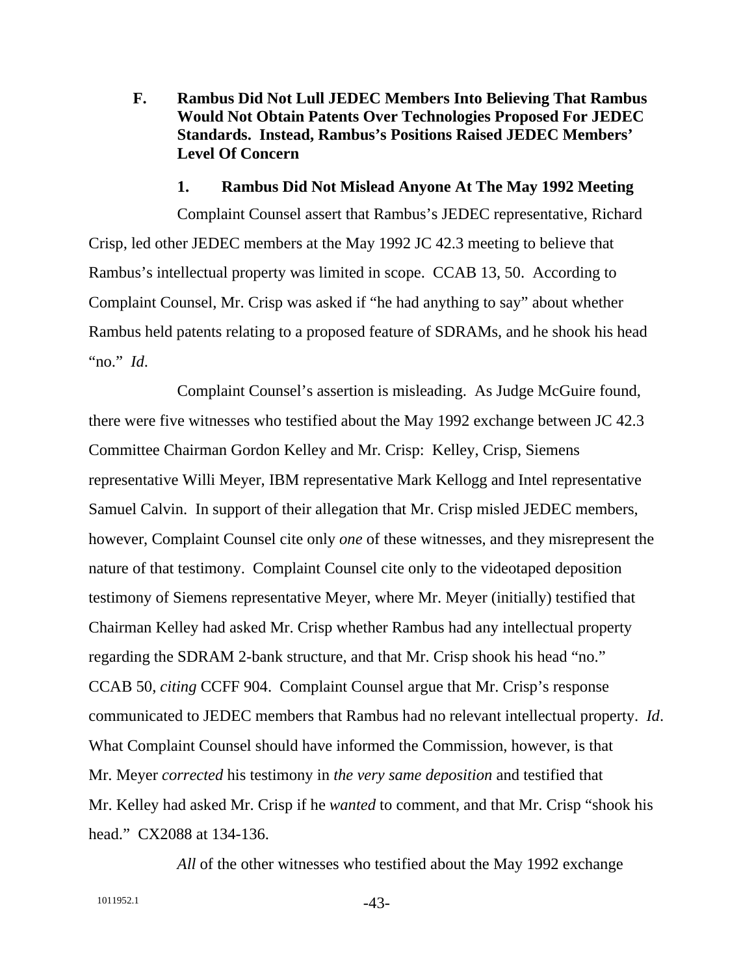**F. Rambus Did Not Lull JEDEC Members Into Believing That Rambus Would Not Obtain Patents Over Technologies Proposed For JEDEC Standards. Instead, Rambus's Positions Raised JEDEC Members' Level Of Concern** 

#### **1. Rambus Did Not Mislead Anyone At The May 1992 Meeting**

Complaint Counsel assert that Rambus's JEDEC representative, Richard Crisp, led other JEDEC members at the May 1992 JC 42.3 meeting to believe that Rambus's intellectual property was limited in scope. CCAB 13, 50. According to Complaint Counsel, Mr. Crisp was asked if "he had anything to say" about whether Rambus held patents relating to a proposed feature of SDRAMs, and he shook his head "no." *Id*.

Complaint Counsel's assertion is misleading. As Judge McGuire found, there were five witnesses who testified about the May 1992 exchange between JC 42.3 Committee Chairman Gordon Kelley and Mr. Crisp: Kelley, Crisp, Siemens representative Willi Meyer, IBM representative Mark Kellogg and Intel representative Samuel Calvin. In support of their allegation that Mr. Crisp misled JEDEC members, however, Complaint Counsel cite only *one* of these witnesses, and they misrepresent the nature of that testimony. Complaint Counsel cite only to the videotaped deposition testimony of Siemens representative Meyer, where Mr. Meyer (initially) testified that Chairman Kelley had asked Mr. Crisp whether Rambus had any intellectual property regarding the SDRAM 2-bank structure, and that Mr. Crisp shook his head "no." CCAB 50, *citing* CCFF 904. Complaint Counsel argue that Mr. Crisp's response communicated to JEDEC members that Rambus had no relevant intellectual property. *Id*. What Complaint Counsel should have informed the Commission, however, is that Mr. Meyer *corrected* his testimony in *the very same deposition* and testified that Mr. Kelley had asked Mr. Crisp if he *wanted* to comment, and that Mr. Crisp "shook his head." CX2088 at 134-136.

*All* of the other witnesses who testified about the May 1992 exchange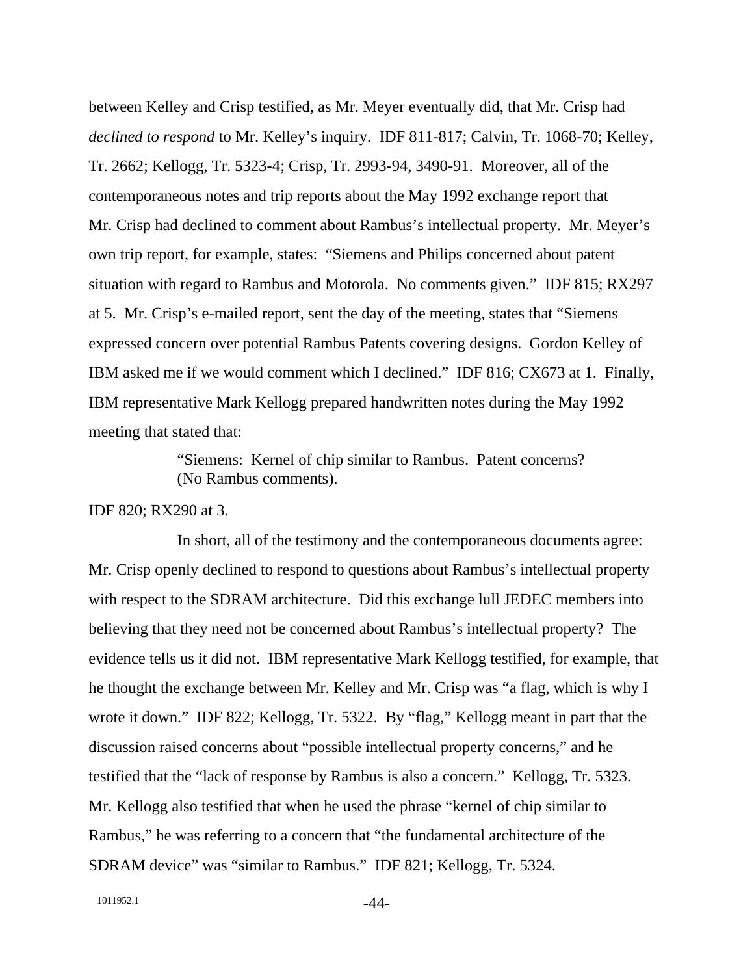between Kelley and Crisp testified, as Mr. Meyer eventually did, that Mr. Crisp had *declined to respond* to Mr. Kelley's inquiry. IDF 811-817; Calvin, Tr. 1068-70; Kelley, Tr. 2662; Kellogg, Tr. 5323-4; Crisp, Tr. 2993-94, 3490-91. Moreover, all of the contemporaneous notes and trip reports about the May 1992 exchange report that Mr. Crisp had declined to comment about Rambus's intellectual property. Mr. Meyer's own trip report, for example, states: "Siemens and Philips concerned about patent situation with regard to Rambus and Motorola. No comments given." IDF 815; RX297 at 5. Mr. Crisp's e-mailed report, sent the day of the meeting, states that "Siemens expressed concern over potential Rambus Patents covering designs. Gordon Kelley of IBM asked me if we would comment which I declined." IDF 816; CX673 at 1. Finally, IBM representative Mark Kellogg prepared handwritten notes during the May 1992 meeting that stated that:

> "Siemens: Kernel of chip similar to Rambus. Patent concerns? (No Rambus comments).

#### IDF 820; RX290 at 3.

In short, all of the testimony and the contemporaneous documents agree: Mr. Crisp openly declined to respond to questions about Rambus's intellectual property with respect to the SDRAM architecture. Did this exchange lull JEDEC members into believing that they need not be concerned about Rambus's intellectual property? The evidence tells us it did not. IBM representative Mark Kellogg testified, for example, that he thought the exchange between Mr. Kelley and Mr. Crisp was "a flag, which is why I wrote it down." IDF 822; Kellogg, Tr. 5322. By "flag," Kellogg meant in part that the discussion raised concerns about "possible intellectual property concerns," and he testified that the "lack of response by Rambus is also a concern." Kellogg, Tr. 5323. Mr. Kellogg also testified that when he used the phrase "kernel of chip similar to Rambus," he was referring to a concern that "the fundamental architecture of the SDRAM device" was "similar to Rambus." IDF 821; Kellogg, Tr. 5324.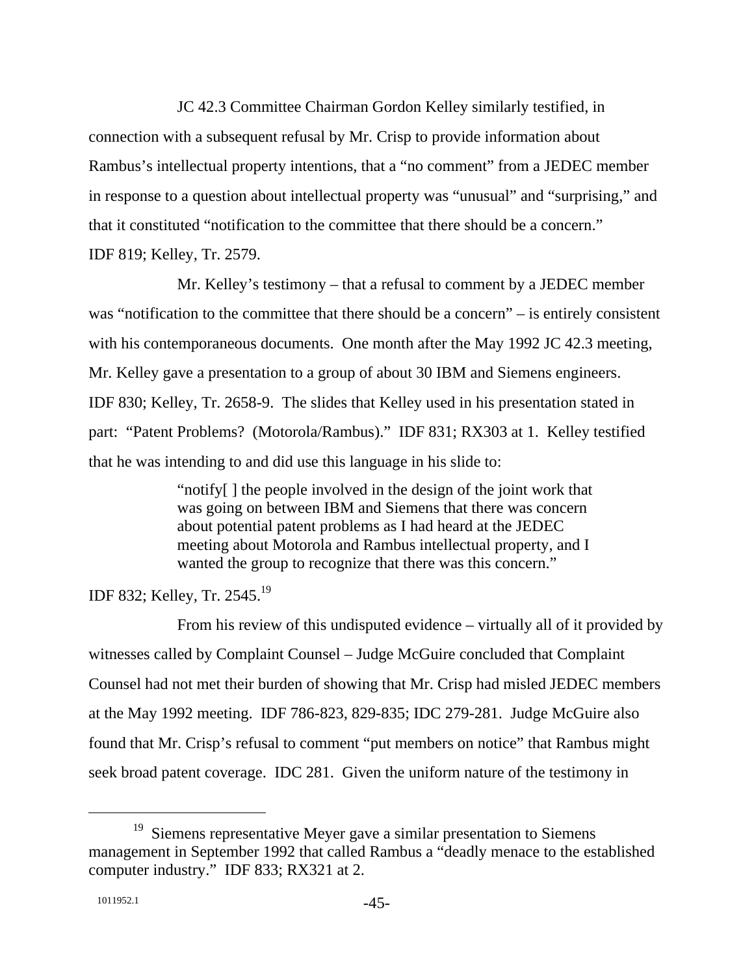JC 42.3 Committee Chairman Gordon Kelley similarly testified, in connection with a subsequent refusal by Mr. Crisp to provide information about Rambus's intellectual property intentions, that a "no comment" from a JEDEC member in response to a question about intellectual property was "unusual" and "surprising," and that it constituted "notification to the committee that there should be a concern." IDF 819; Kelley, Tr. 2579.

Mr. Kelley's testimony – that a refusal to comment by a JEDEC member was "notification to the committee that there should be a concern" – is entirely consistent with his contemporaneous documents. One month after the May 1992 JC 42.3 meeting, Mr. Kelley gave a presentation to a group of about 30 IBM and Siemens engineers. IDF 830; Kelley, Tr. 2658-9. The slides that Kelley used in his presentation stated in part: "Patent Problems? (Motorola/Rambus)." IDF 831; RX303 at 1. Kelley testified that he was intending to and did use this language in his slide to:

> "notify[ ] the people involved in the design of the joint work that was going on between IBM and Siemens that there was concern about potential patent problems as I had heard at the JEDEC meeting about Motorola and Rambus intellectual property, and I wanted the group to recognize that there was this concern."

IDF 832; Kelley, Tr. 2545.19

From his review of this undisputed evidence – virtually all of it provided by witnesses called by Complaint Counsel – Judge McGuire concluded that Complaint Counsel had not met their burden of showing that Mr. Crisp had misled JEDEC members at the May 1992 meeting. IDF 786-823, 829-835; IDC 279-281. Judge McGuire also found that Mr. Crisp's refusal to comment "put members on notice" that Rambus might seek broad patent coverage. IDC 281. Given the uniform nature of the testimony in

<sup>&</sup>lt;sup>19</sup> Siemens representative Meyer gave a similar presentation to Siemens management in September 1992 that called Rambus a "deadly menace to the established computer industry." IDF 833; RX321 at 2.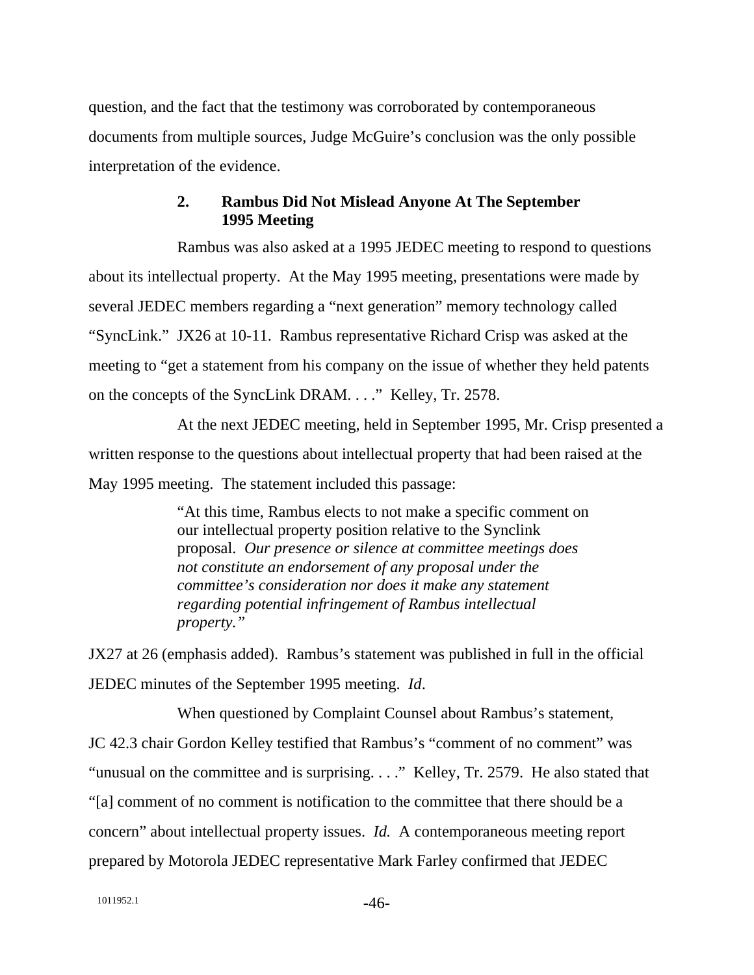question, and the fact that the testimony was corroborated by contemporaneous documents from multiple sources, Judge McGuire's conclusion was the only possible interpretation of the evidence.

## **2. Rambus Did Not Mislead Anyone At The September 1995 Meeting**

Rambus was also asked at a 1995 JEDEC meeting to respond to questions about its intellectual property. At the May 1995 meeting, presentations were made by several JEDEC members regarding a "next generation" memory technology called "SyncLink." JX26 at 10-11. Rambus representative Richard Crisp was asked at the meeting to "get a statement from his company on the issue of whether they held patents on the concepts of the SyncLink DRAM. . . ." Kelley, Tr. 2578.

At the next JEDEC meeting, held in September 1995, Mr. Crisp presented a written response to the questions about intellectual property that had been raised at the May 1995 meeting. The statement included this passage:

> "At this time, Rambus elects to not make a specific comment on our intellectual property position relative to the Synclink proposal. *Our presence or silence at committee meetings does not constitute an endorsement of any proposal under the committee's consideration nor does it make any statement regarding potential infringement of Rambus intellectual property."*

JX27 at 26 (emphasis added). Rambus's statement was published in full in the official JEDEC minutes of the September 1995 meeting. *Id*.

When questioned by Complaint Counsel about Rambus's statement, JC 42.3 chair Gordon Kelley testified that Rambus's "comment of no comment" was "unusual on the committee and is surprising. . . ." Kelley, Tr. 2579. He also stated that "[a] comment of no comment is notification to the committee that there should be a concern" about intellectual property issues. *Id.* A contemporaneous meeting report prepared by Motorola JEDEC representative Mark Farley confirmed that JEDEC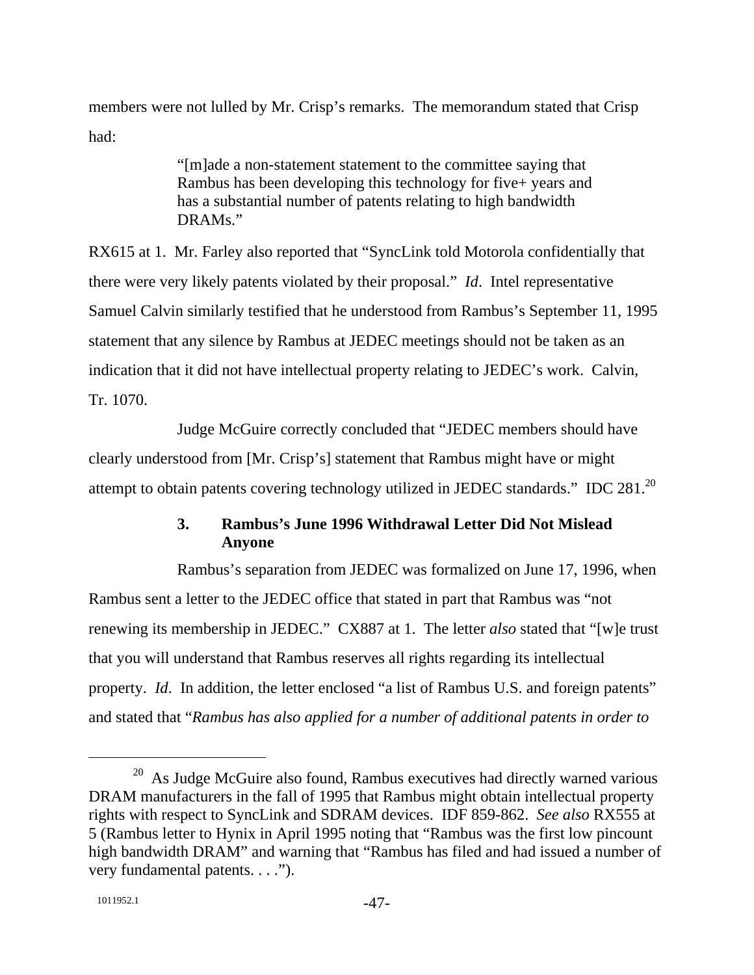members were not lulled by Mr. Crisp's remarks. The memorandum stated that Crisp had:

> "[m]ade a non-statement statement to the committee saying that Rambus has been developing this technology for five+ years and has a substantial number of patents relating to high bandwidth DRAMs."

RX615 at 1. Mr. Farley also reported that "SyncLink told Motorola confidentially that there were very likely patents violated by their proposal." *Id*. Intel representative Samuel Calvin similarly testified that he understood from Rambus's September 11, 1995 statement that any silence by Rambus at JEDEC meetings should not be taken as an indication that it did not have intellectual property relating to JEDEC's work. Calvin, Tr. 1070.

Judge McGuire correctly concluded that "JEDEC members should have clearly understood from [Mr. Crisp's] statement that Rambus might have or might attempt to obtain patents covering technology utilized in JEDEC standards." IDC 281.20

# **3. Rambus's June 1996 Withdrawal Letter Did Not Mislead Anyone**

Rambus's separation from JEDEC was formalized on June 17, 1996, when Rambus sent a letter to the JEDEC office that stated in part that Rambus was "not renewing its membership in JEDEC." CX887 at 1. The letter *also* stated that "[w]e trust that you will understand that Rambus reserves all rights regarding its intellectual property. *Id*. In addition, the letter enclosed "a list of Rambus U.S. and foreign patents" and stated that "*Rambus has also applied for a number of additional patents in order to* 

 $20$  As Judge McGuire also found, Rambus executives had directly warned various DRAM manufacturers in the fall of 1995 that Rambus might obtain intellectual property rights with respect to SyncLink and SDRAM devices. IDF 859-862. *See also* RX555 at 5 (Rambus letter to Hynix in April 1995 noting that "Rambus was the first low pincount high bandwidth DRAM" and warning that "Rambus has filed and had issued a number of very fundamental patents. . . .").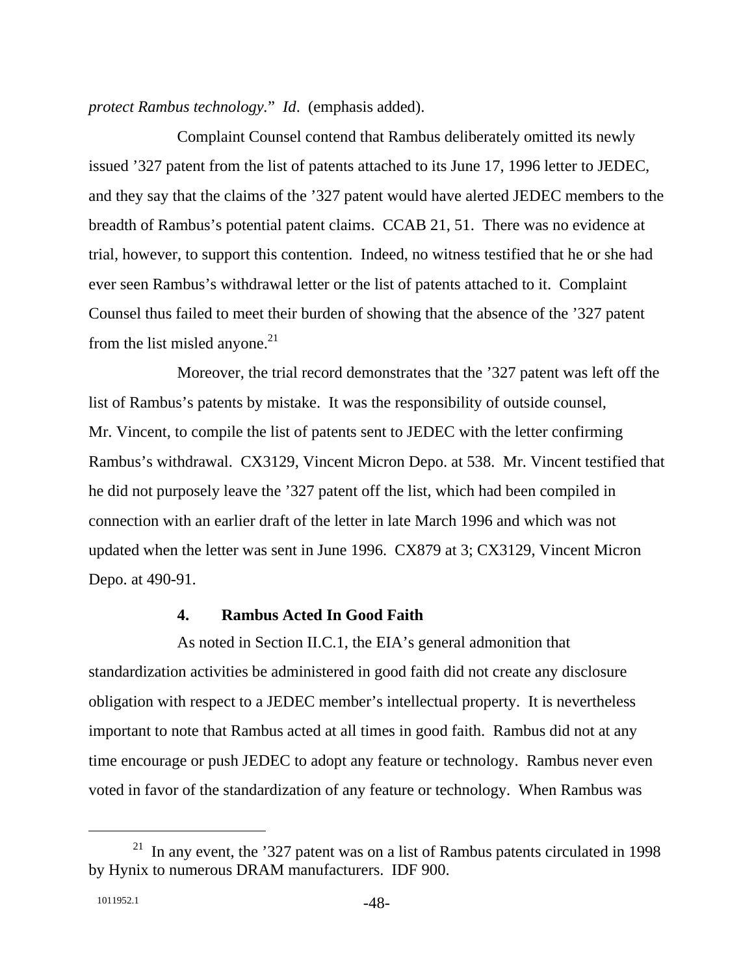*protect Rambus technology.*" *Id*. (emphasis added).

Complaint Counsel contend that Rambus deliberately omitted its newly issued '327 patent from the list of patents attached to its June 17, 1996 letter to JEDEC, and they say that the claims of the '327 patent would have alerted JEDEC members to the breadth of Rambus's potential patent claims. CCAB 21, 51. There was no evidence at trial, however, to support this contention. Indeed, no witness testified that he or she had ever seen Rambus's withdrawal letter or the list of patents attached to it. Complaint Counsel thus failed to meet their burden of showing that the absence of the '327 patent from the list misled anyone. $21$ 

Moreover, the trial record demonstrates that the '327 patent was left off the list of Rambus's patents by mistake. It was the responsibility of outside counsel, Mr. Vincent, to compile the list of patents sent to JEDEC with the letter confirming Rambus's withdrawal. CX3129, Vincent Micron Depo. at 538. Mr. Vincent testified that he did not purposely leave the '327 patent off the list, which had been compiled in connection with an earlier draft of the letter in late March 1996 and which was not updated when the letter was sent in June 1996. CX879 at 3; CX3129, Vincent Micron Depo. at 490-91.

#### **4. Rambus Acted In Good Faith**

As noted in Section II.C.1, the EIA's general admonition that standardization activities be administered in good faith did not create any disclosure obligation with respect to a JEDEC member's intellectual property. It is nevertheless important to note that Rambus acted at all times in good faith. Rambus did not at any time encourage or push JEDEC to adopt any feature or technology. Rambus never even voted in favor of the standardization of any feature or technology. When Rambus was

 $21$  In any event, the '327 patent was on a list of Rambus patents circulated in 1998 by Hynix to numerous DRAM manufacturers. IDF 900.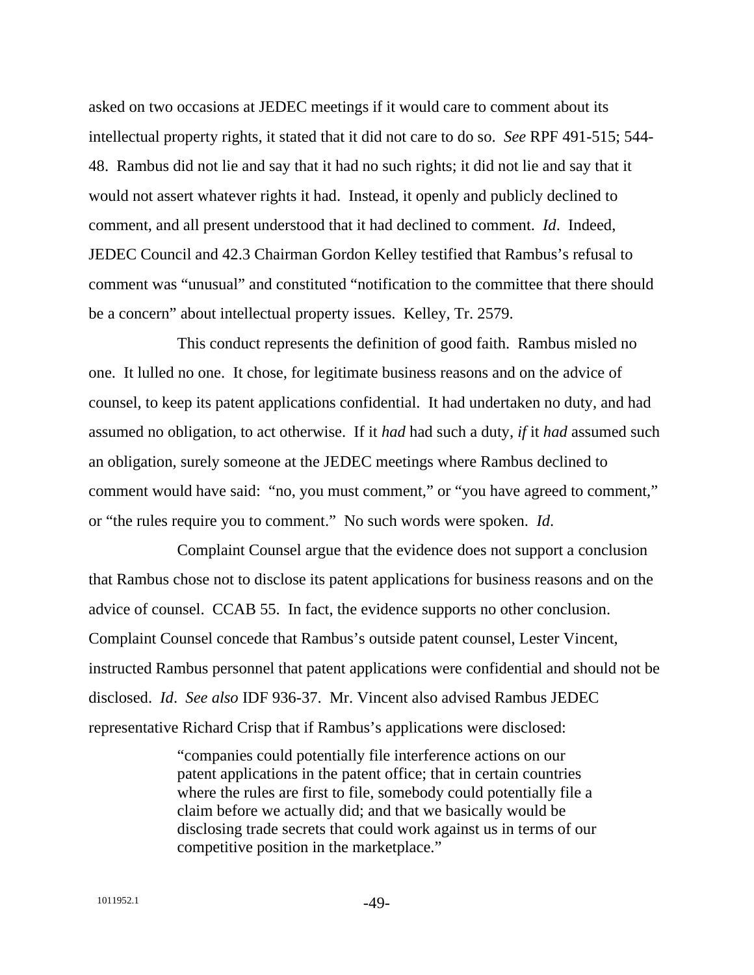asked on two occasions at JEDEC meetings if it would care to comment about its intellectual property rights, it stated that it did not care to do so. *See* RPF 491-515; 544- 48. Rambus did not lie and say that it had no such rights; it did not lie and say that it would not assert whatever rights it had. Instead, it openly and publicly declined to comment, and all present understood that it had declined to comment. *Id*. Indeed, JEDEC Council and 42.3 Chairman Gordon Kelley testified that Rambus's refusal to comment was "unusual" and constituted "notification to the committee that there should be a concern" about intellectual property issues. Kelley, Tr. 2579.

This conduct represents the definition of good faith. Rambus misled no one. It lulled no one. It chose, for legitimate business reasons and on the advice of counsel, to keep its patent applications confidential. It had undertaken no duty, and had assumed no obligation, to act otherwise. If it *had* had such a duty, *if* it *had* assumed such an obligation, surely someone at the JEDEC meetings where Rambus declined to comment would have said: "no, you must comment," or "you have agreed to comment," or "the rules require you to comment." No such words were spoken. *Id*.

Complaint Counsel argue that the evidence does not support a conclusion that Rambus chose not to disclose its patent applications for business reasons and on the advice of counsel. CCAB 55. In fact, the evidence supports no other conclusion. Complaint Counsel concede that Rambus's outside patent counsel, Lester Vincent, instructed Rambus personnel that patent applications were confidential and should not be disclosed. *Id*. *See also* IDF 936-37. Mr. Vincent also advised Rambus JEDEC representative Richard Crisp that if Rambus's applications were disclosed:

> "companies could potentially file interference actions on our patent applications in the patent office; that in certain countries where the rules are first to file, somebody could potentially file a claim before we actually did; and that we basically would be disclosing trade secrets that could work against us in terms of our competitive position in the marketplace."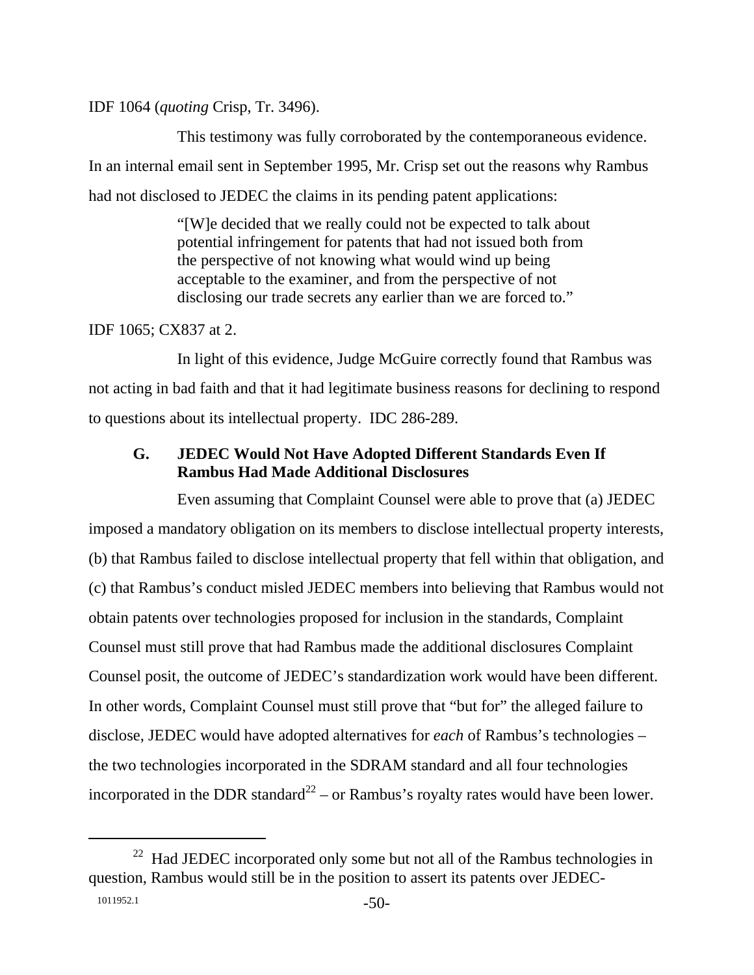IDF 1064 (*quoting* Crisp, Tr. 3496).

This testimony was fully corroborated by the contemporaneous evidence. In an internal email sent in September 1995, Mr. Crisp set out the reasons why Rambus had not disclosed to JEDEC the claims in its pending patent applications:

> "[W]e decided that we really could not be expected to talk about potential infringement for patents that had not issued both from the perspective of not knowing what would wind up being acceptable to the examiner, and from the perspective of not disclosing our trade secrets any earlier than we are forced to."

IDF 1065; CX837 at 2.

In light of this evidence, Judge McGuire correctly found that Rambus was not acting in bad faith and that it had legitimate business reasons for declining to respond to questions about its intellectual property. IDC 286-289.

# **G. JEDEC Would Not Have Adopted Different Standards Even If Rambus Had Made Additional Disclosures**

Even assuming that Complaint Counsel were able to prove that (a) JEDEC imposed a mandatory obligation on its members to disclose intellectual property interests, (b) that Rambus failed to disclose intellectual property that fell within that obligation, and (c) that Rambus's conduct misled JEDEC members into believing that Rambus would not obtain patents over technologies proposed for inclusion in the standards, Complaint Counsel must still prove that had Rambus made the additional disclosures Complaint Counsel posit, the outcome of JEDEC's standardization work would have been different. In other words, Complaint Counsel must still prove that "but for" the alleged failure to disclose, JEDEC would have adopted alternatives for *each* of Rambus's technologies – the two technologies incorporated in the SDRAM standard and all four technologies incorporated in the DDR standard<sup>22</sup> – or Rambus's royalty rates would have been lower.

 $22$  Had JEDEC incorporated only some but not all of the Rambus technologies in question, Rambus would still be in the position to assert its patents over JEDEC-

<sup>1011952.1 -50-</sup>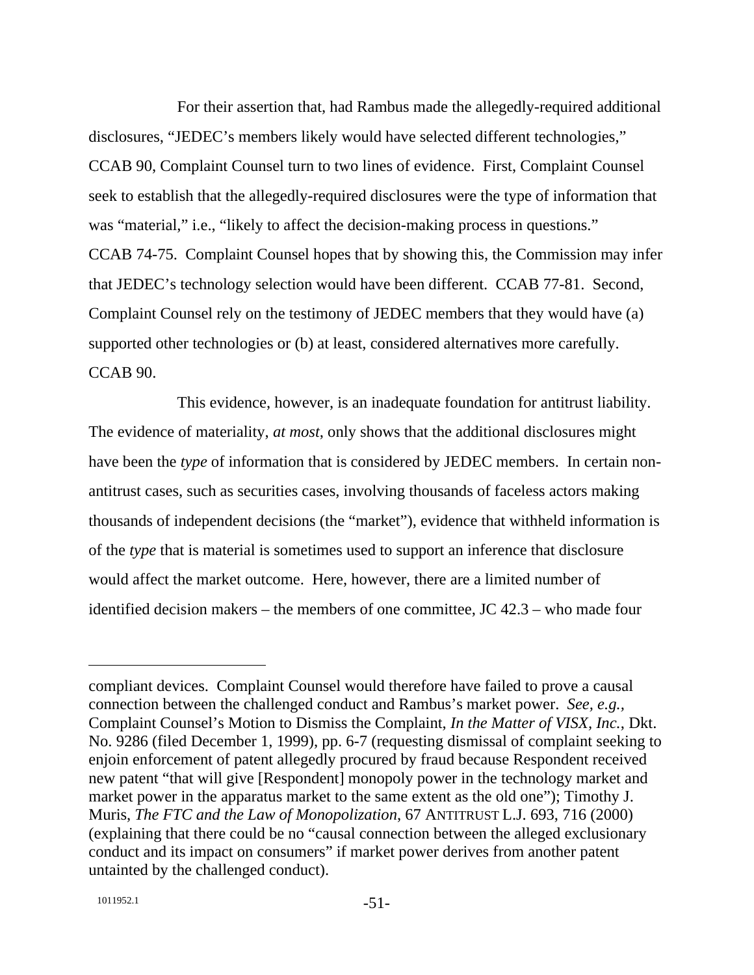For their assertion that, had Rambus made the allegedly-required additional disclosures, "JEDEC's members likely would have selected different technologies," CCAB 90, Complaint Counsel turn to two lines of evidence. First, Complaint Counsel seek to establish that the allegedly-required disclosures were the type of information that was "material," i.e., "likely to affect the decision-making process in questions." CCAB 74-75. Complaint Counsel hopes that by showing this, the Commission may infer that JEDEC's technology selection would have been different. CCAB 77-81. Second, Complaint Counsel rely on the testimony of JEDEC members that they would have (a) supported other technologies or (b) at least, considered alternatives more carefully. CCAB 90.

This evidence, however, is an inadequate foundation for antitrust liability. The evidence of materiality, *at most*, only shows that the additional disclosures might have been the *type* of information that is considered by JEDEC members. In certain nonantitrust cases, such as securities cases, involving thousands of faceless actors making thousands of independent decisions (the "market"), evidence that withheld information is of the *type* that is material is sometimes used to support an inference that disclosure would affect the market outcome. Here, however, there are a limited number of identified decision makers – the members of one committee, JC 42.3 – who made four

 $\overline{a}$ 

compliant devices. Complaint Counsel would therefore have failed to prove a causal connection between the challenged conduct and Rambus's market power. *See, e.g.,* Complaint Counsel's Motion to Dismiss the Complaint, *In the Matter of VISX, Inc.*, Dkt. No. 9286 (filed December 1, 1999), pp. 6-7 (requesting dismissal of complaint seeking to enjoin enforcement of patent allegedly procured by fraud because Respondent received new patent "that will give [Respondent] monopoly power in the technology market and market power in the apparatus market to the same extent as the old one"); Timothy J. Muris, *The FTC and the Law of Monopolization*, 67 ANTITRUST L.J. 693, 716 (2000) (explaining that there could be no "causal connection between the alleged exclusionary conduct and its impact on consumers" if market power derives from another patent untainted by the challenged conduct).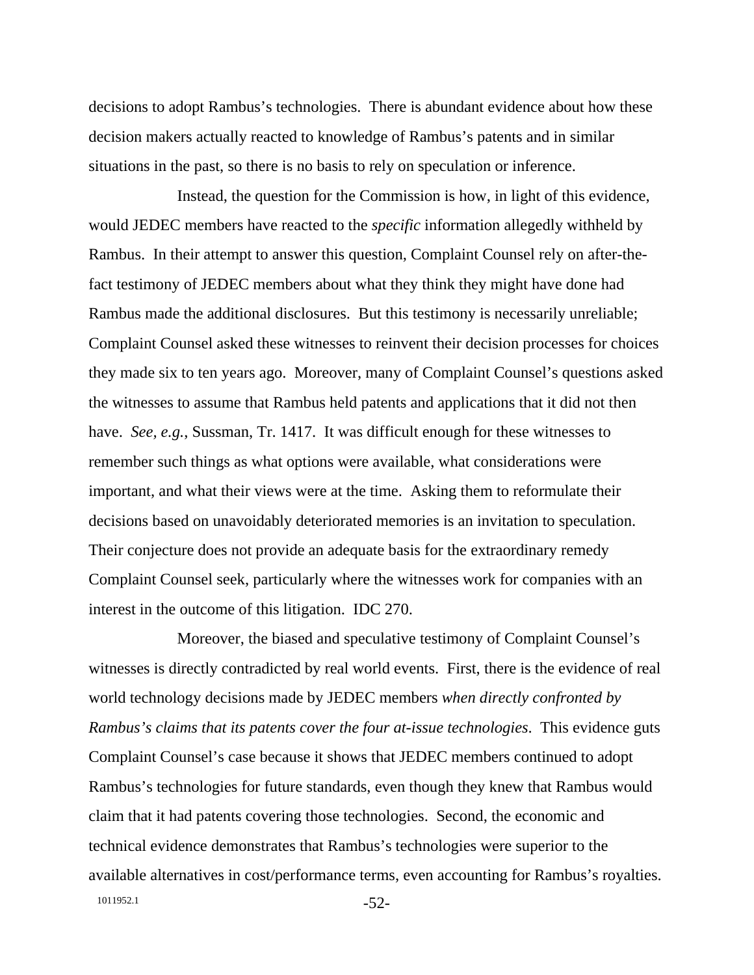decisions to adopt Rambus's technologies. There is abundant evidence about how these decision makers actually reacted to knowledge of Rambus's patents and in similar situations in the past, so there is no basis to rely on speculation or inference.

Instead, the question for the Commission is how, in light of this evidence, would JEDEC members have reacted to the *specific* information allegedly withheld by Rambus. In their attempt to answer this question, Complaint Counsel rely on after-thefact testimony of JEDEC members about what they think they might have done had Rambus made the additional disclosures. But this testimony is necessarily unreliable; Complaint Counsel asked these witnesses to reinvent their decision processes for choices they made six to ten years ago. Moreover, many of Complaint Counsel's questions asked the witnesses to assume that Rambus held patents and applications that it did not then have. *See, e.g.*, Sussman, Tr. 1417. It was difficult enough for these witnesses to remember such things as what options were available, what considerations were important, and what their views were at the time. Asking them to reformulate their decisions based on unavoidably deteriorated memories is an invitation to speculation. Their conjecture does not provide an adequate basis for the extraordinary remedy Complaint Counsel seek, particularly where the witnesses work for companies with an interest in the outcome of this litigation. IDC 270.

1011952.1 -52-Moreover, the biased and speculative testimony of Complaint Counsel's witnesses is directly contradicted by real world events. First, there is the evidence of real world technology decisions made by JEDEC members *when directly confronted by Rambus's claims that its patents cover the four at-issue technologies*. This evidence guts Complaint Counsel's case because it shows that JEDEC members continued to adopt Rambus's technologies for future standards, even though they knew that Rambus would claim that it had patents covering those technologies. Second, the economic and technical evidence demonstrates that Rambus's technologies were superior to the available alternatives in cost/performance terms, even accounting for Rambus's royalties.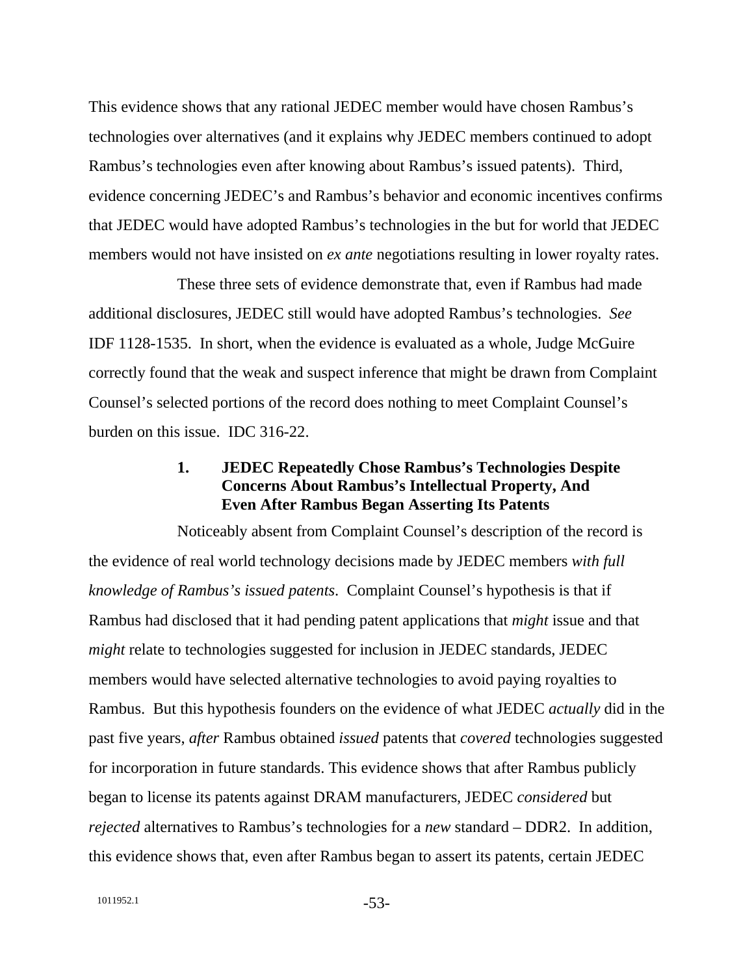This evidence shows that any rational JEDEC member would have chosen Rambus's technologies over alternatives (and it explains why JEDEC members continued to adopt Rambus's technologies even after knowing about Rambus's issued patents). Third, evidence concerning JEDEC's and Rambus's behavior and economic incentives confirms that JEDEC would have adopted Rambus's technologies in the but for world that JEDEC members would not have insisted on *ex ante* negotiations resulting in lower royalty rates.

These three sets of evidence demonstrate that, even if Rambus had made additional disclosures, JEDEC still would have adopted Rambus's technologies. *See* IDF 1128-1535. In short, when the evidence is evaluated as a whole, Judge McGuire correctly found that the weak and suspect inference that might be drawn from Complaint Counsel's selected portions of the record does nothing to meet Complaint Counsel's burden on this issue. IDC 316-22.

### **1. JEDEC Repeatedly Chose Rambus's Technologies Despite Concerns About Rambus's Intellectual Property, And Even After Rambus Began Asserting Its Patents**

Noticeably absent from Complaint Counsel's description of the record is the evidence of real world technology decisions made by JEDEC members *with full knowledge of Rambus's issued patents*. Complaint Counsel's hypothesis is that if Rambus had disclosed that it had pending patent applications that *might* issue and that *might* relate to technologies suggested for inclusion in JEDEC standards, JEDEC members would have selected alternative technologies to avoid paying royalties to Rambus. But this hypothesis founders on the evidence of what JEDEC *actually* did in the past five years, *after* Rambus obtained *issued* patents that *covered* technologies suggested for incorporation in future standards. This evidence shows that after Rambus publicly began to license its patents against DRAM manufacturers, JEDEC *considered* but *rejected* alternatives to Rambus's technologies for a *new* standard – DDR2. In addition, this evidence shows that, even after Rambus began to assert its patents, certain JEDEC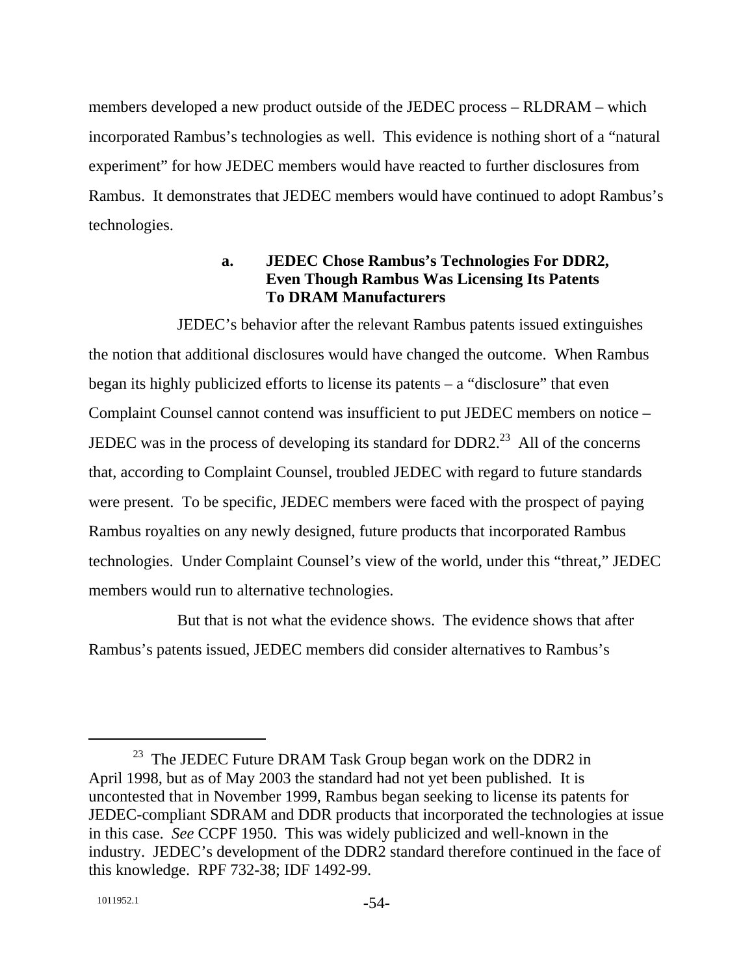members developed a new product outside of the JEDEC process – RLDRAM – which incorporated Rambus's technologies as well. This evidence is nothing short of a "natural experiment" for how JEDEC members would have reacted to further disclosures from Rambus. It demonstrates that JEDEC members would have continued to adopt Rambus's technologies.

# **a. JEDEC Chose Rambus's Technologies For DDR2, Even Though Rambus Was Licensing Its Patents To DRAM Manufacturers**

JEDEC's behavior after the relevant Rambus patents issued extinguishes the notion that additional disclosures would have changed the outcome. When Rambus began its highly publicized efforts to license its patents – a "disclosure" that even Complaint Counsel cannot contend was insufficient to put JEDEC members on notice – JEDEC was in the process of developing its standard for  $DDR2<sup>23</sup>$ . All of the concerns that, according to Complaint Counsel, troubled JEDEC with regard to future standards were present. To be specific, JEDEC members were faced with the prospect of paying Rambus royalties on any newly designed, future products that incorporated Rambus technologies. Under Complaint Counsel's view of the world, under this "threat," JEDEC members would run to alternative technologies.

But that is not what the evidence shows. The evidence shows that after Rambus's patents issued, JEDEC members did consider alternatives to Rambus's

 $23$  The JEDEC Future DRAM Task Group began work on the DDR2 in April 1998, but as of May 2003 the standard had not yet been published. It is uncontested that in November 1999, Rambus began seeking to license its patents for JEDEC-compliant SDRAM and DDR products that incorporated the technologies at issue in this case. *See* CCPF 1950. This was widely publicized and well-known in the industry. JEDEC's development of the DDR2 standard therefore continued in the face of this knowledge. RPF 732-38; IDF 1492-99.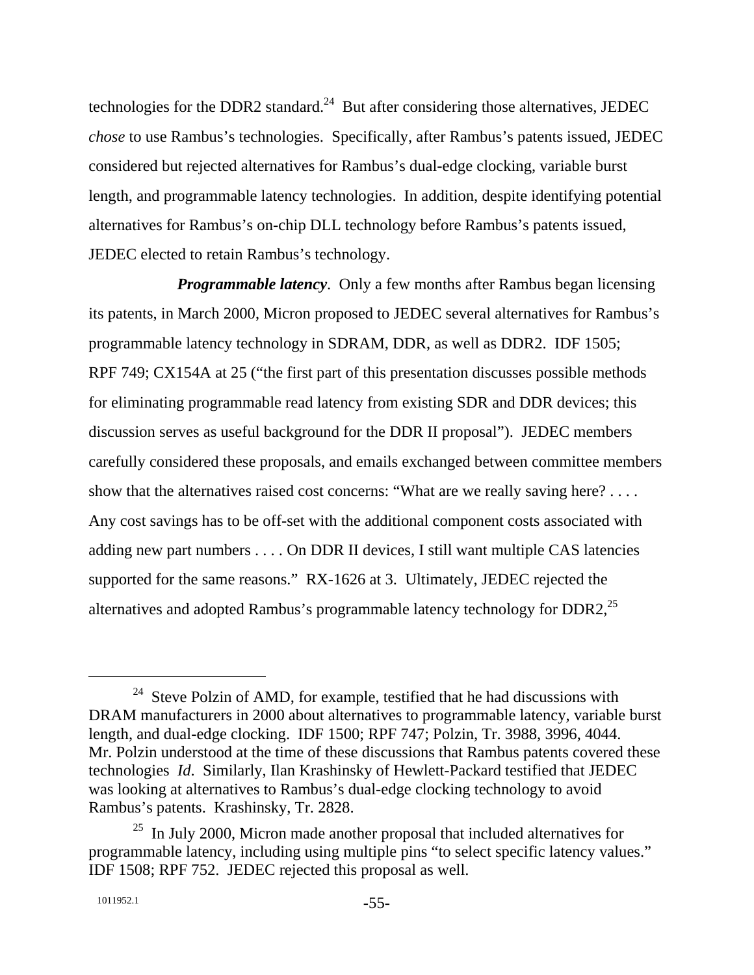technologies for the DDR2 standard.<sup>24</sup> But after considering those alternatives, JEDEC *chose* to use Rambus's technologies. Specifically, after Rambus's patents issued, JEDEC considered but rejected alternatives for Rambus's dual-edge clocking, variable burst length, and programmable latency technologies. In addition, despite identifying potential alternatives for Rambus's on-chip DLL technology before Rambus's patents issued, JEDEC elected to retain Rambus's technology.

*Programmable latency.* Only a few months after Rambus began licensing its patents, in March 2000, Micron proposed to JEDEC several alternatives for Rambus's programmable latency technology in SDRAM, DDR, as well as DDR2. IDF 1505; RPF 749; CX154A at 25 ("the first part of this presentation discusses possible methods for eliminating programmable read latency from existing SDR and DDR devices; this discussion serves as useful background for the DDR II proposal"). JEDEC members carefully considered these proposals, and emails exchanged between committee members show that the alternatives raised cost concerns: "What are we really saving here? . . . . Any cost savings has to be off-set with the additional component costs associated with adding new part numbers . . . . On DDR II devices, I still want multiple CAS latencies supported for the same reasons." RX-1626 at 3. Ultimately, JEDEC rejected the alternatives and adopted Rambus's programmable latency technology for DDR2,<sup>25</sup>

 $24$  Steve Polzin of AMD, for example, testified that he had discussions with DRAM manufacturers in 2000 about alternatives to programmable latency, variable burst length, and dual-edge clocking. IDF 1500; RPF 747; Polzin, Tr. 3988, 3996, 4044. Mr. Polzin understood at the time of these discussions that Rambus patents covered these technologies *Id*. Similarly, Ilan Krashinsky of Hewlett-Packard testified that JEDEC was looking at alternatives to Rambus's dual-edge clocking technology to avoid Rambus's patents. Krashinsky, Tr. 2828.

 $25$  In July 2000, Micron made another proposal that included alternatives for programmable latency, including using multiple pins "to select specific latency values." IDF 1508; RPF 752. JEDEC rejected this proposal as well.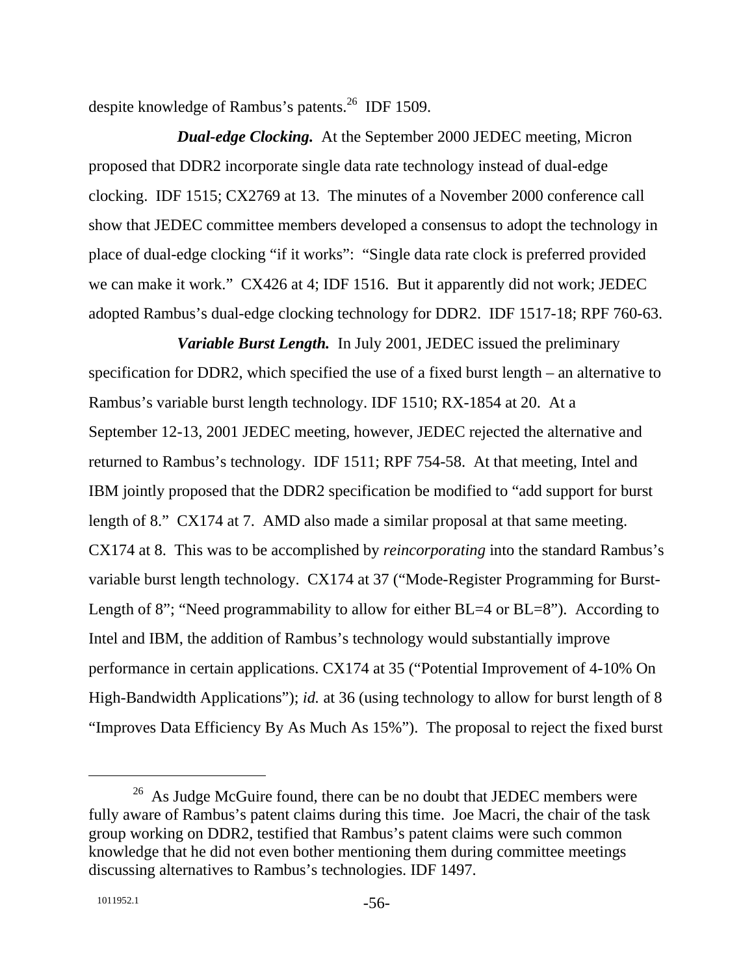despite knowledge of Rambus's patents.<sup>26</sup> IDF 1509.

*Dual-edge Clocking.* At the September 2000 JEDEC meeting, Micron proposed that DDR2 incorporate single data rate technology instead of dual-edge clocking. IDF 1515; CX2769 at 13. The minutes of a November 2000 conference call show that JEDEC committee members developed a consensus to adopt the technology in place of dual-edge clocking "if it works": "Single data rate clock is preferred provided we can make it work." CX426 at 4; IDF 1516. But it apparently did not work; JEDEC adopted Rambus's dual-edge clocking technology for DDR2. IDF 1517-18; RPF 760-63.

*Variable Burst Length.* In July 2001, JEDEC issued the preliminary specification for DDR2, which specified the use of a fixed burst length – an alternative to Rambus's variable burst length technology. IDF 1510; RX-1854 at 20. At a September 12-13, 2001 JEDEC meeting, however, JEDEC rejected the alternative and returned to Rambus's technology. IDF 1511; RPF 754-58. At that meeting, Intel and IBM jointly proposed that the DDR2 specification be modified to "add support for burst length of 8." CX174 at 7. AMD also made a similar proposal at that same meeting. CX174 at 8. This was to be accomplished by *reincorporating* into the standard Rambus's variable burst length technology. CX174 at 37 ("Mode-Register Programming for Burst-Length of 8"; "Need programmability to allow for either BL=4 or BL=8"). According to Intel and IBM, the addition of Rambus's technology would substantially improve performance in certain applications. CX174 at 35 ("Potential Improvement of 4-10% On High-Bandwidth Applications"); *id.* at 36 (using technology to allow for burst length of 8 "Improves Data Efficiency By As Much As 15%"). The proposal to reject the fixed burst

 $26$  As Judge McGuire found, there can be no doubt that JEDEC members were fully aware of Rambus's patent claims during this time. Joe Macri, the chair of the task group working on DDR2, testified that Rambus's patent claims were such common knowledge that he did not even bother mentioning them during committee meetings discussing alternatives to Rambus's technologies. IDF 1497.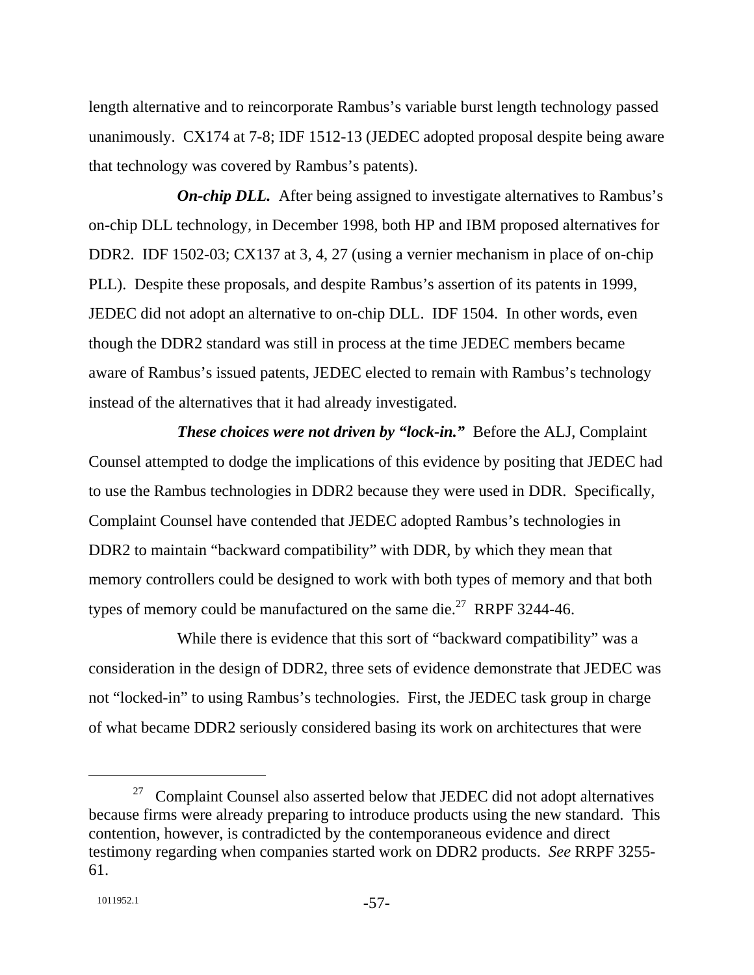length alternative and to reincorporate Rambus's variable burst length technology passed unanimously. CX174 at 7-8; IDF 1512-13 (JEDEC adopted proposal despite being aware that technology was covered by Rambus's patents).

*On-chip DLL.* After being assigned to investigate alternatives to Rambus's on-chip DLL technology, in December 1998, both HP and IBM proposed alternatives for DDR2. IDF 1502-03; CX137 at 3, 4, 27 (using a vernier mechanism in place of on-chip PLL). Despite these proposals, and despite Rambus's assertion of its patents in 1999, JEDEC did not adopt an alternative to on-chip DLL. IDF 1504. In other words, even though the DDR2 standard was still in process at the time JEDEC members became aware of Rambus's issued patents, JEDEC elected to remain with Rambus's technology instead of the alternatives that it had already investigated.

*These choices were not driven by "lock-in."* Before the ALJ, Complaint Counsel attempted to dodge the implications of this evidence by positing that JEDEC had to use the Rambus technologies in DDR2 because they were used in DDR. Specifically, Complaint Counsel have contended that JEDEC adopted Rambus's technologies in DDR2 to maintain "backward compatibility" with DDR, by which they mean that memory controllers could be designed to work with both types of memory and that both types of memory could be manufactured on the same die.<sup>27</sup> RRPF 3244-46.

While there is evidence that this sort of "backward compatibility" was a consideration in the design of DDR2, three sets of evidence demonstrate that JEDEC was not "locked-in" to using Rambus's technologies. First, the JEDEC task group in charge of what became DDR2 seriously considered basing its work on architectures that were

 $27$  Complaint Counsel also asserted below that JEDEC did not adopt alternatives because firms were already preparing to introduce products using the new standard. This contention, however, is contradicted by the contemporaneous evidence and direct testimony regarding when companies started work on DDR2 products. *See* RRPF 3255- 61.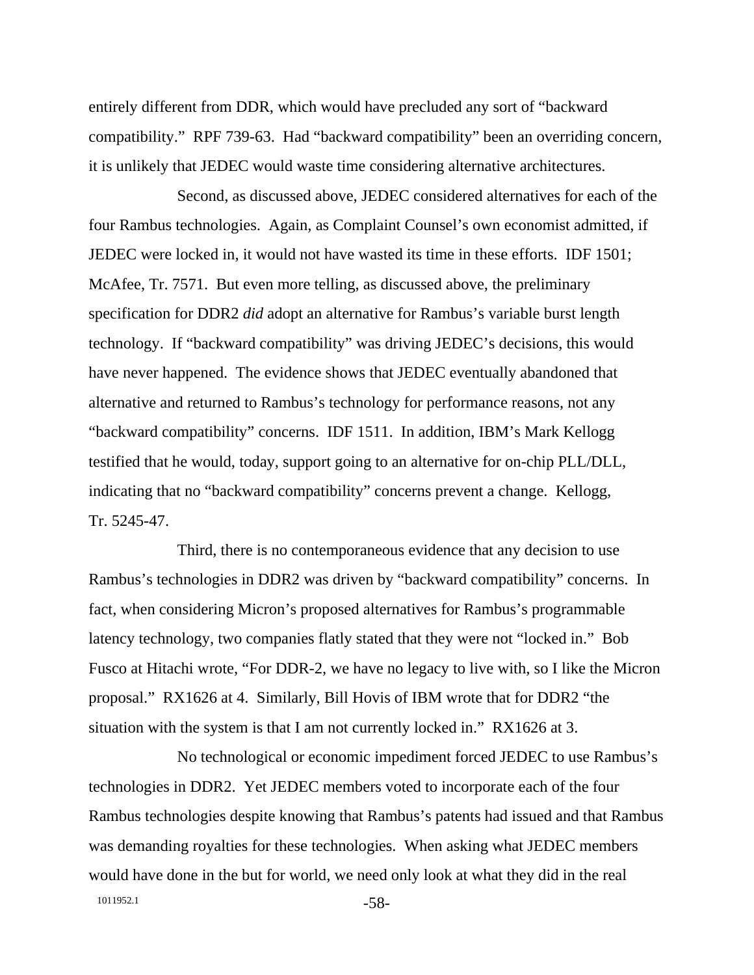entirely different from DDR, which would have precluded any sort of "backward compatibility." RPF 739-63. Had "backward compatibility" been an overriding concern, it is unlikely that JEDEC would waste time considering alternative architectures.

Second, as discussed above, JEDEC considered alternatives for each of the four Rambus technologies. Again, as Complaint Counsel's own economist admitted, if JEDEC were locked in, it would not have wasted its time in these efforts. IDF 1501; McAfee, Tr. 7571. But even more telling, as discussed above, the preliminary specification for DDR2 *did* adopt an alternative for Rambus's variable burst length technology. If "backward compatibility" was driving JEDEC's decisions, this would have never happened. The evidence shows that JEDEC eventually abandoned that alternative and returned to Rambus's technology for performance reasons, not any "backward compatibility" concerns. IDF 1511. In addition, IBM's Mark Kellogg testified that he would, today, support going to an alternative for on-chip PLL/DLL, indicating that no "backward compatibility" concerns prevent a change. Kellogg, Tr. 5245-47.

Third, there is no contemporaneous evidence that any decision to use Rambus's technologies in DDR2 was driven by "backward compatibility" concerns. In fact, when considering Micron's proposed alternatives for Rambus's programmable latency technology, two companies flatly stated that they were not "locked in." Bob Fusco at Hitachi wrote, "For DDR-2, we have no legacy to live with, so I like the Micron proposal." RX1626 at 4. Similarly, Bill Hovis of IBM wrote that for DDR2 "the situation with the system is that I am not currently locked in." RX1626 at 3.

1011952.1 -58-No technological or economic impediment forced JEDEC to use Rambus's technologies in DDR2. Yet JEDEC members voted to incorporate each of the four Rambus technologies despite knowing that Rambus's patents had issued and that Rambus was demanding royalties for these technologies. When asking what JEDEC members would have done in the but for world, we need only look at what they did in the real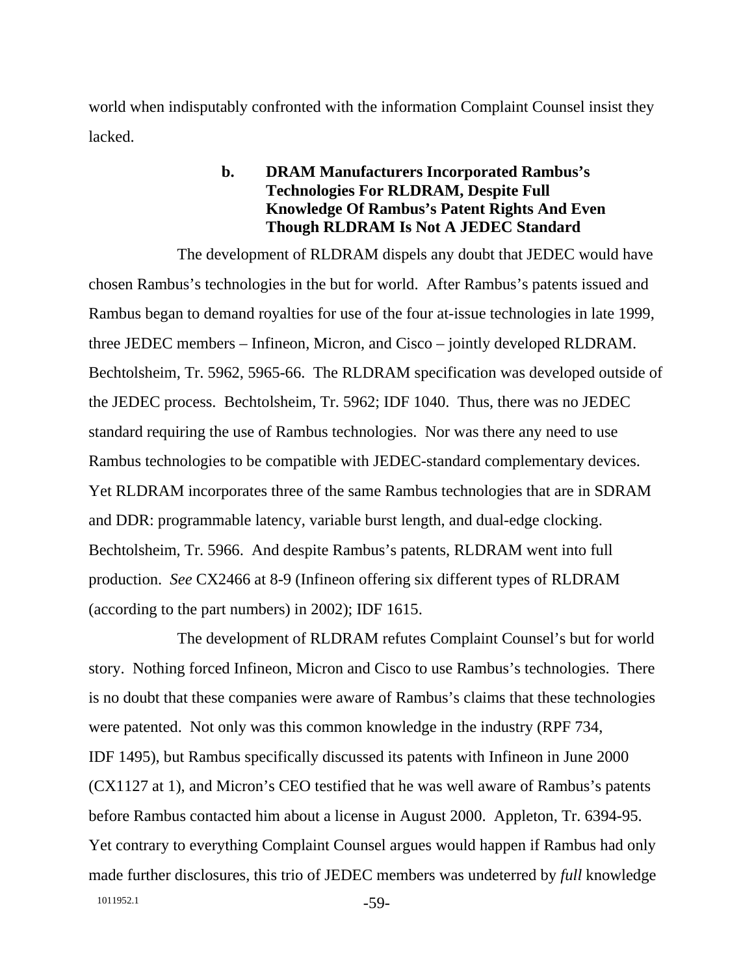world when indisputably confronted with the information Complaint Counsel insist they lacked.

## **b. DRAM Manufacturers Incorporated Rambus's Technologies For RLDRAM, Despite Full Knowledge Of Rambus's Patent Rights And Even Though RLDRAM Is Not A JEDEC Standard**

The development of RLDRAM dispels any doubt that JEDEC would have chosen Rambus's technologies in the but for world. After Rambus's patents issued and Rambus began to demand royalties for use of the four at-issue technologies in late 1999, three JEDEC members – Infineon, Micron, and Cisco – jointly developed RLDRAM. Bechtolsheim, Tr. 5962, 5965-66. The RLDRAM specification was developed outside of the JEDEC process. Bechtolsheim, Tr. 5962; IDF 1040. Thus, there was no JEDEC standard requiring the use of Rambus technologies. Nor was there any need to use Rambus technologies to be compatible with JEDEC-standard complementary devices. Yet RLDRAM incorporates three of the same Rambus technologies that are in SDRAM and DDR: programmable latency, variable burst length, and dual-edge clocking. Bechtolsheim, Tr. 5966. And despite Rambus's patents, RLDRAM went into full production. *See* CX2466 at 8-9 (Infineon offering six different types of RLDRAM (according to the part numbers) in 2002); IDF 1615.

1011952.1 -59-The development of RLDRAM refutes Complaint Counsel's but for world story. Nothing forced Infineon, Micron and Cisco to use Rambus's technologies. There is no doubt that these companies were aware of Rambus's claims that these technologies were patented. Not only was this common knowledge in the industry (RPF 734, IDF 1495), but Rambus specifically discussed its patents with Infineon in June 2000 (CX1127 at 1), and Micron's CEO testified that he was well aware of Rambus's patents before Rambus contacted him about a license in August 2000. Appleton, Tr. 6394-95. Yet contrary to everything Complaint Counsel argues would happen if Rambus had only made further disclosures, this trio of JEDEC members was undeterred by *full* knowledge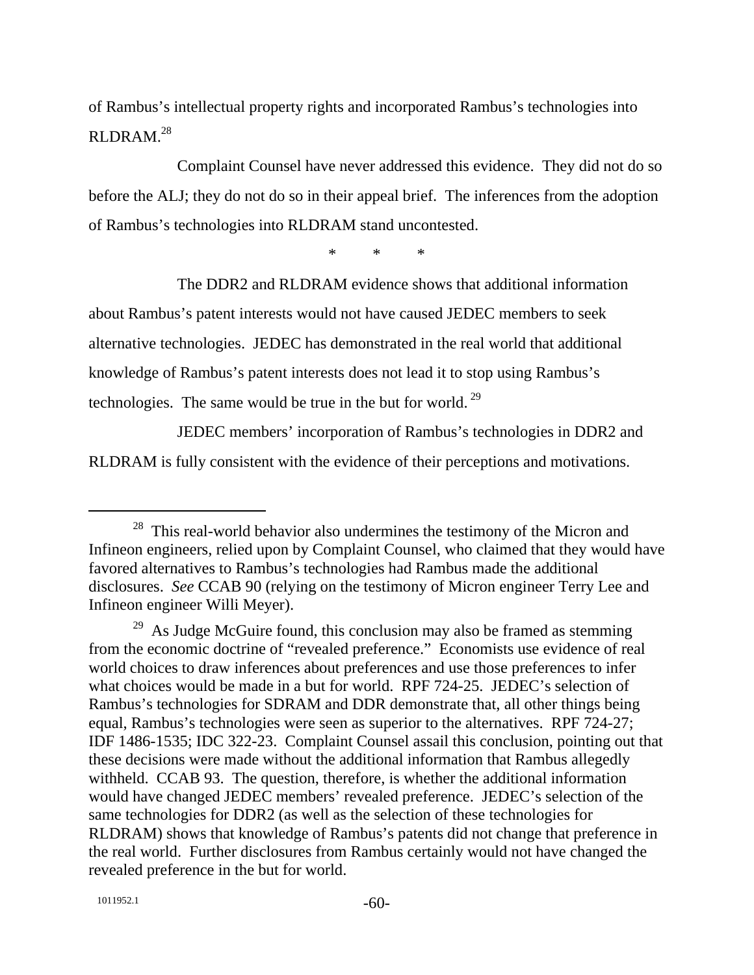of Rambus's intellectual property rights and incorporated Rambus's technologies into RLDRAM.28

Complaint Counsel have never addressed this evidence. They did not do so before the ALJ; they do not do so in their appeal brief. The inferences from the adoption of Rambus's technologies into RLDRAM stand uncontested.

\* \* \*

The DDR2 and RLDRAM evidence shows that additional information about Rambus's patent interests would not have caused JEDEC members to seek alternative technologies. JEDEC has demonstrated in the real world that additional knowledge of Rambus's patent interests does not lead it to stop using Rambus's technologies. The same would be true in the but for world.<sup>29</sup>

JEDEC members' incorporation of Rambus's technologies in DDR2 and RLDRAM is fully consistent with the evidence of their perceptions and motivations.

 $28$  This real-world behavior also undermines the testimony of the Micron and Infineon engineers, relied upon by Complaint Counsel, who claimed that they would have favored alternatives to Rambus's technologies had Rambus made the additional disclosures. *See* CCAB 90 (relying on the testimony of Micron engineer Terry Lee and Infineon engineer Willi Meyer).

 $^{29}$  As Judge McGuire found, this conclusion may also be framed as stemming from the economic doctrine of "revealed preference." Economists use evidence of real world choices to draw inferences about preferences and use those preferences to infer what choices would be made in a but for world. RPF 724-25. JEDEC's selection of Rambus's technologies for SDRAM and DDR demonstrate that, all other things being equal, Rambus's technologies were seen as superior to the alternatives. RPF 724-27; IDF 1486-1535; IDC 322-23. Complaint Counsel assail this conclusion, pointing out that these decisions were made without the additional information that Rambus allegedly withheld. CCAB 93. The question, therefore, is whether the additional information would have changed JEDEC members' revealed preference. JEDEC's selection of the same technologies for DDR2 (as well as the selection of these technologies for RLDRAM) shows that knowledge of Rambus's patents did not change that preference in the real world. Further disclosures from Rambus certainly would not have changed the revealed preference in the but for world.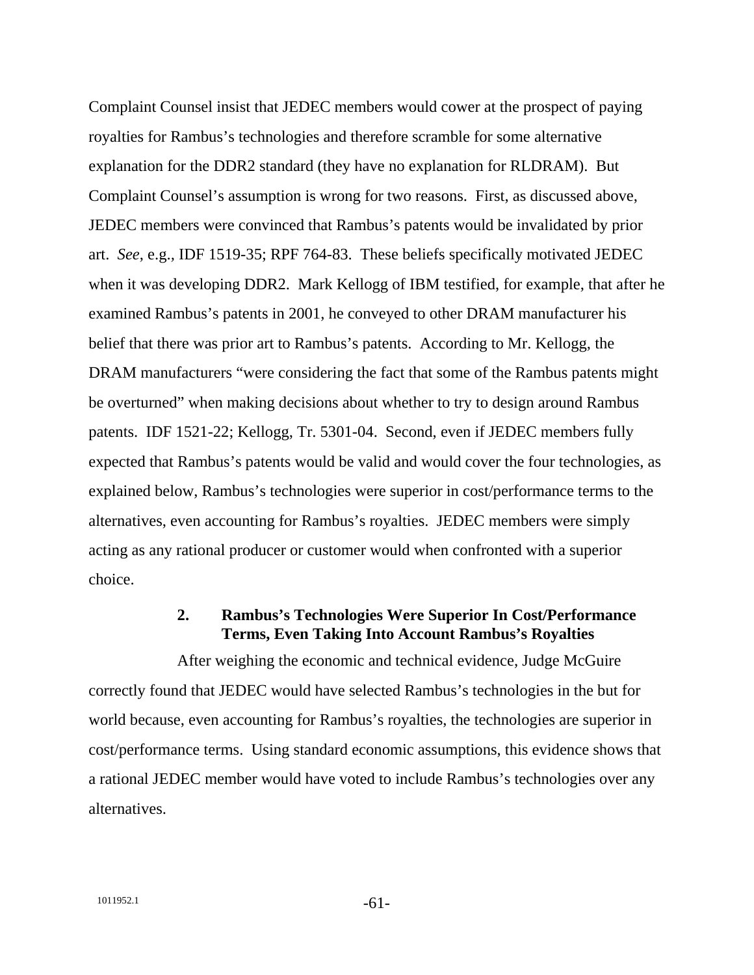Complaint Counsel insist that JEDEC members would cower at the prospect of paying royalties for Rambus's technologies and therefore scramble for some alternative explanation for the DDR2 standard (they have no explanation for RLDRAM). But Complaint Counsel's assumption is wrong for two reasons. First, as discussed above, JEDEC members were convinced that Rambus's patents would be invalidated by prior art. *See*, e.g.*,* IDF 1519-35; RPF 764-83. These beliefs specifically motivated JEDEC when it was developing DDR2. Mark Kellogg of IBM testified, for example, that after he examined Rambus's patents in 2001, he conveyed to other DRAM manufacturer his belief that there was prior art to Rambus's patents. According to Mr. Kellogg, the DRAM manufacturers "were considering the fact that some of the Rambus patents might be overturned" when making decisions about whether to try to design around Rambus patents. IDF 1521-22; Kellogg, Tr. 5301-04. Second, even if JEDEC members fully expected that Rambus's patents would be valid and would cover the four technologies, as explained below, Rambus's technologies were superior in cost/performance terms to the alternatives, even accounting for Rambus's royalties. JEDEC members were simply acting as any rational producer or customer would when confronted with a superior choice.

### **2. Rambus's Technologies Were Superior In Cost/Performance Terms, Even Taking Into Account Rambus's Royalties**

After weighing the economic and technical evidence, Judge McGuire correctly found that JEDEC would have selected Rambus's technologies in the but for world because, even accounting for Rambus's royalties, the technologies are superior in cost/performance terms. Using standard economic assumptions, this evidence shows that a rational JEDEC member would have voted to include Rambus's technologies over any alternatives.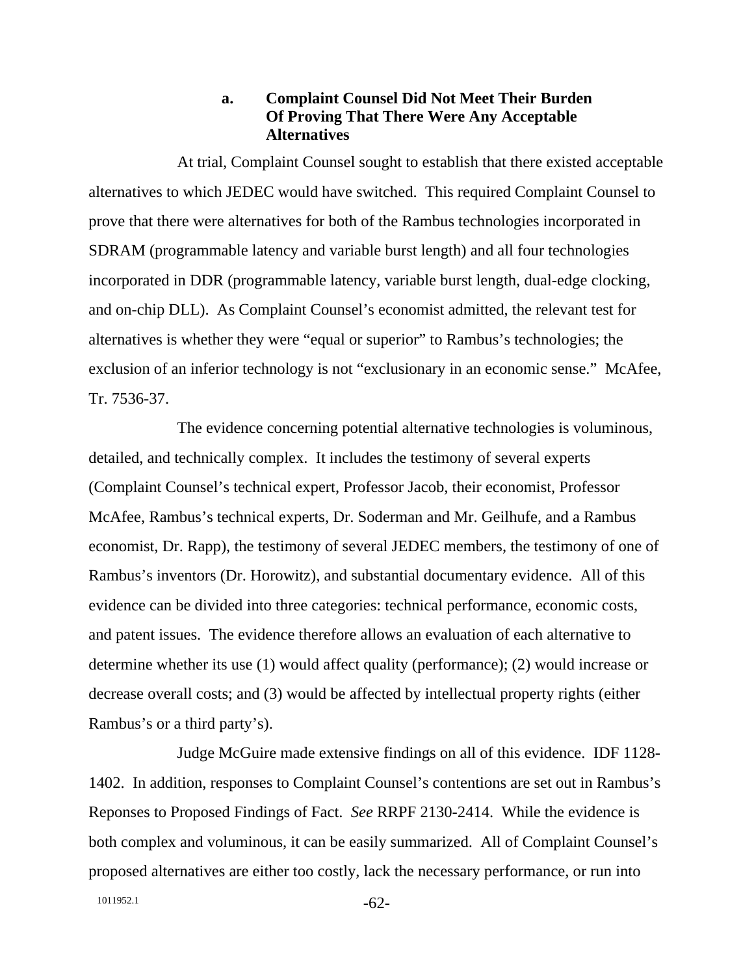### **a. Complaint Counsel Did Not Meet Their Burden Of Proving That There Were Any Acceptable Alternatives**

At trial, Complaint Counsel sought to establish that there existed acceptable alternatives to which JEDEC would have switched. This required Complaint Counsel to prove that there were alternatives for both of the Rambus technologies incorporated in SDRAM (programmable latency and variable burst length) and all four technologies incorporated in DDR (programmable latency, variable burst length, dual-edge clocking, and on-chip DLL). As Complaint Counsel's economist admitted, the relevant test for alternatives is whether they were "equal or superior" to Rambus's technologies; the exclusion of an inferior technology is not "exclusionary in an economic sense." McAfee, Tr. 7536-37.

The evidence concerning potential alternative technologies is voluminous, detailed, and technically complex. It includes the testimony of several experts (Complaint Counsel's technical expert, Professor Jacob, their economist, Professor McAfee, Rambus's technical experts, Dr. Soderman and Mr. Geilhufe, and a Rambus economist, Dr. Rapp), the testimony of several JEDEC members, the testimony of one of Rambus's inventors (Dr. Horowitz), and substantial documentary evidence. All of this evidence can be divided into three categories: technical performance, economic costs, and patent issues. The evidence therefore allows an evaluation of each alternative to determine whether its use (1) would affect quality (performance); (2) would increase or decrease overall costs; and (3) would be affected by intellectual property rights (either Rambus's or a third party's).

Judge McGuire made extensive findings on all of this evidence. IDF 1128- 1402. In addition, responses to Complaint Counsel's contentions are set out in Rambus's Reponses to Proposed Findings of Fact. *See* RRPF 2130-2414. While the evidence is both complex and voluminous, it can be easily summarized. All of Complaint Counsel's proposed alternatives are either too costly, lack the necessary performance, or run into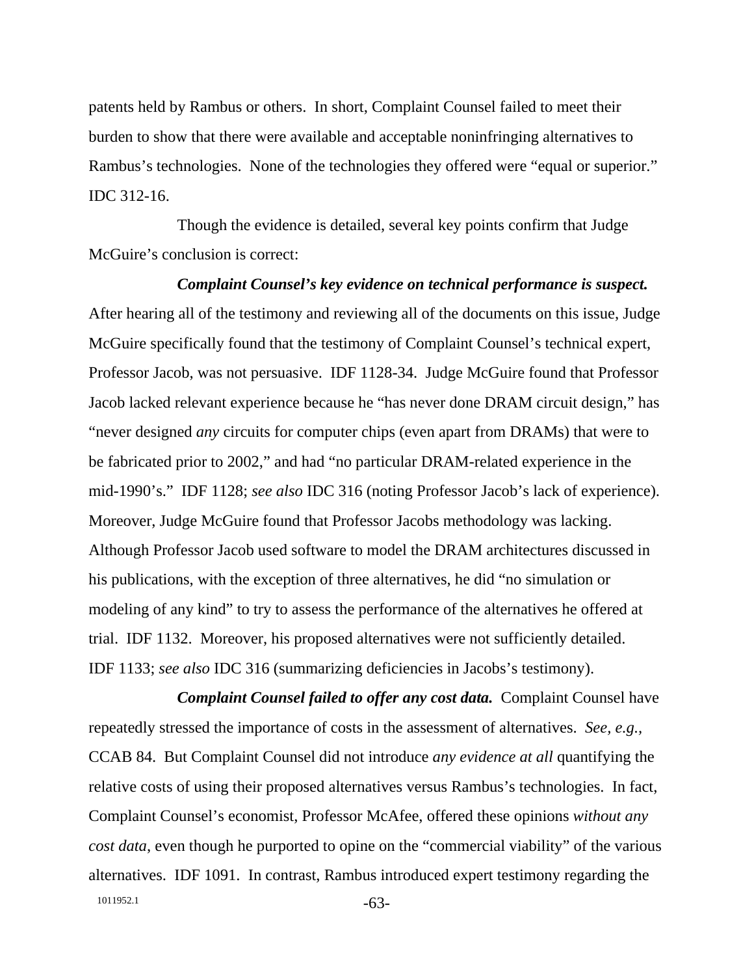patents held by Rambus or others. In short, Complaint Counsel failed to meet their burden to show that there were available and acceptable noninfringing alternatives to Rambus's technologies. None of the technologies they offered were "equal or superior." IDC 312-16.

Though the evidence is detailed, several key points confirm that Judge McGuire's conclusion is correct:

*Complaint Counsel's key evidence on technical performance is suspect.* After hearing all of the testimony and reviewing all of the documents on this issue, Judge McGuire specifically found that the testimony of Complaint Counsel's technical expert, Professor Jacob, was not persuasive. IDF 1128-34. Judge McGuire found that Professor Jacob lacked relevant experience because he "has never done DRAM circuit design," has "never designed *any* circuits for computer chips (even apart from DRAMs) that were to be fabricated prior to 2002," and had "no particular DRAM-related experience in the mid-1990's." IDF 1128; *see also* IDC 316 (noting Professor Jacob's lack of experience). Moreover, Judge McGuire found that Professor Jacobs methodology was lacking. Although Professor Jacob used software to model the DRAM architectures discussed in his publications, with the exception of three alternatives, he did "no simulation or modeling of any kind" to try to assess the performance of the alternatives he offered at trial. IDF 1132. Moreover, his proposed alternatives were not sufficiently detailed. IDF 1133; *see also* IDC 316 (summarizing deficiencies in Jacobs's testimony).

1011952.1 -63-*Complaint Counsel failed to offer any cost data.* Complaint Counsel have repeatedly stressed the importance of costs in the assessment of alternatives. *See, e.g.,* CCAB 84. But Complaint Counsel did not introduce *any evidence at all* quantifying the relative costs of using their proposed alternatives versus Rambus's technologies. In fact, Complaint Counsel's economist, Professor McAfee, offered these opinions *without any cost data*, even though he purported to opine on the "commercial viability" of the various alternatives. IDF 1091. In contrast, Rambus introduced expert testimony regarding the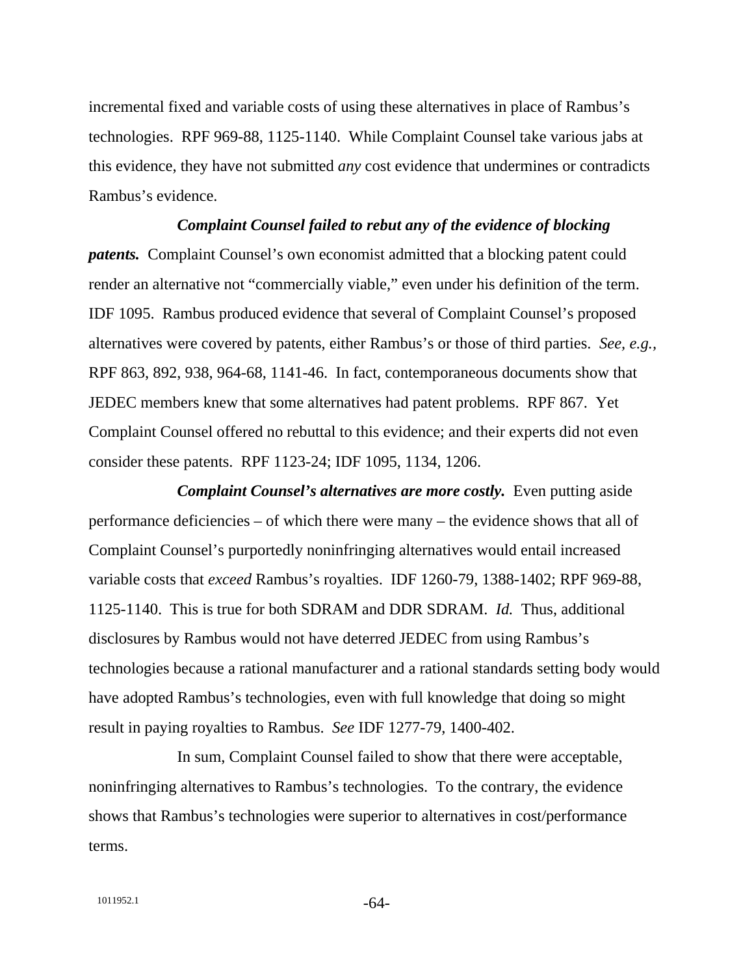incremental fixed and variable costs of using these alternatives in place of Rambus's technologies. RPF 969-88, 1125-1140. While Complaint Counsel take various jabs at this evidence, they have not submitted *any* cost evidence that undermines or contradicts Rambus's evidence.

#### *Complaint Counsel failed to rebut any of the evidence of blocking*

*patents.* Complaint Counsel's own economist admitted that a blocking patent could render an alternative not "commercially viable," even under his definition of the term. IDF 1095. Rambus produced evidence that several of Complaint Counsel's proposed alternatives were covered by patents, either Rambus's or those of third parties. *See, e.g.,*  RPF 863, 892, 938, 964-68, 1141-46. In fact, contemporaneous documents show that JEDEC members knew that some alternatives had patent problems. RPF 867. Yet Complaint Counsel offered no rebuttal to this evidence; and their experts did not even consider these patents. RPF 1123-24; IDF 1095, 1134, 1206.

*Complaint Counsel's alternatives are more costly.* Even putting aside performance deficiencies – of which there were many – the evidence shows that all of Complaint Counsel's purportedly noninfringing alternatives would entail increased variable costs that *exceed* Rambus's royalties. IDF 1260-79, 1388-1402; RPF 969-88, 1125-1140. This is true for both SDRAM and DDR SDRAM. *Id.* Thus, additional disclosures by Rambus would not have deterred JEDEC from using Rambus's technologies because a rational manufacturer and a rational standards setting body would have adopted Rambus's technologies, even with full knowledge that doing so might result in paying royalties to Rambus. *See* IDF 1277-79, 1400-402.

In sum, Complaint Counsel failed to show that there were acceptable, noninfringing alternatives to Rambus's technologies. To the contrary, the evidence shows that Rambus's technologies were superior to alternatives in cost/performance terms.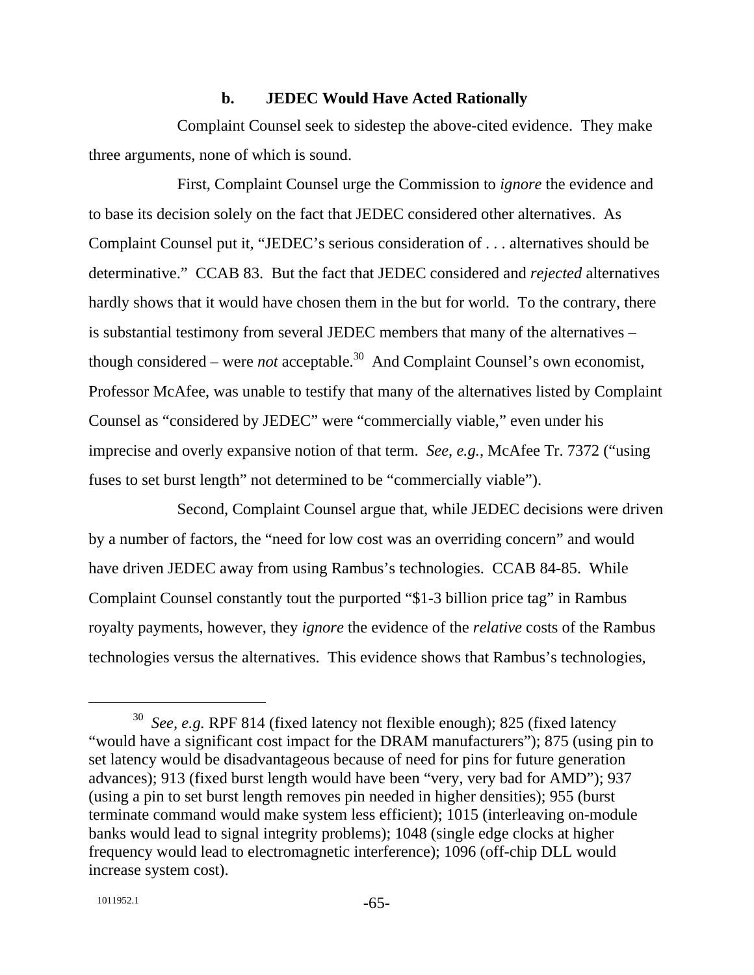#### **b. JEDEC Would Have Acted Rationally**

Complaint Counsel seek to sidestep the above-cited evidence. They make three arguments, none of which is sound.

First, Complaint Counsel urge the Commission to *ignore* the evidence and to base its decision solely on the fact that JEDEC considered other alternatives. As Complaint Counsel put it, "JEDEC's serious consideration of . . . alternatives should be determinative." CCAB 83. But the fact that JEDEC considered and *rejected* alternatives hardly shows that it would have chosen them in the but for world. To the contrary, there is substantial testimony from several JEDEC members that many of the alternatives – though considered – were *not* acceptable.<sup>30</sup> And Complaint Counsel's own economist, Professor McAfee, was unable to testify that many of the alternatives listed by Complaint Counsel as "considered by JEDEC" were "commercially viable," even under his imprecise and overly expansive notion of that term. *See, e.g.,* McAfee Tr. 7372 ("using fuses to set burst length" not determined to be "commercially viable").

Second, Complaint Counsel argue that, while JEDEC decisions were driven by a number of factors, the "need for low cost was an overriding concern" and would have driven JEDEC away from using Rambus's technologies. CCAB 84-85. While Complaint Counsel constantly tout the purported "\$1-3 billion price tag" in Rambus royalty payments, however, they *ignore* the evidence of the *relative* costs of the Rambus technologies versus the alternatives. This evidence shows that Rambus's technologies,

 <sup>30</sup> *See, e.g.* RPF 814 (fixed latency not flexible enough); 825 (fixed latency "would have a significant cost impact for the DRAM manufacturers"); 875 (using pin to set latency would be disadvantageous because of need for pins for future generation advances); 913 (fixed burst length would have been "very, very bad for AMD"); 937 (using a pin to set burst length removes pin needed in higher densities); 955 (burst terminate command would make system less efficient); 1015 (interleaving on-module banks would lead to signal integrity problems); 1048 (single edge clocks at higher frequency would lead to electromagnetic interference); 1096 (off-chip DLL would increase system cost).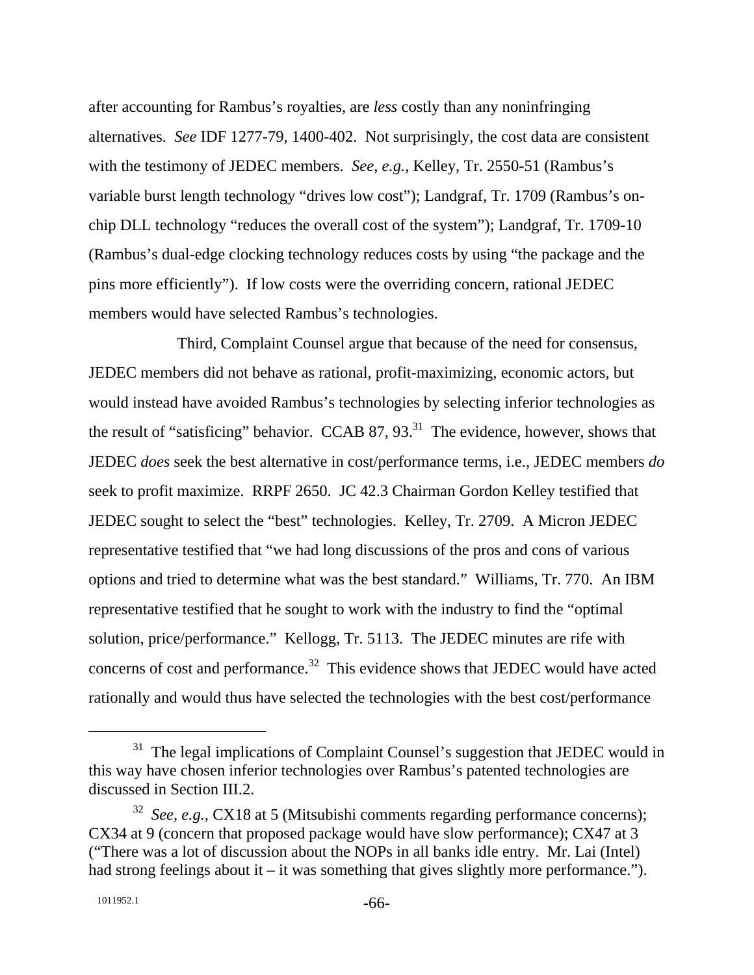after accounting for Rambus's royalties, are *less* costly than any noninfringing alternatives. *See* IDF 1277-79, 1400-402. Not surprisingly, the cost data are consistent with the testimony of JEDEC members. *See, e.g.,* Kelley, Tr. 2550-51 (Rambus's variable burst length technology "drives low cost"); Landgraf, Tr. 1709 (Rambus's onchip DLL technology "reduces the overall cost of the system"); Landgraf, Tr. 1709-10 (Rambus's dual-edge clocking technology reduces costs by using "the package and the pins more efficiently"). If low costs were the overriding concern, rational JEDEC members would have selected Rambus's technologies.

Third, Complaint Counsel argue that because of the need for consensus, JEDEC members did not behave as rational, profit-maximizing, economic actors, but would instead have avoided Rambus's technologies by selecting inferior technologies as the result of "satisficing" behavior. CCAB 87,  $93<sup>31</sup>$ . The evidence, however, shows that JEDEC *does* seek the best alternative in cost/performance terms, i.e., JEDEC members *do* seek to profit maximize. RRPF 2650. JC 42.3 Chairman Gordon Kelley testified that JEDEC sought to select the "best" technologies. Kelley, Tr. 2709. A Micron JEDEC representative testified that "we had long discussions of the pros and cons of various options and tried to determine what was the best standard." Williams, Tr. 770. An IBM representative testified that he sought to work with the industry to find the "optimal solution, price/performance." Kellogg, Tr. 5113. The JEDEC minutes are rife with concerns of cost and performance.<sup>32</sup> This evidence shows that JEDEC would have acted rationally and would thus have selected the technologies with the best cost/performance

 $31$  The legal implications of Complaint Counsel's suggestion that JEDEC would in this way have chosen inferior technologies over Rambus's patented technologies are discussed in Section III.2.

<sup>32</sup> *See, e.g.,* CX18 at 5 (Mitsubishi comments regarding performance concerns); CX34 at 9 (concern that proposed package would have slow performance); CX47 at 3 ("There was a lot of discussion about the NOPs in all banks idle entry. Mr. Lai (Intel) had strong feelings about it – it was something that gives slightly more performance.").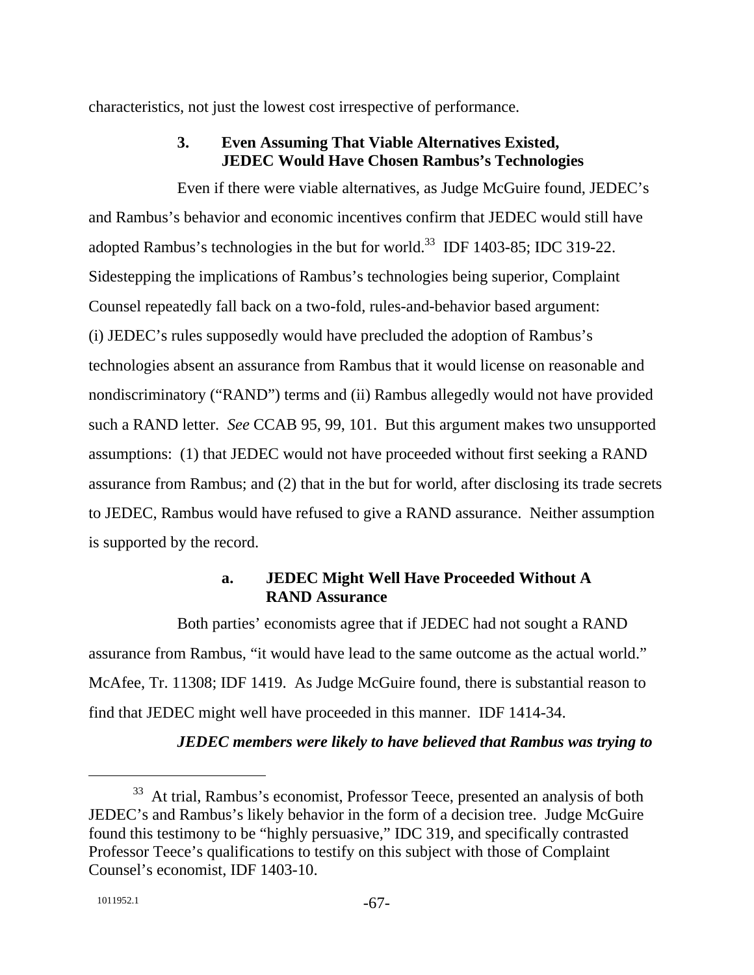characteristics, not just the lowest cost irrespective of performance.

# **3. Even Assuming That Viable Alternatives Existed, JEDEC Would Have Chosen Rambus's Technologies**

Even if there were viable alternatives, as Judge McGuire found, JEDEC's and Rambus's behavior and economic incentives confirm that JEDEC would still have adopted Rambus's technologies in the but for world.<sup>33</sup> IDF 1403-85; IDC 319-22. Sidestepping the implications of Rambus's technologies being superior, Complaint Counsel repeatedly fall back on a two-fold, rules-and-behavior based argument: (i) JEDEC's rules supposedly would have precluded the adoption of Rambus's technologies absent an assurance from Rambus that it would license on reasonable and nondiscriminatory ("RAND") terms and (ii) Rambus allegedly would not have provided such a RAND letter. *See* CCAB 95, 99, 101. But this argument makes two unsupported assumptions: (1) that JEDEC would not have proceeded without first seeking a RAND assurance from Rambus; and (2) that in the but for world, after disclosing its trade secrets to JEDEC, Rambus would have refused to give a RAND assurance. Neither assumption is supported by the record.

## **a. JEDEC Might Well Have Proceeded Without A RAND Assurance**

Both parties' economists agree that if JEDEC had not sought a RAND assurance from Rambus, "it would have lead to the same outcome as the actual world." McAfee, Tr. 11308; IDF 1419. As Judge McGuire found, there is substantial reason to find that JEDEC might well have proceeded in this manner. IDF 1414-34.

*JEDEC members were likely to have believed that Rambus was trying to* 

<sup>&</sup>lt;sup>33</sup> At trial, Rambus's economist, Professor Teece, presented an analysis of both JEDEC's and Rambus's likely behavior in the form of a decision tree. Judge McGuire found this testimony to be "highly persuasive," IDC 319, and specifically contrasted Professor Teece's qualifications to testify on this subject with those of Complaint Counsel's economist, IDF 1403-10.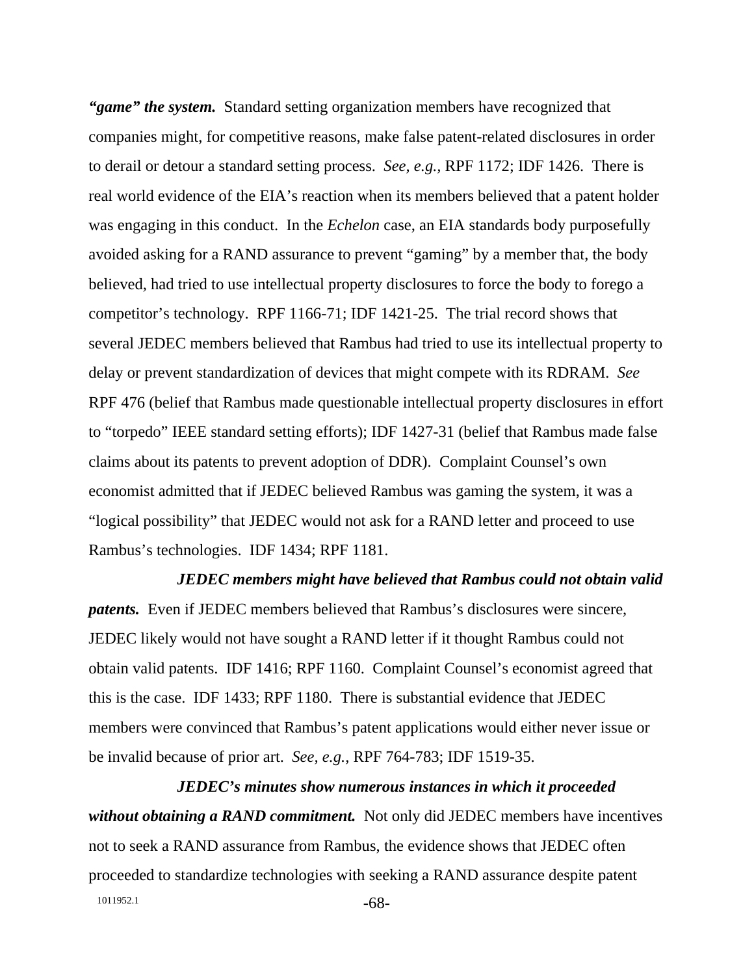*"game" the system.* Standard setting organization members have recognized that companies might, for competitive reasons, make false patent-related disclosures in order to derail or detour a standard setting process. *See, e.g.,* RPF 1172; IDF 1426. There is real world evidence of the EIA's reaction when its members believed that a patent holder was engaging in this conduct. In the *Echelon* case, an EIA standards body purposefully avoided asking for a RAND assurance to prevent "gaming" by a member that, the body believed, had tried to use intellectual property disclosures to force the body to forego a competitor's technology. RPF 1166-71; IDF 1421-25. The trial record shows that several JEDEC members believed that Rambus had tried to use its intellectual property to delay or prevent standardization of devices that might compete with its RDRAM. *See* RPF 476 (belief that Rambus made questionable intellectual property disclosures in effort to "torpedo" IEEE standard setting efforts); IDF 1427-31 (belief that Rambus made false claims about its patents to prevent adoption of DDR). Complaint Counsel's own economist admitted that if JEDEC believed Rambus was gaming the system, it was a "logical possibility" that JEDEC would not ask for a RAND letter and proceed to use Rambus's technologies. IDF 1434; RPF 1181.

*JEDEC members might have believed that Rambus could not obtain valid patents.* Even if JEDEC members believed that Rambus's disclosures were sincere, JEDEC likely would not have sought a RAND letter if it thought Rambus could not obtain valid patents. IDF 1416; RPF 1160. Complaint Counsel's economist agreed that this is the case. IDF 1433; RPF 1180. There is substantial evidence that JEDEC members were convinced that Rambus's patent applications would either never issue or be invalid because of prior art. *See, e.g.,* RPF 764-783; IDF 1519-35.

1011952.1 -68-*JEDEC's minutes show numerous instances in which it proceeded without obtaining a RAND commitment.* Not only did JEDEC members have incentives not to seek a RAND assurance from Rambus, the evidence shows that JEDEC often proceeded to standardize technologies with seeking a RAND assurance despite patent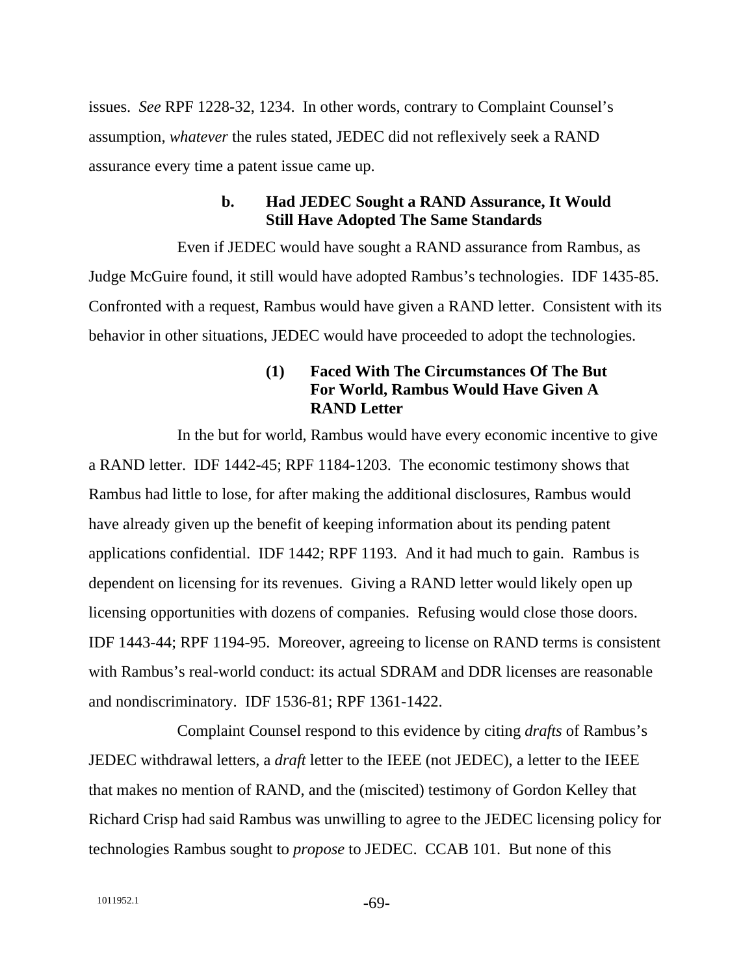issues. *See* RPF 1228-32, 1234. In other words, contrary to Complaint Counsel's assumption, *whatever* the rules stated, JEDEC did not reflexively seek a RAND assurance every time a patent issue came up.

### **b. Had JEDEC Sought a RAND Assurance, It Would Still Have Adopted The Same Standards**

Even if JEDEC would have sought a RAND assurance from Rambus, as Judge McGuire found, it still would have adopted Rambus's technologies. IDF 1435-85. Confronted with a request, Rambus would have given a RAND letter. Consistent with its behavior in other situations, JEDEC would have proceeded to adopt the technologies.

## **(1) Faced With The Circumstances Of The But For World, Rambus Would Have Given A RAND Letter**

In the but for world, Rambus would have every economic incentive to give a RAND letter. IDF 1442-45; RPF 1184-1203. The economic testimony shows that Rambus had little to lose, for after making the additional disclosures, Rambus would have already given up the benefit of keeping information about its pending patent applications confidential. IDF 1442; RPF 1193. And it had much to gain. Rambus is dependent on licensing for its revenues. Giving a RAND letter would likely open up licensing opportunities with dozens of companies. Refusing would close those doors. IDF 1443-44; RPF 1194-95. Moreover, agreeing to license on RAND terms is consistent with Rambus's real-world conduct: its actual SDRAM and DDR licenses are reasonable and nondiscriminatory. IDF 1536-81; RPF 1361-1422.

Complaint Counsel respond to this evidence by citing *drafts* of Rambus's JEDEC withdrawal letters, a *draft* letter to the IEEE (not JEDEC), a letter to the IEEE that makes no mention of RAND, and the (miscited) testimony of Gordon Kelley that Richard Crisp had said Rambus was unwilling to agree to the JEDEC licensing policy for technologies Rambus sought to *propose* to JEDEC. CCAB 101. But none of this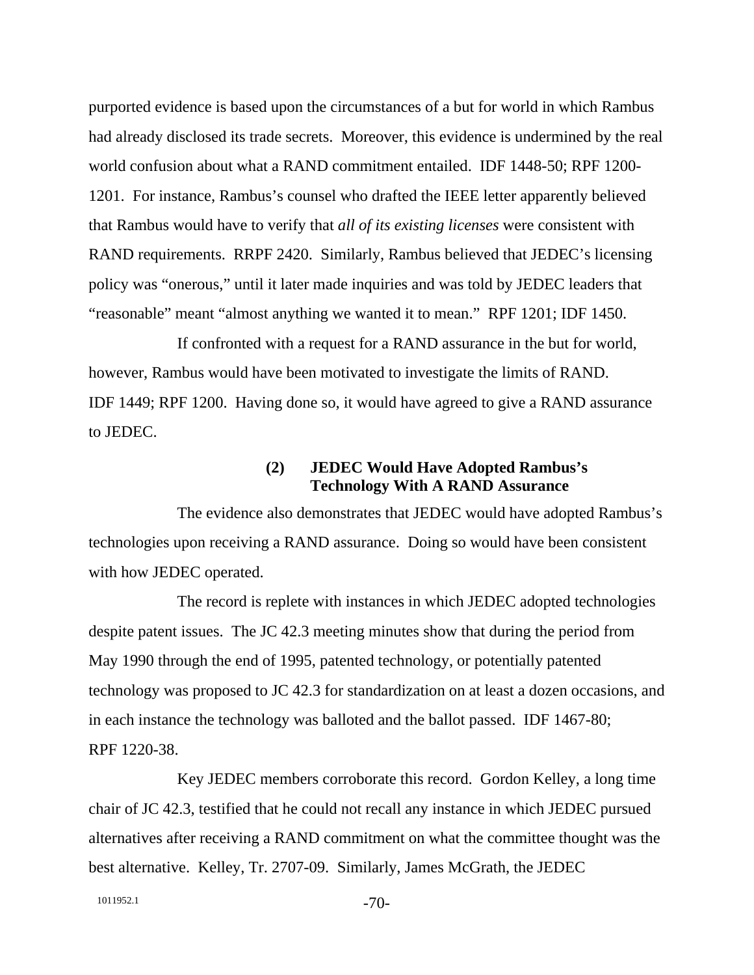purported evidence is based upon the circumstances of a but for world in which Rambus had already disclosed its trade secrets. Moreover, this evidence is undermined by the real world confusion about what a RAND commitment entailed. IDF 1448-50; RPF 1200- 1201. For instance, Rambus's counsel who drafted the IEEE letter apparently believed that Rambus would have to verify that *all of its existing licenses* were consistent with RAND requirements. RRPF 2420. Similarly, Rambus believed that JEDEC's licensing policy was "onerous," until it later made inquiries and was told by JEDEC leaders that "reasonable" meant "almost anything we wanted it to mean." RPF 1201; IDF 1450.

If confronted with a request for a RAND assurance in the but for world, however, Rambus would have been motivated to investigate the limits of RAND. IDF 1449; RPF 1200. Having done so, it would have agreed to give a RAND assurance to JEDEC.

## **(2) JEDEC Would Have Adopted Rambus's Technology With A RAND Assurance**

The evidence also demonstrates that JEDEC would have adopted Rambus's technologies upon receiving a RAND assurance. Doing so would have been consistent with how JEDEC operated.

The record is replete with instances in which JEDEC adopted technologies despite patent issues. The JC 42.3 meeting minutes show that during the period from May 1990 through the end of 1995, patented technology, or potentially patented technology was proposed to JC 42.3 for standardization on at least a dozen occasions, and in each instance the technology was balloted and the ballot passed. IDF 1467-80; RPF 1220-38.

Key JEDEC members corroborate this record. Gordon Kelley, a long time chair of JC 42.3, testified that he could not recall any instance in which JEDEC pursued alternatives after receiving a RAND commitment on what the committee thought was the best alternative. Kelley, Tr. 2707-09. Similarly, James McGrath, the JEDEC

1011952.1 -70-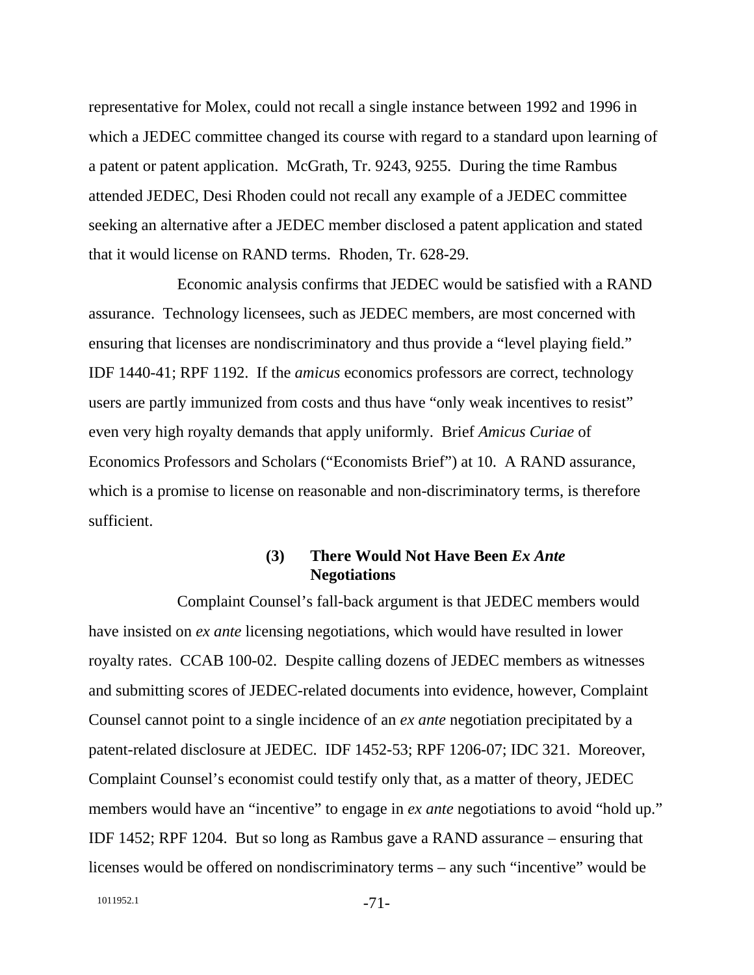representative for Molex, could not recall a single instance between 1992 and 1996 in which a JEDEC committee changed its course with regard to a standard upon learning of a patent or patent application. McGrath, Tr. 9243, 9255. During the time Rambus attended JEDEC, Desi Rhoden could not recall any example of a JEDEC committee seeking an alternative after a JEDEC member disclosed a patent application and stated that it would license on RAND terms. Rhoden, Tr. 628-29.

Economic analysis confirms that JEDEC would be satisfied with a RAND assurance. Technology licensees, such as JEDEC members, are most concerned with ensuring that licenses are nondiscriminatory and thus provide a "level playing field." IDF 1440-41; RPF 1192. If the *amicus* economics professors are correct, technology users are partly immunized from costs and thus have "only weak incentives to resist" even very high royalty demands that apply uniformly. Brief *Amicus Curiae* of Economics Professors and Scholars ("Economists Brief") at 10. A RAND assurance, which is a promise to license on reasonable and non-discriminatory terms, is therefore sufficient.

## **(3) There Would Not Have Been** *Ex Ante* **Negotiations**

Complaint Counsel's fall-back argument is that JEDEC members would have insisted on *ex ante* licensing negotiations, which would have resulted in lower royalty rates. CCAB 100-02. Despite calling dozens of JEDEC members as witnesses and submitting scores of JEDEC-related documents into evidence, however, Complaint Counsel cannot point to a single incidence of an *ex ante* negotiation precipitated by a patent-related disclosure at JEDEC. IDF 1452-53; RPF 1206-07; IDC 321. Moreover, Complaint Counsel's economist could testify only that, as a matter of theory, JEDEC members would have an "incentive" to engage in *ex ante* negotiations to avoid "hold up." IDF 1452; RPF 1204. But so long as Rambus gave a RAND assurance – ensuring that licenses would be offered on nondiscriminatory terms – any such "incentive" would be

1011952.1 -71-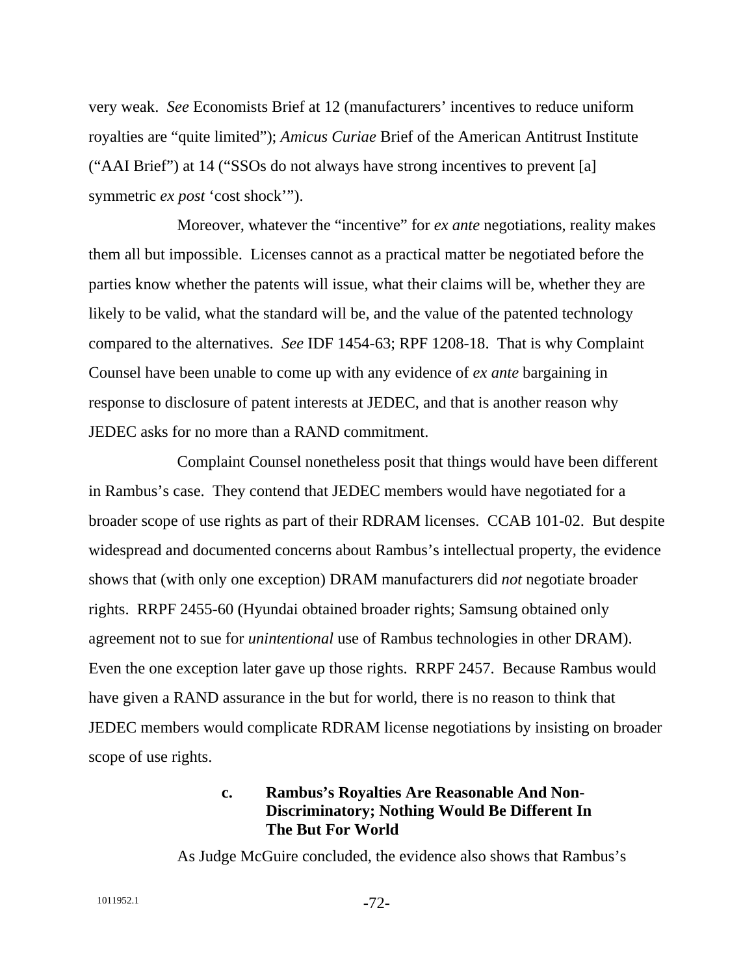very weak. *See* Economists Brief at 12 (manufacturers' incentives to reduce uniform royalties are "quite limited"); *Amicus Curiae* Brief of the American Antitrust Institute ("AAI Brief") at 14 ("SSOs do not always have strong incentives to prevent [a] symmetric *ex post* 'cost shock'").

Moreover, whatever the "incentive" for *ex ante* negotiations, reality makes them all but impossible. Licenses cannot as a practical matter be negotiated before the parties know whether the patents will issue, what their claims will be, whether they are likely to be valid, what the standard will be, and the value of the patented technology compared to the alternatives. *See* IDF 1454-63; RPF 1208-18. That is why Complaint Counsel have been unable to come up with any evidence of *ex ante* bargaining in response to disclosure of patent interests at JEDEC, and that is another reason why JEDEC asks for no more than a RAND commitment.

Complaint Counsel nonetheless posit that things would have been different in Rambus's case. They contend that JEDEC members would have negotiated for a broader scope of use rights as part of their RDRAM licenses. CCAB 101-02. But despite widespread and documented concerns about Rambus's intellectual property, the evidence shows that (with only one exception) DRAM manufacturers did *not* negotiate broader rights. RRPF 2455-60 (Hyundai obtained broader rights; Samsung obtained only agreement not to sue for *unintentional* use of Rambus technologies in other DRAM). Even the one exception later gave up those rights. RRPF 2457. Because Rambus would have given a RAND assurance in the but for world, there is no reason to think that JEDEC members would complicate RDRAM license negotiations by insisting on broader scope of use rights.

## **c. Rambus's Royalties Are Reasonable And Non-Discriminatory; Nothing Would Be Different In The But For World**

As Judge McGuire concluded, the evidence also shows that Rambus's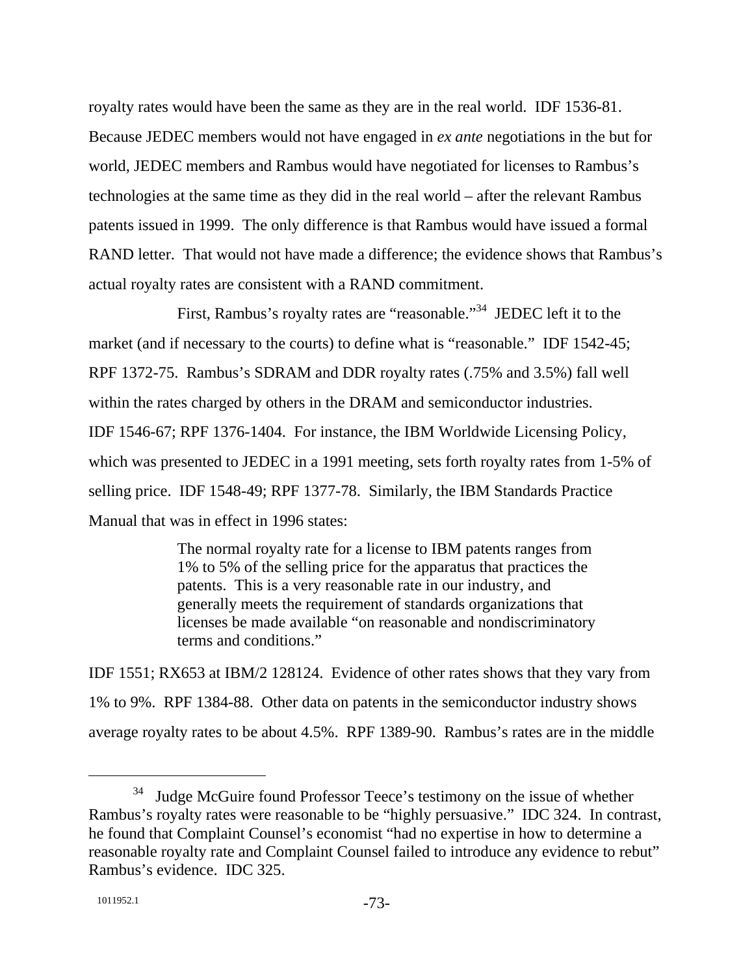royalty rates would have been the same as they are in the real world. IDF 1536-81. Because JEDEC members would not have engaged in *ex ante* negotiations in the but for world, JEDEC members and Rambus would have negotiated for licenses to Rambus's technologies at the same time as they did in the real world – after the relevant Rambus patents issued in 1999. The only difference is that Rambus would have issued a formal RAND letter. That would not have made a difference; the evidence shows that Rambus's actual royalty rates are consistent with a RAND commitment.

First, Rambus's royalty rates are "reasonable."<sup>34</sup> JEDEC left it to the market (and if necessary to the courts) to define what is "reasonable." IDF 1542-45; RPF 1372-75. Rambus's SDRAM and DDR royalty rates (.75% and 3.5%) fall well within the rates charged by others in the DRAM and semiconductor industries. IDF 1546-67; RPF 1376-1404. For instance, the IBM Worldwide Licensing Policy, which was presented to JEDEC in a 1991 meeting, sets forth royalty rates from 1-5% of selling price. IDF 1548-49; RPF 1377-78. Similarly, the IBM Standards Practice Manual that was in effect in 1996 states:

> The normal royalty rate for a license to IBM patents ranges from 1% to 5% of the selling price for the apparatus that practices the patents. This is a very reasonable rate in our industry, and generally meets the requirement of standards organizations that licenses be made available "on reasonable and nondiscriminatory terms and conditions."

IDF 1551; RX653 at IBM/2 128124. Evidence of other rates shows that they vary from 1% to 9%. RPF 1384-88. Other data on patents in the semiconductor industry shows average royalty rates to be about 4.5%. RPF 1389-90. Rambus's rates are in the middle

<sup>&</sup>lt;sup>34</sup> Judge McGuire found Professor Teece's testimony on the issue of whether Rambus's royalty rates were reasonable to be "highly persuasive." IDC 324. In contrast, he found that Complaint Counsel's economist "had no expertise in how to determine a reasonable royalty rate and Complaint Counsel failed to introduce any evidence to rebut" Rambus's evidence. IDC 325.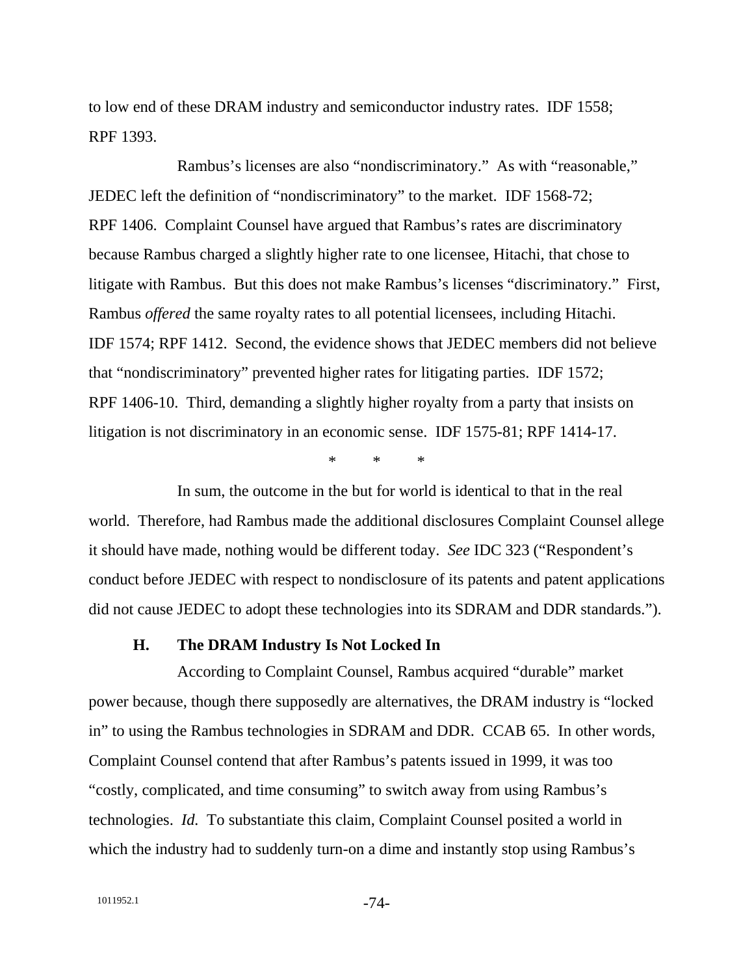to low end of these DRAM industry and semiconductor industry rates. IDF 1558; RPF 1393.

Rambus's licenses are also "nondiscriminatory." As with "reasonable," JEDEC left the definition of "nondiscriminatory" to the market. IDF 1568-72; RPF 1406. Complaint Counsel have argued that Rambus's rates are discriminatory because Rambus charged a slightly higher rate to one licensee, Hitachi, that chose to litigate with Rambus. But this does not make Rambus's licenses "discriminatory." First, Rambus *offered* the same royalty rates to all potential licensees, including Hitachi. IDF 1574; RPF 1412. Second, the evidence shows that JEDEC members did not believe that "nondiscriminatory" prevented higher rates for litigating parties. IDF 1572; RPF 1406-10. Third, demanding a slightly higher royalty from a party that insists on litigation is not discriminatory in an economic sense. IDF 1575-81; RPF 1414-17.

\* \* \*

In sum, the outcome in the but for world is identical to that in the real world. Therefore, had Rambus made the additional disclosures Complaint Counsel allege it should have made, nothing would be different today. *See* IDC 323 ("Respondent's conduct before JEDEC with respect to nondisclosure of its patents and patent applications did not cause JEDEC to adopt these technologies into its SDRAM and DDR standards.").

#### **H. The DRAM Industry Is Not Locked In**

According to Complaint Counsel, Rambus acquired "durable" market power because, though there supposedly are alternatives, the DRAM industry is "locked in" to using the Rambus technologies in SDRAM and DDR. CCAB 65. In other words, Complaint Counsel contend that after Rambus's patents issued in 1999, it was too "costly, complicated, and time consuming" to switch away from using Rambus's technologies. *Id.* To substantiate this claim, Complaint Counsel posited a world in which the industry had to suddenly turn-on a dime and instantly stop using Rambus's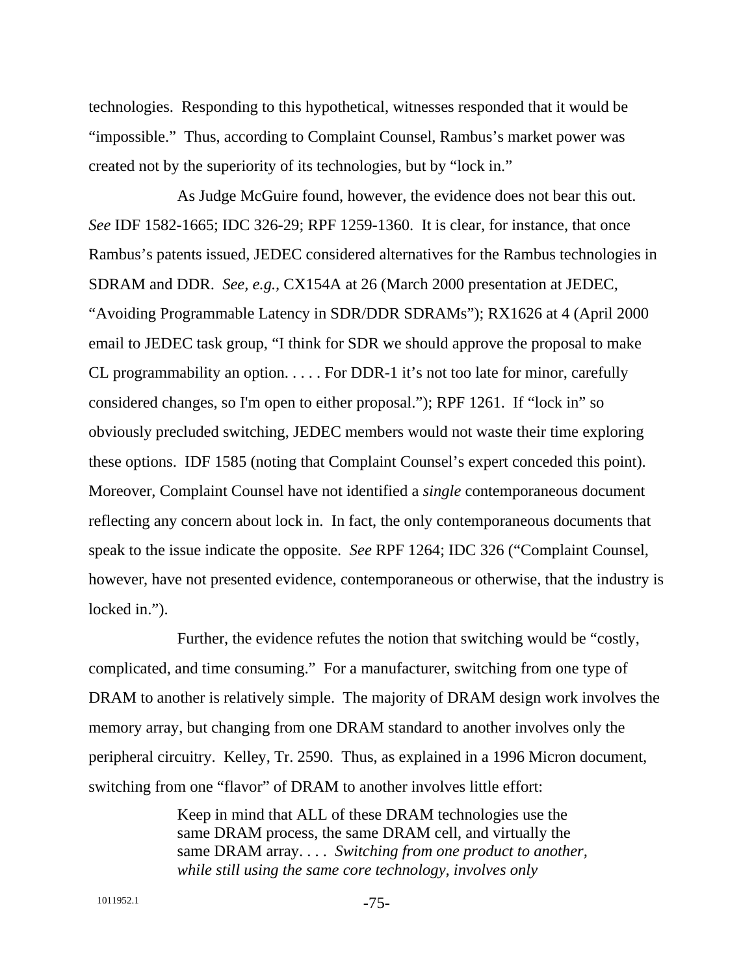technologies. Responding to this hypothetical, witnesses responded that it would be "impossible." Thus, according to Complaint Counsel, Rambus's market power was created not by the superiority of its technologies, but by "lock in."

As Judge McGuire found, however, the evidence does not bear this out. *See* IDF 1582-1665; IDC 326-29; RPF 1259-1360. It is clear, for instance, that once Rambus's patents issued, JEDEC considered alternatives for the Rambus technologies in SDRAM and DDR. *See, e.g.,* CX154A at 26 (March 2000 presentation at JEDEC, "Avoiding Programmable Latency in SDR/DDR SDRAMs"); RX1626 at 4 (April 2000 email to JEDEC task group, "I think for SDR we should approve the proposal to make CL programmability an option. . . . . For DDR-1 it's not too late for minor, carefully considered changes, so I'm open to either proposal."); RPF 1261. If "lock in" so obviously precluded switching, JEDEC members would not waste their time exploring these options. IDF 1585 (noting that Complaint Counsel's expert conceded this point). Moreover, Complaint Counsel have not identified a *single* contemporaneous document reflecting any concern about lock in. In fact, the only contemporaneous documents that speak to the issue indicate the opposite. *See* RPF 1264; IDC 326 ("Complaint Counsel, however, have not presented evidence, contemporaneous or otherwise, that the industry is locked in.").

Further, the evidence refutes the notion that switching would be "costly, complicated, and time consuming." For a manufacturer, switching from one type of DRAM to another is relatively simple. The majority of DRAM design work involves the memory array, but changing from one DRAM standard to another involves only the peripheral circuitry. Kelley, Tr. 2590. Thus, as explained in a 1996 Micron document, switching from one "flavor" of DRAM to another involves little effort:

> Keep in mind that ALL of these DRAM technologies use the same DRAM process, the same DRAM cell, and virtually the same DRAM array. . . . *Switching from one product to another, while still using the same core technology, involves only*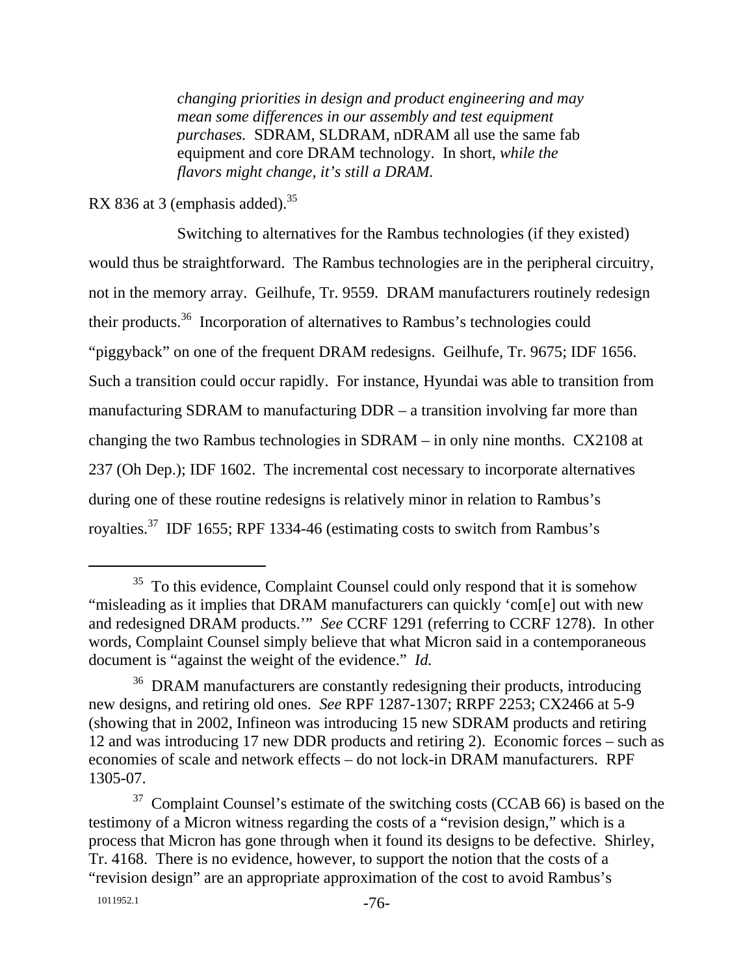*changing priorities in design and product engineering and may mean some differences in our assembly and test equipment purchases.* SDRAM, SLDRAM, nDRAM all use the same fab equipment and core DRAM technology. In short, *while the flavors might change, it's still a DRAM.*

RX 836 at 3 (emphasis added).  $35$ 

Switching to alternatives for the Rambus technologies (if they existed) would thus be straightforward. The Rambus technologies are in the peripheral circuitry, not in the memory array. Geilhufe, Tr. 9559. DRAM manufacturers routinely redesign their products.<sup>36</sup> Incorporation of alternatives to Rambus's technologies could "piggyback" on one of the frequent DRAM redesigns. Geilhufe, Tr. 9675; IDF 1656. Such a transition could occur rapidly. For instance, Hyundai was able to transition from manufacturing SDRAM to manufacturing DDR – a transition involving far more than changing the two Rambus technologies in SDRAM – in only nine months. CX2108 at 237 (Oh Dep.); IDF 1602. The incremental cost necessary to incorporate alternatives during one of these routine redesigns is relatively minor in relation to Rambus's royalties.37 IDF 1655; RPF 1334-46 (estimating costs to switch from Rambus's

 $35$  To this evidence, Complaint Counsel could only respond that it is somehow "misleading as it implies that DRAM manufacturers can quickly 'com[e] out with new and redesigned DRAM products.'" *See* CCRF 1291 (referring to CCRF 1278). In other words, Complaint Counsel simply believe that what Micron said in a contemporaneous document is "against the weight of the evidence." *Id.*

<sup>&</sup>lt;sup>36</sup> DRAM manufacturers are constantly redesigning their products, introducing new designs, and retiring old ones. *See* RPF 1287-1307; RRPF 2253; CX2466 at 5-9 (showing that in 2002, Infineon was introducing 15 new SDRAM products and retiring 12 and was introducing 17 new DDR products and retiring 2). Economic forces – such as economies of scale and network effects – do not lock-in DRAM manufacturers. RPF 1305-07.

 $37$  Complaint Counsel's estimate of the switching costs (CCAB 66) is based on the testimony of a Micron witness regarding the costs of a "revision design," which is a process that Micron has gone through when it found its designs to be defective. Shirley, Tr. 4168. There is no evidence, however, to support the notion that the costs of a "revision design" are an appropriate approximation of the cost to avoid Rambus's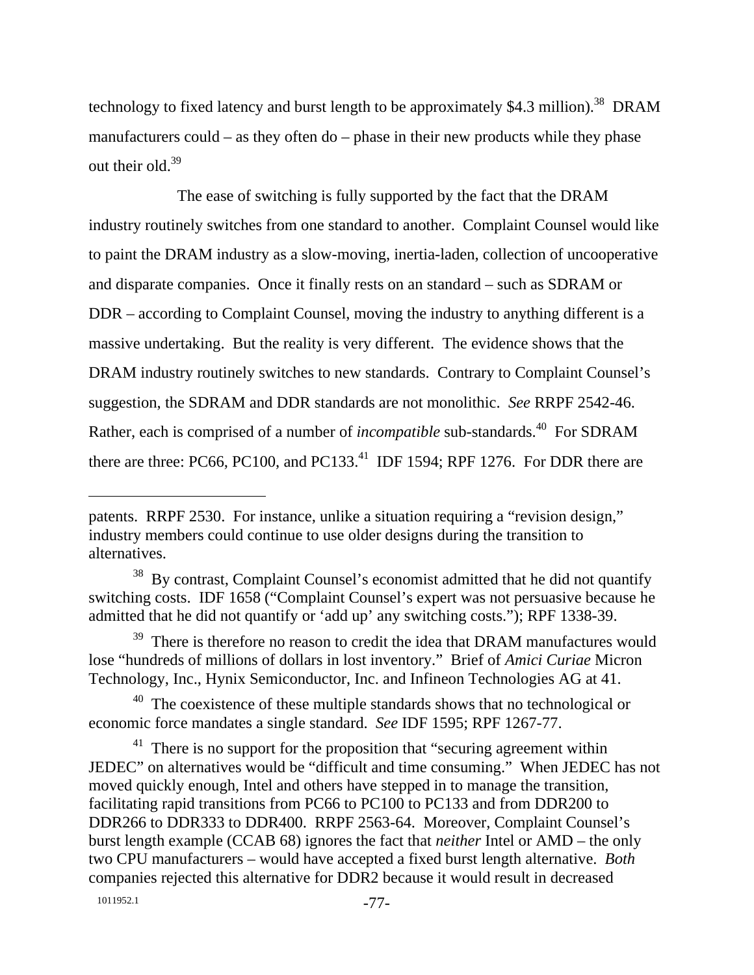technology to fixed latency and burst length to be approximately  $$4.3$  million).<sup>38</sup> DRAM manufacturers could – as they often do – phase in their new products while they phase out their old. $39$ 

The ease of switching is fully supported by the fact that the DRAM industry routinely switches from one standard to another. Complaint Counsel would like to paint the DRAM industry as a slow-moving, inertia-laden, collection of uncooperative and disparate companies. Once it finally rests on an standard – such as SDRAM or DDR – according to Complaint Counsel, moving the industry to anything different is a massive undertaking. But the reality is very different. The evidence shows that the DRAM industry routinely switches to new standards. Contrary to Complaint Counsel's suggestion, the SDRAM and DDR standards are not monolithic. *See* RRPF 2542-46. Rather, each is comprised of a number of *incompatible* sub-standards.<sup>40</sup> For SDRAM there are three: PC66, PC100, and PC133.<sup>41</sup> IDF 1594; RPF 1276. For DDR there are

patents. RRPF 2530. For instance, unlike a situation requiring a "revision design," industry members could continue to use older designs during the transition to alternatives.

<sup>&</sup>lt;sup>38</sup> By contrast, Complaint Counsel's economist admitted that he did not quantify switching costs. IDF 1658 ("Complaint Counsel's expert was not persuasive because he admitted that he did not quantify or 'add up' any switching costs."); RPF 1338-39.

 $39$  There is therefore no reason to credit the idea that DRAM manufactures would lose "hundreds of millions of dollars in lost inventory." Brief of *Amici Curiae* Micron Technology, Inc., Hynix Semiconductor, Inc. and Infineon Technologies AG at 41.

<sup>&</sup>lt;sup>40</sup> The coexistence of these multiple standards shows that no technological or economic force mandates a single standard. *See* IDF 1595; RPF 1267-77.

 $41$  There is no support for the proposition that "securing agreement within JEDEC" on alternatives would be "difficult and time consuming." When JEDEC has not moved quickly enough, Intel and others have stepped in to manage the transition, facilitating rapid transitions from PC66 to PC100 to PC133 and from DDR200 to DDR266 to DDR333 to DDR400. RRPF 2563-64. Moreover, Complaint Counsel's burst length example (CCAB 68) ignores the fact that *neither* Intel or AMD – the only two CPU manufacturers – would have accepted a fixed burst length alternative. *Both* companies rejected this alternative for DDR2 because it would result in decreased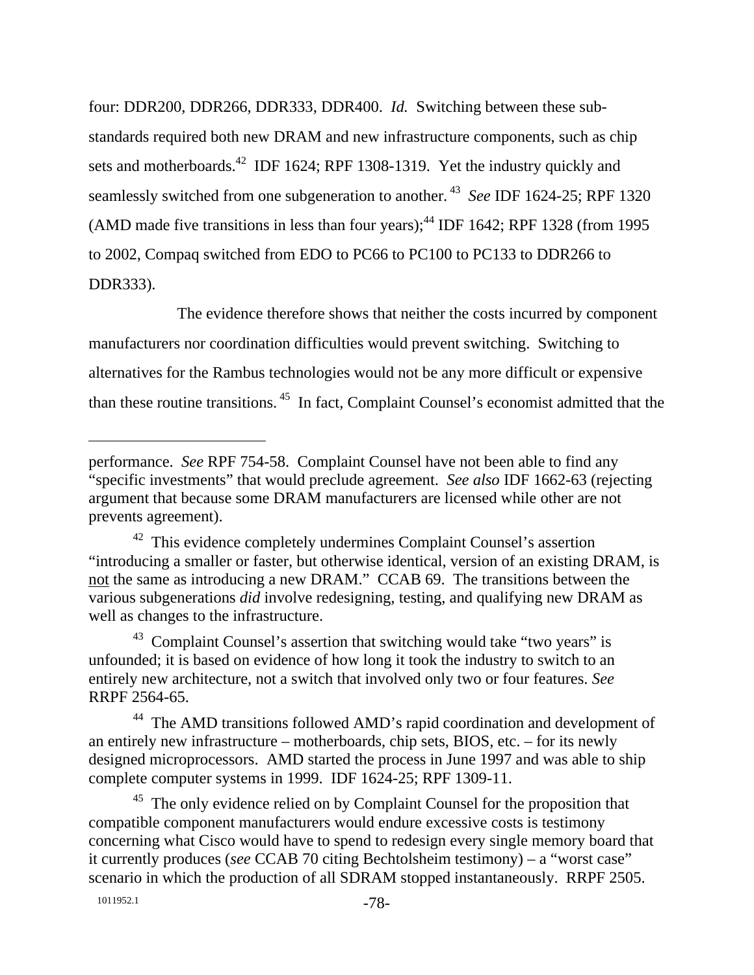four: DDR200, DDR266, DDR333, DDR400. *Id.* Switching between these substandards required both new DRAM and new infrastructure components, such as chip sets and motherboards.<sup>42</sup> IDF 1624; RPF 1308-1319. Yet the industry quickly and seamlessly switched from one subgeneration to another.<sup>43</sup> *See* IDF 1624-25; RPF 1320 (AMD made five transitions in less than four years); $^{44}$  IDF 1642; RPF 1328 (from 1995) to 2002, Compaq switched from EDO to PC66 to PC100 to PC133 to DDR266 to DDR333).

The evidence therefore shows that neither the costs incurred by component manufacturers nor coordination difficulties would prevent switching. Switching to alternatives for the Rambus technologies would not be any more difficult or expensive than these routine transitions. 45 In fact, Complaint Counsel's economist admitted that the

<sup>43</sup> Complaint Counsel's assertion that switching would take "two years" is unfounded; it is based on evidence of how long it took the industry to switch to an entirely new architecture, not a switch that involved only two or four features. *See* RRPF 2564-65.

<sup>44</sup> The AMD transitions followed AMD's rapid coordination and development of an entirely new infrastructure – motherboards, chip sets, BIOS, etc. – for its newly designed microprocessors. AMD started the process in June 1997 and was able to ship complete computer systems in 1999. IDF 1624-25; RPF 1309-11.

<sup>45</sup> The only evidence relied on by Complaint Counsel for the proposition that compatible component manufacturers would endure excessive costs is testimony concerning what Cisco would have to spend to redesign every single memory board that it currently produces (*see* CCAB 70 citing Bechtolsheim testimony) – a "worst case" scenario in which the production of all SDRAM stopped instantaneously. RRPF 2505.

performance. *See* RPF 754-58. Complaint Counsel have not been able to find any "specific investments" that would preclude agreement. *See also* IDF 1662-63 (rejecting argument that because some DRAM manufacturers are licensed while other are not prevents agreement).

<sup>&</sup>lt;sup>42</sup> This evidence completely undermines Complaint Counsel's assertion "introducing a smaller or faster, but otherwise identical, version of an existing DRAM, is not the same as introducing a new DRAM." CCAB 69. The transitions between the various subgenerations *did* involve redesigning, testing, and qualifying new DRAM as well as changes to the infrastructure.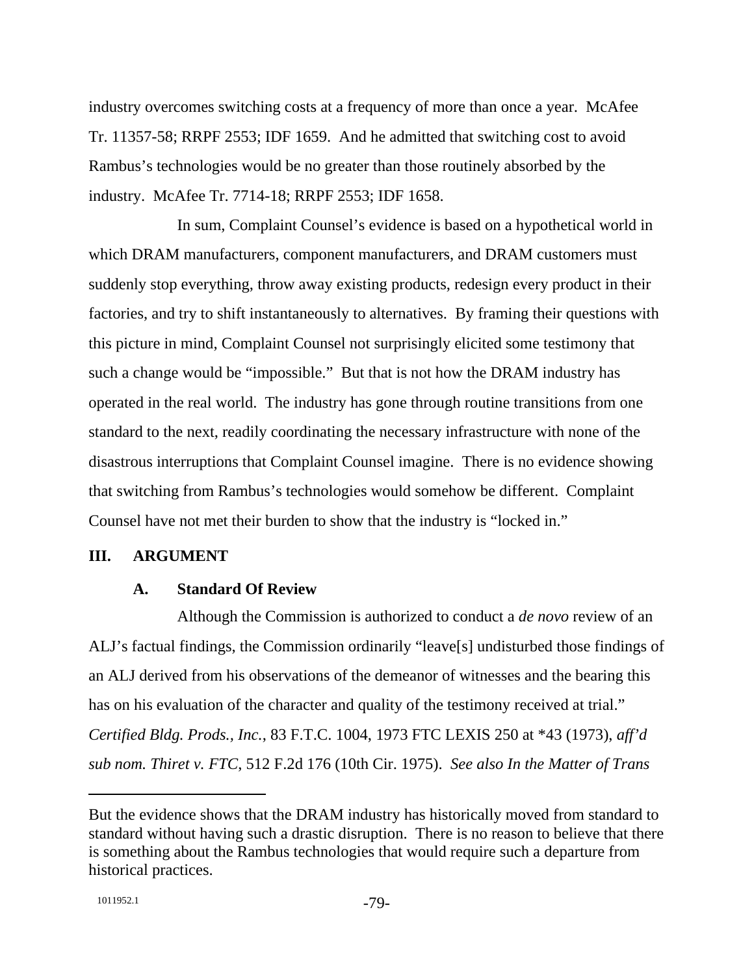industry overcomes switching costs at a frequency of more than once a year. McAfee Tr. 11357-58; RRPF 2553; IDF 1659. And he admitted that switching cost to avoid Rambus's technologies would be no greater than those routinely absorbed by the industry. McAfee Tr. 7714-18; RRPF 2553; IDF 1658.

In sum, Complaint Counsel's evidence is based on a hypothetical world in which DRAM manufacturers, component manufacturers, and DRAM customers must suddenly stop everything, throw away existing products, redesign every product in their factories, and try to shift instantaneously to alternatives. By framing their questions with this picture in mind, Complaint Counsel not surprisingly elicited some testimony that such a change would be "impossible." But that is not how the DRAM industry has operated in the real world. The industry has gone through routine transitions from one standard to the next, readily coordinating the necessary infrastructure with none of the disastrous interruptions that Complaint Counsel imagine. There is no evidence showing that switching from Rambus's technologies would somehow be different. Complaint Counsel have not met their burden to show that the industry is "locked in."

#### **III. ARGUMENT**

#### **A. Standard Of Review**

Although the Commission is authorized to conduct a *de novo* review of an ALJ's factual findings, the Commission ordinarily "leave[s] undisturbed those findings of an ALJ derived from his observations of the demeanor of witnesses and the bearing this has on his evaluation of the character and quality of the testimony received at trial." *Certified Bldg. Prods., Inc.*, 83 F.T.C. 1004, 1973 FTC LEXIS 250 at \*43 (1973), *aff'd sub nom. Thiret v. FTC*, 512 F.2d 176 (10th Cir. 1975). *See also In the Matter of Trans* 

But the evidence shows that the DRAM industry has historically moved from standard to standard without having such a drastic disruption. There is no reason to believe that there is something about the Rambus technologies that would require such a departure from historical practices.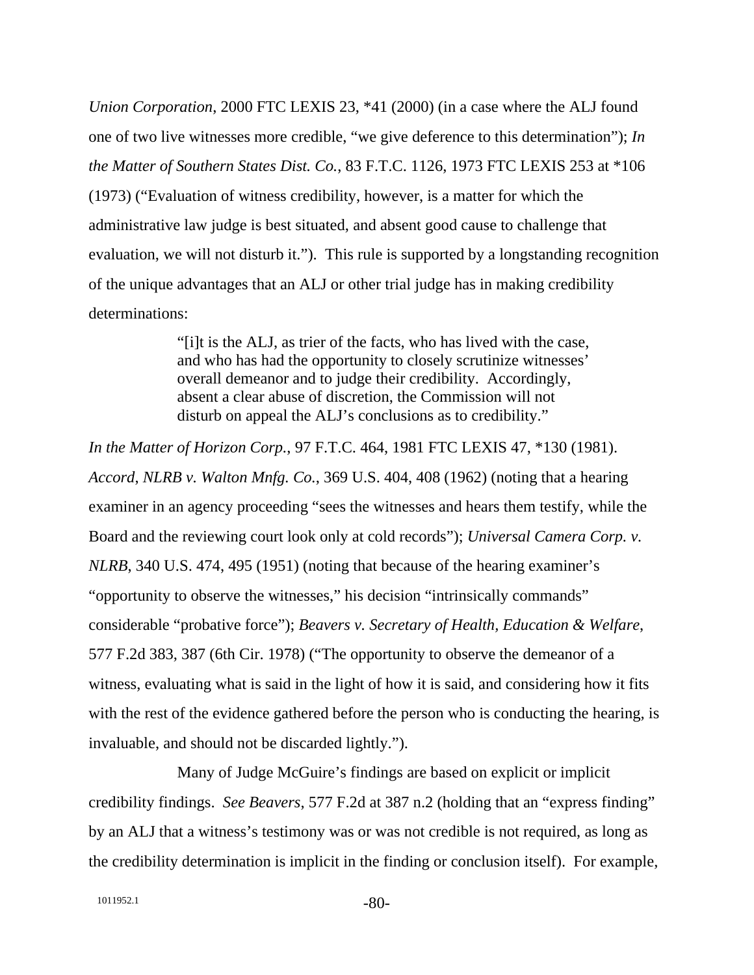*Union Corporation*, 2000 FTC LEXIS 23, \*41 (2000) (in a case where the ALJ found one of two live witnesses more credible, "we give deference to this determination"); *In the Matter of Southern States Dist. Co.*, 83 F.T.C. 1126, 1973 FTC LEXIS 253 at \*106 (1973) ("Evaluation of witness credibility, however, is a matter for which the administrative law judge is best situated, and absent good cause to challenge that evaluation, we will not disturb it."). This rule is supported by a longstanding recognition of the unique advantages that an ALJ or other trial judge has in making credibility determinations:

> "[i]t is the ALJ, as trier of the facts, who has lived with the case, and who has had the opportunity to closely scrutinize witnesses' overall demeanor and to judge their credibility. Accordingly, absent a clear abuse of discretion, the Commission will not disturb on appeal the ALJ's conclusions as to credibility."

*In the Matter of Horizon Corp.*, 97 F.T.C. 464, 1981 FTC LEXIS 47, \*130 (1981). *Accord*, *NLRB v. Walton Mnfg. Co.*, 369 U.S. 404, 408 (1962) (noting that a hearing examiner in an agency proceeding "sees the witnesses and hears them testify, while the Board and the reviewing court look only at cold records"); *Universal Camera Corp. v. NLRB*, 340 U.S. 474, 495 (1951) (noting that because of the hearing examiner's "opportunity to observe the witnesses," his decision "intrinsically commands" considerable "probative force"); *Beavers v. Secretary of Health, Education & Welfare*, 577 F.2d 383, 387 (6th Cir. 1978) ("The opportunity to observe the demeanor of a witness, evaluating what is said in the light of how it is said, and considering how it fits with the rest of the evidence gathered before the person who is conducting the hearing, is invaluable, and should not be discarded lightly.").

Many of Judge McGuire's findings are based on explicit or implicit credibility findings. *See Beavers*, 577 F.2d at 387 n.2 (holding that an "express finding" by an ALJ that a witness's testimony was or was not credible is not required, as long as the credibility determination is implicit in the finding or conclusion itself). For example,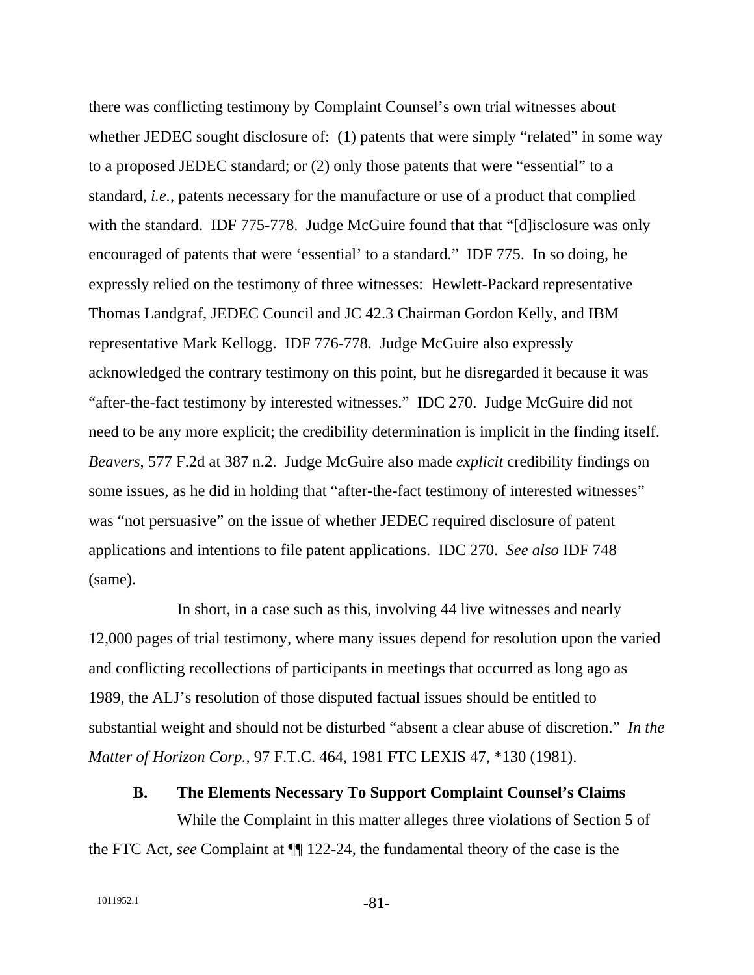there was conflicting testimony by Complaint Counsel's own trial witnesses about whether JEDEC sought disclosure of: (1) patents that were simply "related" in some way to a proposed JEDEC standard; or (2) only those patents that were "essential" to a standard, *i.e.*, patents necessary for the manufacture or use of a product that complied with the standard. IDF 775-778. Judge McGuire found that that "[d] isclosure was only encouraged of patents that were 'essential' to a standard." IDF 775. In so doing, he expressly relied on the testimony of three witnesses: Hewlett-Packard representative Thomas Landgraf, JEDEC Council and JC 42.3 Chairman Gordon Kelly, and IBM representative Mark Kellogg. IDF 776-778. Judge McGuire also expressly acknowledged the contrary testimony on this point, but he disregarded it because it was "after-the-fact testimony by interested witnesses." IDC 270. Judge McGuire did not need to be any more explicit; the credibility determination is implicit in the finding itself. *Beavers*, 577 F.2d at 387 n.2. Judge McGuire also made *explicit* credibility findings on some issues, as he did in holding that "after-the-fact testimony of interested witnesses" was "not persuasive" on the issue of whether JEDEC required disclosure of patent applications and intentions to file patent applications. IDC 270. *See also* IDF 748 (same).

In short, in a case such as this, involving 44 live witnesses and nearly 12,000 pages of trial testimony, where many issues depend for resolution upon the varied and conflicting recollections of participants in meetings that occurred as long ago as 1989, the ALJ's resolution of those disputed factual issues should be entitled to substantial weight and should not be disturbed "absent a clear abuse of discretion." *In the Matter of Horizon Corp.*, 97 F.T.C. 464, 1981 FTC LEXIS 47, \*130 (1981).

**B. The Elements Necessary To Support Complaint Counsel's Claims** 

While the Complaint in this matter alleges three violations of Section 5 of the FTC Act, *see* Complaint at ¶¶ 122-24, the fundamental theory of the case is the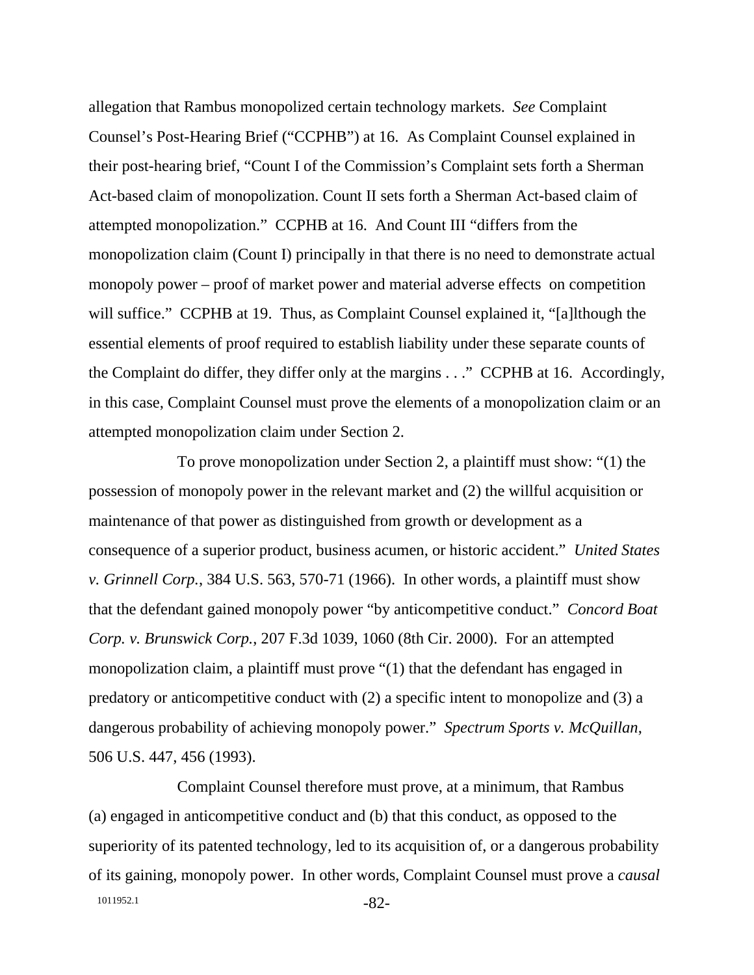allegation that Rambus monopolized certain technology markets. *See* Complaint Counsel's Post-Hearing Brief ("CCPHB") at 16. As Complaint Counsel explained in their post-hearing brief, "Count I of the Commission's Complaint sets forth a Sherman Act-based claim of monopolization. Count II sets forth a Sherman Act-based claim of attempted monopolization." CCPHB at 16. And Count III "differs from the monopolization claim (Count I) principally in that there is no need to demonstrate actual monopoly power – proof of market power and material adverse effects on competition will suffice." CCPHB at 19. Thus, as Complaint Counsel explained it, "[a]lthough the essential elements of proof required to establish liability under these separate counts of the Complaint do differ, they differ only at the margins . . ." CCPHB at 16. Accordingly, in this case, Complaint Counsel must prove the elements of a monopolization claim or an attempted monopolization claim under Section 2.

To prove monopolization under Section 2, a plaintiff must show: "(1) the possession of monopoly power in the relevant market and (2) the willful acquisition or maintenance of that power as distinguished from growth or development as a consequence of a superior product, business acumen, or historic accident." *United States v. Grinnell Corp.*, 384 U.S. 563, 570-71 (1966). In other words, a plaintiff must show that the defendant gained monopoly power "by anticompetitive conduct." *Concord Boat Corp. v. Brunswick Corp.*, 207 F.3d 1039, 1060 (8th Cir. 2000). For an attempted monopolization claim, a plaintiff must prove "(1) that the defendant has engaged in predatory or anticompetitive conduct with (2) a specific intent to monopolize and (3) a dangerous probability of achieving monopoly power." *Spectrum Sports v. McQuillan*, 506 U.S. 447, 456 (1993).

1011952.1 -82-Complaint Counsel therefore must prove, at a minimum, that Rambus (a) engaged in anticompetitive conduct and (b) that this conduct, as opposed to the superiority of its patented technology, led to its acquisition of, or a dangerous probability of its gaining, monopoly power. In other words, Complaint Counsel must prove a *causal*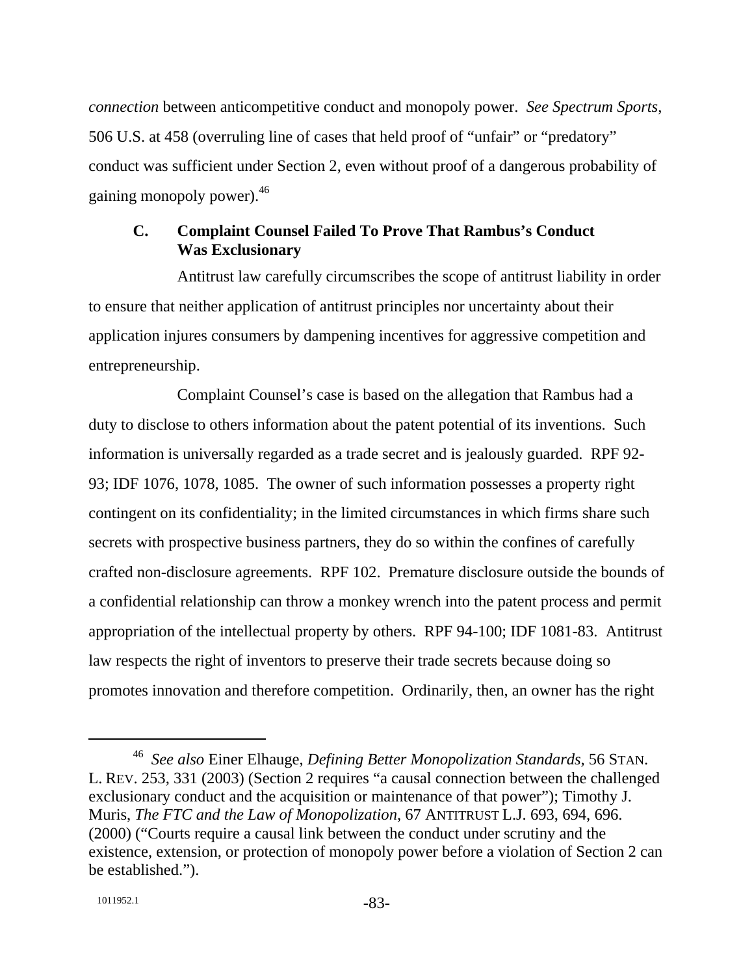*connection* between anticompetitive conduct and monopoly power. *See Spectrum Sports*, 506 U.S. at 458 (overruling line of cases that held proof of "unfair" or "predatory" conduct was sufficient under Section 2, even without proof of a dangerous probability of gaining monopoly power).46

## **C. Complaint Counsel Failed To Prove That Rambus's Conduct Was Exclusionary**

Antitrust law carefully circumscribes the scope of antitrust liability in order to ensure that neither application of antitrust principles nor uncertainty about their application injures consumers by dampening incentives for aggressive competition and entrepreneurship.

Complaint Counsel's case is based on the allegation that Rambus had a duty to disclose to others information about the patent potential of its inventions. Such information is universally regarded as a trade secret and is jealously guarded. RPF 92- 93; IDF 1076, 1078, 1085. The owner of such information possesses a property right contingent on its confidentiality; in the limited circumstances in which firms share such secrets with prospective business partners, they do so within the confines of carefully crafted non-disclosure agreements. RPF 102. Premature disclosure outside the bounds of a confidential relationship can throw a monkey wrench into the patent process and permit appropriation of the intellectual property by others. RPF 94-100; IDF 1081-83. Antitrust law respects the right of inventors to preserve their trade secrets because doing so promotes innovation and therefore competition. Ordinarily, then, an owner has the right

 <sup>46</sup> *See also* Einer Elhauge, *Defining Better Monopolization Standards*, 56 STAN. L. REV. 253, 331 (2003) (Section 2 requires "a causal connection between the challenged exclusionary conduct and the acquisition or maintenance of that power"); Timothy J. Muris, *The FTC and the Law of Monopolization*, 67 ANTITRUST L.J. 693, 694, 696. (2000) ("Courts require a causal link between the conduct under scrutiny and the existence, extension, or protection of monopoly power before a violation of Section 2 can be established.").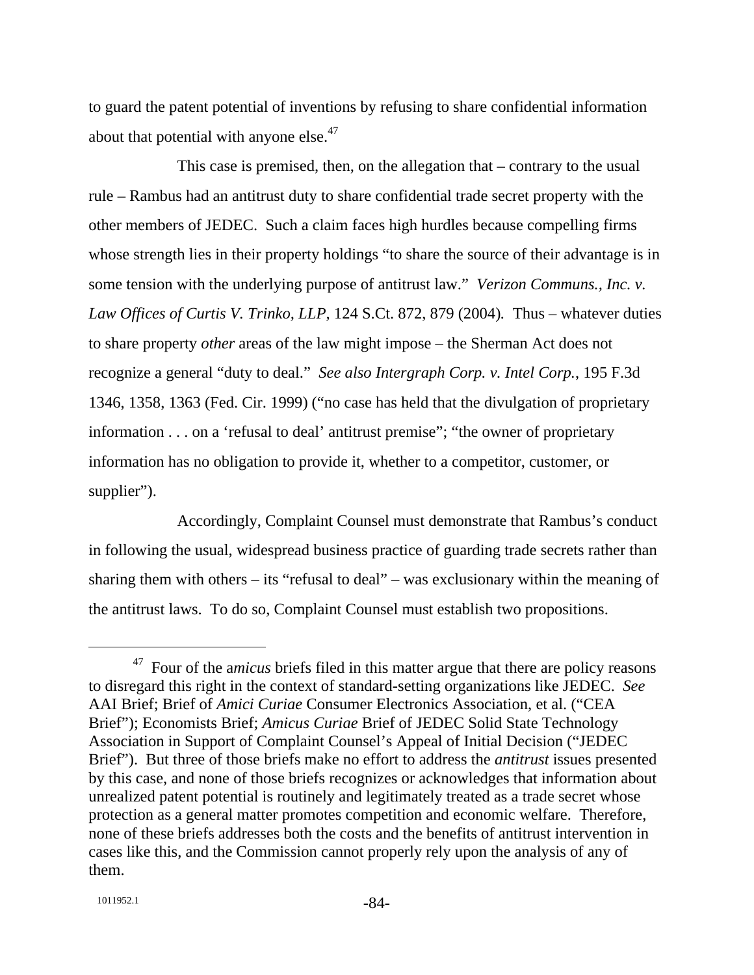to guard the patent potential of inventions by refusing to share confidential information about that potential with anyone else.<sup>47</sup>

This case is premised, then, on the allegation that – contrary to the usual rule – Rambus had an antitrust duty to share confidential trade secret property with the other members of JEDEC. Such a claim faces high hurdles because compelling firms whose strength lies in their property holdings "to share the source of their advantage is in some tension with the underlying purpose of antitrust law." *Verizon Communs., Inc. v. Law Offices of Curtis V. Trinko, LLP,* 124 S.Ct. 872, 879 (2004)*.* Thus – whatever duties to share property *other* areas of the law might impose – the Sherman Act does not recognize a general "duty to deal." *See also Intergraph Corp. v. Intel Corp.*, 195 F.3d 1346, 1358, 1363 (Fed. Cir. 1999) ("no case has held that the divulgation of proprietary information . . . on a 'refusal to deal' antitrust premise"; "the owner of proprietary information has no obligation to provide it, whether to a competitor, customer, or supplier").

Accordingly, Complaint Counsel must demonstrate that Rambus's conduct in following the usual, widespread business practice of guarding trade secrets rather than sharing them with others – its "refusal to deal" – was exclusionary within the meaning of the antitrust laws. To do so, Complaint Counsel must establish two propositions.

<sup>&</sup>lt;sup>47</sup> Four of the *amicus* briefs filed in this matter argue that there are policy reasons to disregard this right in the context of standard-setting organizations like JEDEC. *See*  AAI Brief; Brief of *Amici Curiae* Consumer Electronics Association, et al. ("CEA Brief"); Economists Brief; *Amicus Curiae* Brief of JEDEC Solid State Technology Association in Support of Complaint Counsel's Appeal of Initial Decision ("JEDEC Brief"). But three of those briefs make no effort to address the *antitrust* issues presented by this case, and none of those briefs recognizes or acknowledges that information about unrealized patent potential is routinely and legitimately treated as a trade secret whose protection as a general matter promotes competition and economic welfare. Therefore, none of these briefs addresses both the costs and the benefits of antitrust intervention in cases like this, and the Commission cannot properly rely upon the analysis of any of them.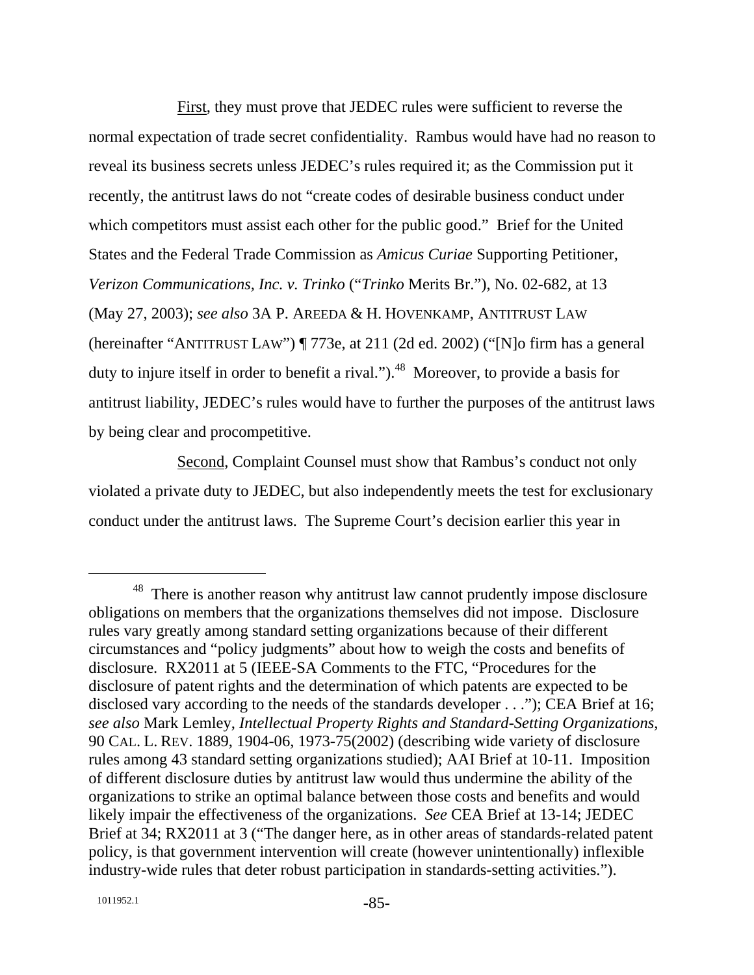First, they must prove that JEDEC rules were sufficient to reverse the normal expectation of trade secret confidentiality. Rambus would have had no reason to reveal its business secrets unless JEDEC's rules required it; as the Commission put it recently, the antitrust laws do not "create codes of desirable business conduct under which competitors must assist each other for the public good." Brief for the United States and the Federal Trade Commission as *Amicus Curiae* Supporting Petitioner, *Verizon Communications, Inc. v. Trinko* ("*Trinko* Merits Br."), No. 02-682, at 13 (May 27, 2003); *see also* 3A P. AREEDA & H. HOVENKAMP, ANTITRUST LAW (hereinafter "ANTITRUST LAW") ¶ 773e, at 211 (2d ed. 2002) ("[N]o firm has a general duty to injure itself in order to benefit a rival.").<sup>48</sup> Moreover, to provide a basis for antitrust liability, JEDEC's rules would have to further the purposes of the antitrust laws by being clear and procompetitive.

Second, Complaint Counsel must show that Rambus's conduct not only violated a private duty to JEDEC, but also independently meets the test for exclusionary conduct under the antitrust laws. The Supreme Court's decision earlier this year in

<sup>&</sup>lt;sup>48</sup> There is another reason why antitrust law cannot prudently impose disclosure obligations on members that the organizations themselves did not impose. Disclosure rules vary greatly among standard setting organizations because of their different circumstances and "policy judgments" about how to weigh the costs and benefits of disclosure. RX2011 at 5 (IEEE-SA Comments to the FTC, "Procedures for the disclosure of patent rights and the determination of which patents are expected to be disclosed vary according to the needs of the standards developer . . ."); CEA Brief at 16; *see also* Mark Lemley, *Intellectual Property Rights and Standard-Setting Organizations*, 90 CAL. L. REV. 1889, 1904-06, 1973-75(2002) (describing wide variety of disclosure rules among 43 standard setting organizations studied); AAI Brief at 10-11. Imposition of different disclosure duties by antitrust law would thus undermine the ability of the organizations to strike an optimal balance between those costs and benefits and would likely impair the effectiveness of the organizations. *See* CEA Brief at 13-14; JEDEC Brief at 34; RX2011 at 3 ("The danger here, as in other areas of standards-related patent policy, is that government intervention will create (however unintentionally) inflexible industry-wide rules that deter robust participation in standards-setting activities.").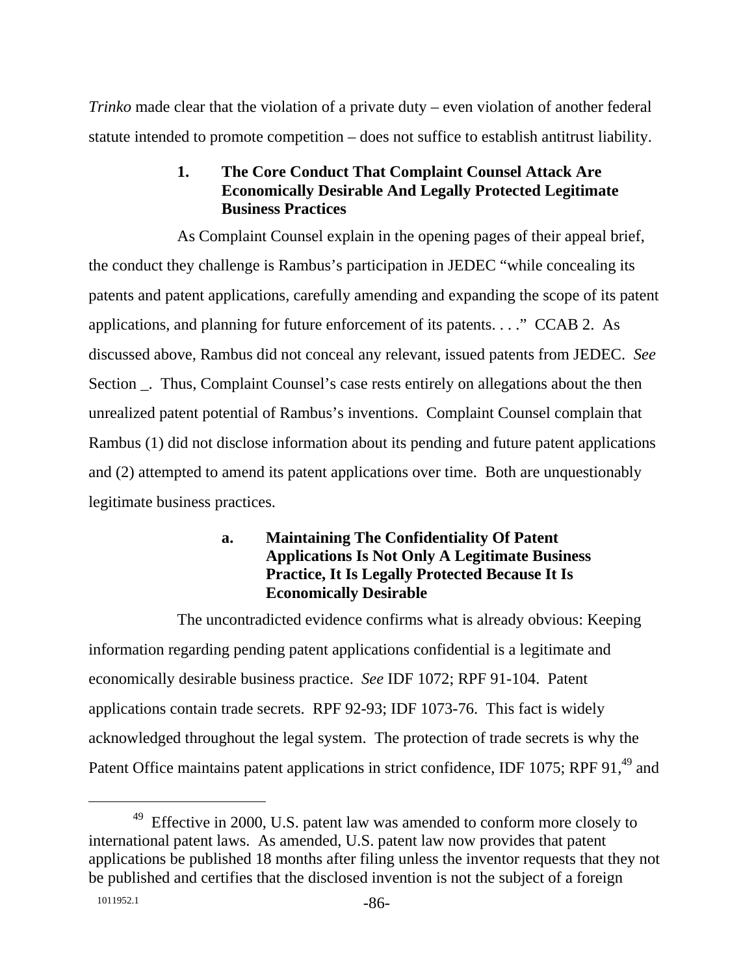*Trinko* made clear that the violation of a private duty – even violation of another federal statute intended to promote competition – does not suffice to establish antitrust liability.

# **1. The Core Conduct That Complaint Counsel Attack Are Economically Desirable And Legally Protected Legitimate Business Practices**

As Complaint Counsel explain in the opening pages of their appeal brief, the conduct they challenge is Rambus's participation in JEDEC "while concealing its patents and patent applications, carefully amending and expanding the scope of its patent applications, and planning for future enforcement of its patents. . . ." CCAB 2. As discussed above, Rambus did not conceal any relevant, issued patents from JEDEC. *See*  Section \_. Thus, Complaint Counsel's case rests entirely on allegations about the then unrealized patent potential of Rambus's inventions. Complaint Counsel complain that Rambus (1) did not disclose information about its pending and future patent applications and (2) attempted to amend its patent applications over time. Both are unquestionably legitimate business practices.

# **a. Maintaining The Confidentiality Of Patent Applications Is Not Only A Legitimate Business Practice, It Is Legally Protected Because It Is Economically Desirable**

The uncontradicted evidence confirms what is already obvious: Keeping information regarding pending patent applications confidential is a legitimate and economically desirable business practice. *See* IDF 1072; RPF 91-104. Patent applications contain trade secrets. RPF 92-93; IDF 1073-76. This fact is widely acknowledged throughout the legal system. The protection of trade secrets is why the Patent Office maintains patent applications in strict confidence, IDF 1075; RPF 91,<sup>49</sup> and

 $49$  Effective in 2000, U.S. patent law was amended to conform more closely to international patent laws. As amended, U.S. patent law now provides that patent applications be published 18 months after filing unless the inventor requests that they not be published and certifies that the disclosed invention is not the subject of a foreign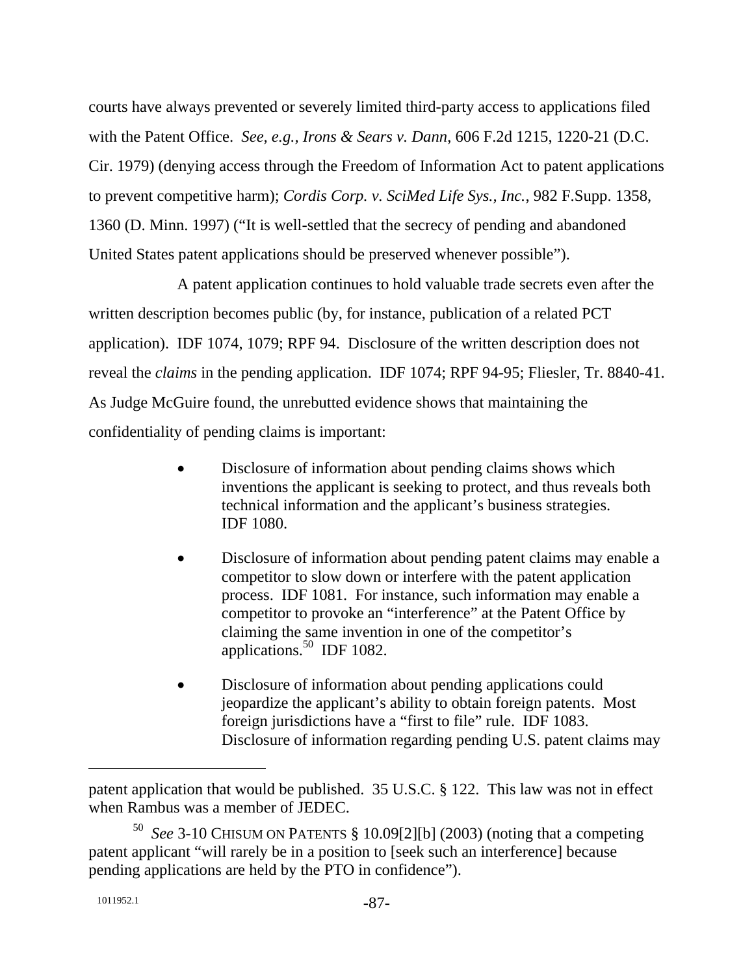courts have always prevented or severely limited third-party access to applications filed with the Patent Office. *See, e.g., Irons & Sears v. Dann*, 606 F.2d 1215, 1220-21 (D.C. Cir. 1979) (denying access through the Freedom of Information Act to patent applications to prevent competitive harm); *Cordis Corp. v. SciMed Life Sys., Inc.*, 982 F.Supp. 1358, 1360 (D. Minn. 1997) ("It is well-settled that the secrecy of pending and abandoned United States patent applications should be preserved whenever possible").

A patent application continues to hold valuable trade secrets even after the written description becomes public (by, for instance, publication of a related PCT application). IDF 1074, 1079; RPF 94. Disclosure of the written description does not reveal the *claims* in the pending application. IDF 1074; RPF 94-95; Fliesler, Tr. 8840-41. As Judge McGuire found, the unrebutted evidence shows that maintaining the confidentiality of pending claims is important:

- Disclosure of information about pending claims shows which inventions the applicant is seeking to protect, and thus reveals both technical information and the applicant's business strategies. IDF 1080.
- Disclosure of information about pending patent claims may enable a competitor to slow down or interfere with the patent application process. IDF 1081. For instance, such information may enable a competitor to provoke an "interference" at the Patent Office by claiming the same invention in one of the competitor's applications.<sup>50</sup> IDF 1082.
- Disclosure of information about pending applications could jeopardize the applicant's ability to obtain foreign patents. Most foreign jurisdictions have a "first to file" rule. IDF 1083. Disclosure of information regarding pending U.S. patent claims may

patent application that would be published. 35 U.S.C. § 122. This law was not in effect when Rambus was a member of JEDEC.

<sup>50</sup> *See* 3-10 CHISUM ON PATENTS § 10.09[2][b] (2003) (noting that a competing patent applicant "will rarely be in a position to [seek such an interference] because pending applications are held by the PTO in confidence").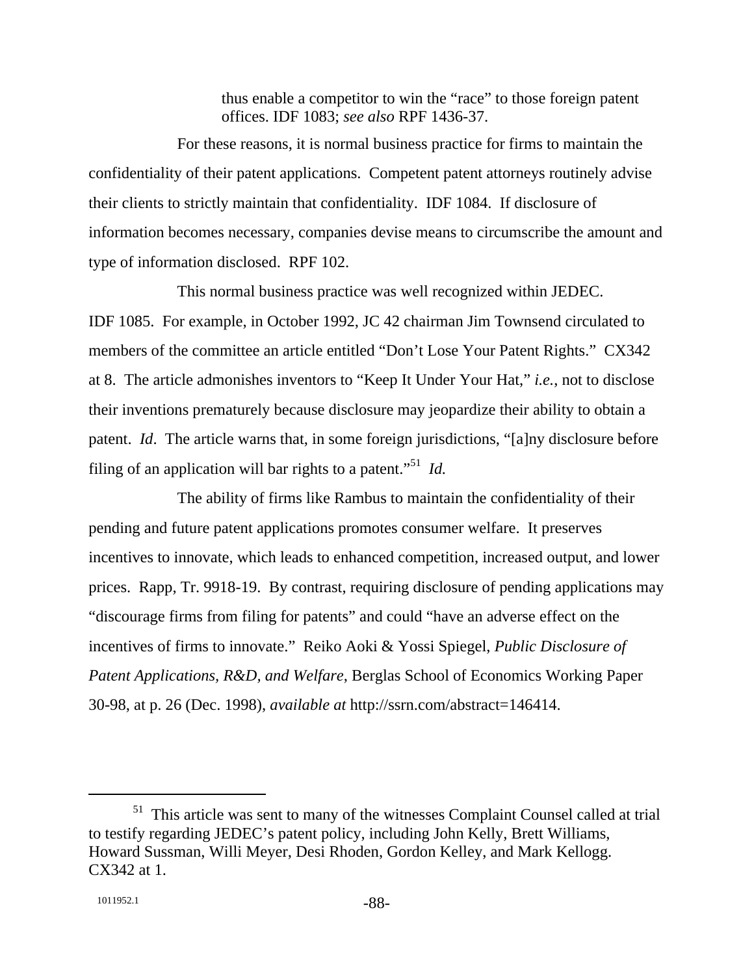thus enable a competitor to win the "race" to those foreign patent offices. IDF 1083; *see also* RPF 1436-37.

For these reasons, it is normal business practice for firms to maintain the confidentiality of their patent applications. Competent patent attorneys routinely advise their clients to strictly maintain that confidentiality. IDF 1084. If disclosure of information becomes necessary, companies devise means to circumscribe the amount and type of information disclosed. RPF 102.

This normal business practice was well recognized within JEDEC. IDF 1085. For example, in October 1992, JC 42 chairman Jim Townsend circulated to members of the committee an article entitled "Don't Lose Your Patent Rights." CX342 at 8. The article admonishes inventors to "Keep It Under Your Hat," *i.e.*, not to disclose their inventions prematurely because disclosure may jeopardize their ability to obtain a patent. *Id*. The article warns that, in some foreign jurisdictions, "[a]ny disclosure before filing of an application will bar rights to a patent."51 *Id.*

The ability of firms like Rambus to maintain the confidentiality of their pending and future patent applications promotes consumer welfare. It preserves incentives to innovate, which leads to enhanced competition, increased output, and lower prices. Rapp, Tr. 9918-19. By contrast, requiring disclosure of pending applications may "discourage firms from filing for patents" and could "have an adverse effect on the incentives of firms to innovate." Reiko Aoki & Yossi Spiegel, *Public Disclosure of Patent Applications, R&D, and Welfare*, Berglas School of Economics Working Paper 30-98, at p. 26 (Dec. 1998), *available at* http://ssrn.com/abstract=146414.

 <sup>51</sup> This article was sent to many of the witnesses Complaint Counsel called at trial to testify regarding JEDEC's patent policy, including John Kelly, Brett Williams, Howard Sussman, Willi Meyer, Desi Rhoden, Gordon Kelley, and Mark Kellogg. CX342 at 1.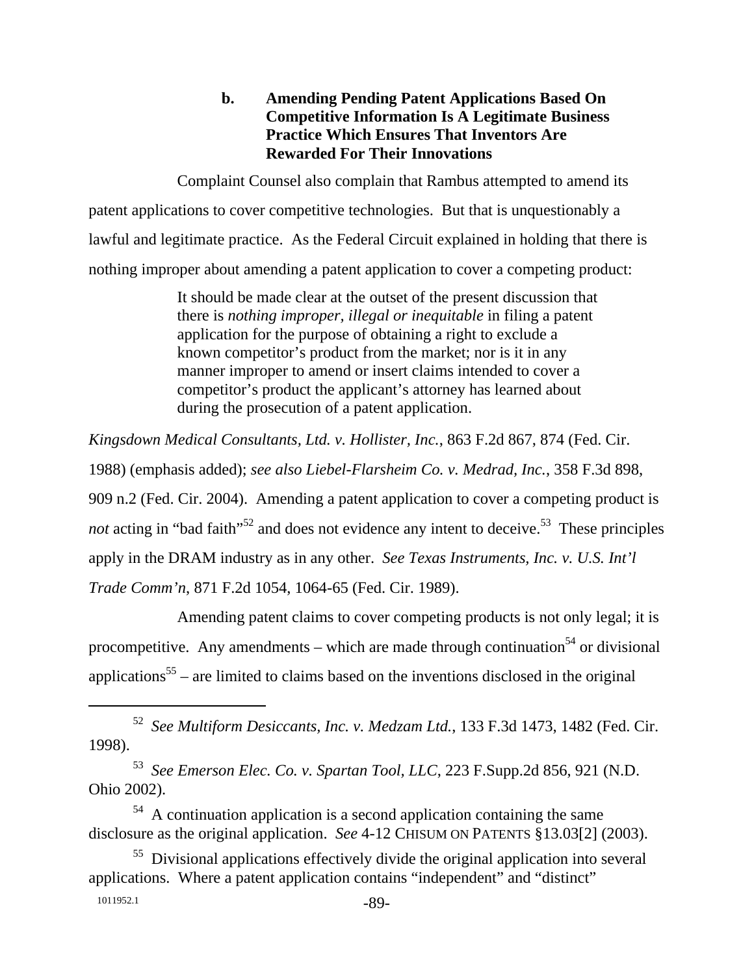# **b. Amending Pending Patent Applications Based On Competitive Information Is A Legitimate Business Practice Which Ensures That Inventors Are Rewarded For Their Innovations**

Complaint Counsel also complain that Rambus attempted to amend its patent applications to cover competitive technologies. But that is unquestionably a lawful and legitimate practice. As the Federal Circuit explained in holding that there is nothing improper about amending a patent application to cover a competing product:

> It should be made clear at the outset of the present discussion that there is *nothing improper, illegal or inequitable* in filing a patent application for the purpose of obtaining a right to exclude a known competitor's product from the market; nor is it in any manner improper to amend or insert claims intended to cover a competitor's product the applicant's attorney has learned about during the prosecution of a patent application.

*Kingsdown Medical Consultants, Ltd. v. Hollister, Inc.*, 863 F.2d 867, 874 (Fed. Cir. 1988) (emphasis added); *see also Liebel-Flarsheim Co. v. Medrad, Inc.*, 358 F.3d 898, 909 n.2 (Fed. Cir. 2004). Amending a patent application to cover a competing product is *not* acting in "bad faith"<sup>52</sup> and does not evidence any intent to deceive.<sup>53</sup> These principles apply in the DRAM industry as in any other. *See Texas Instruments, Inc. v. U.S. Int'l Trade Comm'n*, 871 F.2d 1054, 1064-65 (Fed. Cir. 1989).

Amending patent claims to cover competing products is not only legal; it is procompetitive. Any amendments – which are made through continuation<sup>54</sup> or divisional applications<sup>55</sup> – are limited to claims based on the inventions disclosed in the original

53 *See Emerson Elec. Co. v. Spartan Tool, LLC*, 223 F.Supp.2d 856, 921 (N.D. Ohio 2002).

 $54$  A continuation application is a second application containing the same disclosure as the original application. *See* 4-12 CHISUM ON PATENTS §13.03[2] (2003).

1011952.1 -89-<sup>55</sup> Divisional applications effectively divide the original application into several applications. Where a patent application contains "independent" and "distinct"

 <sup>52</sup> *See Multiform Desiccants, Inc. v. Medzam Ltd.*, 133 F.3d 1473, 1482 (Fed. Cir. 1998).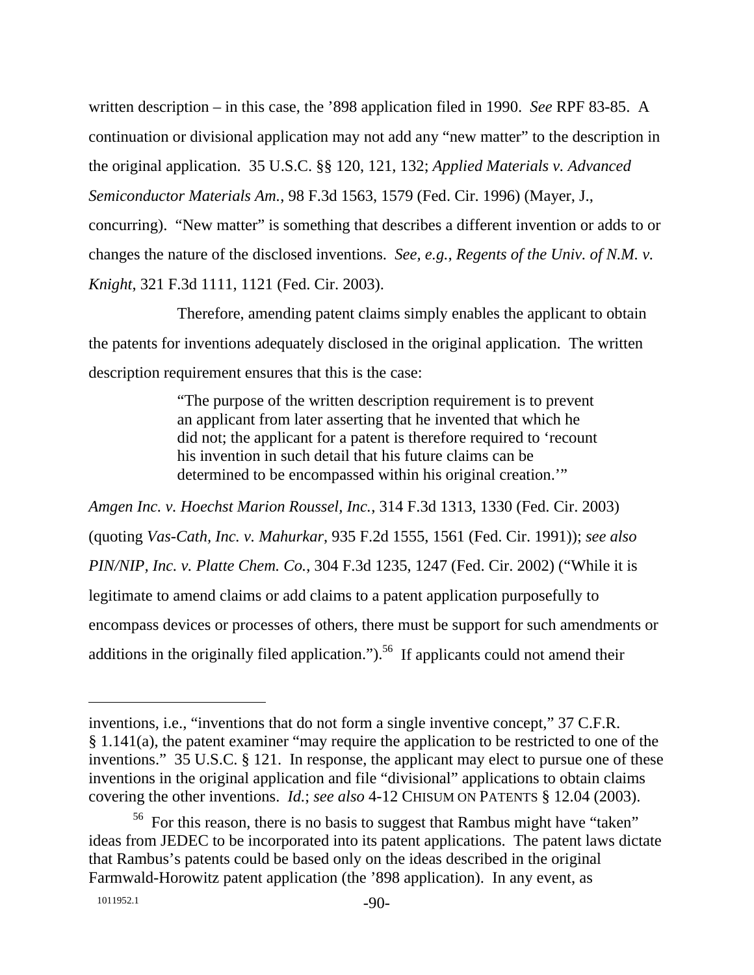written description – in this case, the '898 application filed in 1990. *See* RPF 83-85. A continuation or divisional application may not add any "new matter" to the description in the original application. 35 U.S.C. §§ 120, 121, 132; *Applied Materials v. Advanced Semiconductor Materials Am.*, 98 F.3d 1563, 1579 (Fed. Cir. 1996) (Mayer, J., concurring). "New matter" is something that describes a different invention or adds to or changes the nature of the disclosed inventions. *See, e.g., Regents of the Univ. of N.M. v. Knight*, 321 F.3d 1111, 1121 (Fed. Cir. 2003).

Therefore, amending patent claims simply enables the applicant to obtain the patents for inventions adequately disclosed in the original application. The written description requirement ensures that this is the case:

> "The purpose of the written description requirement is to prevent an applicant from later asserting that he invented that which he did not; the applicant for a patent is therefore required to 'recount his invention in such detail that his future claims can be determined to be encompassed within his original creation.'"

*Amgen Inc. v. Hoechst Marion Roussel, Inc.*, 314 F.3d 1313, 1330 (Fed. Cir. 2003) (quoting *Vas-Cath, Inc. v. Mahurkar*, 935 F.2d 1555, 1561 (Fed. Cir. 1991)); *see also PIN/NIP, Inc. v. Platte Chem. Co.*, 304 F.3d 1235, 1247 (Fed. Cir. 2002) ("While it is legitimate to amend claims or add claims to a patent application purposefully to encompass devices or processes of others, there must be support for such amendments or additions in the originally filed application.").<sup>56</sup> If applicants could not amend their

inventions, i.e., "inventions that do not form a single inventive concept," 37 C.F.R. § 1.141(a), the patent examiner "may require the application to be restricted to one of the inventions." 35 U.S.C. § 121. In response, the applicant may elect to pursue one of these inventions in the original application and file "divisional" applications to obtain claims covering the other inventions. *Id.*; *see also* 4-12 CHISUM ON PATENTS § 12.04 (2003).

 $56$  For this reason, there is no basis to suggest that Rambus might have "taken" ideas from JEDEC to be incorporated into its patent applications. The patent laws dictate that Rambus's patents could be based only on the ideas described in the original Farmwald-Horowitz patent application (the '898 application). In any event, as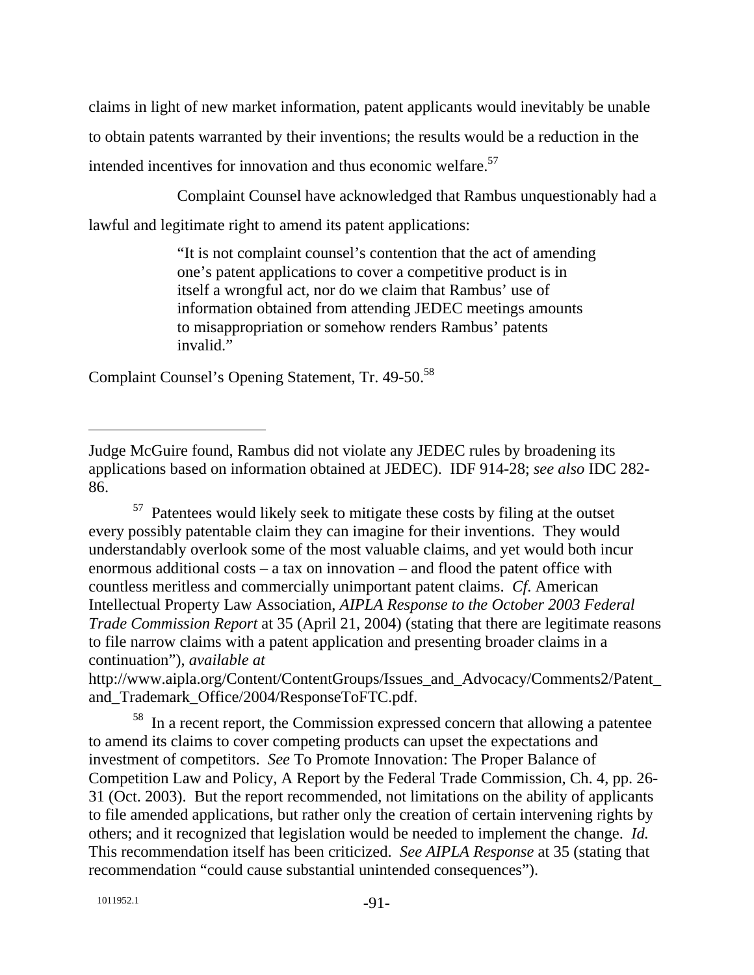claims in light of new market information, patent applicants would inevitably be unable to obtain patents warranted by their inventions; the results would be a reduction in the intended incentives for innovation and thus economic welfare.<sup>57</sup>

Complaint Counsel have acknowledged that Rambus unquestionably had a

lawful and legitimate right to amend its patent applications:

"It is not complaint counsel's contention that the act of amending one's patent applications to cover a competitive product is in itself a wrongful act, nor do we claim that Rambus' use of information obtained from attending JEDEC meetings amounts to misappropriation or somehow renders Rambus' patents invalid."

Complaint Counsel's Opening Statement, Tr. 49-50.<sup>58</sup>

57 Patentees would likely seek to mitigate these costs by filing at the outset every possibly patentable claim they can imagine for their inventions. They would understandably overlook some of the most valuable claims, and yet would both incur enormous additional costs – a tax on innovation – and flood the patent office with countless meritless and commercially unimportant patent claims. *Cf*. American Intellectual Property Law Association, *AIPLA Response to the October 2003 Federal Trade Commission Report* at 35 (April 21, 2004) (stating that there are legitimate reasons to file narrow claims with a patent application and presenting broader claims in a continuation"), *available at*

http://www.aipla.org/Content/ContentGroups/Issues\_and\_Advocacy/Comments2/Patent\_ and\_Trademark\_Office/2004/ResponseToFTC.pdf.

58 In a recent report, the Commission expressed concern that allowing a patentee to amend its claims to cover competing products can upset the expectations and investment of competitors. *See* To Promote Innovation: The Proper Balance of Competition Law and Policy, A Report by the Federal Trade Commission, Ch. 4, pp. 26- 31 (Oct. 2003). But the report recommended, not limitations on the ability of applicants to file amended applications, but rather only the creation of certain intervening rights by others; and it recognized that legislation would be needed to implement the change. *Id.* This recommendation itself has been criticized. *See AIPLA Response* at 35 (stating that recommendation "could cause substantial unintended consequences").

1011952.1 -91-

Judge McGuire found, Rambus did not violate any JEDEC rules by broadening its applications based on information obtained at JEDEC). IDF 914-28; *see also* IDC 282- 86.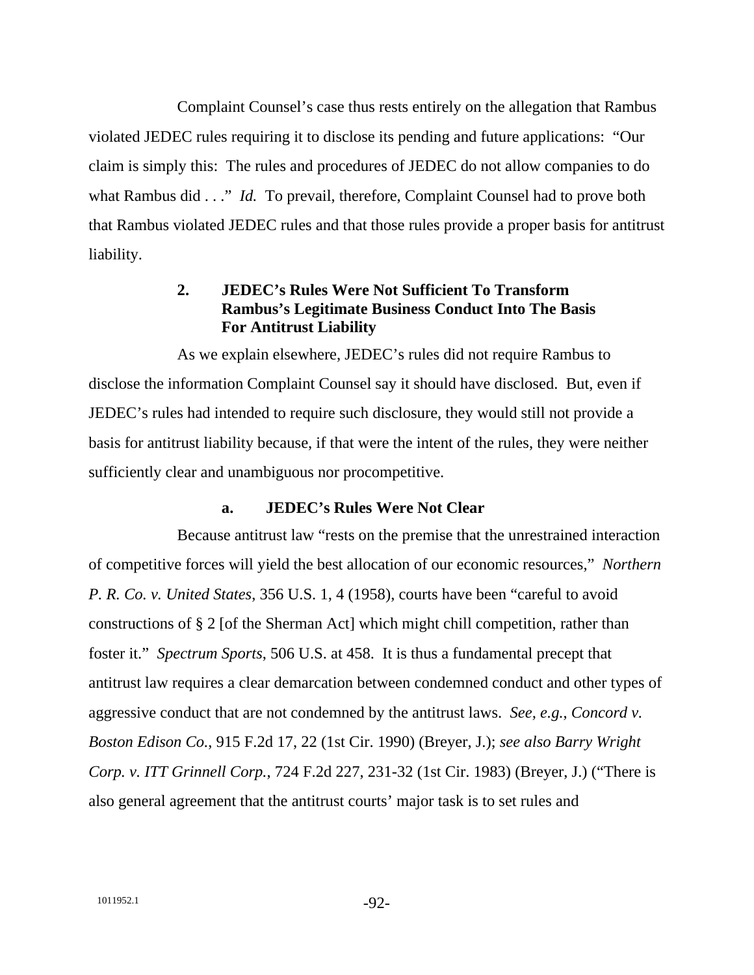Complaint Counsel's case thus rests entirely on the allegation that Rambus violated JEDEC rules requiring it to disclose its pending and future applications: "Our claim is simply this: The rules and procedures of JEDEC do not allow companies to do what Rambus did . . ." *Id.* To prevail, therefore, Complaint Counsel had to prove both that Rambus violated JEDEC rules and that those rules provide a proper basis for antitrust liability.

# **2. JEDEC's Rules Were Not Sufficient To Transform Rambus's Legitimate Business Conduct Into The Basis For Antitrust Liability**

As we explain elsewhere, JEDEC's rules did not require Rambus to disclose the information Complaint Counsel say it should have disclosed. But, even if JEDEC's rules had intended to require such disclosure, they would still not provide a basis for antitrust liability because, if that were the intent of the rules, they were neither sufficiently clear and unambiguous nor procompetitive.

#### **a. JEDEC's Rules Were Not Clear**

Because antitrust law "rests on the premise that the unrestrained interaction of competitive forces will yield the best allocation of our economic resources," *Northern P. R. Co. v. United States*, 356 U.S. 1, 4 (1958), courts have been "careful to avoid constructions of § 2 [of the Sherman Act] which might chill competition, rather than foster it." *Spectrum Sports*, 506 U.S. at 458. It is thus a fundamental precept that antitrust law requires a clear demarcation between condemned conduct and other types of aggressive conduct that are not condemned by the antitrust laws. *See, e.g.*, *Concord v. Boston Edison Co.*, 915 F.2d 17, 22 (1st Cir. 1990) (Breyer, J.); *see also Barry Wright Corp. v. ITT Grinnell Corp.*, 724 F.2d 227, 231-32 (1st Cir. 1983) (Breyer, J.) ("There is also general agreement that the antitrust courts' major task is to set rules and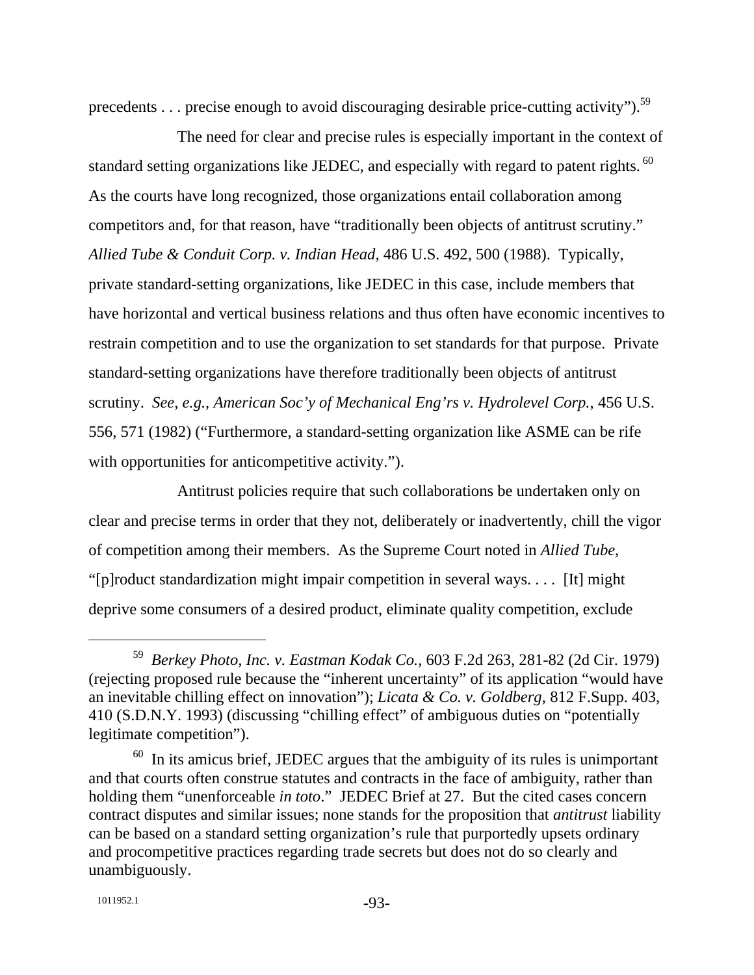precedents . . . precise enough to avoid discouraging desirable price-cutting activity").<sup>59</sup>

The need for clear and precise rules is especially important in the context of standard setting organizations like JEDEC, and especially with regard to patent rights. <sup>60</sup> As the courts have long recognized, those organizations entail collaboration among competitors and, for that reason, have "traditionally been objects of antitrust scrutiny." *Allied Tube & Conduit Corp. v. Indian Head,* 486 U.S. 492, 500 (1988). Typically, private standard-setting organizations, like JEDEC in this case, include members that have horizontal and vertical business relations and thus often have economic incentives to restrain competition and to use the organization to set standards for that purpose. Private standard-setting organizations have therefore traditionally been objects of antitrust scrutiny. *See, e.g., American Soc'y of Mechanical Eng'rs v. Hydrolevel Corp.*, 456 U.S. 556, 571 (1982) ("Furthermore, a standard-setting organization like ASME can be rife with opportunities for anticompetitive activity.").

Antitrust policies require that such collaborations be undertaken only on clear and precise terms in order that they not, deliberately or inadvertently, chill the vigor of competition among their members. As the Supreme Court noted in *Allied Tube*, "[p]roduct standardization might impair competition in several ways. . . . [It] might deprive some consumers of a desired product, eliminate quality competition, exclude

 <sup>59</sup> *Berkey Photo, Inc. v. Eastman Kodak Co.*, 603 F.2d 263, 281-82 (2d Cir. 1979) (rejecting proposed rule because the "inherent uncertainty" of its application "would have an inevitable chilling effect on innovation"); *Licata & Co. v. Goldberg*, 812 F.Supp. 403, 410 (S.D.N.Y. 1993) (discussing "chilling effect" of ambiguous duties on "potentially legitimate competition").

 $60$  In its amicus brief, JEDEC argues that the ambiguity of its rules is unimportant and that courts often construe statutes and contracts in the face of ambiguity, rather than holding them "unenforceable *in toto*." JEDEC Brief at 27. But the cited cases concern contract disputes and similar issues; none stands for the proposition that *antitrust* liability can be based on a standard setting organization's rule that purportedly upsets ordinary and procompetitive practices regarding trade secrets but does not do so clearly and unambiguously.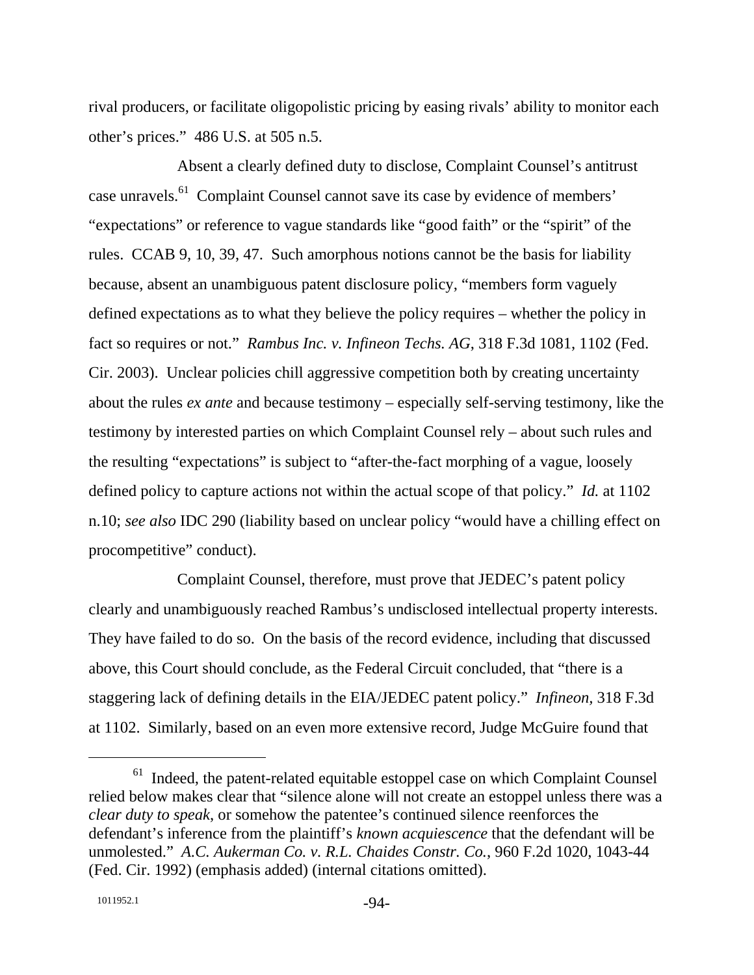rival producers, or facilitate oligopolistic pricing by easing rivals' ability to monitor each other's prices." 486 U.S. at 505 n.5.

Absent a clearly defined duty to disclose, Complaint Counsel's antitrust case unravels.61 Complaint Counsel cannot save its case by evidence of members' "expectations" or reference to vague standards like "good faith" or the "spirit" of the rules. CCAB 9, 10, 39, 47. Such amorphous notions cannot be the basis for liability because, absent an unambiguous patent disclosure policy, "members form vaguely defined expectations as to what they believe the policy requires – whether the policy in fact so requires or not." *Rambus Inc. v. Infineon Techs. AG*, 318 F.3d 1081, 1102 (Fed. Cir. 2003). Unclear policies chill aggressive competition both by creating uncertainty about the rules *ex ante* and because testimony – especially self-serving testimony, like the testimony by interested parties on which Complaint Counsel rely – about such rules and the resulting "expectations" is subject to "after-the-fact morphing of a vague, loosely defined policy to capture actions not within the actual scope of that policy." *Id.* at 1102 n.10; *see also* IDC 290 (liability based on unclear policy "would have a chilling effect on procompetitive" conduct).

Complaint Counsel, therefore, must prove that JEDEC's patent policy clearly and unambiguously reached Rambus's undisclosed intellectual property interests. They have failed to do so. On the basis of the record evidence, including that discussed above, this Court should conclude, as the Federal Circuit concluded, that "there is a staggering lack of defining details in the EIA/JEDEC patent policy." *Infineon,* 318 F.3d at 1102. Similarly, based on an even more extensive record, Judge McGuire found that

<sup>&</sup>lt;sup>61</sup> Indeed, the patent-related equitable estoppel case on which Complaint Counsel relied below makes clear that "silence alone will not create an estoppel unless there was a *clear duty to speak*, or somehow the patentee's continued silence reenforces the defendant's inference from the plaintiff's *known acquiescence* that the defendant will be unmolested." *A.C. Aukerman Co. v. R.L. Chaides Constr. Co.*, 960 F.2d 1020, 1043-44 (Fed. Cir. 1992) (emphasis added) (internal citations omitted).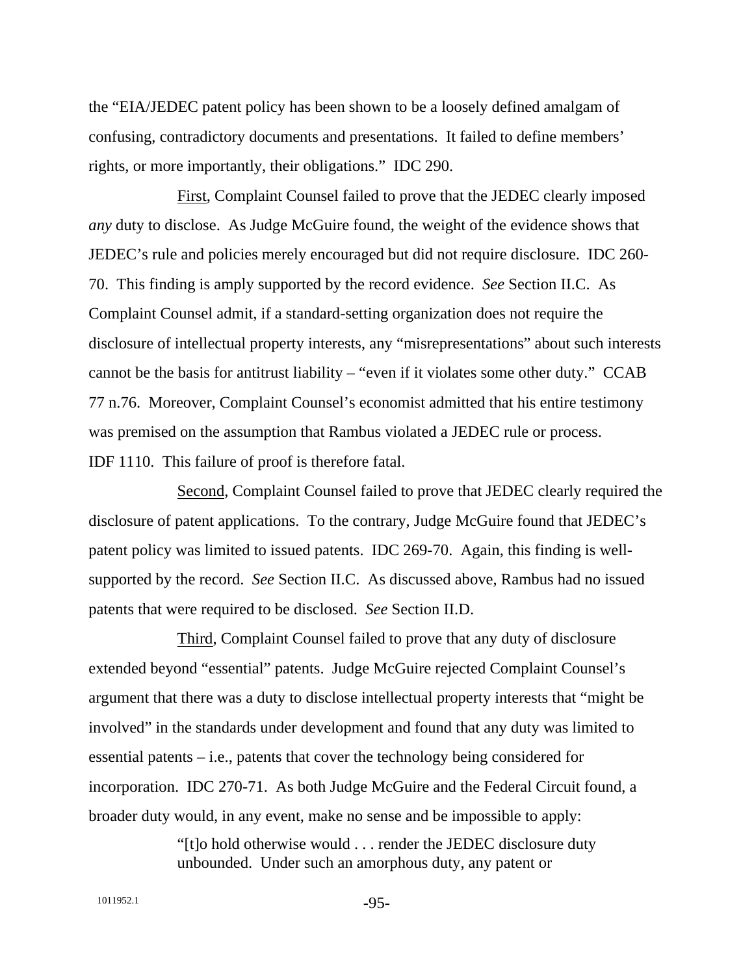the "EIA/JEDEC patent policy has been shown to be a loosely defined amalgam of confusing, contradictory documents and presentations. It failed to define members' rights, or more importantly, their obligations." IDC 290.

First, Complaint Counsel failed to prove that the JEDEC clearly imposed *any* duty to disclose. As Judge McGuire found, the weight of the evidence shows that JEDEC's rule and policies merely encouraged but did not require disclosure. IDC 260- 70. This finding is amply supported by the record evidence. *See* Section II.C. As Complaint Counsel admit, if a standard-setting organization does not require the disclosure of intellectual property interests, any "misrepresentations" about such interests cannot be the basis for antitrust liability – "even if it violates some other duty." CCAB 77 n.76. Moreover, Complaint Counsel's economist admitted that his entire testimony was premised on the assumption that Rambus violated a JEDEC rule or process. IDF 1110. This failure of proof is therefore fatal.

Second, Complaint Counsel failed to prove that JEDEC clearly required the disclosure of patent applications. To the contrary, Judge McGuire found that JEDEC's patent policy was limited to issued patents. IDC 269-70. Again, this finding is wellsupported by the record. *See* Section II.C. As discussed above, Rambus had no issued patents that were required to be disclosed. *See* Section II.D.

Third, Complaint Counsel failed to prove that any duty of disclosure extended beyond "essential" patents. Judge McGuire rejected Complaint Counsel's argument that there was a duty to disclose intellectual property interests that "might be involved" in the standards under development and found that any duty was limited to essential patents – i.e., patents that cover the technology being considered for incorporation. IDC 270-71. As both Judge McGuire and the Federal Circuit found, a broader duty would, in any event, make no sense and be impossible to apply:

> "[t]o hold otherwise would . . . render the JEDEC disclosure duty unbounded. Under such an amorphous duty, any patent or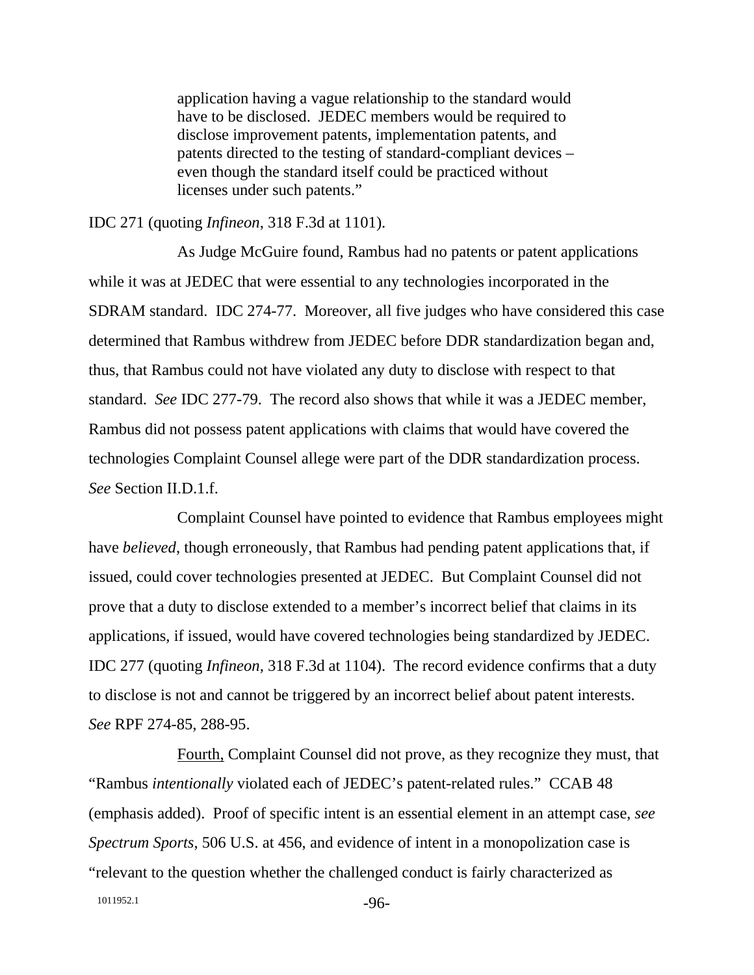application having a vague relationship to the standard would have to be disclosed. JEDEC members would be required to disclose improvement patents, implementation patents, and patents directed to the testing of standard-compliant devices – even though the standard itself could be practiced without licenses under such patents."

#### IDC 271 (quoting *Infineon*, 318 F.3d at 1101).

As Judge McGuire found, Rambus had no patents or patent applications while it was at JEDEC that were essential to any technologies incorporated in the SDRAM standard. IDC 274-77. Moreover, all five judges who have considered this case determined that Rambus withdrew from JEDEC before DDR standardization began and, thus, that Rambus could not have violated any duty to disclose with respect to that standard. *See* IDC 277-79. The record also shows that while it was a JEDEC member, Rambus did not possess patent applications with claims that would have covered the technologies Complaint Counsel allege were part of the DDR standardization process. *See* Section II.D.1.f.

Complaint Counsel have pointed to evidence that Rambus employees might have *believed*, though erroneously, that Rambus had pending patent applications that, if issued, could cover technologies presented at JEDEC. But Complaint Counsel did not prove that a duty to disclose extended to a member's incorrect belief that claims in its applications, if issued, would have covered technologies being standardized by JEDEC. IDC 277 (quoting *Infineon*, 318 F.3d at 1104). The record evidence confirms that a duty to disclose is not and cannot be triggered by an incorrect belief about patent interests. *See* RPF 274-85, 288-95.

1011952.1 -96-Fourth, Complaint Counsel did not prove, as they recognize they must, that "Rambus *intentionally* violated each of JEDEC's patent-related rules." CCAB 48 (emphasis added). Proof of specific intent is an essential element in an attempt case, *see Spectrum Sports*, 506 U.S. at 456, and evidence of intent in a monopolization case is "relevant to the question whether the challenged conduct is fairly characterized as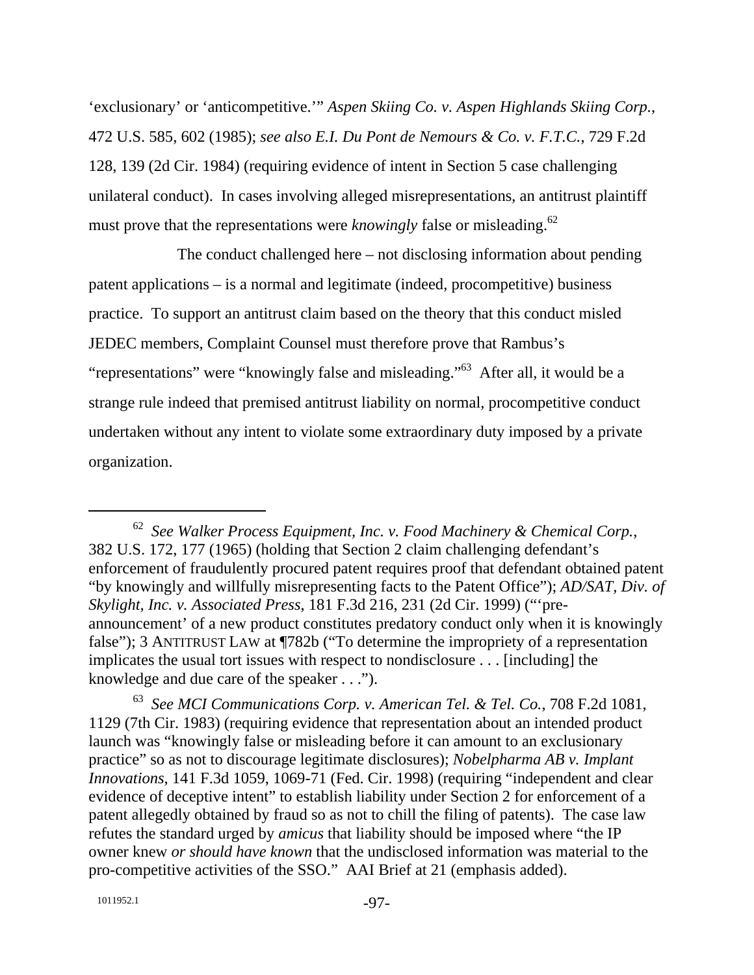'exclusionary' or 'anticompetitive.'" *Aspen Skiing Co. v. Aspen Highlands Skiing Corp.*, 472 U.S. 585, 602 (1985); *see also E.I. Du Pont de Nemours & Co. v. F.T.C.*, 729 F.2d 128, 139 (2d Cir. 1984) (requiring evidence of intent in Section 5 case challenging unilateral conduct). In cases involving alleged misrepresentations, an antitrust plaintiff must prove that the representations were *knowingly* false or misleading.<sup>62</sup>

The conduct challenged here – not disclosing information about pending patent applications – is a normal and legitimate (indeed, procompetitive) business practice. To support an antitrust claim based on the theory that this conduct misled JEDEC members, Complaint Counsel must therefore prove that Rambus's "representations" were "knowingly false and misleading."63 After all, it would be a strange rule indeed that premised antitrust liability on normal, procompetitive conduct undertaken without any intent to violate some extraordinary duty imposed by a private organization.

 <sup>62</sup> *See Walker Process Equipment, Inc. v. Food Machinery & Chemical Corp.*, 382 U.S. 172, 177 (1965) (holding that Section 2 claim challenging defendant's enforcement of fraudulently procured patent requires proof that defendant obtained patent "by knowingly and willfully misrepresenting facts to the Patent Office"); *AD/SAT, Div. of Skylight, Inc. v. Associated Press*, 181 F.3d 216, 231 (2d Cir. 1999) ("'preannouncement' of a new product constitutes predatory conduct only when it is knowingly false"); 3 ANTITRUST LAW at ¶782b ("To determine the impropriety of a representation implicates the usual tort issues with respect to nondisclosure . . . [including] the knowledge and due care of the speaker . . .").

<sup>63</sup> *See MCI Communications Corp. v. American Tel. & Tel. Co.*, 708 F.2d 1081, 1129 (7th Cir. 1983) (requiring evidence that representation about an intended product launch was "knowingly false or misleading before it can amount to an exclusionary practice" so as not to discourage legitimate disclosures); *Nobelpharma AB v. Implant Innovations*, 141 F.3d 1059, 1069-71 (Fed. Cir. 1998) (requiring "independent and clear evidence of deceptive intent" to establish liability under Section 2 for enforcement of a patent allegedly obtained by fraud so as not to chill the filing of patents). The case law refutes the standard urged by *amicus* that liability should be imposed where "the IP owner knew *or should have known* that the undisclosed information was material to the pro-competitive activities of the SSO." AAI Brief at 21 (emphasis added).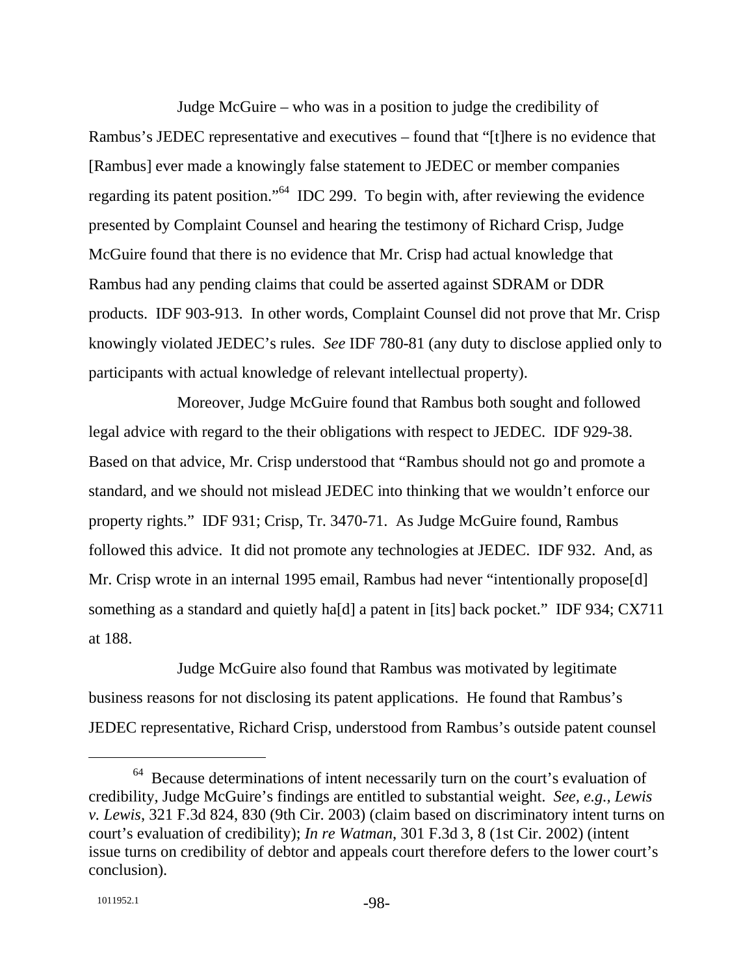Judge McGuire – who was in a position to judge the credibility of Rambus's JEDEC representative and executives – found that "[t]here is no evidence that [Rambus] ever made a knowingly false statement to JEDEC or member companies regarding its patent position."64 IDC 299. To begin with, after reviewing the evidence presented by Complaint Counsel and hearing the testimony of Richard Crisp, Judge McGuire found that there is no evidence that Mr. Crisp had actual knowledge that Rambus had any pending claims that could be asserted against SDRAM or DDR products. IDF 903-913. In other words, Complaint Counsel did not prove that Mr. Crisp knowingly violated JEDEC's rules. *See* IDF 780-81 (any duty to disclose applied only to participants with actual knowledge of relevant intellectual property).

Moreover, Judge McGuire found that Rambus both sought and followed legal advice with regard to the their obligations with respect to JEDEC. IDF 929-38. Based on that advice, Mr. Crisp understood that "Rambus should not go and promote a standard, and we should not mislead JEDEC into thinking that we wouldn't enforce our property rights." IDF 931; Crisp, Tr. 3470-71. As Judge McGuire found, Rambus followed this advice. It did not promote any technologies at JEDEC. IDF 932. And, as Mr. Crisp wrote in an internal 1995 email, Rambus had never "intentionally propose[d] something as a standard and quietly ha[d] a patent in [its] back pocket." IDF 934; CX711 at 188.

Judge McGuire also found that Rambus was motivated by legitimate business reasons for not disclosing its patent applications. He found that Rambus's JEDEC representative, Richard Crisp, understood from Rambus's outside patent counsel

 $64$  Because determinations of intent necessarily turn on the court's evaluation of credibility, Judge McGuire's findings are entitled to substantial weight. *See, e.g., Lewis v. Lewis*, 321 F.3d 824, 830 (9th Cir. 2003) (claim based on discriminatory intent turns on court's evaluation of credibility); *In re Watman*, 301 F.3d 3, 8 (1st Cir. 2002) (intent issue turns on credibility of debtor and appeals court therefore defers to the lower court's conclusion).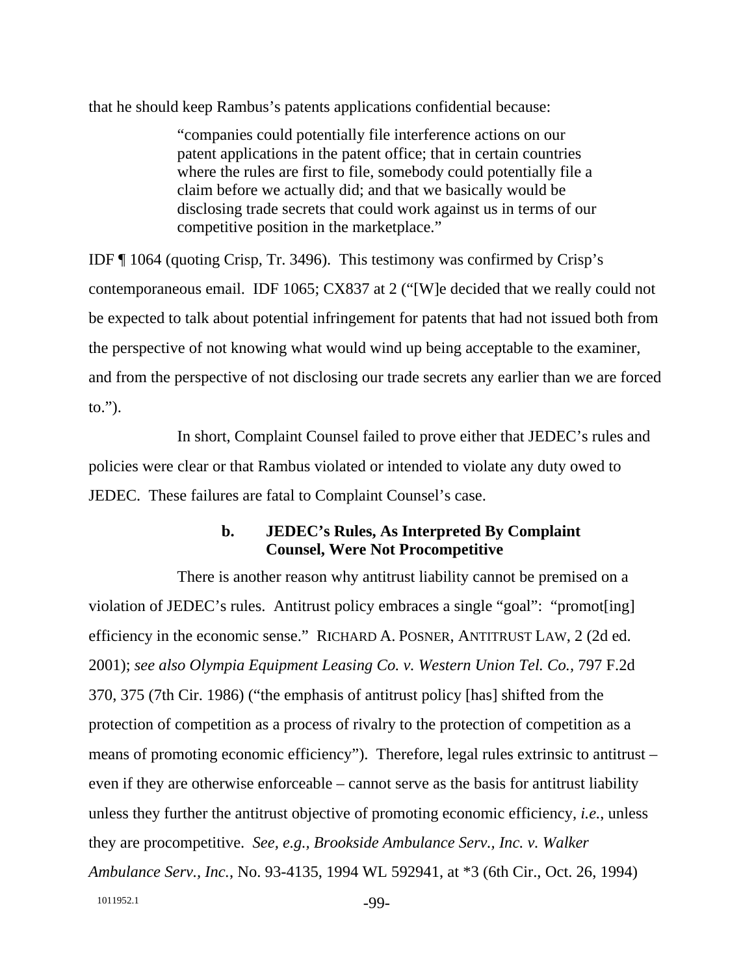that he should keep Rambus's patents applications confidential because:

"companies could potentially file interference actions on our patent applications in the patent office; that in certain countries where the rules are first to file, somebody could potentially file a claim before we actually did; and that we basically would be disclosing trade secrets that could work against us in terms of our competitive position in the marketplace."

IDF ¶ 1064 (quoting Crisp, Tr. 3496). This testimony was confirmed by Crisp's contemporaneous email. IDF 1065; CX837 at 2 ("[W]e decided that we really could not be expected to talk about potential infringement for patents that had not issued both from the perspective of not knowing what would wind up being acceptable to the examiner, and from the perspective of not disclosing our trade secrets any earlier than we are forced to.").

In short, Complaint Counsel failed to prove either that JEDEC's rules and policies were clear or that Rambus violated or intended to violate any duty owed to JEDEC. These failures are fatal to Complaint Counsel's case.

### **b. JEDEC's Rules, As Interpreted By Complaint Counsel, Were Not Procompetitive**

1011952.1 -99-There is another reason why antitrust liability cannot be premised on a violation of JEDEC's rules. Antitrust policy embraces a single "goal": "promot[ing] efficiency in the economic sense." RICHARD A. POSNER, ANTITRUST LAW, 2 (2d ed. 2001); *see also Olympia Equipment Leasing Co. v. Western Union Tel. Co.,* 797 F.2d 370, 375 (7th Cir. 1986) ("the emphasis of antitrust policy [has] shifted from the protection of competition as a process of rivalry to the protection of competition as a means of promoting economic efficiency"). Therefore, legal rules extrinsic to antitrust – even if they are otherwise enforceable – cannot serve as the basis for antitrust liability unless they further the antitrust objective of promoting economic efficiency, *i.e.*, unless they are procompetitive. *See, e.g., Brookside Ambulance Serv., Inc. v. Walker Ambulance Serv., Inc.*, No. 93-4135, 1994 WL 592941, at \*3 (6th Cir., Oct. 26, 1994)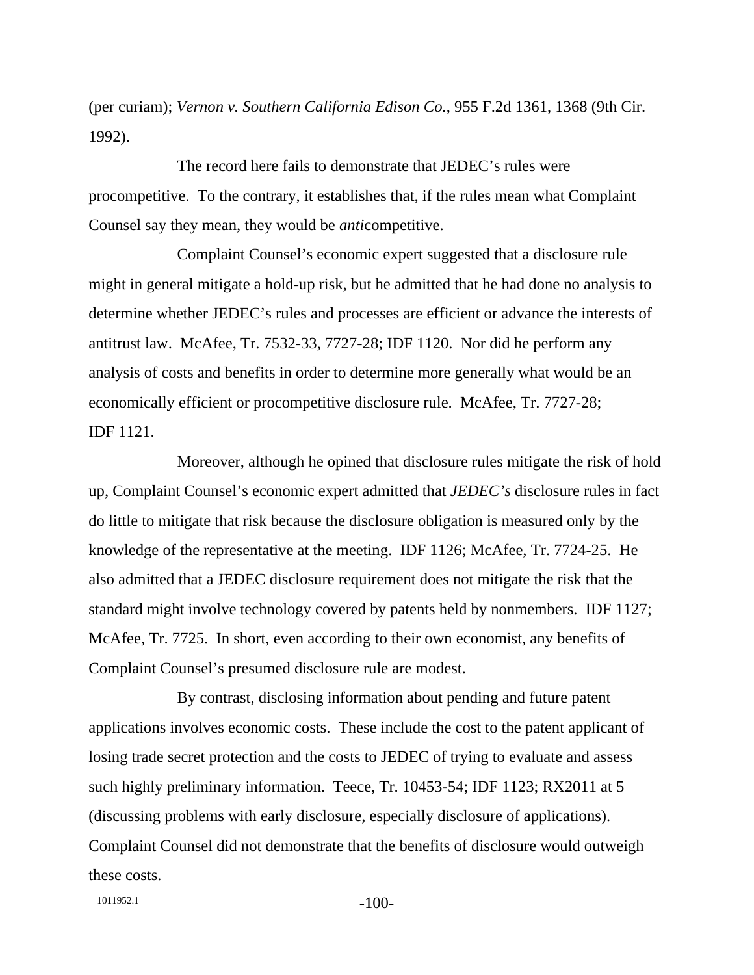(per curiam); *Vernon v. Southern California Edison Co.*, 955 F.2d 1361, 1368 (9th Cir. 1992).

The record here fails to demonstrate that JEDEC's rules were procompetitive. To the contrary, it establishes that, if the rules mean what Complaint Counsel say they mean, they would be *anti*competitive.

Complaint Counsel's economic expert suggested that a disclosure rule might in general mitigate a hold-up risk, but he admitted that he had done no analysis to determine whether JEDEC's rules and processes are efficient or advance the interests of antitrust law. McAfee, Tr. 7532-33, 7727-28; IDF 1120. Nor did he perform any analysis of costs and benefits in order to determine more generally what would be an economically efficient or procompetitive disclosure rule. McAfee, Tr. 7727-28; IDF 1121.

Moreover, although he opined that disclosure rules mitigate the risk of hold up, Complaint Counsel's economic expert admitted that *JEDEC's* disclosure rules in fact do little to mitigate that risk because the disclosure obligation is measured only by the knowledge of the representative at the meeting. IDF 1126; McAfee, Tr. 7724-25. He also admitted that a JEDEC disclosure requirement does not mitigate the risk that the standard might involve technology covered by patents held by nonmembers. IDF 1127; McAfee, Tr. 7725. In short, even according to their own economist, any benefits of Complaint Counsel's presumed disclosure rule are modest.

By contrast, disclosing information about pending and future patent applications involves economic costs. These include the cost to the patent applicant of losing trade secret protection and the costs to JEDEC of trying to evaluate and assess such highly preliminary information. Teece, Tr. 10453-54; IDF 1123; RX2011 at 5 (discussing problems with early disclosure, especially disclosure of applications). Complaint Counsel did not demonstrate that the benefits of disclosure would outweigh these costs.

1011952.1 -100-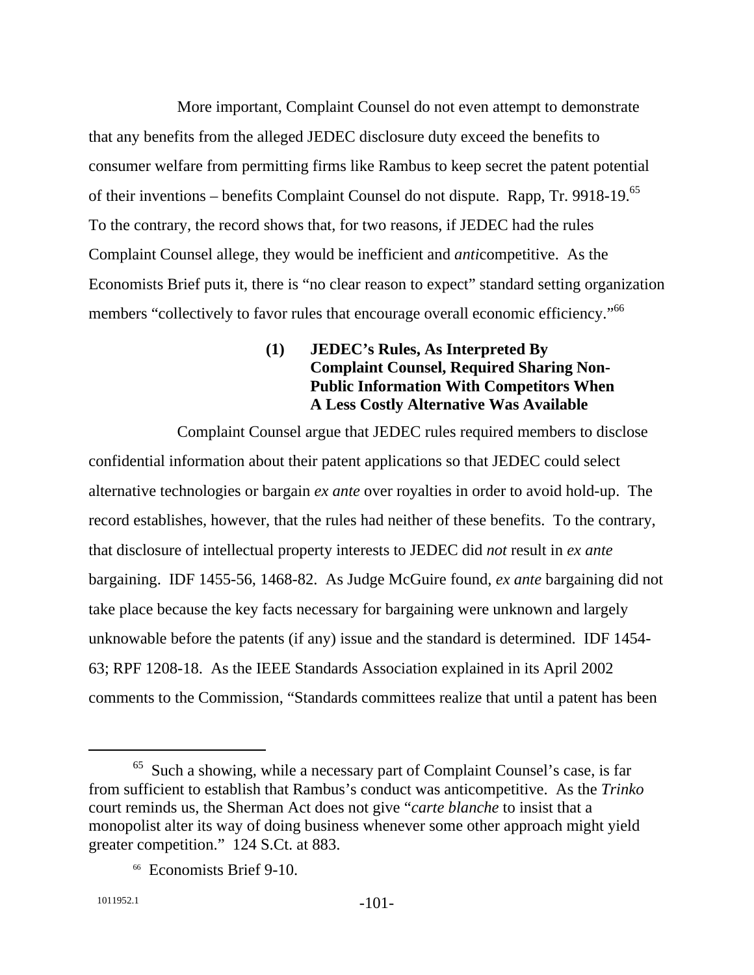More important, Complaint Counsel do not even attempt to demonstrate that any benefits from the alleged JEDEC disclosure duty exceed the benefits to consumer welfare from permitting firms like Rambus to keep secret the patent potential of their inventions – benefits Complaint Counsel do not dispute. Rapp, Tr. 9918-19.65 To the contrary, the record shows that, for two reasons, if JEDEC had the rules Complaint Counsel allege, they would be inefficient and *anti*competitive. As the Economists Brief puts it, there is "no clear reason to expect" standard setting organization members "collectively to favor rules that encourage overall economic efficiency."<sup>66</sup>

# **(1) JEDEC's Rules, As Interpreted By Complaint Counsel, Required Sharing Non-Public Information With Competitors When A Less Costly Alternative Was Available**

Complaint Counsel argue that JEDEC rules required members to disclose confidential information about their patent applications so that JEDEC could select alternative technologies or bargain *ex ante* over royalties in order to avoid hold-up. The record establishes, however, that the rules had neither of these benefits. To the contrary, that disclosure of intellectual property interests to JEDEC did *not* result in *ex ante* bargaining. IDF 1455-56, 1468-82. As Judge McGuire found, *ex ante* bargaining did not take place because the key facts necessary for bargaining were unknown and largely unknowable before the patents (if any) issue and the standard is determined. IDF 1454- 63; RPF 1208-18. As the IEEE Standards Association explained in its April 2002 comments to the Commission, "Standards committees realize that until a patent has been

 <sup>65</sup> Such a showing, while a necessary part of Complaint Counsel's case, is far from sufficient to establish that Rambus's conduct was anticompetitive. As the *Trinko* court reminds us, the Sherman Act does not give "*carte blanche* to insist that a monopolist alter its way of doing business whenever some other approach might yield greater competition." 124 S.Ct. at 883.

<sup>66</sup> Economists Brief 9-10.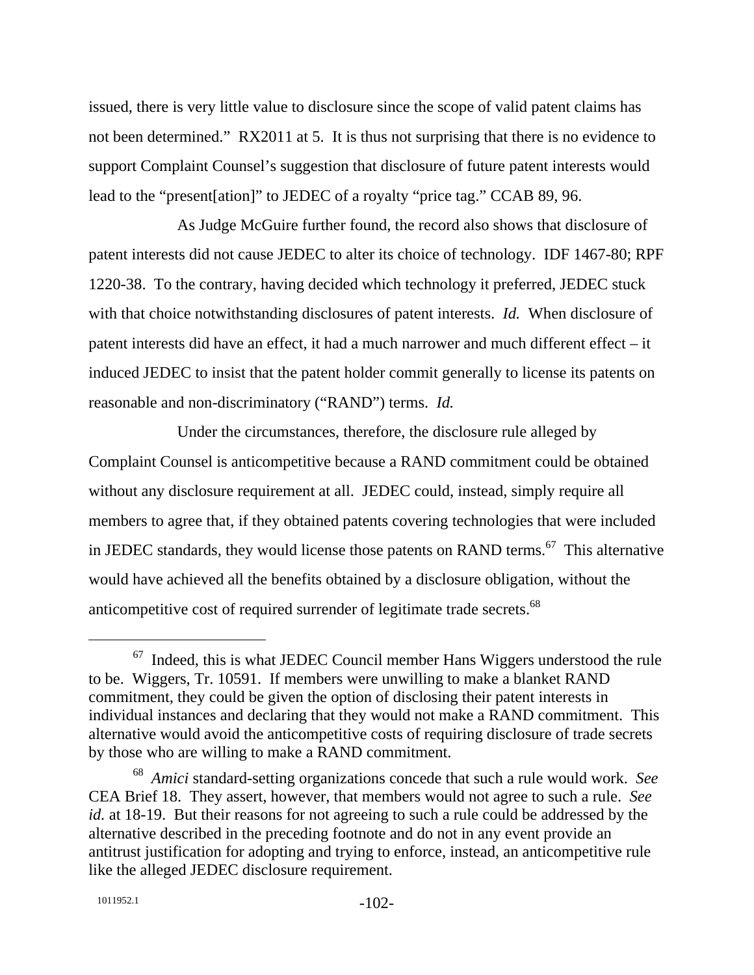issued, there is very little value to disclosure since the scope of valid patent claims has not been determined." RX2011 at 5. It is thus not surprising that there is no evidence to support Complaint Counsel's suggestion that disclosure of future patent interests would lead to the "present[ation]" to JEDEC of a royalty "price tag." CCAB 89, 96.

As Judge McGuire further found, the record also shows that disclosure of patent interests did not cause JEDEC to alter its choice of technology. IDF 1467-80; RPF 1220-38. To the contrary, having decided which technology it preferred, JEDEC stuck with that choice notwithstanding disclosures of patent interests. *Id.* When disclosure of patent interests did have an effect, it had a much narrower and much different effect – it induced JEDEC to insist that the patent holder commit generally to license its patents on reasonable and non-discriminatory ("RAND") terms. *Id.*

Under the circumstances, therefore, the disclosure rule alleged by Complaint Counsel is anticompetitive because a RAND commitment could be obtained without any disclosure requirement at all. JEDEC could, instead, simply require all members to agree that, if they obtained patents covering technologies that were included in JEDEC standards, they would license those patents on RAND terms.<sup>67</sup> This alternative would have achieved all the benefits obtained by a disclosure obligation, without the anticompetitive cost of required surrender of legitimate trade secrets.<sup>68</sup>

 $67$  Indeed, this is what JEDEC Council member Hans Wiggers understood the rule to be. Wiggers, Tr. 10591. If members were unwilling to make a blanket RAND commitment, they could be given the option of disclosing their patent interests in individual instances and declaring that they would not make a RAND commitment. This alternative would avoid the anticompetitive costs of requiring disclosure of trade secrets by those who are willing to make a RAND commitment.

<sup>68</sup> *Amici* standard-setting organizations concede that such a rule would work. *See* CEA Brief 18. They assert, however, that members would not agree to such a rule. *See id.* at 18-19. But their reasons for not agreeing to such a rule could be addressed by the alternative described in the preceding footnote and do not in any event provide an antitrust justification for adopting and trying to enforce, instead, an anticompetitive rule like the alleged JEDEC disclosure requirement.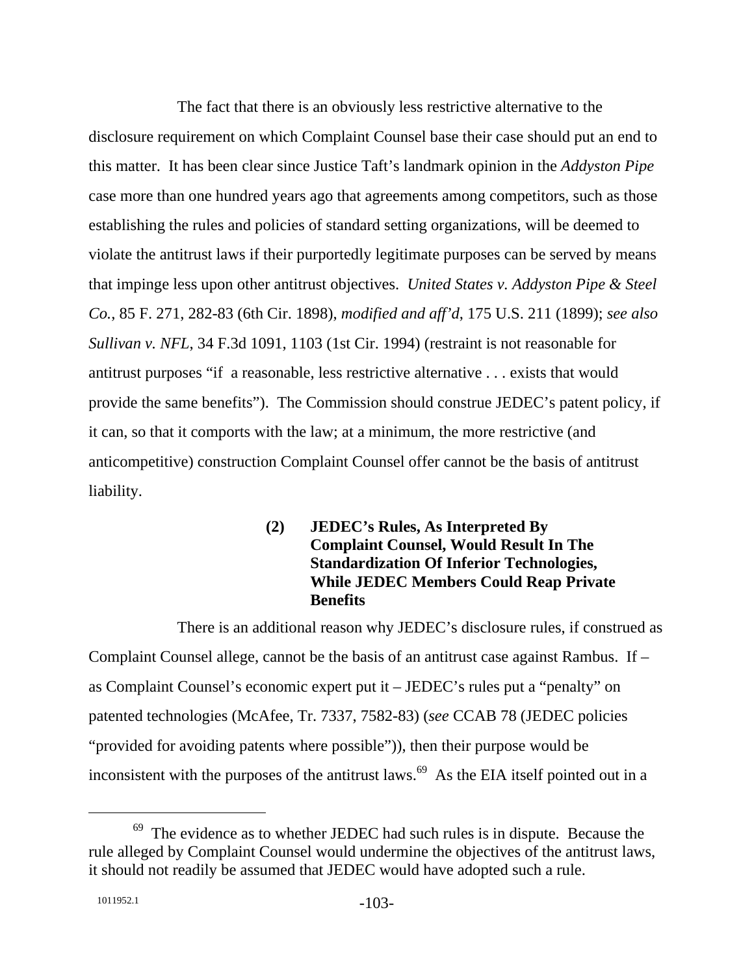The fact that there is an obviously less restrictive alternative to the disclosure requirement on which Complaint Counsel base their case should put an end to this matter. It has been clear since Justice Taft's landmark opinion in the *Addyston Pipe* case more than one hundred years ago that agreements among competitors, such as those establishing the rules and policies of standard setting organizations, will be deemed to violate the antitrust laws if their purportedly legitimate purposes can be served by means that impinge less upon other antitrust objectives. *United States v. Addyston Pipe & Steel Co.*, 85 F. 271, 282-83 (6th Cir. 1898), *modified and aff'd*, 175 U.S. 211 (1899); *see also Sullivan v. NFL*, 34 F.3d 1091, 1103 (1st Cir. 1994) (restraint is not reasonable for antitrust purposes "if a reasonable, less restrictive alternative . . . exists that would provide the same benefits"). The Commission should construe JEDEC's patent policy, if it can, so that it comports with the law; at a minimum, the more restrictive (and anticompetitive) construction Complaint Counsel offer cannot be the basis of antitrust liability.

> **(2) JEDEC's Rules, As Interpreted By Complaint Counsel, Would Result In The Standardization Of Inferior Technologies, While JEDEC Members Could Reap Private Benefits**

There is an additional reason why JEDEC's disclosure rules, if construed as Complaint Counsel allege, cannot be the basis of an antitrust case against Rambus. If – as Complaint Counsel's economic expert put it – JEDEC's rules put a "penalty" on patented technologies (McAfee, Tr. 7337, 7582-83) (*see* CCAB 78 (JEDEC policies "provided for avoiding patents where possible")), then their purpose would be inconsistent with the purposes of the antitrust laws.<sup>69</sup> As the EIA itself pointed out in a

 $69$  The evidence as to whether JEDEC had such rules is in dispute. Because the rule alleged by Complaint Counsel would undermine the objectives of the antitrust laws, it should not readily be assumed that JEDEC would have adopted such a rule.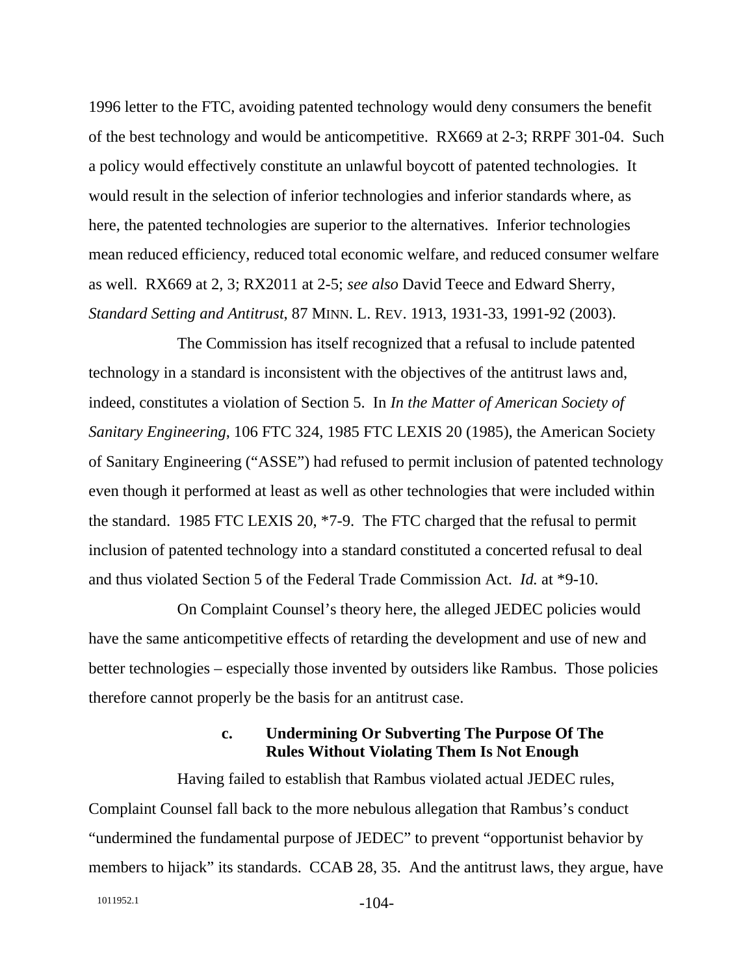1996 letter to the FTC, avoiding patented technology would deny consumers the benefit of the best technology and would be anticompetitive. RX669 at 2-3; RRPF 301-04. Such a policy would effectively constitute an unlawful boycott of patented technologies. It would result in the selection of inferior technologies and inferior standards where, as here, the patented technologies are superior to the alternatives. Inferior technologies mean reduced efficiency, reduced total economic welfare, and reduced consumer welfare as well. RX669 at 2, 3; RX2011 at 2-5; *see also* David Teece and Edward Sherry, *Standard Setting and Antitrust*, 87 MINN. L. REV. 1913, 1931-33, 1991-92 (2003).

The Commission has itself recognized that a refusal to include patented technology in a standard is inconsistent with the objectives of the antitrust laws and, indeed, constitutes a violation of Section 5. In *In the Matter of American Society of Sanitary Engineering*, 106 FTC 324, 1985 FTC LEXIS 20 (1985), the American Society of Sanitary Engineering ("ASSE") had refused to permit inclusion of patented technology even though it performed at least as well as other technologies that were included within the standard. 1985 FTC LEXIS 20, \*7-9. The FTC charged that the refusal to permit inclusion of patented technology into a standard constituted a concerted refusal to deal and thus violated Section 5 of the Federal Trade Commission Act. *Id.* at \*9-10.

On Complaint Counsel's theory here, the alleged JEDEC policies would have the same anticompetitive effects of retarding the development and use of new and better technologies – especially those invented by outsiders like Rambus. Those policies therefore cannot properly be the basis for an antitrust case.

### **c. Undermining Or Subverting The Purpose Of The Rules Without Violating Them Is Not Enough**

Having failed to establish that Rambus violated actual JEDEC rules, Complaint Counsel fall back to the more nebulous allegation that Rambus's conduct "undermined the fundamental purpose of JEDEC" to prevent "opportunist behavior by members to hijack" its standards. CCAB 28, 35. And the antitrust laws, they argue, have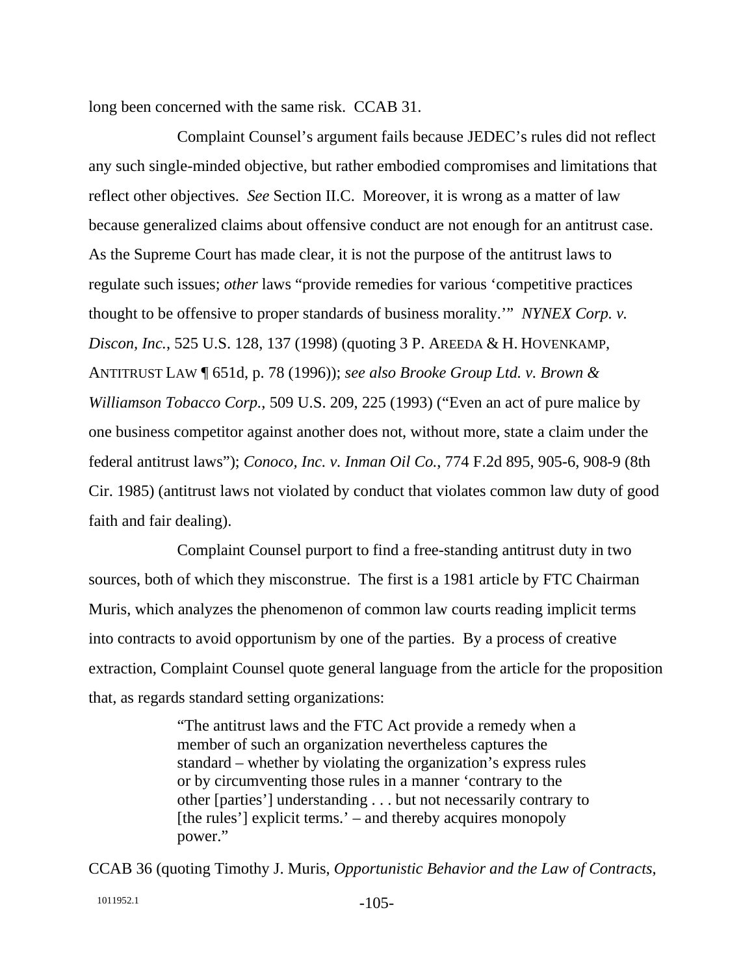long been concerned with the same risk. CCAB 31.

Complaint Counsel's argument fails because JEDEC's rules did not reflect any such single-minded objective, but rather embodied compromises and limitations that reflect other objectives. *See* Section II.C. Moreover, it is wrong as a matter of law because generalized claims about offensive conduct are not enough for an antitrust case. As the Supreme Court has made clear, it is not the purpose of the antitrust laws to regulate such issues; *other* laws "provide remedies for various 'competitive practices thought to be offensive to proper standards of business morality.'" *NYNEX Corp. v. Discon, Inc.*, 525 U.S. 128, 137 (1998) (quoting 3 P. AREEDA & H. HOVENKAMP, ANTITRUST LAW ¶ 651d, p. 78 (1996)); *see also Brooke Group Ltd. v. Brown & Williamson Tobacco Corp.*, 509 U.S. 209, 225 (1993) ("Even an act of pure malice by one business competitor against another does not, without more, state a claim under the federal antitrust laws"); *Conoco, Inc. v. Inman Oil Co.*, 774 F.2d 895, 905-6, 908-9 (8th Cir. 1985) (antitrust laws not violated by conduct that violates common law duty of good faith and fair dealing).

Complaint Counsel purport to find a free-standing antitrust duty in two sources, both of which they misconstrue. The first is a 1981 article by FTC Chairman Muris, which analyzes the phenomenon of common law courts reading implicit terms into contracts to avoid opportunism by one of the parties. By a process of creative extraction, Complaint Counsel quote general language from the article for the proposition that, as regards standard setting organizations:

> "The antitrust laws and the FTC Act provide a remedy when a member of such an organization nevertheless captures the standard – whether by violating the organization's express rules or by circumventing those rules in a manner 'contrary to the other [parties'] understanding . . . but not necessarily contrary to [the rules'] explicit terms.' – and thereby acquires monopoly power."

CCAB 36 (quoting Timothy J. Muris, *Opportunistic Behavior and the Law of Contracts*,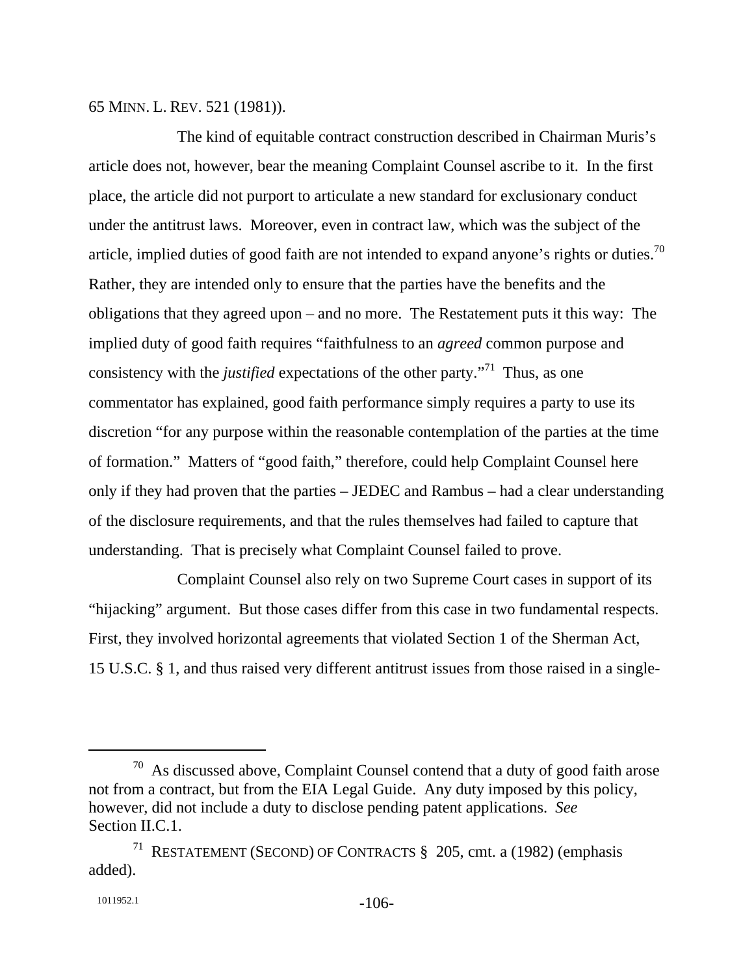65 MINN. L. REV. 521 (1981)).

The kind of equitable contract construction described in Chairman Muris's article does not, however, bear the meaning Complaint Counsel ascribe to it. In the first place, the article did not purport to articulate a new standard for exclusionary conduct under the antitrust laws. Moreover, even in contract law, which was the subject of the article, implied duties of good faith are not intended to expand anyone's rights or duties.<sup>70</sup> Rather, they are intended only to ensure that the parties have the benefits and the obligations that they agreed upon – and no more. The Restatement puts it this way: The implied duty of good faith requires "faithfulness to an *agreed* common purpose and consistency with the *justified* expectations of the other party.<sup> $71$ </sup> Thus, as one commentator has explained, good faith performance simply requires a party to use its discretion "for any purpose within the reasonable contemplation of the parties at the time of formation." Matters of "good faith," therefore, could help Complaint Counsel here only if they had proven that the parties – JEDEC and Rambus – had a clear understanding of the disclosure requirements, and that the rules themselves had failed to capture that understanding. That is precisely what Complaint Counsel failed to prove.

Complaint Counsel also rely on two Supreme Court cases in support of its "hijacking" argument. But those cases differ from this case in two fundamental respects. First, they involved horizontal agreements that violated Section 1 of the Sherman Act, 15 U.S.C. § 1, and thus raised very different antitrust issues from those raised in a single-

 $70$  As discussed above, Complaint Counsel contend that a duty of good faith arose not from a contract, but from the EIA Legal Guide. Any duty imposed by this policy, however, did not include a duty to disclose pending patent applications. *See*  Section II.C.1.

<sup>71</sup> RESTATEMENT (SECOND) OF CONTRACTS § 205, cmt. a (1982) (emphasis added).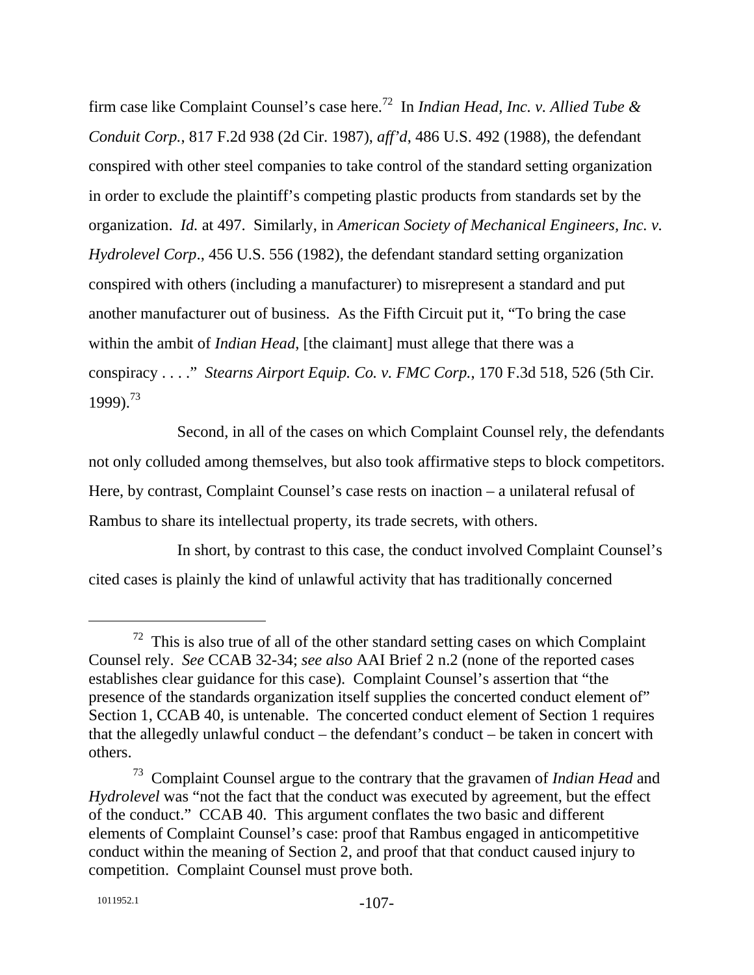firm case like Complaint Counsel's case here.72 In *Indian Head, Inc. v. Allied Tube & Conduit Corp.*, 817 F.2d 938 (2d Cir. 1987), *aff'd*, 486 U.S. 492 (1988), the defendant conspired with other steel companies to take control of the standard setting organization in order to exclude the plaintiff's competing plastic products from standards set by the organization. *Id.* at 497. Similarly, in *American Society of Mechanical Engineers, Inc. v. Hydrolevel Corp*., 456 U.S. 556 (1982), the defendant standard setting organization conspired with others (including a manufacturer) to misrepresent a standard and put another manufacturer out of business. As the Fifth Circuit put it, "To bring the case within the ambit of *Indian Head*, [the claimant] must allege that there was a conspiracy . . . ." *Stearns Airport Equip. Co. v. FMC Corp.*, 170 F.3d 518, 526 (5th Cir. 1999).73

Second, in all of the cases on which Complaint Counsel rely, the defendants not only colluded among themselves, but also took affirmative steps to block competitors. Here, by contrast, Complaint Counsel's case rests on inaction – a unilateral refusal of Rambus to share its intellectual property, its trade secrets, with others.

In short, by contrast to this case, the conduct involved Complaint Counsel's cited cases is plainly the kind of unlawful activity that has traditionally concerned

 $72$  This is also true of all of the other standard setting cases on which Complaint Counsel rely. *See* CCAB 32-34; *see also* AAI Brief 2 n.2 (none of the reported cases establishes clear guidance for this case). Complaint Counsel's assertion that "the presence of the standards organization itself supplies the concerted conduct element of" Section 1, CCAB 40, is untenable. The concerted conduct element of Section 1 requires that the allegedly unlawful conduct – the defendant's conduct – be taken in concert with others.

<sup>73</sup> Complaint Counsel argue to the contrary that the gravamen of *Indian Head* and *Hydrolevel* was "not the fact that the conduct was executed by agreement, but the effect of the conduct." CCAB 40. This argument conflates the two basic and different elements of Complaint Counsel's case: proof that Rambus engaged in anticompetitive conduct within the meaning of Section 2, and proof that that conduct caused injury to competition. Complaint Counsel must prove both.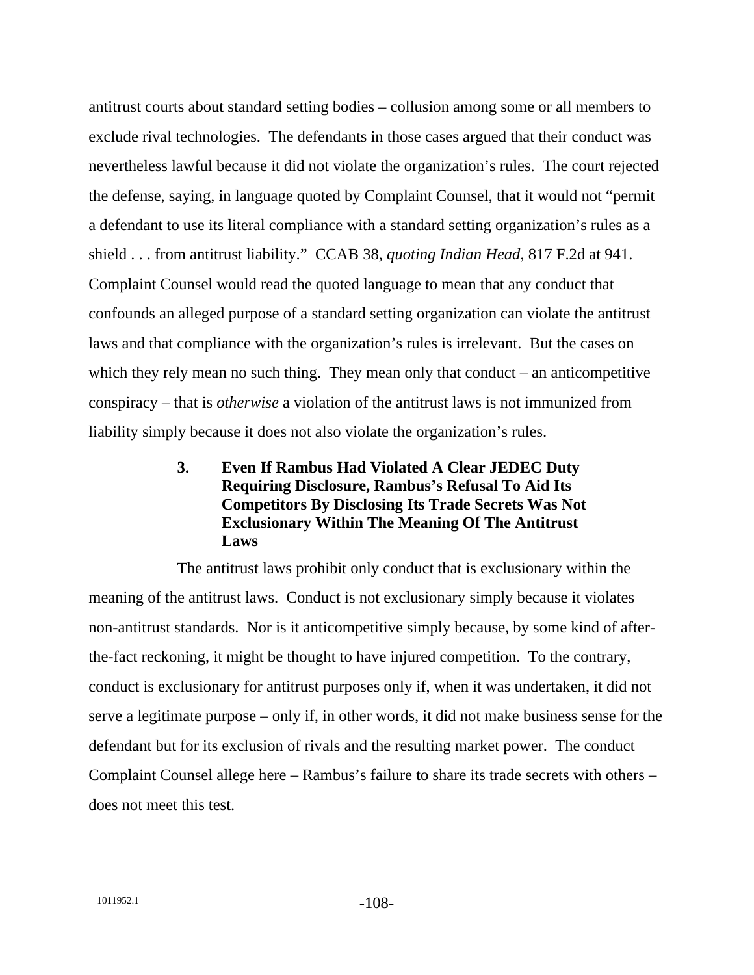antitrust courts about standard setting bodies – collusion among some or all members to exclude rival technologies. The defendants in those cases argued that their conduct was nevertheless lawful because it did not violate the organization's rules. The court rejected the defense, saying, in language quoted by Complaint Counsel, that it would not "permit a defendant to use its literal compliance with a standard setting organization's rules as a shield . . . from antitrust liability." CCAB 38, *quoting Indian Head*, 817 F.2d at 941. Complaint Counsel would read the quoted language to mean that any conduct that confounds an alleged purpose of a standard setting organization can violate the antitrust laws and that compliance with the organization's rules is irrelevant. But the cases on which they rely mean no such thing. They mean only that conduct – an anticompetitive conspiracy – that is *otherwise* a violation of the antitrust laws is not immunized from liability simply because it does not also violate the organization's rules.

# **3. Even If Rambus Had Violated A Clear JEDEC Duty Requiring Disclosure, Rambus's Refusal To Aid Its Competitors By Disclosing Its Trade Secrets Was Not Exclusionary Within The Meaning Of The Antitrust Laws**

The antitrust laws prohibit only conduct that is exclusionary within the meaning of the antitrust laws. Conduct is not exclusionary simply because it violates non-antitrust standards. Nor is it anticompetitive simply because, by some kind of afterthe-fact reckoning, it might be thought to have injured competition. To the contrary, conduct is exclusionary for antitrust purposes only if, when it was undertaken, it did not serve a legitimate purpose – only if, in other words, it did not make business sense for the defendant but for its exclusion of rivals and the resulting market power. The conduct Complaint Counsel allege here – Rambus's failure to share its trade secrets with others – does not meet this test.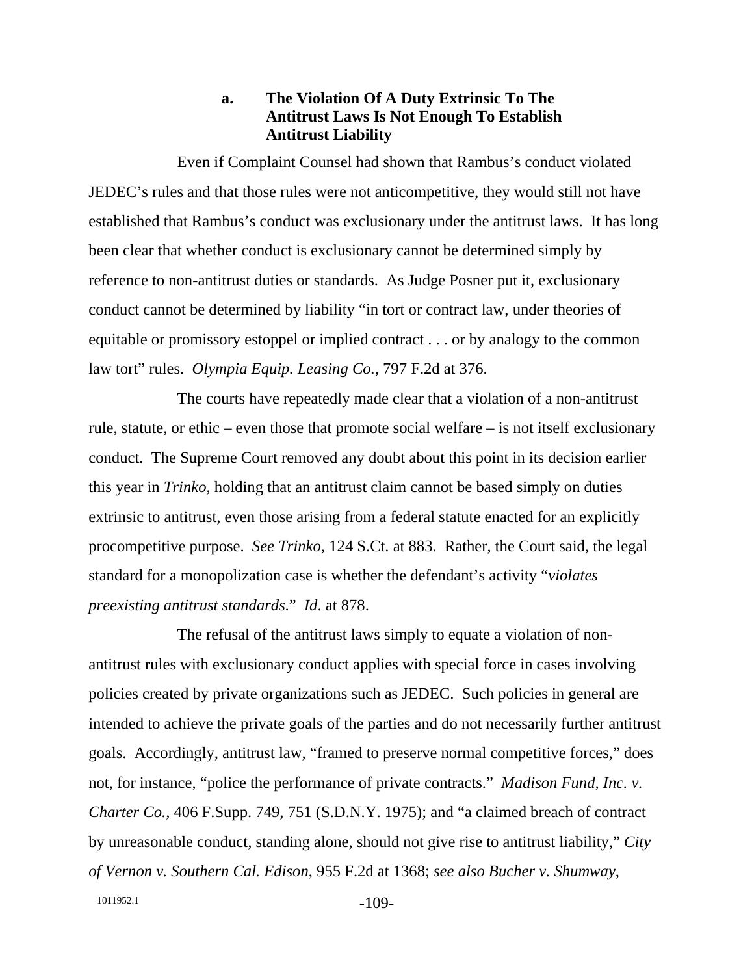### **a. The Violation Of A Duty Extrinsic To The Antitrust Laws Is Not Enough To Establish Antitrust Liability**

Even if Complaint Counsel had shown that Rambus's conduct violated JEDEC's rules and that those rules were not anticompetitive, they would still not have established that Rambus's conduct was exclusionary under the antitrust laws. It has long been clear that whether conduct is exclusionary cannot be determined simply by reference to non-antitrust duties or standards. As Judge Posner put it, exclusionary conduct cannot be determined by liability "in tort or contract law, under theories of equitable or promissory estoppel or implied contract . . . or by analogy to the common law tort" rules. *Olympia Equip. Leasing Co.*, 797 F.2d at 376.

The courts have repeatedly made clear that a violation of a non-antitrust rule, statute, or ethic – even those that promote social welfare – is not itself exclusionary conduct. The Supreme Court removed any doubt about this point in its decision earlier this year in *Trinko*, holding that an antitrust claim cannot be based simply on duties extrinsic to antitrust, even those arising from a federal statute enacted for an explicitly procompetitive purpose. *See Trinko*, 124 S.Ct. at 883. Rather, the Court said, the legal standard for a monopolization case is whether the defendant's activity "*violates preexisting antitrust standards*." *Id*. at 878.

The refusal of the antitrust laws simply to equate a violation of nonantitrust rules with exclusionary conduct applies with special force in cases involving policies created by private organizations such as JEDEC. Such policies in general are intended to achieve the private goals of the parties and do not necessarily further antitrust goals. Accordingly, antitrust law, "framed to preserve normal competitive forces," does not, for instance, "police the performance of private contracts." *Madison Fund, Inc. v. Charter Co.*, 406 F.Supp. 749, 751 (S.D.N.Y. 1975); and "a claimed breach of contract by unreasonable conduct, standing alone, should not give rise to antitrust liability," *City of Vernon v. Southern Cal. Edison*, 955 F.2d at 1368; *see also Bucher v. Shumway*,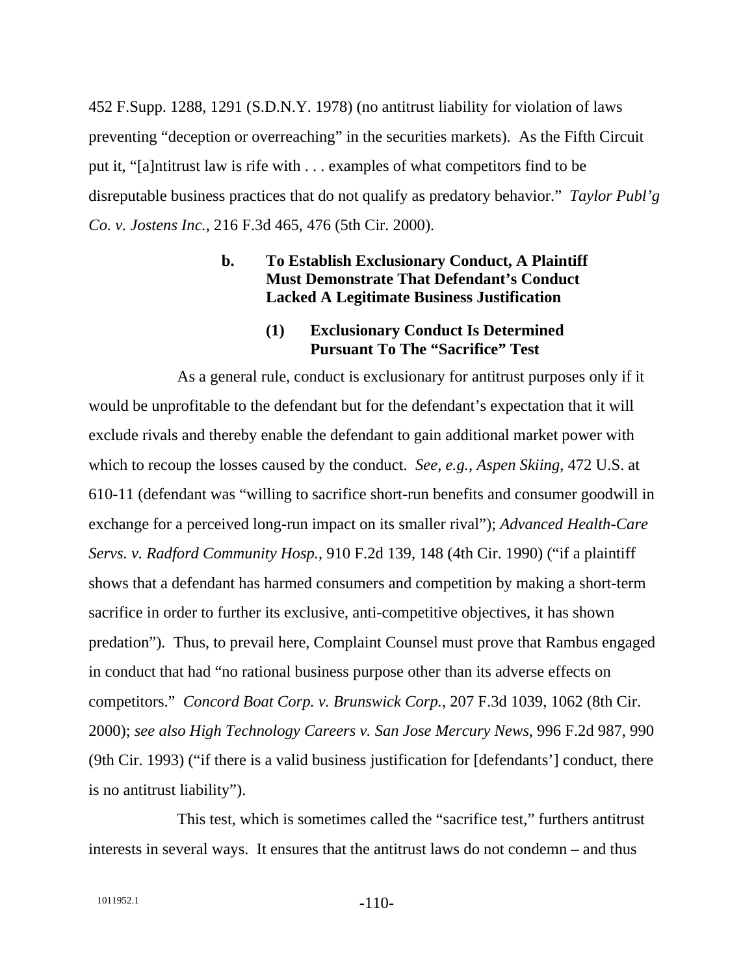452 F.Supp. 1288, 1291 (S.D.N.Y. 1978) (no antitrust liability for violation of laws preventing "deception or overreaching" in the securities markets). As the Fifth Circuit put it, "[a]ntitrust law is rife with . . . examples of what competitors find to be disreputable business practices that do not qualify as predatory behavior." *Taylor Publ'g Co. v. Jostens Inc.*, 216 F.3d 465, 476 (5th Cir. 2000).

### **b. To Establish Exclusionary Conduct, A Plaintiff Must Demonstrate That Defendant's Conduct Lacked A Legitimate Business Justification**

#### **(1) Exclusionary Conduct Is Determined Pursuant To The "Sacrifice" Test**

As a general rule, conduct is exclusionary for antitrust purposes only if it would be unprofitable to the defendant but for the defendant's expectation that it will exclude rivals and thereby enable the defendant to gain additional market power with which to recoup the losses caused by the conduct. *See, e.g., Aspen Skiing*, 472 U.S. at 610-11 (defendant was "willing to sacrifice short-run benefits and consumer goodwill in exchange for a perceived long-run impact on its smaller rival"); *Advanced Health-Care Servs. v. Radford Community Hosp.*, 910 F.2d 139, 148 (4th Cir. 1990) ("if a plaintiff shows that a defendant has harmed consumers and competition by making a short-term sacrifice in order to further its exclusive, anti-competitive objectives, it has shown predation"). Thus, to prevail here, Complaint Counsel must prove that Rambus engaged in conduct that had "no rational business purpose other than its adverse effects on competitors." *Concord Boat Corp. v. Brunswick Corp.*, 207 F.3d 1039, 1062 (8th Cir. 2000); *see also High Technology Careers v. San Jose Mercury News*, 996 F.2d 987, 990 (9th Cir. 1993) ("if there is a valid business justification for [defendants'] conduct, there is no antitrust liability").

This test, which is sometimes called the "sacrifice test," furthers antitrust interests in several ways. It ensures that the antitrust laws do not condemn – and thus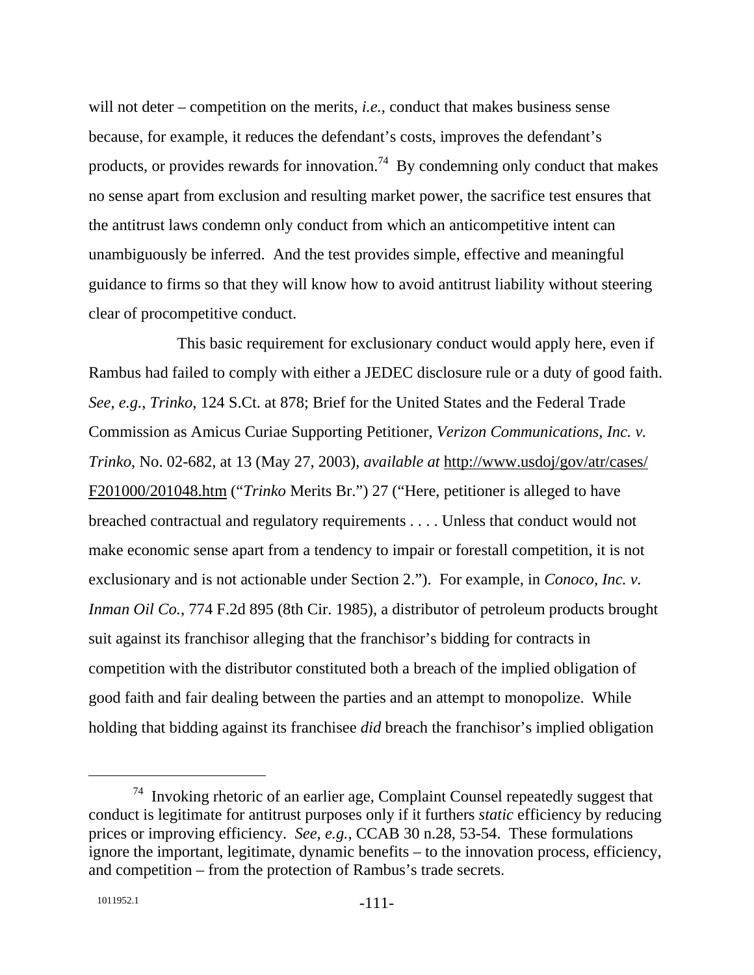will not deter – competition on the merits, *i.e.*, conduct that makes business sense because, for example, it reduces the defendant's costs, improves the defendant's products, or provides rewards for innovation.<sup>74</sup> By condemning only conduct that makes no sense apart from exclusion and resulting market power, the sacrifice test ensures that the antitrust laws condemn only conduct from which an anticompetitive intent can unambiguously be inferred. And the test provides simple, effective and meaningful guidance to firms so that they will know how to avoid antitrust liability without steering clear of procompetitive conduct.

This basic requirement for exclusionary conduct would apply here, even if Rambus had failed to comply with either a JEDEC disclosure rule or a duty of good faith. *See*, *e.g.*, *Trinko*, 124 S.Ct. at 878; Brief for the United States and the Federal Trade Commission as Amicus Curiae Supporting Petitioner, *Verizon Communications, Inc. v. Trinko*, No. 02-682, at 13 (May 27, 2003), *available at* http://www.usdoj/gov/atr/cases/ F201000/201048.htm ("*Trinko* Merits Br.") 27 ("Here, petitioner is alleged to have breached contractual and regulatory requirements . . . . Unless that conduct would not make economic sense apart from a tendency to impair or forestall competition, it is not exclusionary and is not actionable under Section 2."). For example, in *Conoco, Inc. v. Inman Oil Co.*, 774 F.2d 895 (8th Cir. 1985), a distributor of petroleum products brought suit against its franchisor alleging that the franchisor's bidding for contracts in competition with the distributor constituted both a breach of the implied obligation of good faith and fair dealing between the parties and an attempt to monopolize. While holding that bidding against its franchisee *did* breach the franchisor's implied obligation

 $74$  Invoking rhetoric of an earlier age, Complaint Counsel repeatedly suggest that conduct is legitimate for antitrust purposes only if it furthers *static* efficiency by reducing prices or improving efficiency. *See, e.g.*, CCAB 30 n.28, 53-54. These formulations ignore the important, legitimate, dynamic benefits – to the innovation process, efficiency, and competition – from the protection of Rambus's trade secrets.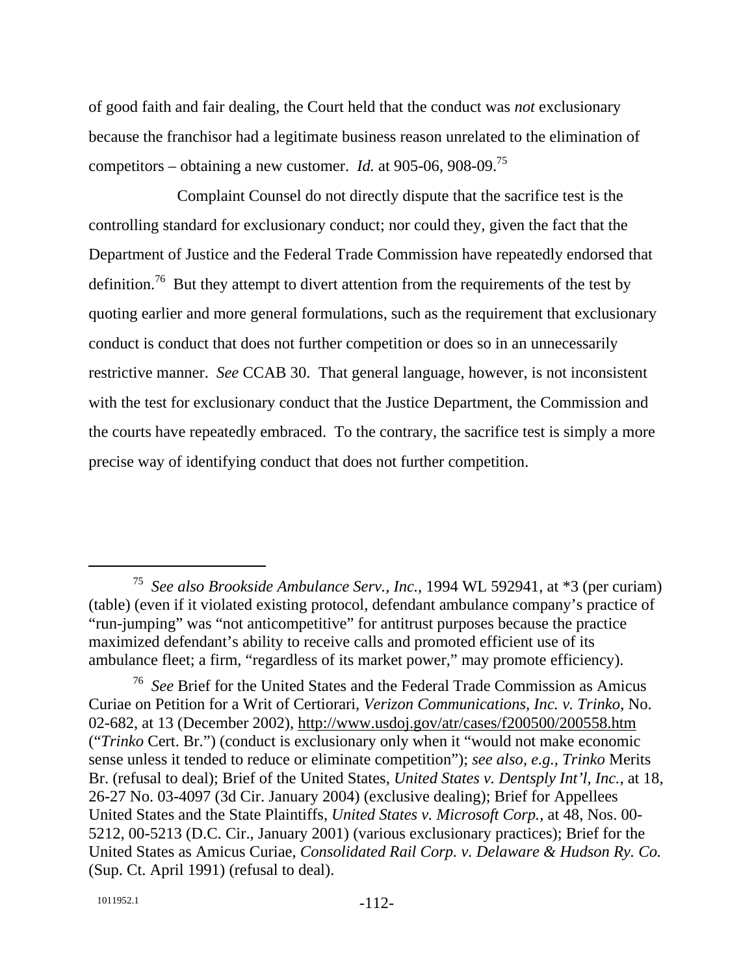of good faith and fair dealing, the Court held that the conduct was *not* exclusionary because the franchisor had a legitimate business reason unrelated to the elimination of competitors – obtaining a new customer. *Id.* at 905-06, 908-09.<sup>75</sup>

Complaint Counsel do not directly dispute that the sacrifice test is the controlling standard for exclusionary conduct; nor could they, given the fact that the Department of Justice and the Federal Trade Commission have repeatedly endorsed that definition.<sup>76</sup> But they attempt to divert attention from the requirements of the test by quoting earlier and more general formulations, such as the requirement that exclusionary conduct is conduct that does not further competition or does so in an unnecessarily restrictive manner. *See* CCAB 30. That general language, however, is not inconsistent with the test for exclusionary conduct that the Justice Department, the Commission and the courts have repeatedly embraced. To the contrary, the sacrifice test is simply a more precise way of identifying conduct that does not further competition.

 <sup>75</sup> *See also Brookside Ambulance Serv., Inc.*, 1994 WL 592941, at \*3 (per curiam) (table) (even if it violated existing protocol, defendant ambulance company's practice of "run-jumping" was "not anticompetitive" for antitrust purposes because the practice maximized defendant's ability to receive calls and promoted efficient use of its ambulance fleet; a firm, "regardless of its market power," may promote efficiency).

<sup>76</sup> *See* Brief for the United States and the Federal Trade Commission as Amicus Curiae on Petition for a Writ of Certiorari, *Verizon Communications, Inc. v. Trinko*, No. 02-682, at 13 (December 2002), http://www.usdoj.gov/atr/cases/f200500/200558.htm ("*Trinko* Cert. Br.") (conduct is exclusionary only when it "would not make economic sense unless it tended to reduce or eliminate competition"); *see also, e.g., Trinko* Merits Br. (refusal to deal); Brief of the United States, *United States v. Dentsply Int'l, Inc.*, at 18, 26-27 No. 03-4097 (3d Cir. January 2004) (exclusive dealing); Brief for Appellees United States and the State Plaintiffs, *United States v. Microsoft Corp.*, at 48, Nos. 00- 5212, 00-5213 (D.C. Cir., January 2001) (various exclusionary practices); Brief for the United States as Amicus Curiae, *Consolidated Rail Corp. v. Delaware & Hudson Ry. Co.* (Sup. Ct. April 1991) (refusal to deal).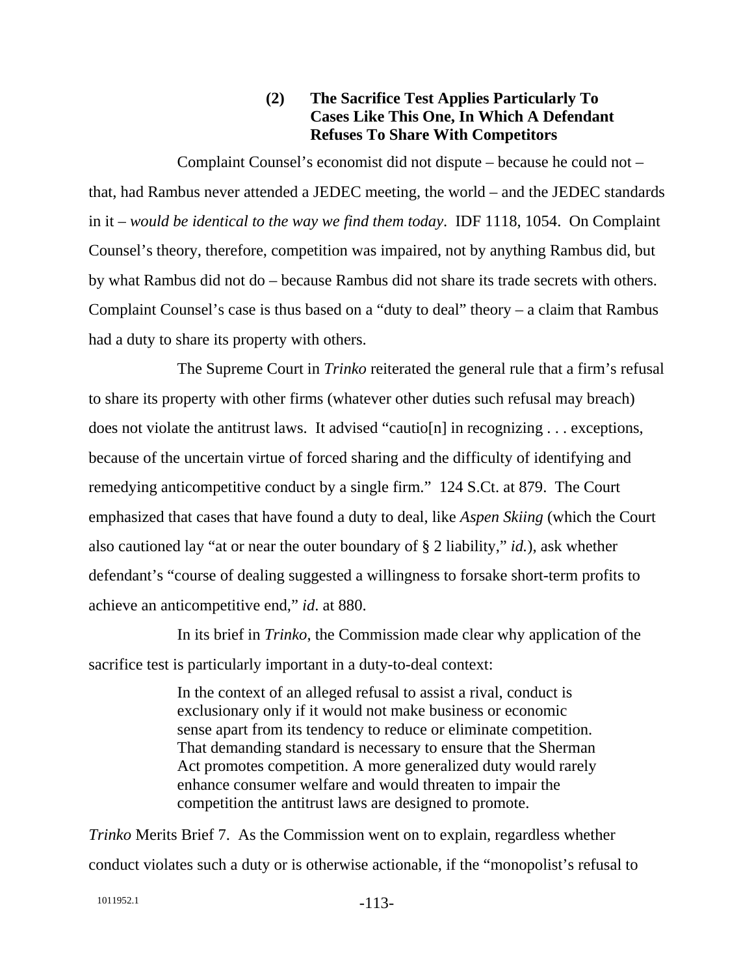### **(2) The Sacrifice Test Applies Particularly To Cases Like This One, In Which A Defendant Refuses To Share With Competitors**

Complaint Counsel's economist did not dispute – because he could not – that, had Rambus never attended a JEDEC meeting, the world – and the JEDEC standards in it – *would be identical to the way we find them today*. IDF 1118, 1054. On Complaint Counsel's theory, therefore, competition was impaired, not by anything Rambus did, but by what Rambus did not do – because Rambus did not share its trade secrets with others. Complaint Counsel's case is thus based on a "duty to deal" theory – a claim that Rambus had a duty to share its property with others.

The Supreme Court in *Trinko* reiterated the general rule that a firm's refusal to share its property with other firms (whatever other duties such refusal may breach) does not violate the antitrust laws. It advised "cautio[n] in recognizing . . . exceptions, because of the uncertain virtue of forced sharing and the difficulty of identifying and remedying anticompetitive conduct by a single firm." 124 S.Ct. at 879. The Court emphasized that cases that have found a duty to deal, like *Aspen Skiing* (which the Court also cautioned lay "at or near the outer boundary of § 2 liability," *id.*), ask whether defendant's "course of dealing suggested a willingness to forsake short-term profits to achieve an anticompetitive end," *id*. at 880.

In its brief in *Trinko*, the Commission made clear why application of the sacrifice test is particularly important in a duty-to-deal context:

> In the context of an alleged refusal to assist a rival, conduct is exclusionary only if it would not make business or economic sense apart from its tendency to reduce or eliminate competition. That demanding standard is necessary to ensure that the Sherman Act promotes competition. A more generalized duty would rarely enhance consumer welfare and would threaten to impair the competition the antitrust laws are designed to promote.

*Trinko* Merits Brief 7. As the Commission went on to explain, regardless whether conduct violates such a duty or is otherwise actionable, if the "monopolist's refusal to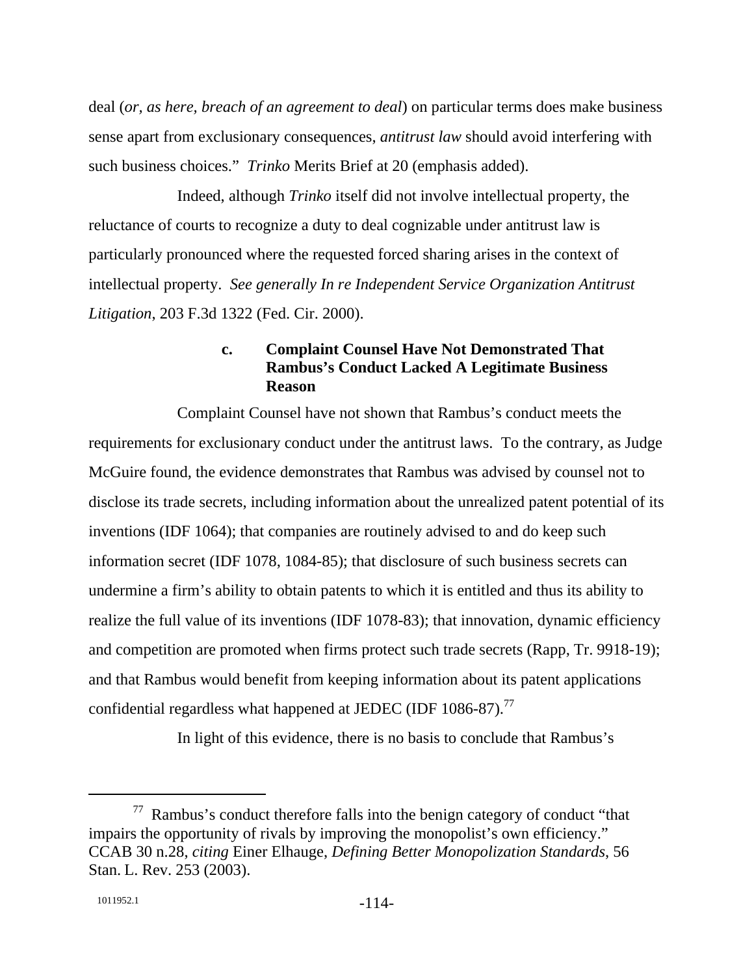deal (*or, as here, breach of an agreement to deal*) on particular terms does make business sense apart from exclusionary consequences, *antitrust law* should avoid interfering with such business choices." *Trinko* Merits Brief at 20 (emphasis added).

Indeed, although *Trinko* itself did not involve intellectual property, the reluctance of courts to recognize a duty to deal cognizable under antitrust law is particularly pronounced where the requested forced sharing arises in the context of intellectual property. *See generally In re Independent Service Organization Antitrust Litigation*, 203 F.3d 1322 (Fed. Cir. 2000).

# **c. Complaint Counsel Have Not Demonstrated That Rambus's Conduct Lacked A Legitimate Business Reason**

Complaint Counsel have not shown that Rambus's conduct meets the requirements for exclusionary conduct under the antitrust laws. To the contrary, as Judge McGuire found, the evidence demonstrates that Rambus was advised by counsel not to disclose its trade secrets, including information about the unrealized patent potential of its inventions (IDF 1064); that companies are routinely advised to and do keep such information secret (IDF 1078, 1084-85); that disclosure of such business secrets can undermine a firm's ability to obtain patents to which it is entitled and thus its ability to realize the full value of its inventions (IDF 1078-83); that innovation, dynamic efficiency and competition are promoted when firms protect such trade secrets (Rapp, Tr. 9918-19); and that Rambus would benefit from keeping information about its patent applications confidential regardless what happened at JEDEC (IDF  $1086-87$ ).<sup>77</sup>

In light of this evidence, there is no basis to conclude that Rambus's

 $77$  Rambus's conduct therefore falls into the benign category of conduct "that impairs the opportunity of rivals by improving the monopolist's own efficiency." CCAB 30 n.28, *citing* Einer Elhauge, *Defining Better Monopolization Standards*, 56 Stan. L. Rev. 253 (2003).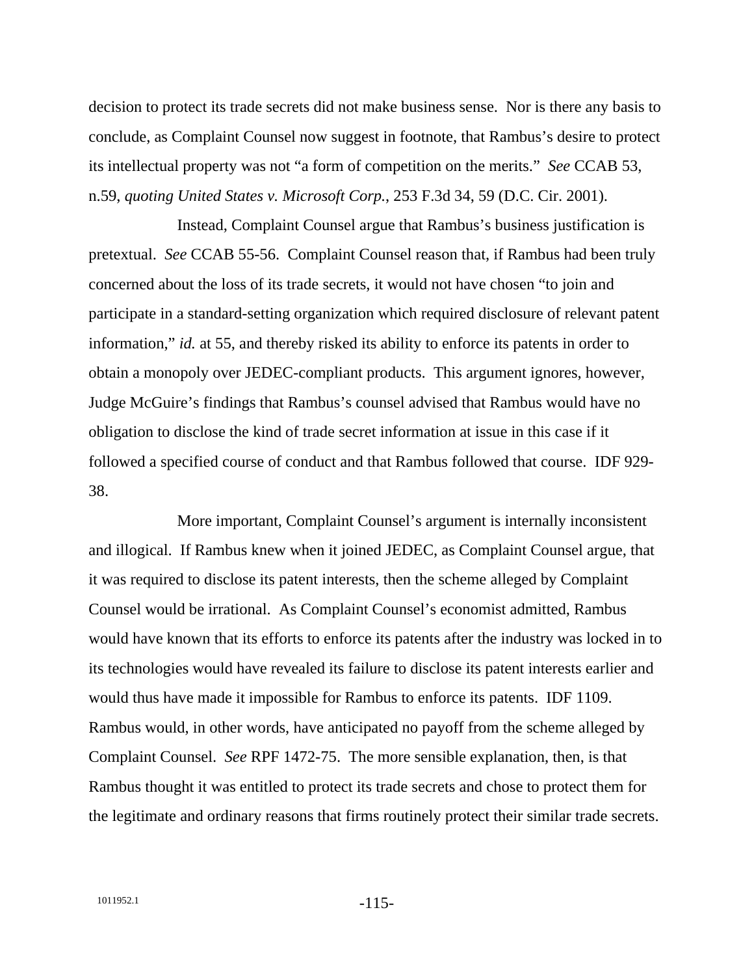decision to protect its trade secrets did not make business sense. Nor is there any basis to conclude, as Complaint Counsel now suggest in footnote, that Rambus's desire to protect its intellectual property was not "a form of competition on the merits." *See* CCAB 53, n.59, *quoting United States v. Microsoft Corp.*, 253 F.3d 34, 59 (D.C. Cir. 2001).

Instead, Complaint Counsel argue that Rambus's business justification is pretextual. *See* CCAB 55-56. Complaint Counsel reason that, if Rambus had been truly concerned about the loss of its trade secrets, it would not have chosen "to join and participate in a standard-setting organization which required disclosure of relevant patent information," *id.* at 55, and thereby risked its ability to enforce its patents in order to obtain a monopoly over JEDEC-compliant products. This argument ignores, however, Judge McGuire's findings that Rambus's counsel advised that Rambus would have no obligation to disclose the kind of trade secret information at issue in this case if it followed a specified course of conduct and that Rambus followed that course. IDF 929- 38.

More important, Complaint Counsel's argument is internally inconsistent and illogical. If Rambus knew when it joined JEDEC, as Complaint Counsel argue, that it was required to disclose its patent interests, then the scheme alleged by Complaint Counsel would be irrational. As Complaint Counsel's economist admitted, Rambus would have known that its efforts to enforce its patents after the industry was locked in to its technologies would have revealed its failure to disclose its patent interests earlier and would thus have made it impossible for Rambus to enforce its patents. IDF 1109. Rambus would, in other words, have anticipated no payoff from the scheme alleged by Complaint Counsel. *See* RPF 1472-75. The more sensible explanation, then, is that Rambus thought it was entitled to protect its trade secrets and chose to protect them for the legitimate and ordinary reasons that firms routinely protect their similar trade secrets.

1011952.1 -115-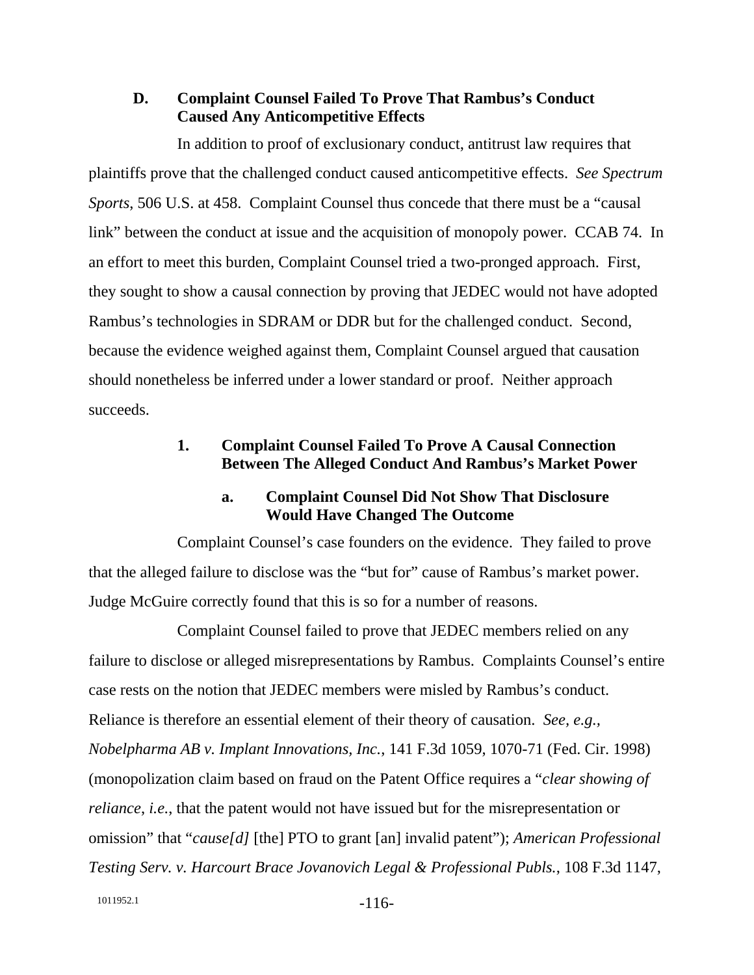### **D. Complaint Counsel Failed To Prove That Rambus's Conduct Caused Any Anticompetitive Effects**

In addition to proof of exclusionary conduct, antitrust law requires that plaintiffs prove that the challenged conduct caused anticompetitive effects. *See Spectrum Sports*, 506 U.S. at 458. Complaint Counsel thus concede that there must be a "causal link" between the conduct at issue and the acquisition of monopoly power. CCAB 74. In an effort to meet this burden, Complaint Counsel tried a two-pronged approach. First, they sought to show a causal connection by proving that JEDEC would not have adopted Rambus's technologies in SDRAM or DDR but for the challenged conduct. Second, because the evidence weighed against them, Complaint Counsel argued that causation should nonetheless be inferred under a lower standard or proof. Neither approach succeeds.

### **1. Complaint Counsel Failed To Prove A Causal Connection Between The Alleged Conduct And Rambus's Market Power**

### **a. Complaint Counsel Did Not Show That Disclosure Would Have Changed The Outcome**

Complaint Counsel's case founders on the evidence. They failed to prove that the alleged failure to disclose was the "but for" cause of Rambus's market power. Judge McGuire correctly found that this is so for a number of reasons.

Complaint Counsel failed to prove that JEDEC members relied on any failure to disclose or alleged misrepresentations by Rambus. Complaints Counsel's entire case rests on the notion that JEDEC members were misled by Rambus's conduct. Reliance is therefore an essential element of their theory of causation. *See, e.g., Nobelpharma AB v. Implant Innovations, Inc.*, 141 F.3d 1059, 1070-71 (Fed. Cir. 1998) (monopolization claim based on fraud on the Patent Office requires a "*clear showing of reliance*, *i.e.*, that the patent would not have issued but for the misrepresentation or omission" that "*cause[d]* [the] PTO to grant [an] invalid patent"); *American Professional Testing Serv. v. Harcourt Brace Jovanovich Legal & Professional Publs.*, 108 F.3d 1147,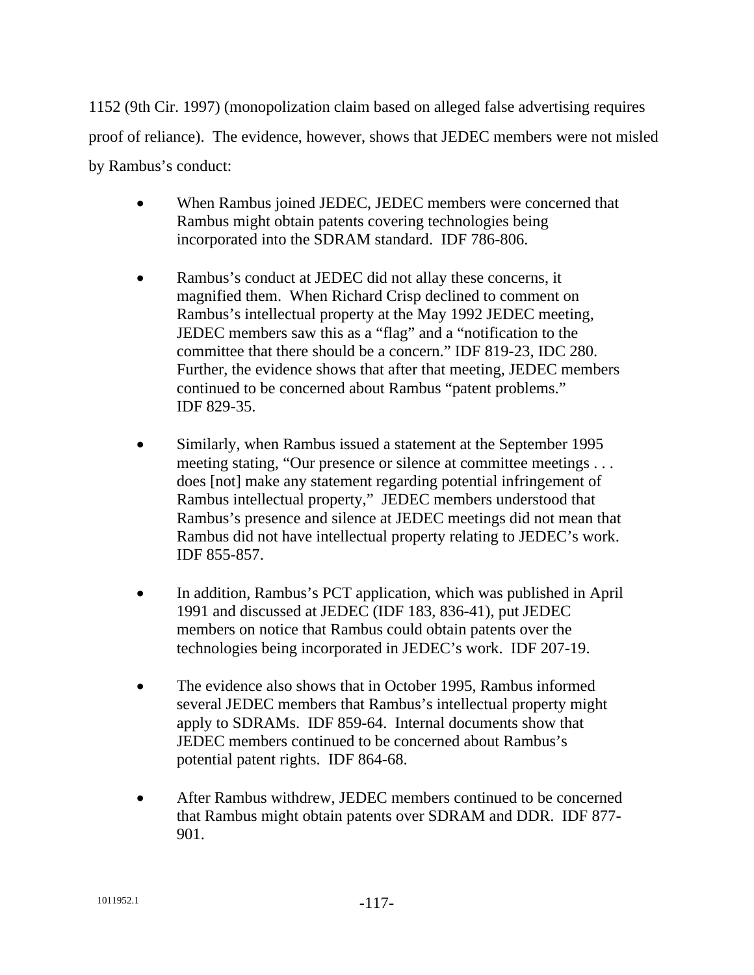1152 (9th Cir. 1997) (monopolization claim based on alleged false advertising requires proof of reliance). The evidence, however, shows that JEDEC members were not misled by Rambus's conduct:

- When Rambus joined JEDEC, JEDEC members were concerned that Rambus might obtain patents covering technologies being incorporated into the SDRAM standard. IDF 786-806.
- Rambus's conduct at JEDEC did not allay these concerns, it magnified them. When Richard Crisp declined to comment on Rambus's intellectual property at the May 1992 JEDEC meeting, JEDEC members saw this as a "flag" and a "notification to the committee that there should be a concern." IDF 819-23, IDC 280. Further, the evidence shows that after that meeting, JEDEC members continued to be concerned about Rambus "patent problems." IDF 829-35.
- Similarly, when Rambus issued a statement at the September 1995 meeting stating, "Our presence or silence at committee meetings... does [not] make any statement regarding potential infringement of Rambus intellectual property," JEDEC members understood that Rambus's presence and silence at JEDEC meetings did not mean that Rambus did not have intellectual property relating to JEDEC's work. IDF 855-857.
- In addition, Rambus's PCT application, which was published in April 1991 and discussed at JEDEC (IDF 183, 836-41), put JEDEC members on notice that Rambus could obtain patents over the technologies being incorporated in JEDEC's work. IDF 207-19.
- The evidence also shows that in October 1995, Rambus informed several JEDEC members that Rambus's intellectual property might apply to SDRAMs. IDF 859-64. Internal documents show that JEDEC members continued to be concerned about Rambus's potential patent rights. IDF 864-68.
- After Rambus withdrew, JEDEC members continued to be concerned that Rambus might obtain patents over SDRAM and DDR. IDF 877- 901.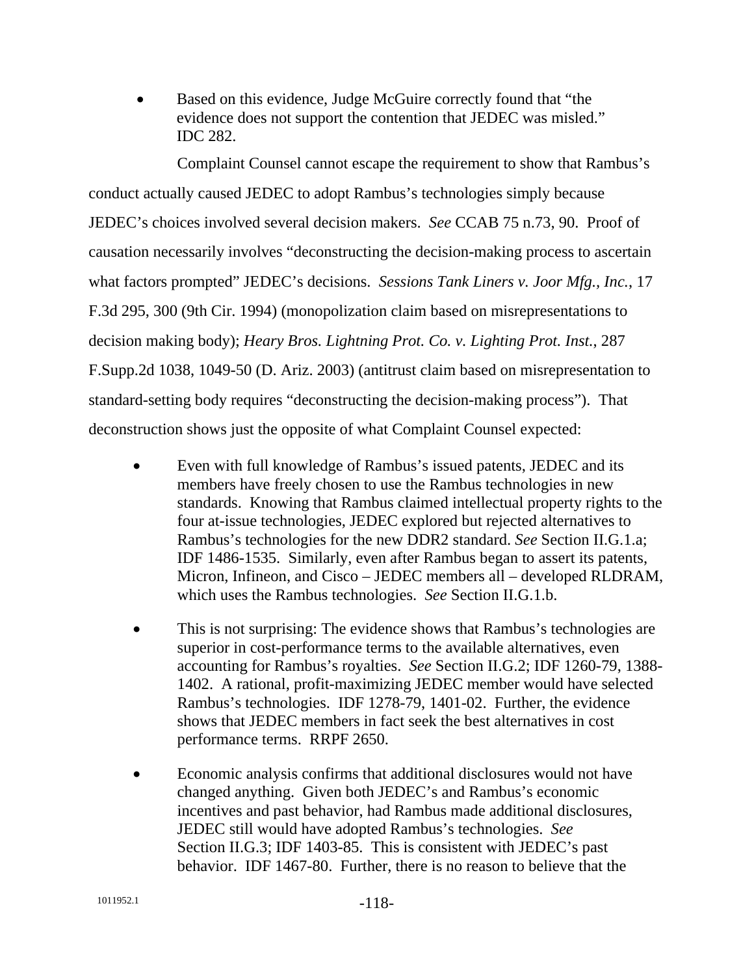• Based on this evidence, Judge McGuire correctly found that "the evidence does not support the contention that JEDEC was misled." IDC 282.

Complaint Counsel cannot escape the requirement to show that Rambus's conduct actually caused JEDEC to adopt Rambus's technologies simply because JEDEC's choices involved several decision makers. *See* CCAB 75 n.73, 90. Proof of causation necessarily involves "deconstructing the decision-making process to ascertain what factors prompted" JEDEC's decisions. *Sessions Tank Liners v. Joor Mfg., Inc.*, 17 F.3d 295, 300 (9th Cir. 1994) (monopolization claim based on misrepresentations to decision making body); *Heary Bros. Lightning Prot. Co. v. Lighting Prot. Inst.*, 287 F.Supp.2d 1038, 1049-50 (D. Ariz. 2003) (antitrust claim based on misrepresentation to standard-setting body requires "deconstructing the decision-making process"). That deconstruction shows just the opposite of what Complaint Counsel expected:

- Even with full knowledge of Rambus's issued patents, JEDEC and its members have freely chosen to use the Rambus technologies in new standards. Knowing that Rambus claimed intellectual property rights to the four at-issue technologies, JEDEC explored but rejected alternatives to Rambus's technologies for the new DDR2 standard. *See* Section II.G.1.a; IDF 1486-1535. Similarly, even after Rambus began to assert its patents, Micron, Infineon, and Cisco – JEDEC members all – developed RLDRAM, which uses the Rambus technologies. *See* Section II.G.1.b.
- This is not surprising: The evidence shows that Rambus's technologies are superior in cost-performance terms to the available alternatives, even accounting for Rambus's royalties. *See* Section II.G.2; IDF 1260-79, 1388- 1402. A rational, profit-maximizing JEDEC member would have selected Rambus's technologies. IDF 1278-79, 1401-02. Further, the evidence shows that JEDEC members in fact seek the best alternatives in cost performance terms. RRPF 2650.
- Economic analysis confirms that additional disclosures would not have changed anything. Given both JEDEC's and Rambus's economic incentives and past behavior, had Rambus made additional disclosures, JEDEC still would have adopted Rambus's technologies. *See*  Section II.G.3; IDF 1403-85. This is consistent with JEDEC's past behavior. IDF 1467-80. Further, there is no reason to believe that the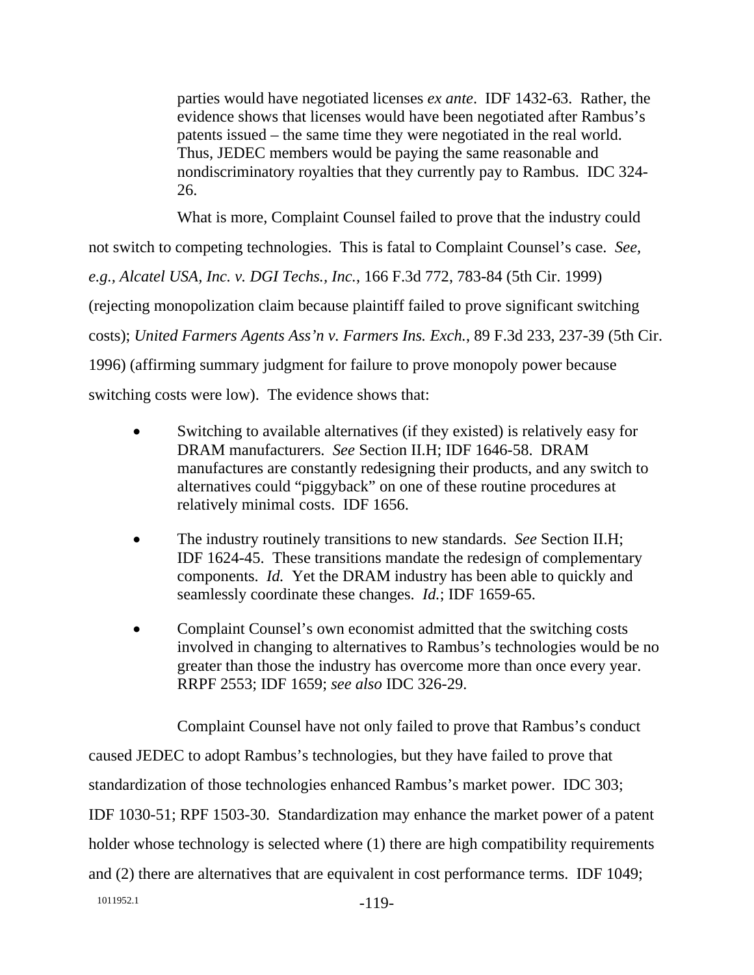parties would have negotiated licenses *ex ante*. IDF 1432-63. Rather, the evidence shows that licenses would have been negotiated after Rambus's patents issued – the same time they were negotiated in the real world. Thus, JEDEC members would be paying the same reasonable and nondiscriminatory royalties that they currently pay to Rambus. IDC 324- 26.

What is more, Complaint Counsel failed to prove that the industry could not switch to competing technologies. This is fatal to Complaint Counsel's case. *See, e.g., Alcatel USA, Inc. v. DGI Techs., Inc.*, 166 F.3d 772, 783-84 (5th Cir. 1999) (rejecting monopolization claim because plaintiff failed to prove significant switching costs); *United Farmers Agents Ass'n v. Farmers Ins. Exch.*, 89 F.3d 233, 237-39 (5th Cir. 1996) (affirming summary judgment for failure to prove monopoly power because switching costs were low). The evidence shows that:

- Switching to available alternatives (if they existed) is relatively easy for DRAM manufacturers. *See* Section II.H; IDF 1646-58. DRAM manufactures are constantly redesigning their products, and any switch to alternatives could "piggyback" on one of these routine procedures at relatively minimal costs. IDF 1656.
- The industry routinely transitions to new standards. *See* Section II.H; IDF 1624-45. These transitions mandate the redesign of complementary components. *Id.* Yet the DRAM industry has been able to quickly and seamlessly coordinate these changes. *Id.*; IDF 1659-65.
- Complaint Counsel's own economist admitted that the switching costs involved in changing to alternatives to Rambus's technologies would be no greater than those the industry has overcome more than once every year. RRPF 2553; IDF 1659; *see also* IDC 326-29.

1011952.1 -119-Complaint Counsel have not only failed to prove that Rambus's conduct caused JEDEC to adopt Rambus's technologies, but they have failed to prove that standardization of those technologies enhanced Rambus's market power. IDC 303; IDF 1030-51; RPF 1503-30. Standardization may enhance the market power of a patent holder whose technology is selected where (1) there are high compatibility requirements and (2) there are alternatives that are equivalent in cost performance terms. IDF 1049;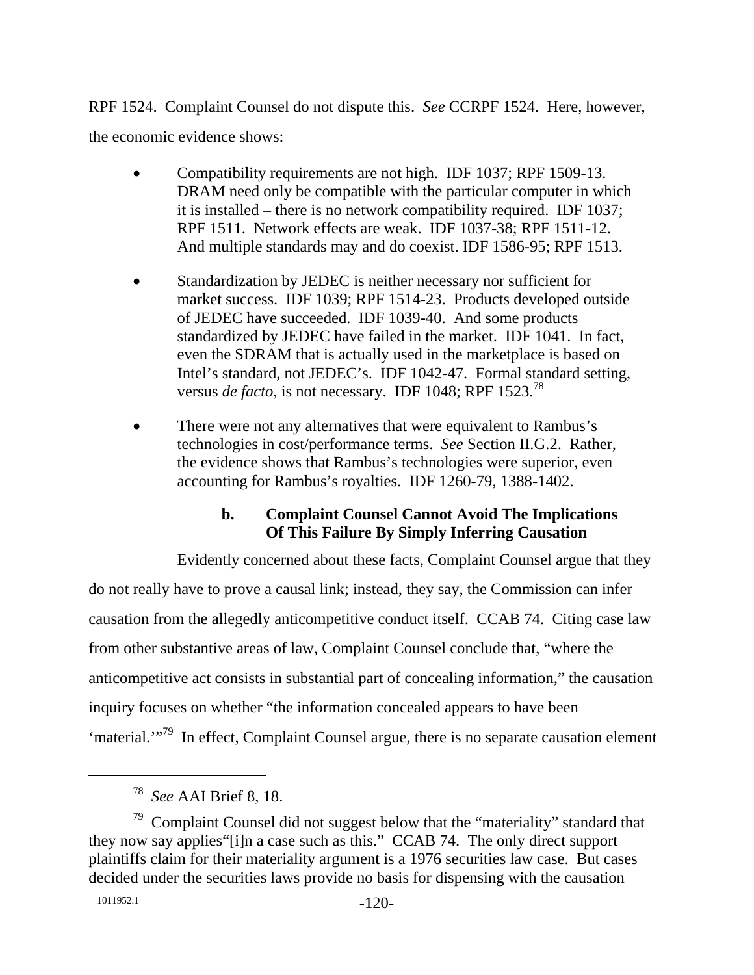RPF 1524. Complaint Counsel do not dispute this. *See* CCRPF 1524. Here, however, the economic evidence shows:

- Compatibility requirements are not high. IDF 1037; RPF 1509-13. DRAM need only be compatible with the particular computer in which it is installed – there is no network compatibility required. IDF 1037; RPF 1511. Network effects are weak. IDF 1037-38; RPF 1511-12. And multiple standards may and do coexist. IDF 1586-95; RPF 1513.
- Standardization by JEDEC is neither necessary nor sufficient for market success. IDF 1039; RPF 1514-23. Products developed outside of JEDEC have succeeded. IDF 1039-40. And some products standardized by JEDEC have failed in the market. IDF 1041. In fact, even the SDRAM that is actually used in the marketplace is based on Intel's standard, not JEDEC's. IDF 1042-47. Formal standard setting, versus *de facto*, is not necessary. IDF 1048; RPF 1523.<sup>78</sup>
- There were not any alternatives that were equivalent to Rambus's technologies in cost/performance terms. *See* Section II.G.2. Rather, the evidence shows that Rambus's technologies were superior, even accounting for Rambus's royalties. IDF 1260-79, 1388-1402.

# **b. Complaint Counsel Cannot Avoid The Implications Of This Failure By Simply Inferring Causation**

Evidently concerned about these facts, Complaint Counsel argue that they do not really have to prove a causal link; instead, they say, the Commission can infer causation from the allegedly anticompetitive conduct itself. CCAB 74. Citing case law from other substantive areas of law, Complaint Counsel conclude that, "where the anticompetitive act consists in substantial part of concealing information," the causation inquiry focuses on whether "the information concealed appears to have been 'material.'"<sup>79</sup> In effect, Complaint Counsel argue, there is no separate causation element

 <sup>78</sup> *See* AAI Brief 8, 18.

 $79$  Complaint Counsel did not suggest below that the "materiality" standard that they now say applies"[i]n a case such as this." CCAB 74. The only direct support plaintiffs claim for their materiality argument is a 1976 securities law case. But cases decided under the securities laws provide no basis for dispensing with the causation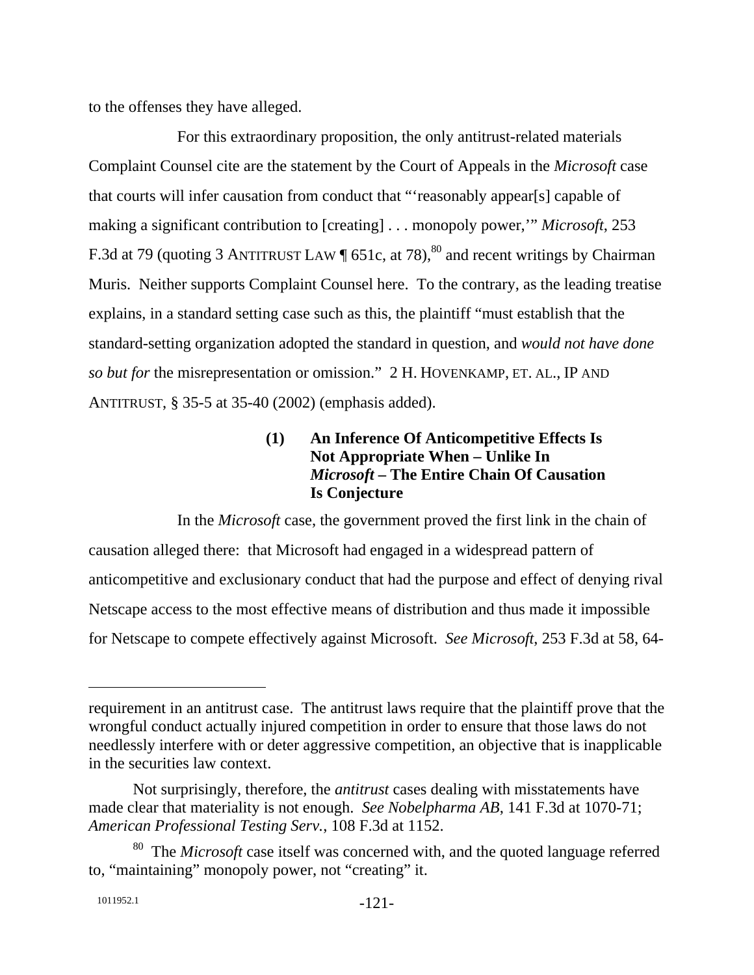to the offenses they have alleged.

For this extraordinary proposition, the only antitrust-related materials Complaint Counsel cite are the statement by the Court of Appeals in the *Microsoft* case that courts will infer causation from conduct that "'reasonably appear[s] capable of making a significant contribution to [creating] . . . monopoly power,'" *Microsoft*, 253 F.3d at 79 (quoting 3 ANTITRUST LAW  $\sqrt{ }$  651c, at 78),<sup>80</sup> and recent writings by Chairman Muris. Neither supports Complaint Counsel here. To the contrary, as the leading treatise explains, in a standard setting case such as this, the plaintiff "must establish that the standard-setting organization adopted the standard in question, and *would not have done so but for* the misrepresentation or omission." 2 H. HOVENKAMP, ET. AL., IP AND ANTITRUST, § 35-5 at 35-40 (2002) (emphasis added).

# **(1) An Inference Of Anticompetitive Effects Is Not Appropriate When – Unlike In**  *Microsoft* **– The Entire Chain Of Causation Is Conjecture**

In the *Microsoft* case, the government proved the first link in the chain of causation alleged there: that Microsoft had engaged in a widespread pattern of anticompetitive and exclusionary conduct that had the purpose and effect of denying rival Netscape access to the most effective means of distribution and thus made it impossible for Netscape to compete effectively against Microsoft. *See Microsoft*, 253 F.3d at 58, 64-

requirement in an antitrust case. The antitrust laws require that the plaintiff prove that the wrongful conduct actually injured competition in order to ensure that those laws do not needlessly interfere with or deter aggressive competition, an objective that is inapplicable in the securities law context.

Not surprisingly, therefore, the *antitrust* cases dealing with misstatements have made clear that materiality is not enough. *See Nobelpharma AB*, 141 F.3d at 1070-71; *American Professional Testing Serv.*, 108 F.3d at 1152.

<sup>80</sup> The *Microsoft* case itself was concerned with, and the quoted language referred to, "maintaining" monopoly power, not "creating" it.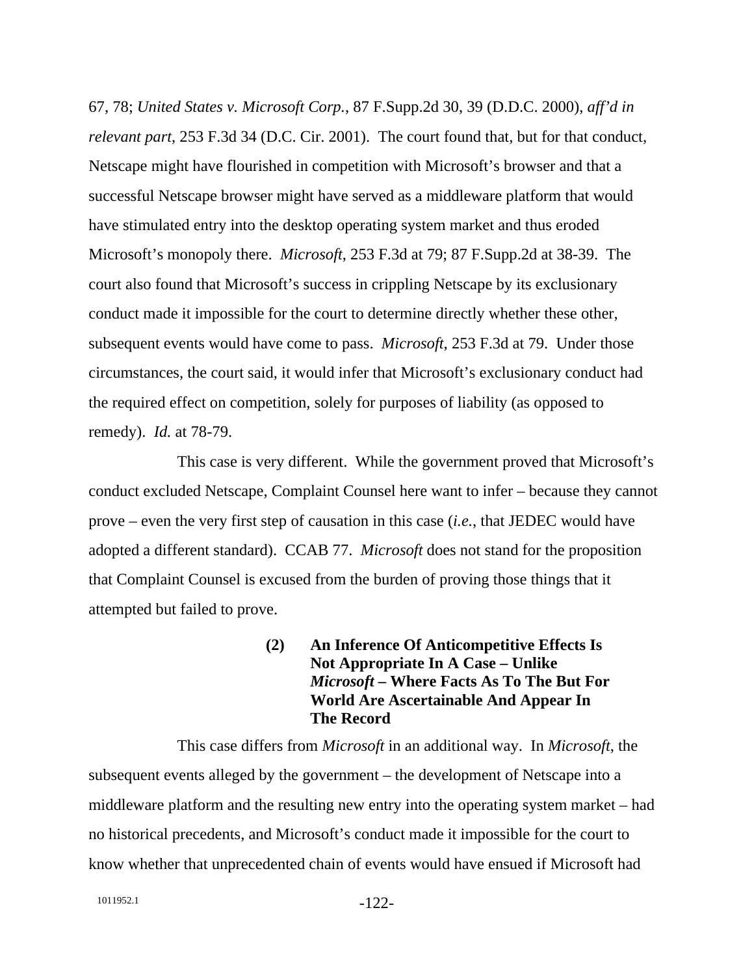67, 78; *United States v. Microsoft Corp.*, 87 F.Supp.2d 30, 39 (D.D.C. 2000), *aff'd in relevant part*, 253 F.3d 34 (D.C. Cir. 2001). The court found that, but for that conduct, Netscape might have flourished in competition with Microsoft's browser and that a successful Netscape browser might have served as a middleware platform that would have stimulated entry into the desktop operating system market and thus eroded Microsoft's monopoly there. *Microsoft*, 253 F.3d at 79; 87 F.Supp.2d at 38-39. The court also found that Microsoft's success in crippling Netscape by its exclusionary conduct made it impossible for the court to determine directly whether these other, subsequent events would have come to pass. *Microsoft*, 253 F.3d at 79. Under those circumstances, the court said, it would infer that Microsoft's exclusionary conduct had the required effect on competition, solely for purposes of liability (as opposed to remedy). *Id.* at 78-79.

This case is very different. While the government proved that Microsoft's conduct excluded Netscape, Complaint Counsel here want to infer – because they cannot prove – even the very first step of causation in this case (*i.e.*, that JEDEC would have adopted a different standard). CCAB 77. *Microsoft* does not stand for the proposition that Complaint Counsel is excused from the burden of proving those things that it attempted but failed to prove.

> **(2) An Inference Of Anticompetitive Effects Is Not Appropriate In A Case – Unlike**  *Microsoft* **– Where Facts As To The But For World Are Ascertainable And Appear In The Record**

This case differs from *Microsoft* in an additional way. In *Microsoft*, the subsequent events alleged by the government – the development of Netscape into a middleware platform and the resulting new entry into the operating system market – had no historical precedents, and Microsoft's conduct made it impossible for the court to know whether that unprecedented chain of events would have ensued if Microsoft had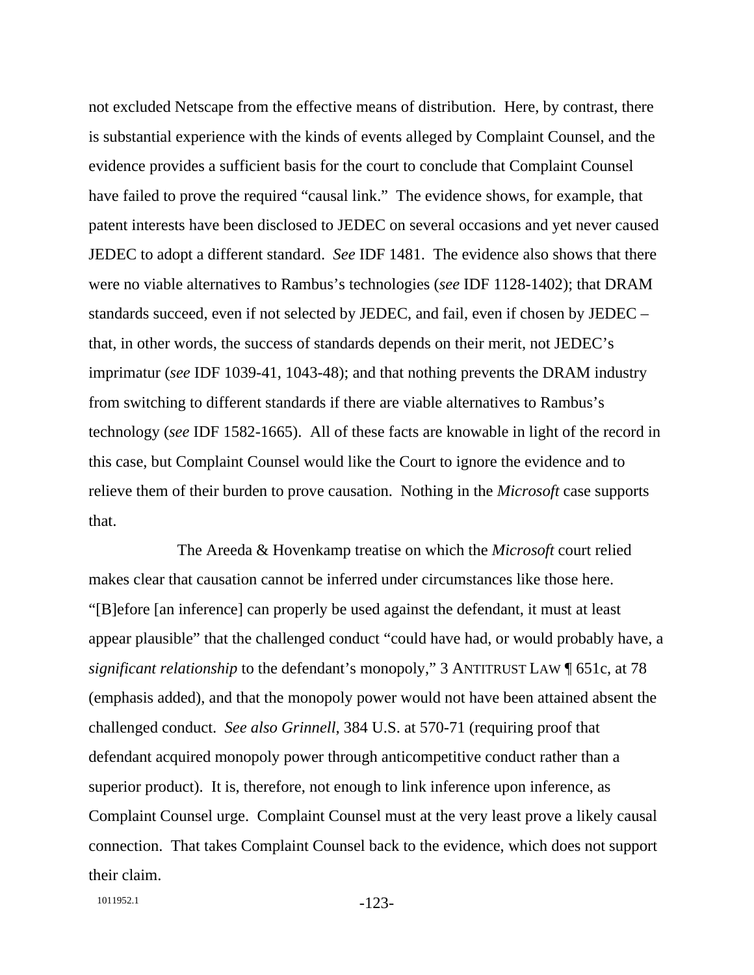not excluded Netscape from the effective means of distribution. Here, by contrast, there is substantial experience with the kinds of events alleged by Complaint Counsel, and the evidence provides a sufficient basis for the court to conclude that Complaint Counsel have failed to prove the required "causal link." The evidence shows, for example, that patent interests have been disclosed to JEDEC on several occasions and yet never caused JEDEC to adopt a different standard. *See* IDF 1481. The evidence also shows that there were no viable alternatives to Rambus's technologies (*see* IDF 1128-1402); that DRAM standards succeed, even if not selected by JEDEC, and fail, even if chosen by JEDEC – that, in other words, the success of standards depends on their merit, not JEDEC's imprimatur (*see* IDF 1039-41, 1043-48); and that nothing prevents the DRAM industry from switching to different standards if there are viable alternatives to Rambus's technology (*see* IDF 1582-1665). All of these facts are knowable in light of the record in this case, but Complaint Counsel would like the Court to ignore the evidence and to relieve them of their burden to prove causation. Nothing in the *Microsoft* case supports that.

The Areeda & Hovenkamp treatise on which the *Microsoft* court relied makes clear that causation cannot be inferred under circumstances like those here. "[B]efore [an inference] can properly be used against the defendant, it must at least appear plausible" that the challenged conduct "could have had, or would probably have, a *significant relationship* to the defendant's monopoly," 3 ANTITRUST LAW [651c, at 78] (emphasis added), and that the monopoly power would not have been attained absent the challenged conduct. *See also Grinnell*, 384 U.S. at 570-71 (requiring proof that defendant acquired monopoly power through anticompetitive conduct rather than a superior product). It is, therefore, not enough to link inference upon inference, as Complaint Counsel urge. Complaint Counsel must at the very least prove a likely causal connection. That takes Complaint Counsel back to the evidence, which does not support their claim.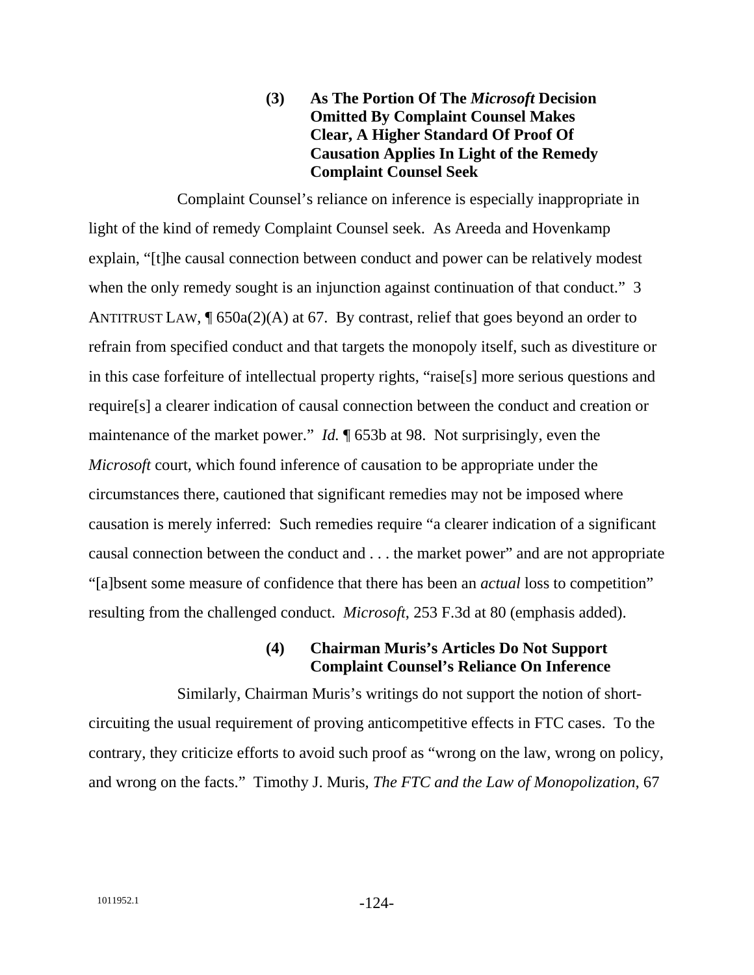### **(3) As The Portion Of The** *Microsoft* **Decision Omitted By Complaint Counsel Makes Clear, A Higher Standard Of Proof Of Causation Applies In Light of the Remedy Complaint Counsel Seek**

Complaint Counsel's reliance on inference is especially inappropriate in light of the kind of remedy Complaint Counsel seek. As Areeda and Hovenkamp explain, "[t]he causal connection between conduct and power can be relatively modest when the only remedy sought is an injunction against continuation of that conduct." 3 ANTITRUST LAW,  $\sqrt{\frac{650a(2)}{A}}$  at 67. By contrast, relief that goes beyond an order to refrain from specified conduct and that targets the monopoly itself, such as divestiture or in this case forfeiture of intellectual property rights, "raise[s] more serious questions and require[s] a clearer indication of causal connection between the conduct and creation or maintenance of the market power." *Id.* ¶ 653b at 98. Not surprisingly, even the *Microsoft* court, which found inference of causation to be appropriate under the circumstances there, cautioned that significant remedies may not be imposed where causation is merely inferred: Such remedies require "a clearer indication of a significant causal connection between the conduct and . . . the market power" and are not appropriate "[a]bsent some measure of confidence that there has been an *actual* loss to competition" resulting from the challenged conduct. *Microsoft*, 253 F.3d at 80 (emphasis added).

#### **(4) Chairman Muris's Articles Do Not Support Complaint Counsel's Reliance On Inference**

Similarly, Chairman Muris's writings do not support the notion of shortcircuiting the usual requirement of proving anticompetitive effects in FTC cases. To the contrary, they criticize efforts to avoid such proof as "wrong on the law, wrong on policy, and wrong on the facts." Timothy J. Muris, *The FTC and the Law of Monopolization*, 67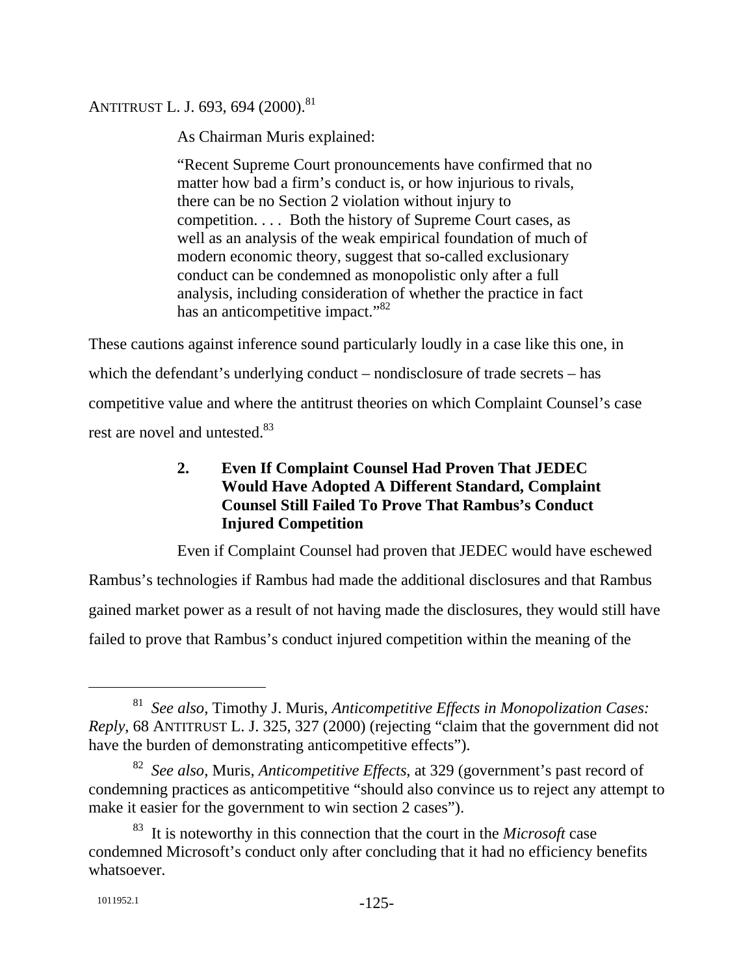# ANTITRUST L. J. 693, 694 (2000).<sup>81</sup>

As Chairman Muris explained:

"Recent Supreme Court pronouncements have confirmed that no matter how bad a firm's conduct is, or how injurious to rivals, there can be no Section 2 violation without injury to competition. . . . Both the history of Supreme Court cases, as well as an analysis of the weak empirical foundation of much of modern economic theory, suggest that so-called exclusionary conduct can be condemned as monopolistic only after a full analysis, including consideration of whether the practice in fact has an anticompetitive impact."<sup>82</sup>

These cautions against inference sound particularly loudly in a case like this one, in which the defendant's underlying conduct – nondisclosure of trade secrets – has competitive value and where the antitrust theories on which Complaint Counsel's case rest are novel and untested.<sup>83</sup>

# **2. Even If Complaint Counsel Had Proven That JEDEC Would Have Adopted A Different Standard, Complaint Counsel Still Failed To Prove That Rambus's Conduct Injured Competition**

Even if Complaint Counsel had proven that JEDEC would have eschewed Rambus's technologies if Rambus had made the additional disclosures and that Rambus gained market power as a result of not having made the disclosures, they would still have failed to prove that Rambus's conduct injured competition within the meaning of the

 <sup>81</sup> *See also*, Timothy J. Muris, *Anticompetitive Effects in Monopolization Cases: Reply*, 68 ANTITRUST L. J. 325, 327 (2000) (rejecting "claim that the government did not have the burden of demonstrating anticompetitive effects").

<sup>82</sup> *See also*, Muris, *Anticompetitive Effects*, at 329 (government's past record of condemning practices as anticompetitive "should also convince us to reject any attempt to make it easier for the government to win section 2 cases").

<sup>83</sup> It is noteworthy in this connection that the court in the *Microsoft* case condemned Microsoft's conduct only after concluding that it had no efficiency benefits whatsoever.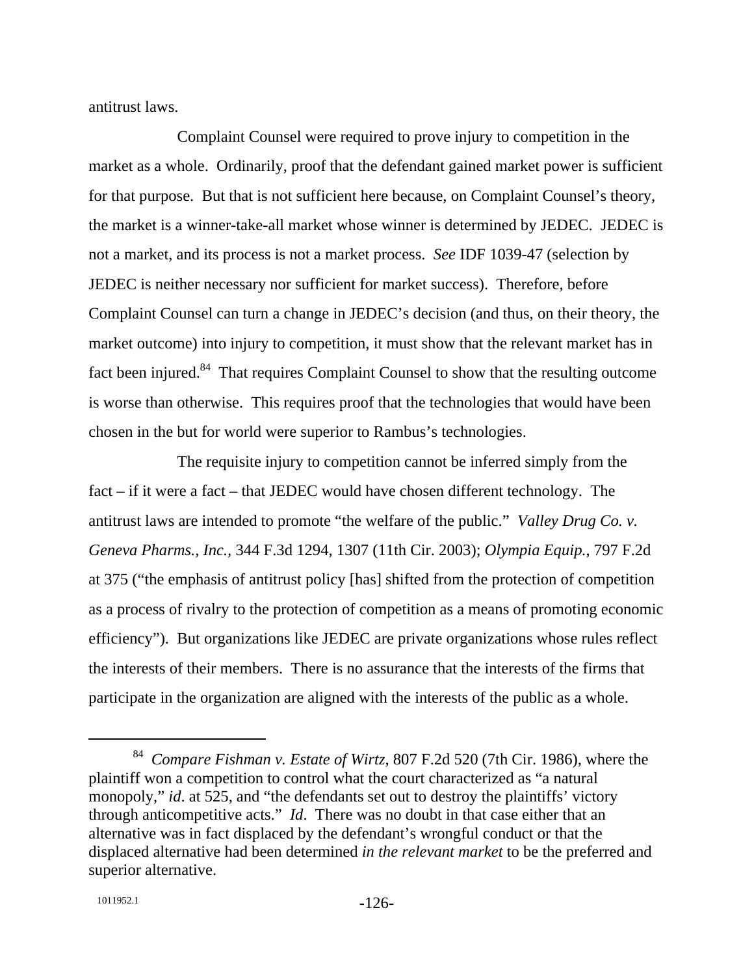antitrust laws.

Complaint Counsel were required to prove injury to competition in the market as a whole. Ordinarily, proof that the defendant gained market power is sufficient for that purpose. But that is not sufficient here because, on Complaint Counsel's theory, the market is a winner-take-all market whose winner is determined by JEDEC. JEDEC is not a market, and its process is not a market process. *See* IDF 1039-47 (selection by JEDEC is neither necessary nor sufficient for market success). Therefore, before Complaint Counsel can turn a change in JEDEC's decision (and thus, on their theory, the market outcome) into injury to competition, it must show that the relevant market has in fact been injured. $84$  That requires Complaint Counsel to show that the resulting outcome is worse than otherwise. This requires proof that the technologies that would have been chosen in the but for world were superior to Rambus's technologies.

The requisite injury to competition cannot be inferred simply from the fact – if it were a fact – that JEDEC would have chosen different technology. The antitrust laws are intended to promote "the welfare of the public." *Valley Drug Co. v. Geneva Pharms., Inc.,* 344 F.3d 1294, 1307 (11th Cir. 2003); *Olympia Equip.*, 797 F.2d at 375 ("the emphasis of antitrust policy [has] shifted from the protection of competition as a process of rivalry to the protection of competition as a means of promoting economic efficiency"). But organizations like JEDEC are private organizations whose rules reflect the interests of their members. There is no assurance that the interests of the firms that participate in the organization are aligned with the interests of the public as a whole.

 <sup>84</sup> *Compare Fishman v. Estate of Wirtz*, 807 F.2d 520 (7th Cir. 1986), where the plaintiff won a competition to control what the court characterized as "a natural monopoly," *id.* at 525, and "the defendants set out to destroy the plaintiffs' victory through anticompetitive acts." *Id*. There was no doubt in that case either that an alternative was in fact displaced by the defendant's wrongful conduct or that the displaced alternative had been determined *in the relevant market* to be the preferred and superior alternative.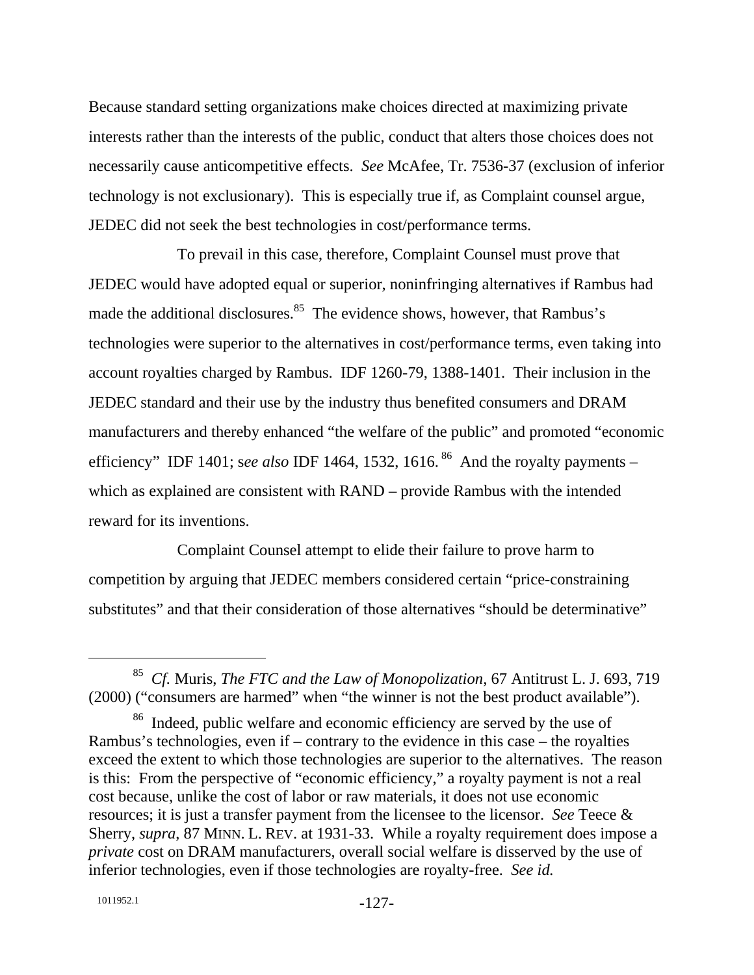Because standard setting organizations make choices directed at maximizing private interests rather than the interests of the public, conduct that alters those choices does not necessarily cause anticompetitive effects. *See* McAfee, Tr. 7536-37 (exclusion of inferior technology is not exclusionary). This is especially true if, as Complaint counsel argue, JEDEC did not seek the best technologies in cost/performance terms.

To prevail in this case, therefore, Complaint Counsel must prove that JEDEC would have adopted equal or superior, noninfringing alternatives if Rambus had made the additional disclosures.<sup>85</sup> The evidence shows, however, that Rambus's technologies were superior to the alternatives in cost/performance terms, even taking into account royalties charged by Rambus. IDF 1260-79, 1388-1401. Their inclusion in the JEDEC standard and their use by the industry thus benefited consumers and DRAM manufacturers and thereby enhanced "the welfare of the public" and promoted "economic efficiency" IDF 1401; see also IDF 1464, 1532, 1616.<sup>86</sup> And the royalty payments – which as explained are consistent with RAND – provide Rambus with the intended reward for its inventions.

Complaint Counsel attempt to elide their failure to prove harm to competition by arguing that JEDEC members considered certain "price-constraining substitutes" and that their consideration of those alternatives "should be determinative"

 <sup>85</sup> *Cf.* Muris, *The FTC and the Law of Monopolization*, 67 Antitrust L. J. 693, 719 (2000) ("consumers are harmed" when "the winner is not the best product available").

<sup>&</sup>lt;sup>86</sup> Indeed, public welfare and economic efficiency are served by the use of Rambus's technologies, even if – contrary to the evidence in this case – the royalties exceed the extent to which those technologies are superior to the alternatives. The reason is this: From the perspective of "economic efficiency," a royalty payment is not a real cost because, unlike the cost of labor or raw materials, it does not use economic resources; it is just a transfer payment from the licensee to the licensor. *See* Teece & Sherry, *supra*, 87 MINN. L. REV. at 1931-33. While a royalty requirement does impose a *private* cost on DRAM manufacturers, overall social welfare is disserved by the use of inferior technologies, even if those technologies are royalty-free. *See id.*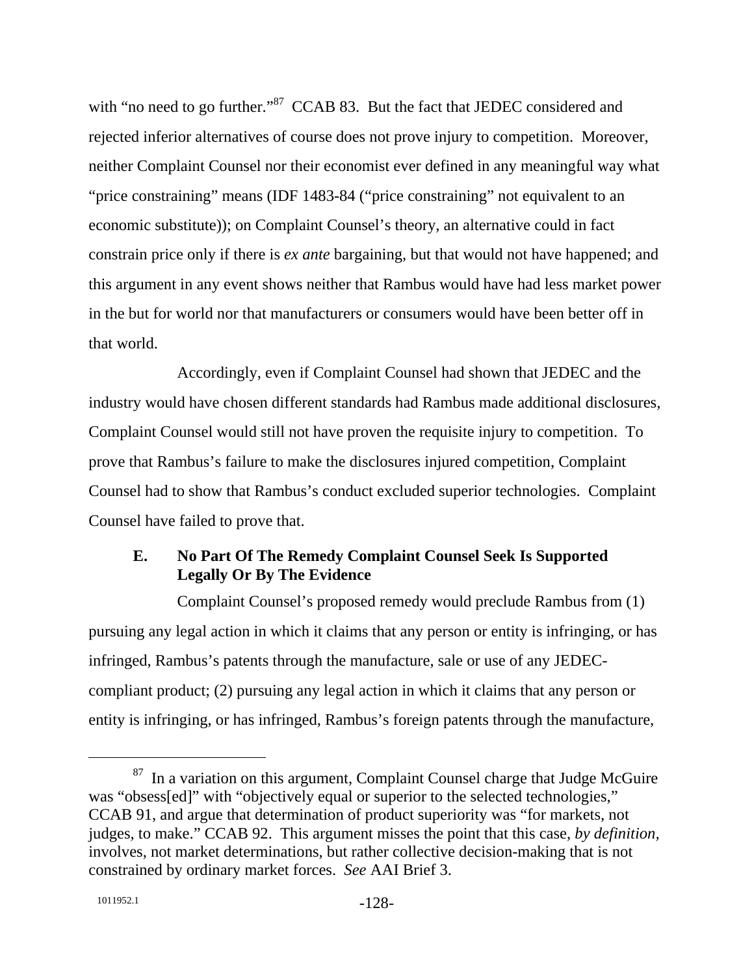with "no need to go further."<sup>87</sup> CCAB 83. But the fact that JEDEC considered and rejected inferior alternatives of course does not prove injury to competition. Moreover, neither Complaint Counsel nor their economist ever defined in any meaningful way what "price constraining" means (IDF 1483-84 ("price constraining" not equivalent to an economic substitute)); on Complaint Counsel's theory, an alternative could in fact constrain price only if there is *ex ante* bargaining, but that would not have happened; and this argument in any event shows neither that Rambus would have had less market power in the but for world nor that manufacturers or consumers would have been better off in that world.

Accordingly, even if Complaint Counsel had shown that JEDEC and the industry would have chosen different standards had Rambus made additional disclosures, Complaint Counsel would still not have proven the requisite injury to competition. To prove that Rambus's failure to make the disclosures injured competition, Complaint Counsel had to show that Rambus's conduct excluded superior technologies. Complaint Counsel have failed to prove that.

# **E. No Part Of The Remedy Complaint Counsel Seek Is Supported Legally Or By The Evidence**

Complaint Counsel's proposed remedy would preclude Rambus from (1) pursuing any legal action in which it claims that any person or entity is infringing, or has infringed, Rambus's patents through the manufacture, sale or use of any JEDECcompliant product; (2) pursuing any legal action in which it claims that any person or entity is infringing, or has infringed, Rambus's foreign patents through the manufacture,

 $87$  In a variation on this argument, Complaint Counsel charge that Judge McGuire was "obsess[ed]" with "objectively equal or superior to the selected technologies," CCAB 91, and argue that determination of product superiority was "for markets, not judges, to make." CCAB 92. This argument misses the point that this case, *by definition,* involves, not market determinations, but rather collective decision-making that is not constrained by ordinary market forces. *See* AAI Brief 3.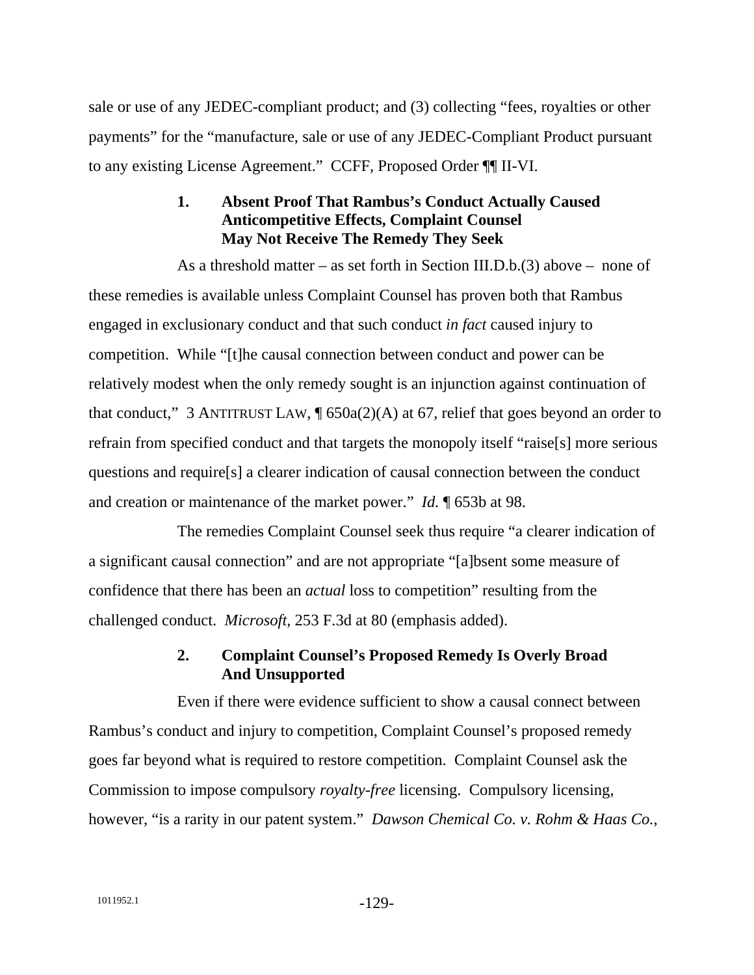sale or use of any JEDEC-compliant product; and (3) collecting "fees, royalties or other payments" for the "manufacture, sale or use of any JEDEC-Compliant Product pursuant to any existing License Agreement." CCFF, Proposed Order ¶¶ II-VI.

## **1. Absent Proof That Rambus's Conduct Actually Caused Anticompetitive Effects, Complaint Counsel May Not Receive The Remedy They Seek**

As a threshold matter – as set forth in Section III.D.b.(3) above – none of these remedies is available unless Complaint Counsel has proven both that Rambus engaged in exclusionary conduct and that such conduct *in fact* caused injury to competition. While "[t]he causal connection between conduct and power can be relatively modest when the only remedy sought is an injunction against continuation of that conduct," 3 ANTITRUST LAW,  $\P$  650a(2)(A) at 67, relief that goes beyond an order to refrain from specified conduct and that targets the monopoly itself "raise[s] more serious questions and require[s] a clearer indication of causal connection between the conduct and creation or maintenance of the market power." *Id.* ¶ 653b at 98.

The remedies Complaint Counsel seek thus require "a clearer indication of a significant causal connection" and are not appropriate "[a]bsent some measure of confidence that there has been an *actual* loss to competition" resulting from the challenged conduct. *Microsoft*, 253 F.3d at 80 (emphasis added).

# **2. Complaint Counsel's Proposed Remedy Is Overly Broad And Unsupported**

Even if there were evidence sufficient to show a causal connect between Rambus's conduct and injury to competition, Complaint Counsel's proposed remedy goes far beyond what is required to restore competition. Complaint Counsel ask the Commission to impose compulsory *royalty-free* licensing. Compulsory licensing, however, "is a rarity in our patent system." *Dawson Chemical Co. v. Rohm & Haas Co.*,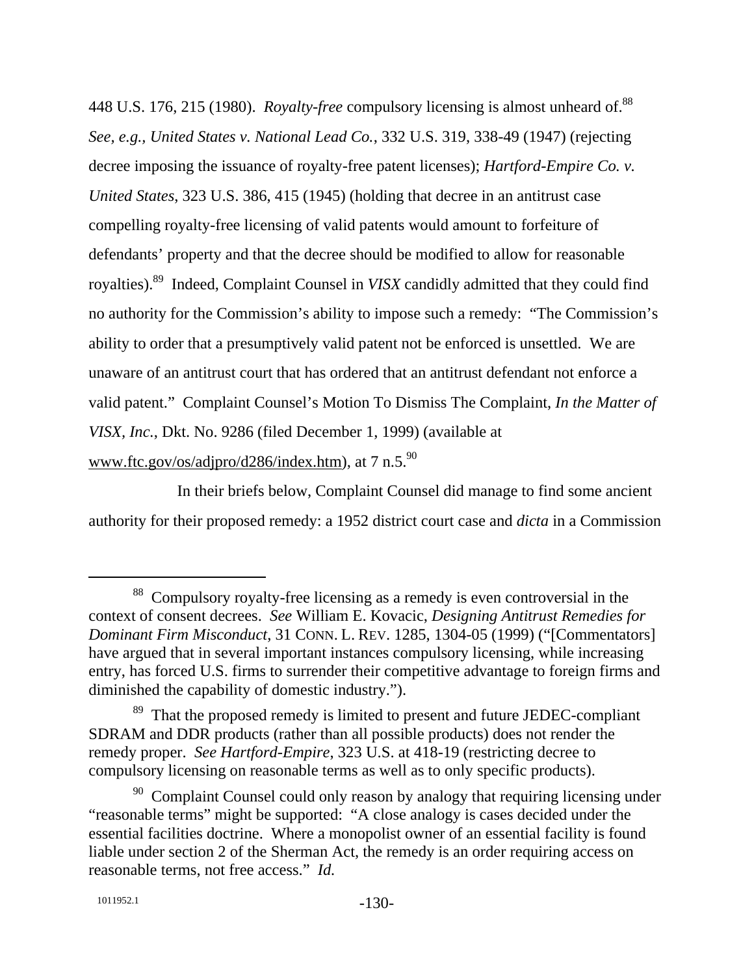448 U.S. 176, 215 (1980). *Royalty-free* compulsory licensing is almost unheard of.<sup>88</sup> *See, e.g., United States v. National Lead Co.*, 332 U.S. 319, 338-49 (1947) (rejecting decree imposing the issuance of royalty-free patent licenses); *Hartford-Empire Co. v. United States*, 323 U.S. 386, 415 (1945) (holding that decree in an antitrust case compelling royalty-free licensing of valid patents would amount to forfeiture of defendants' property and that the decree should be modified to allow for reasonable royalties).89 Indeed, Complaint Counsel in *VISX* candidly admitted that they could find no authority for the Commission's ability to impose such a remedy: "The Commission's ability to order that a presumptively valid patent not be enforced is unsettled. We are unaware of an antitrust court that has ordered that an antitrust defendant not enforce a valid patent." Complaint Counsel's Motion To Dismiss The Complaint, *In the Matter of VISX, Inc.*, Dkt. No. 9286 (filed December 1, 1999) (available at www.ftc.gov/os/adjpro/d286/index.htm), at 7 n.5.<sup>90</sup>

In their briefs below, Complaint Counsel did manage to find some ancient authority for their proposed remedy: a 1952 district court case and *dicta* in a Commission

 <sup>88</sup> Compulsory royalty-free licensing as a remedy is even controversial in the context of consent decrees. *See* William E. Kovacic, *Designing Antitrust Remedies for Dominant Firm Misconduct*, 31 CONN. L. REV. 1285, 1304-05 (1999) ("[Commentators] have argued that in several important instances compulsory licensing, while increasing entry, has forced U.S. firms to surrender their competitive advantage to foreign firms and diminished the capability of domestic industry.").

<sup>&</sup>lt;sup>89</sup> That the proposed remedy is limited to present and future JEDEC-compliant SDRAM and DDR products (rather than all possible products) does not render the remedy proper. *See Hartford-Empire*, 323 U.S. at 418-19 (restricting decree to compulsory licensing on reasonable terms as well as to only specific products).

 $90$  Complaint Counsel could only reason by analogy that requiring licensing under "reasonable terms" might be supported: "A close analogy is cases decided under the essential facilities doctrine. Where a monopolist owner of an essential facility is found liable under section 2 of the Sherman Act, the remedy is an order requiring access on reasonable terms, not free access." *Id.*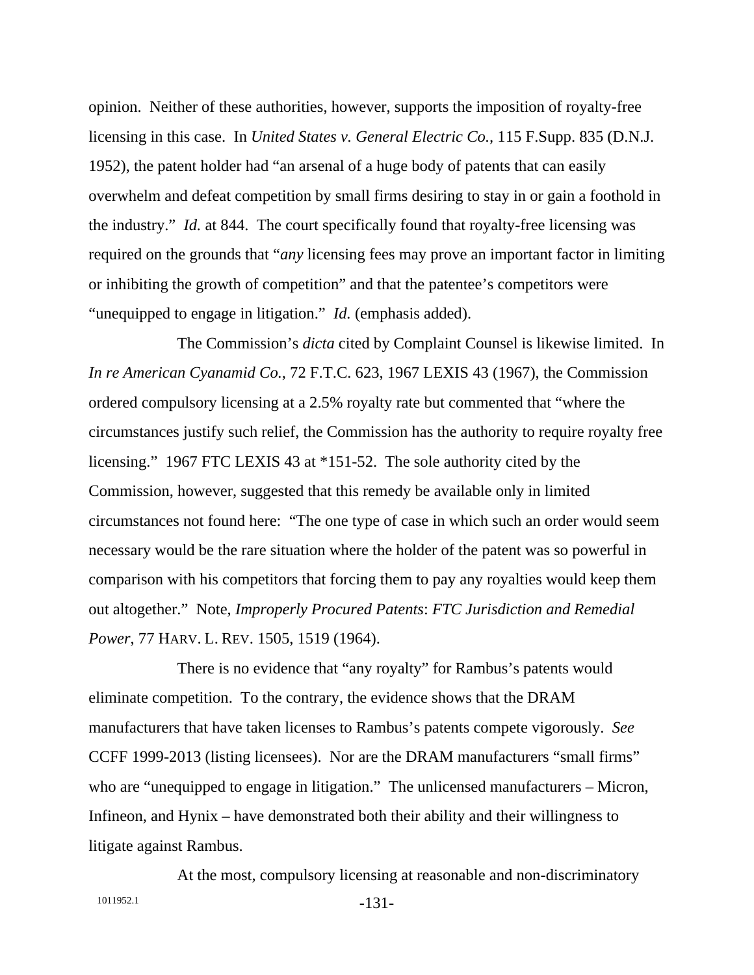opinion. Neither of these authorities, however, supports the imposition of royalty-free licensing in this case. In *United States v. General Electric Co.,* 115 F.Supp. 835 (D.N.J. 1952), the patent holder had "an arsenal of a huge body of patents that can easily overwhelm and defeat competition by small firms desiring to stay in or gain a foothold in the industry." *Id.* at 844. The court specifically found that royalty-free licensing was required on the grounds that "*any* licensing fees may prove an important factor in limiting or inhibiting the growth of competition" and that the patentee's competitors were "unequipped to engage in litigation." *Id.* (emphasis added).

The Commission's *dicta* cited by Complaint Counsel is likewise limited. In *In re American Cyanamid Co.*, 72 F.T.C. 623, 1967 LEXIS 43 (1967), the Commission ordered compulsory licensing at a 2.5% royalty rate but commented that "where the circumstances justify such relief, the Commission has the authority to require royalty free licensing." 1967 FTC LEXIS 43 at \*151-52. The sole authority cited by the Commission, however, suggested that this remedy be available only in limited circumstances not found here: "The one type of case in which such an order would seem necessary would be the rare situation where the holder of the patent was so powerful in comparison with his competitors that forcing them to pay any royalties would keep them out altogether." Note, *Improperly Procured Patents*: *FTC Jurisdiction and Remedial Power*, 77 HARV. L. REV. 1505, 1519 (1964).

There is no evidence that "any royalty" for Rambus's patents would eliminate competition. To the contrary, the evidence shows that the DRAM manufacturers that have taken licenses to Rambus's patents compete vigorously. *See* CCFF 1999-2013 (listing licensees). Nor are the DRAM manufacturers "small firms" who are "unequipped to engage in litigation." The unlicensed manufacturers – Micron, Infineon, and Hynix – have demonstrated both their ability and their willingness to litigate against Rambus.

1011952.1 -131- At the most, compulsory licensing at reasonable and non-discriminatory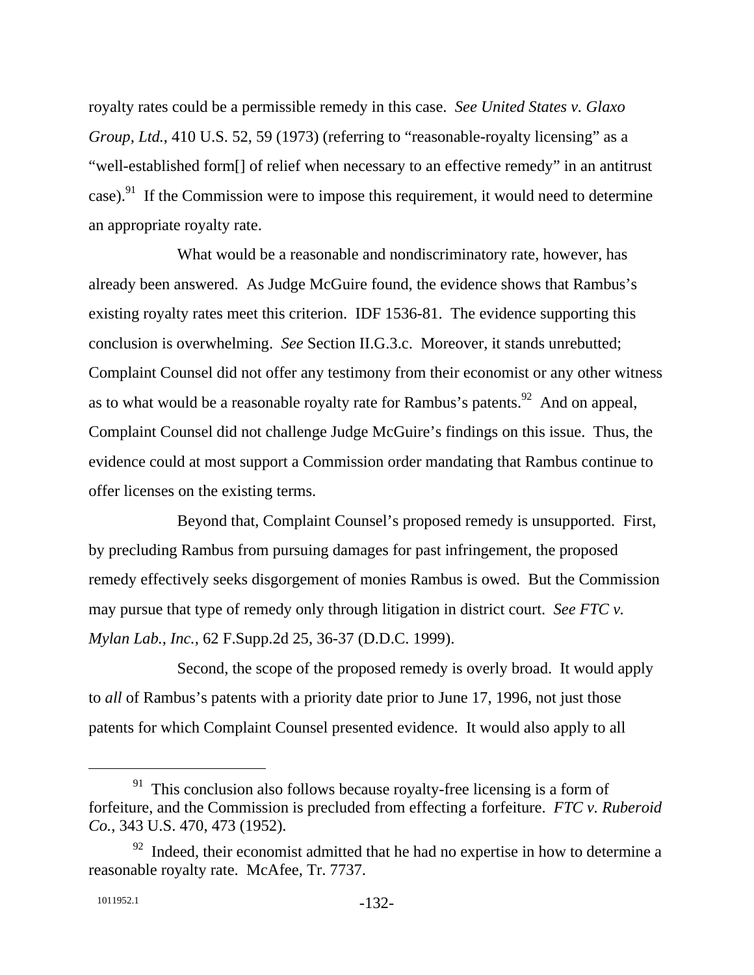royalty rates could be a permissible remedy in this case. *See United States v. Glaxo Group, Ltd.*, 410 U.S. 52, 59 (1973) (referring to "reasonable-royalty licensing" as a "well-established form[] of relief when necessary to an effective remedy" in an antitrust case).<sup>91</sup> If the Commission were to impose this requirement, it would need to determine an appropriate royalty rate.

What would be a reasonable and nondiscriminatory rate, however, has already been answered. As Judge McGuire found, the evidence shows that Rambus's existing royalty rates meet this criterion. IDF 1536-81. The evidence supporting this conclusion is overwhelming. *See* Section II.G.3.c. Moreover, it stands unrebutted; Complaint Counsel did not offer any testimony from their economist or any other witness as to what would be a reasonable royalty rate for Rambus's patents.<sup>92</sup> And on appeal, Complaint Counsel did not challenge Judge McGuire's findings on this issue. Thus, the evidence could at most support a Commission order mandating that Rambus continue to offer licenses on the existing terms.

Beyond that, Complaint Counsel's proposed remedy is unsupported. First, by precluding Rambus from pursuing damages for past infringement, the proposed remedy effectively seeks disgorgement of monies Rambus is owed. But the Commission may pursue that type of remedy only through litigation in district court. *See FTC v. Mylan Lab., Inc.*, 62 F.Supp.2d 25, 36-37 (D.D.C. 1999).

Second, the scope of the proposed remedy is overly broad. It would apply to *all* of Rambus's patents with a priority date prior to June 17, 1996, not just those patents for which Complaint Counsel presented evidence. It would also apply to all

 $91$  This conclusion also follows because royalty-free licensing is a form of forfeiture, and the Commission is precluded from effecting a forfeiture. *FTC v. Ruberoid Co.*, 343 U.S. 470, 473 (1952).

 $92$  Indeed, their economist admitted that he had no expertise in how to determine a reasonable royalty rate. McAfee, Tr. 7737.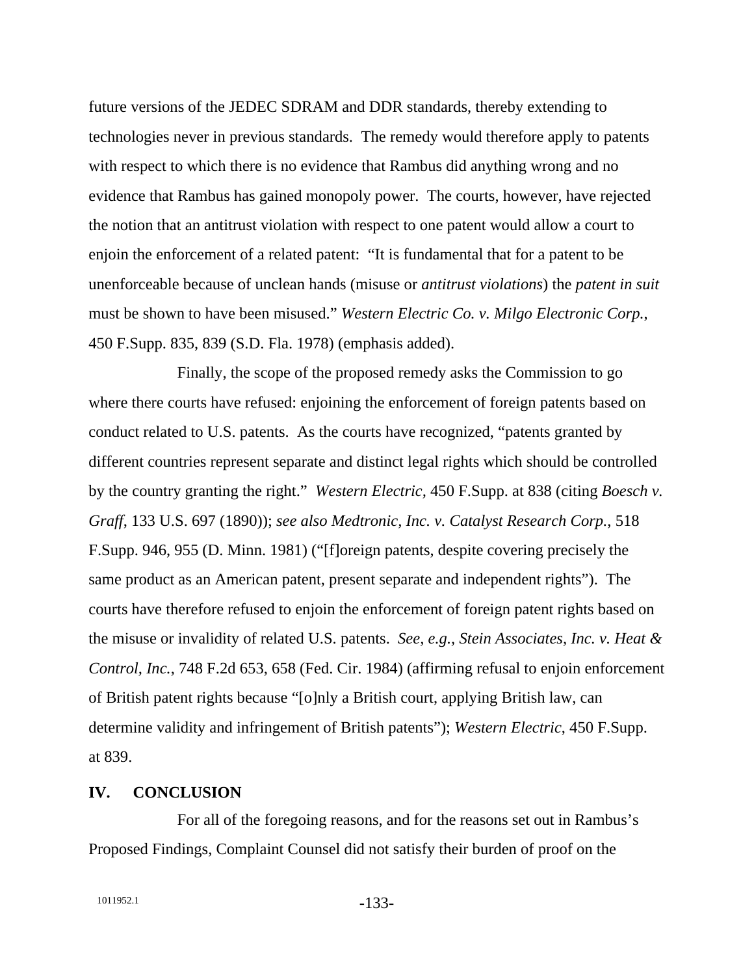future versions of the JEDEC SDRAM and DDR standards, thereby extending to technologies never in previous standards. The remedy would therefore apply to patents with respect to which there is no evidence that Rambus did anything wrong and no evidence that Rambus has gained monopoly power. The courts, however, have rejected the notion that an antitrust violation with respect to one patent would allow a court to enjoin the enforcement of a related patent: "It is fundamental that for a patent to be unenforceable because of unclean hands (misuse or *antitrust violations*) the *patent in suit* must be shown to have been misused." *Western Electric Co. v. Milgo Electronic Corp.*, 450 F.Supp. 835, 839 (S.D. Fla. 1978) (emphasis added).

Finally, the scope of the proposed remedy asks the Commission to go where there courts have refused: enjoining the enforcement of foreign patents based on conduct related to U.S. patents. As the courts have recognized, "patents granted by different countries represent separate and distinct legal rights which should be controlled by the country granting the right." *Western Electric,* 450 F.Supp. at 838 (citing *Boesch v. Graff*, 133 U.S. 697 (1890)); *see also Medtronic, Inc. v. Catalyst Research Corp.*, 518 F.Supp. 946, 955 (D. Minn. 1981) ("[f]oreign patents, despite covering precisely the same product as an American patent, present separate and independent rights"). The courts have therefore refused to enjoin the enforcement of foreign patent rights based on the misuse or invalidity of related U.S. patents. *See, e.g., Stein Associates, Inc. v. Heat & Control, Inc.*, 748 F.2d 653, 658 (Fed. Cir. 1984) (affirming refusal to enjoin enforcement of British patent rights because "[o]nly a British court, applying British law, can determine validity and infringement of British patents"); *Western Electric*, 450 F.Supp. at 839.

#### **IV. CONCLUSION**

For all of the foregoing reasons, and for the reasons set out in Rambus's Proposed Findings, Complaint Counsel did not satisfy their burden of proof on the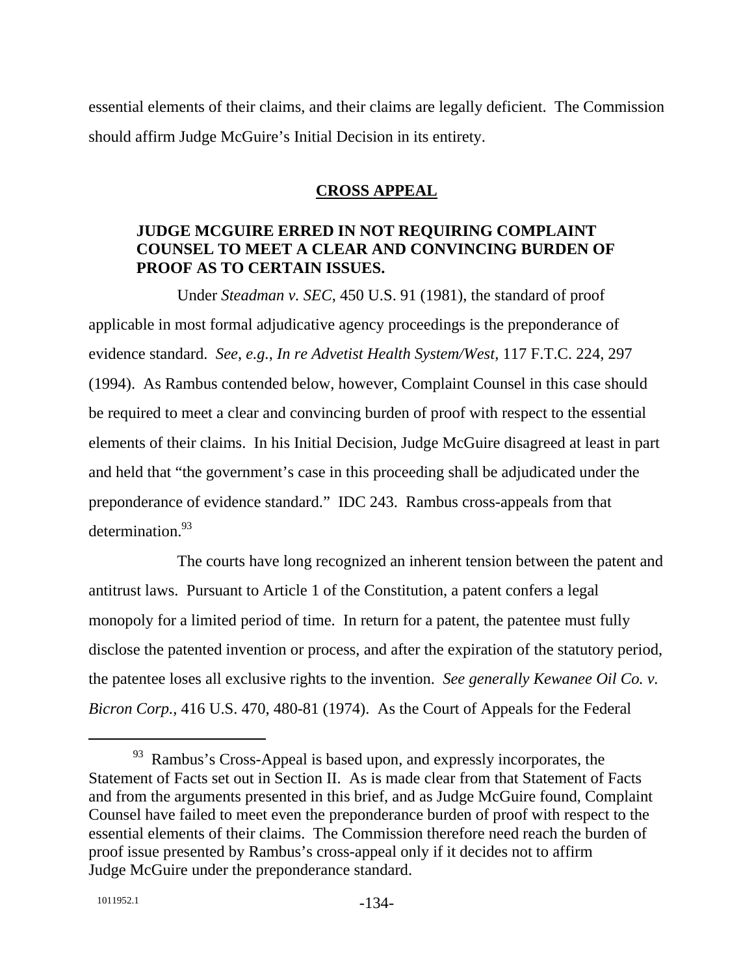essential elements of their claims, and their claims are legally deficient. The Commission should affirm Judge McGuire's Initial Decision in its entirety.

### **CROSS APPEAL**

## **JUDGE MCGUIRE ERRED IN NOT REQUIRING COMPLAINT COUNSEL TO MEET A CLEAR AND CONVINCING BURDEN OF PROOF AS TO CERTAIN ISSUES.**

Under *Steadman v. SEC*, 450 U.S. 91 (1981), the standard of proof applicable in most formal adjudicative agency proceedings is the preponderance of evidence standard. *See*, *e.g.*, *In re Advetist Health System/West*, 117 F.T.C. 224, 297 (1994). As Rambus contended below, however, Complaint Counsel in this case should be required to meet a clear and convincing burden of proof with respect to the essential elements of their claims. In his Initial Decision, Judge McGuire disagreed at least in part and held that "the government's case in this proceeding shall be adjudicated under the preponderance of evidence standard." IDC 243. Rambus cross-appeals from that determination.<sup>93</sup>

The courts have long recognized an inherent tension between the patent and antitrust laws. Pursuant to Article 1 of the Constitution, a patent confers a legal monopoly for a limited period of time. In return for a patent, the patentee must fully disclose the patented invention or process, and after the expiration of the statutory period, the patentee loses all exclusive rights to the invention. *See generally Kewanee Oil Co. v. Bicron Corp.*, 416 U.S. 470, 480-81 (1974). As the Court of Appeals for the Federal

<sup>&</sup>lt;sup>93</sup> Rambus's Cross-Appeal is based upon, and expressly incorporates, the Statement of Facts set out in Section II. As is made clear from that Statement of Facts and from the arguments presented in this brief, and as Judge McGuire found, Complaint Counsel have failed to meet even the preponderance burden of proof with respect to the essential elements of their claims. The Commission therefore need reach the burden of proof issue presented by Rambus's cross-appeal only if it decides not to affirm Judge McGuire under the preponderance standard.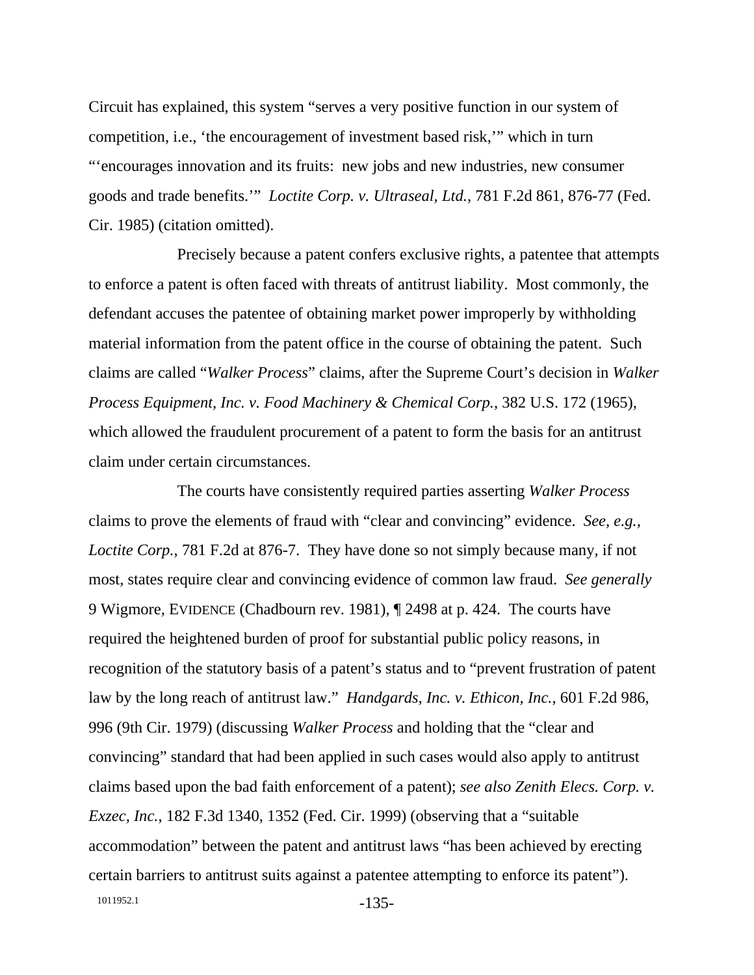Circuit has explained, this system "serves a very positive function in our system of competition, i.e., 'the encouragement of investment based risk,'" which in turn "'encourages innovation and its fruits: new jobs and new industries, new consumer goods and trade benefits.'" *Loctite Corp. v. Ultraseal, Ltd.*, 781 F.2d 861, 876-77 (Fed. Cir. 1985) (citation omitted).

Precisely because a patent confers exclusive rights, a patentee that attempts to enforce a patent is often faced with threats of antitrust liability. Most commonly, the defendant accuses the patentee of obtaining market power improperly by withholding material information from the patent office in the course of obtaining the patent. Such claims are called "*Walker Process*" claims, after the Supreme Court's decision in *Walker Process Equipment, Inc. v. Food Machinery & Chemical Corp.*, 382 U.S. 172 (1965), which allowed the fraudulent procurement of a patent to form the basis for an antitrust claim under certain circumstances.

1011952.1 -135-The courts have consistently required parties asserting *Walker Process* claims to prove the elements of fraud with "clear and convincing" evidence. *See, e.g., Loctite Corp.*, 781 F.2d at 876-7. They have done so not simply because many, if not most, states require clear and convincing evidence of common law fraud. *See generally* 9 Wigmore, EVIDENCE (Chadbourn rev. 1981), ¶ 2498 at p. 424. The courts have required the heightened burden of proof for substantial public policy reasons, in recognition of the statutory basis of a patent's status and to "prevent frustration of patent law by the long reach of antitrust law." *Handgards, Inc. v. Ethicon, Inc.*, 601 F.2d 986, 996 (9th Cir. 1979) (discussing *Walker Process* and holding that the "clear and convincing" standard that had been applied in such cases would also apply to antitrust claims based upon the bad faith enforcement of a patent); *see also Zenith Elecs. Corp. v. Exzec, Inc.*, 182 F.3d 1340, 1352 (Fed. Cir. 1999) (observing that a "suitable accommodation" between the patent and antitrust laws "has been achieved by erecting certain barriers to antitrust suits against a patentee attempting to enforce its patent").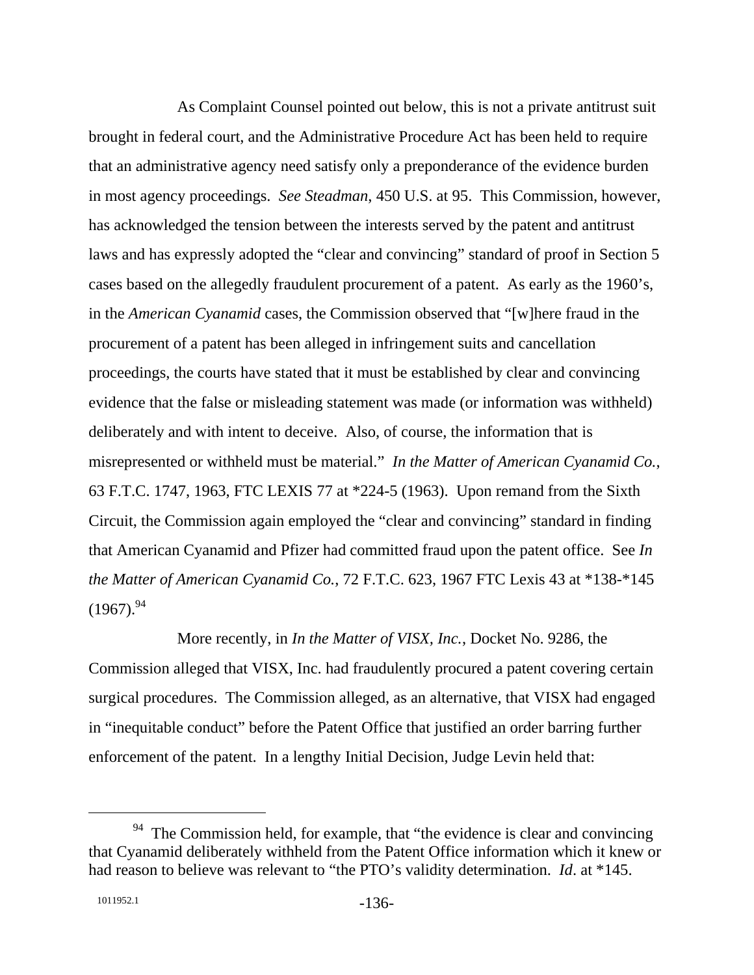As Complaint Counsel pointed out below, this is not a private antitrust suit brought in federal court, and the Administrative Procedure Act has been held to require that an administrative agency need satisfy only a preponderance of the evidence burden in most agency proceedings. *See Steadman*, 450 U.S. at 95. This Commission, however, has acknowledged the tension between the interests served by the patent and antitrust laws and has expressly adopted the "clear and convincing" standard of proof in Section 5 cases based on the allegedly fraudulent procurement of a patent. As early as the 1960's, in the *American Cyanamid* cases, the Commission observed that "[w]here fraud in the procurement of a patent has been alleged in infringement suits and cancellation proceedings, the courts have stated that it must be established by clear and convincing evidence that the false or misleading statement was made (or information was withheld) deliberately and with intent to deceive. Also, of course, the information that is misrepresented or withheld must be material." *In the Matter of American Cyanamid Co.*, 63 F.T.C. 1747, 1963, FTC LEXIS 77 at \*224-5 (1963). Upon remand from the Sixth Circuit, the Commission again employed the "clear and convincing" standard in finding that American Cyanamid and Pfizer had committed fraud upon the patent office. See *In the Matter of American Cyanamid Co.*, 72 F.T.C. 623, 1967 FTC Lexis 43 at \*138-\*145  $(1967).^{94}$ 

More recently, in *In the Matter of VISX, Inc.*, Docket No. 9286, the Commission alleged that VISX, Inc. had fraudulently procured a patent covering certain surgical procedures. The Commission alleged, as an alternative, that VISX had engaged in "inequitable conduct" before the Patent Office that justified an order barring further enforcement of the patent. In a lengthy Initial Decision, Judge Levin held that:

 $94$  The Commission held, for example, that "the evidence is clear and convincing that Cyanamid deliberately withheld from the Patent Office information which it knew or had reason to believe was relevant to "the PTO's validity determination. *Id*. at \*145.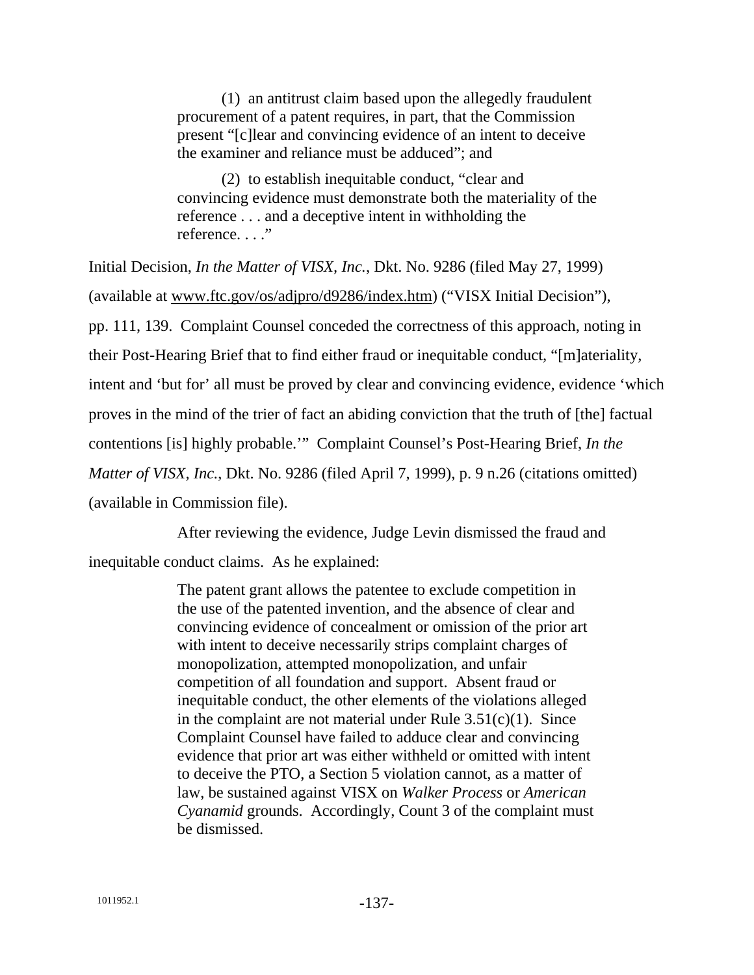(1) an antitrust claim based upon the allegedly fraudulent procurement of a patent requires, in part, that the Commission present "[c]lear and convincing evidence of an intent to deceive the examiner and reliance must be adduced"; and

 (2) to establish inequitable conduct, "clear and convincing evidence must demonstrate both the materiality of the reference . . . and a deceptive intent in withholding the reference. . . ."

Initial Decision, *In the Matter of VISX, Inc.*, Dkt. No. 9286 (filed May 27, 1999) (available at www.ftc.gov/os/adjpro/d9286/index.htm) ("VISX Initial Decision"), pp. 111, 139. Complaint Counsel conceded the correctness of this approach, noting in their Post-Hearing Brief that to find either fraud or inequitable conduct, "[m]ateriality, intent and 'but for' all must be proved by clear and convincing evidence, evidence 'which proves in the mind of the trier of fact an abiding conviction that the truth of [the] factual contentions [is] highly probable.'" Complaint Counsel's Post-Hearing Brief, *In the Matter of VISX, Inc.*, Dkt. No. 9286 (filed April 7, 1999), p. 9 n.26 (citations omitted) (available in Commission file).

After reviewing the evidence, Judge Levin dismissed the fraud and

inequitable conduct claims. As he explained:

The patent grant allows the patentee to exclude competition in the use of the patented invention, and the absence of clear and convincing evidence of concealment or omission of the prior art with intent to deceive necessarily strips complaint charges of monopolization, attempted monopolization, and unfair competition of all foundation and support. Absent fraud or inequitable conduct, the other elements of the violations alleged in the complaint are not material under Rule  $3.51(c)(1)$ . Since Complaint Counsel have failed to adduce clear and convincing evidence that prior art was either withheld or omitted with intent to deceive the PTO, a Section 5 violation cannot, as a matter of law, be sustained against VISX on *Walker Process* or *American Cyanamid* grounds. Accordingly, Count 3 of the complaint must be dismissed.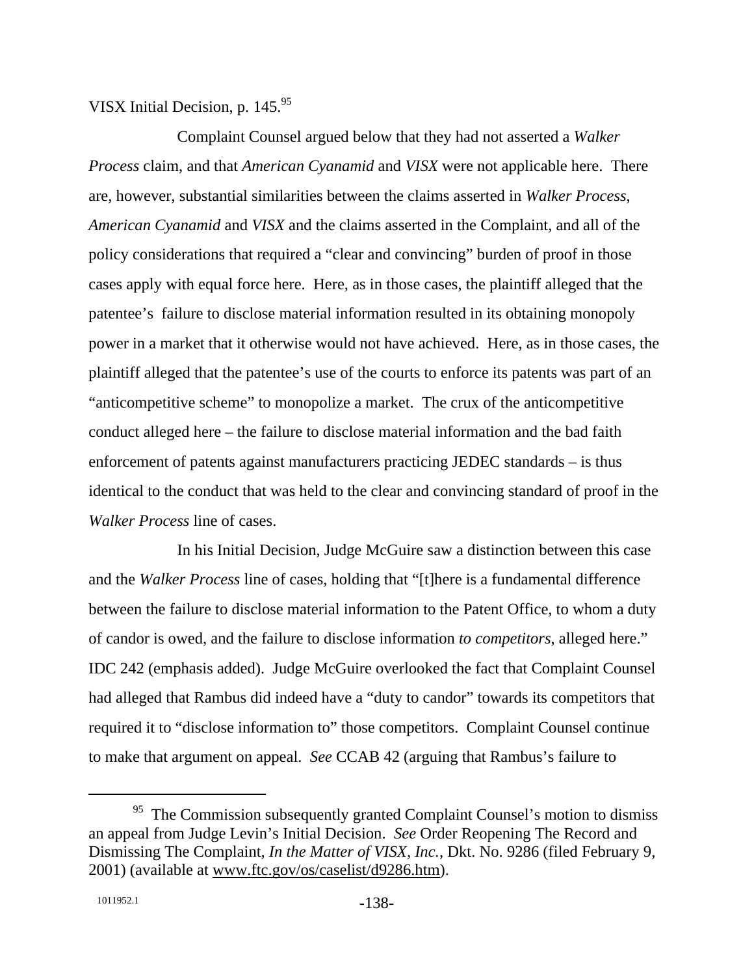#### VISX Initial Decision, p.  $145.^{95}$

Complaint Counsel argued below that they had not asserted a *Walker Process* claim, and that *American Cyanamid* and *VISX* were not applicable here. There are, however, substantial similarities between the claims asserted in *Walker Process*, *American Cyanamid* and *VISX* and the claims asserted in the Complaint, and all of the policy considerations that required a "clear and convincing" burden of proof in those cases apply with equal force here. Here, as in those cases, the plaintiff alleged that the patentee's failure to disclose material information resulted in its obtaining monopoly power in a market that it otherwise would not have achieved. Here, as in those cases, the plaintiff alleged that the patentee's use of the courts to enforce its patents was part of an "anticompetitive scheme" to monopolize a market. The crux of the anticompetitive conduct alleged here – the failure to disclose material information and the bad faith enforcement of patents against manufacturers practicing JEDEC standards – is thus identical to the conduct that was held to the clear and convincing standard of proof in the *Walker Process* line of cases.

In his Initial Decision, Judge McGuire saw a distinction between this case and the *Walker Process* line of cases, holding that "[t]here is a fundamental difference between the failure to disclose material information to the Patent Office, to whom a duty of candor is owed, and the failure to disclose information *to competitors*, alleged here." IDC 242 (emphasis added). Judge McGuire overlooked the fact that Complaint Counsel had alleged that Rambus did indeed have a "duty to candor" towards its competitors that required it to "disclose information to" those competitors. Complaint Counsel continue to make that argument on appeal. *See* CCAB 42 (arguing that Rambus's failure to

<sup>&</sup>lt;sup>95</sup> The Commission subsequently granted Complaint Counsel's motion to dismiss an appeal from Judge Levin's Initial Decision. *See* Order Reopening The Record and Dismissing The Complaint, *In the Matter of VISX, Inc.*, Dkt. No. 9286 (filed February 9, 2001) (available at www.ftc.gov/os/caselist/d9286.htm).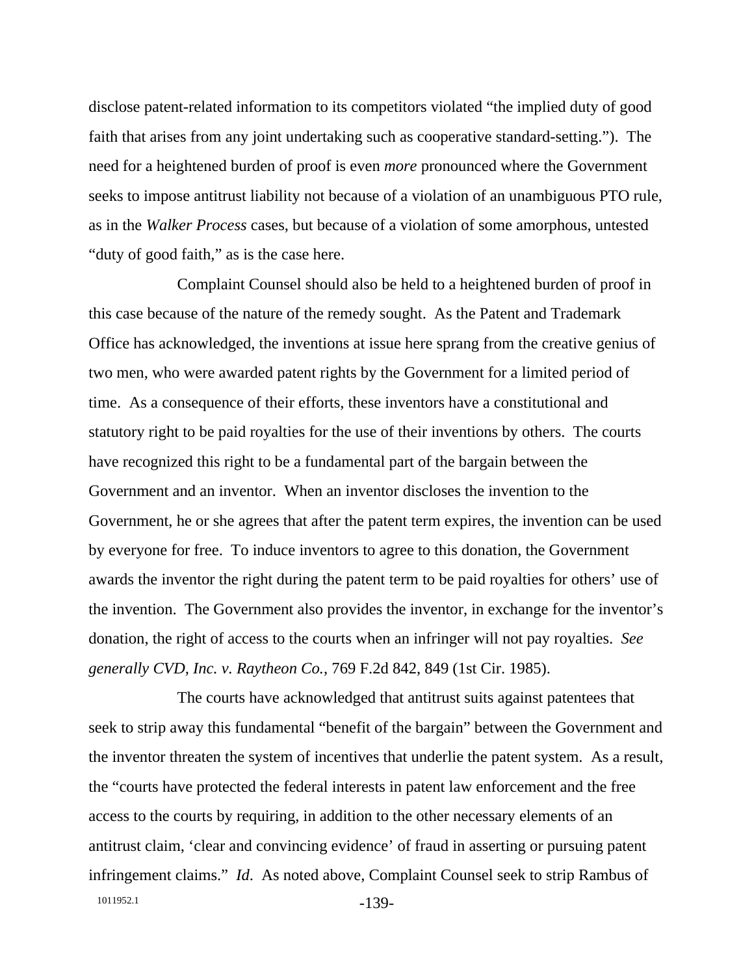disclose patent-related information to its competitors violated "the implied duty of good faith that arises from any joint undertaking such as cooperative standard-setting."). The need for a heightened burden of proof is even *more* pronounced where the Government seeks to impose antitrust liability not because of a violation of an unambiguous PTO rule, as in the *Walker Process* cases, but because of a violation of some amorphous, untested "duty of good faith," as is the case here.

Complaint Counsel should also be held to a heightened burden of proof in this case because of the nature of the remedy sought. As the Patent and Trademark Office has acknowledged, the inventions at issue here sprang from the creative genius of two men, who were awarded patent rights by the Government for a limited period of time. As a consequence of their efforts, these inventors have a constitutional and statutory right to be paid royalties for the use of their inventions by others. The courts have recognized this right to be a fundamental part of the bargain between the Government and an inventor. When an inventor discloses the invention to the Government, he or she agrees that after the patent term expires, the invention can be used by everyone for free. To induce inventors to agree to this donation, the Government awards the inventor the right during the patent term to be paid royalties for others' use of the invention. The Government also provides the inventor, in exchange for the inventor's donation, the right of access to the courts when an infringer will not pay royalties. *See generally CVD, Inc. v. Raytheon Co.*, 769 F.2d 842, 849 (1st Cir. 1985).

1011952.1 -139-The courts have acknowledged that antitrust suits against patentees that seek to strip away this fundamental "benefit of the bargain" between the Government and the inventor threaten the system of incentives that underlie the patent system. As a result, the "courts have protected the federal interests in patent law enforcement and the free access to the courts by requiring, in addition to the other necessary elements of an antitrust claim, 'clear and convincing evidence' of fraud in asserting or pursuing patent infringement claims." *Id*. As noted above, Complaint Counsel seek to strip Rambus of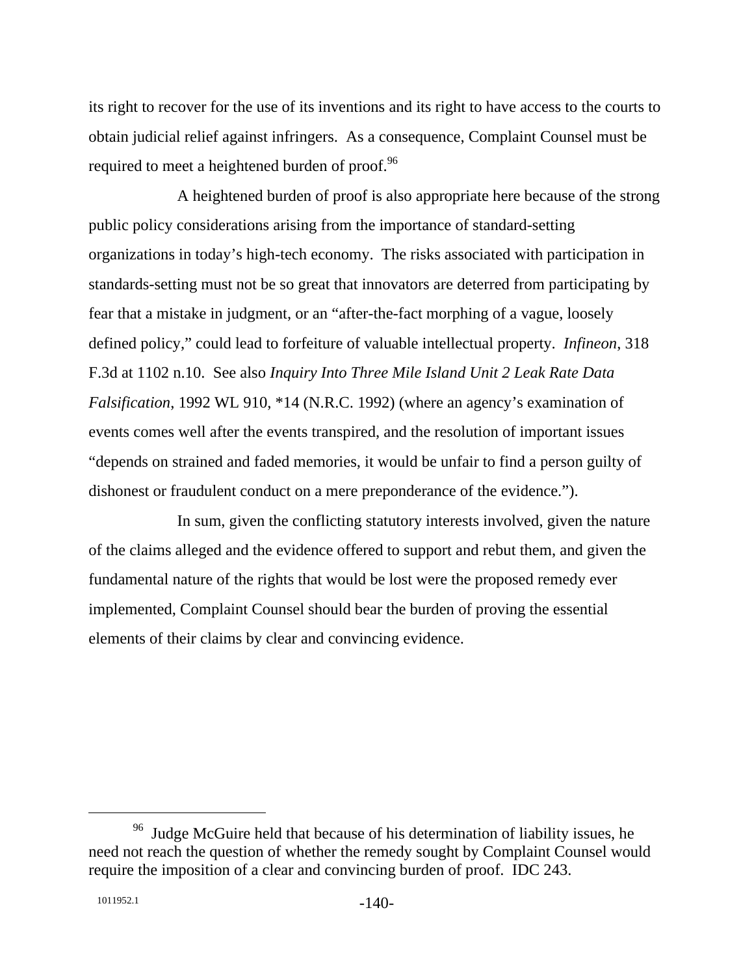its right to recover for the use of its inventions and its right to have access to the courts to obtain judicial relief against infringers. As a consequence, Complaint Counsel must be required to meet a heightened burden of proof.<sup>96</sup>

A heightened burden of proof is also appropriate here because of the strong public policy considerations arising from the importance of standard-setting organizations in today's high-tech economy. The risks associated with participation in standards-setting must not be so great that innovators are deterred from participating by fear that a mistake in judgment, or an "after-the-fact morphing of a vague, loosely defined policy," could lead to forfeiture of valuable intellectual property. *Infineon*, 318 F.3d at 1102 n.10. See also *Inquiry Into Three Mile Island Unit 2 Leak Rate Data Falsification*, 1992 WL 910, \*14 (N.R.C. 1992) (where an agency's examination of events comes well after the events transpired, and the resolution of important issues "depends on strained and faded memories, it would be unfair to find a person guilty of dishonest or fraudulent conduct on a mere preponderance of the evidence.").

In sum, given the conflicting statutory interests involved, given the nature of the claims alleged and the evidence offered to support and rebut them, and given the fundamental nature of the rights that would be lost were the proposed remedy ever implemented, Complaint Counsel should bear the burden of proving the essential elements of their claims by clear and convincing evidence.

<sup>&</sup>lt;sup>96</sup> Judge McGuire held that because of his determination of liability issues, he need not reach the question of whether the remedy sought by Complaint Counsel would require the imposition of a clear and convincing burden of proof. IDC 243.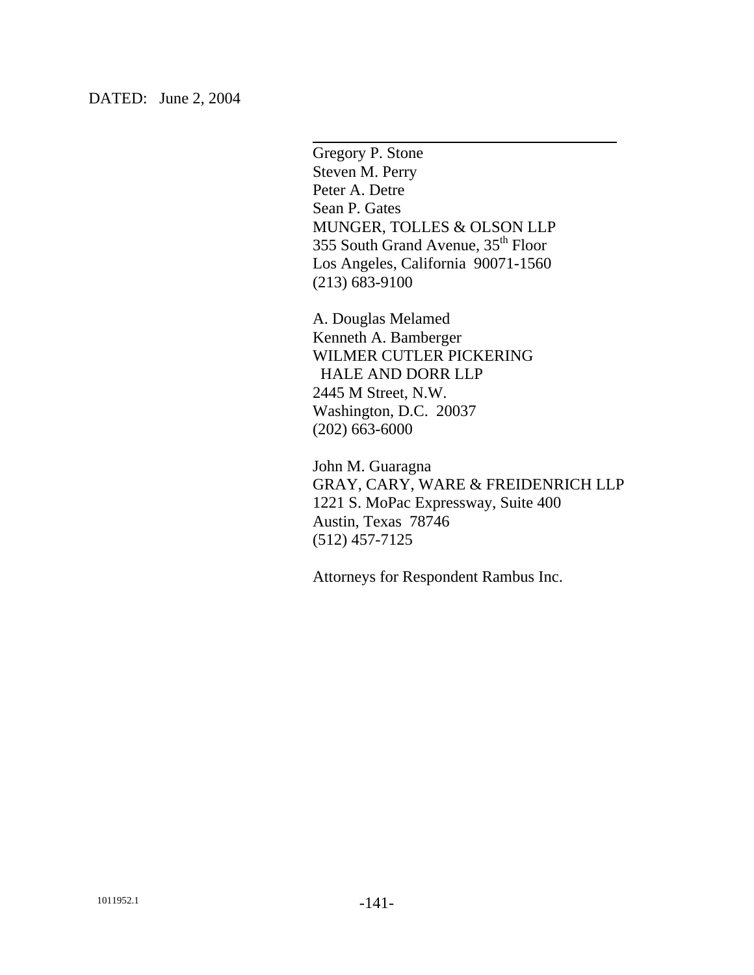DATED: June 2, 2004

Gregory P. Stone Steven M. Perry Peter A. Detre Sean P. Gates MUNGER, TOLLES & OLSON LLP 355 South Grand Avenue, 35<sup>th</sup> Floor Los Angeles, California 90071-1560 (213) 683-9100

l

A. Douglas Melamed Kenneth A. Bamberger WILMER CUTLER PICKERING HALE AND DORR LLP 2445 M Street, N.W. Washington, D.C. 20037 (202) 663-6000

John M. Guaragna GRAY, CARY, WARE & FREIDENRICH LLP 1221 S. MoPac Expressway, Suite 400 Austin, Texas 78746 (512) 457-7125

Attorneys for Respondent Rambus Inc.